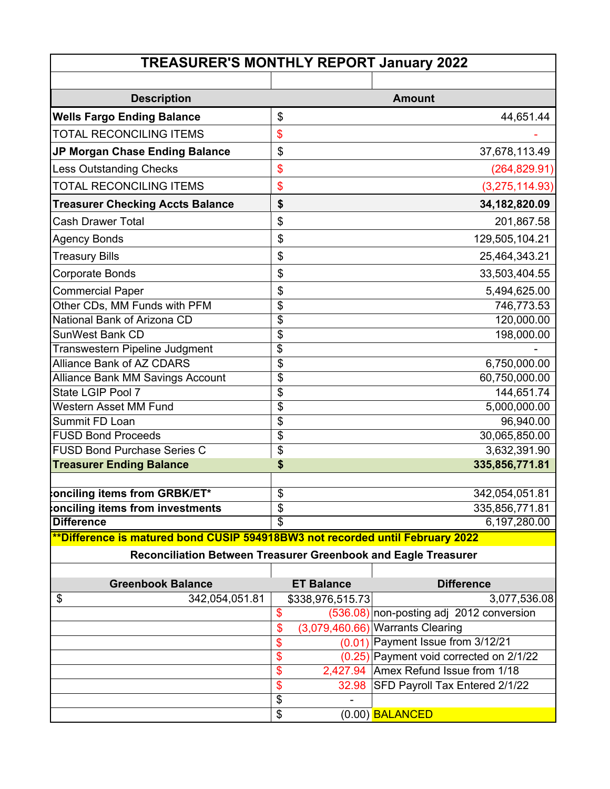| <b>TREASURER'S MONTHLY REPORT January 2022</b>                            |                                        |                 |  |  |  |  |
|---------------------------------------------------------------------------|----------------------------------------|-----------------|--|--|--|--|
|                                                                           |                                        |                 |  |  |  |  |
| <b>Description</b>                                                        |                                        | <b>Amount</b>   |  |  |  |  |
| <b>Wells Fargo Ending Balance</b>                                         | \$                                     | 44,651.44       |  |  |  |  |
| <b>TOTAL RECONCILING ITEMS</b>                                            | \$                                     |                 |  |  |  |  |
| JP Morgan Chase Ending Balance                                            | \$                                     | 37,678,113.49   |  |  |  |  |
| <b>Less Outstanding Checks</b>                                            | \$                                     | (264, 829.91)   |  |  |  |  |
| <b>TOTAL RECONCILING ITEMS</b>                                            | \$                                     | (3,275,114.93)  |  |  |  |  |
| <b>Treasurer Checking Accts Balance</b>                                   | \$                                     | 34, 182, 820.09 |  |  |  |  |
| <b>Cash Drawer Total</b>                                                  | \$                                     | 201,867.58      |  |  |  |  |
| <b>Agency Bonds</b>                                                       | \$                                     | 129,505,104.21  |  |  |  |  |
| <b>Treasury Bills</b>                                                     | \$                                     | 25,464,343.21   |  |  |  |  |
| Corporate Bonds                                                           | \$                                     | 33,503,404.55   |  |  |  |  |
| <b>Commercial Paper</b>                                                   | \$                                     | 5,494,625.00    |  |  |  |  |
| Other CDs, MM Funds with PFM                                              | $\overline{\$}$                        | 746,773.53      |  |  |  |  |
| National Bank of Arizona CD                                               | \$                                     | 120,000.00      |  |  |  |  |
| <b>SunWest Bank CD</b>                                                    | \$                                     | 198,000.00      |  |  |  |  |
| Transwestern Pipeline Judgment                                            | $\overline{\boldsymbol{\mathfrak{s}}}$ |                 |  |  |  |  |
| <b>Alliance Bank of AZ CDARS</b>                                          | \$                                     | 6,750,000.00    |  |  |  |  |
| <b>Alliance Bank MM Savings Account</b>                                   | \$                                     | 60,750,000.00   |  |  |  |  |
| State LGIP Pool 7                                                         | \$                                     | 144,651.74      |  |  |  |  |
| <b>Western Asset MM Fund</b>                                              | \$                                     | 5,000,000.00    |  |  |  |  |
| Summit FD Loan                                                            | $\overline{\$}$                        | 96,940.00       |  |  |  |  |
| <b>FUSD Bond Proceeds</b>                                                 | \$                                     | 30,065,850.00   |  |  |  |  |
| <b>FUSD Bond Purchase Series C</b>                                        | \$                                     | 3,632,391.90    |  |  |  |  |
| <b>Treasurer Ending Balance</b>                                           | \$                                     | 335,856,771.81  |  |  |  |  |
|                                                                           |                                        |                 |  |  |  |  |
| onciling items from GRBK/ET*                                              | \$                                     | 342,054,051.81  |  |  |  |  |
| onciling items from investments                                           | \$                                     | 335,856,771.81  |  |  |  |  |
| <b>Difference</b><br>$\overline{\phantom{a}}$<br>$\overline{\phantom{a}}$ | \$                                     | 6,197,280.00    |  |  |  |  |

#### **\*\*Difference is matured bond CUSIP 594918BW3 not recorded until February 2022**

**Reconciliation Between Treasurer Greenbook and Eagle Treasurer**

| <b>Greenbook Balance</b> |     | <b>ET Balance</b> | <b>Difference</b>                          |
|--------------------------|-----|-------------------|--------------------------------------------|
| \$<br>342,054,051.81     |     | \$338,976,515.73  | 3,077,536.08                               |
|                          | S   |                   | $(536.08)$ non-posting adj 2012 conversion |
|                          | \$. |                   | $(3,079,460.66)$ Warrants Clearing         |
|                          | S   |                   | $(0.01)$ Payment Issue from 3/12/21        |
|                          | S   |                   | $(0.25)$ Payment void corrected on 2/1/22  |
|                          | \$  |                   | 2,427.94 Amex Refund Issue from 1/18       |
|                          | S   |                   | 32.98 SFD Payroll Tax Entered 2/1/22       |
|                          | \$  | $\,$              |                                            |
|                          | \$  |                   | $(0.00)$ BALANCED                          |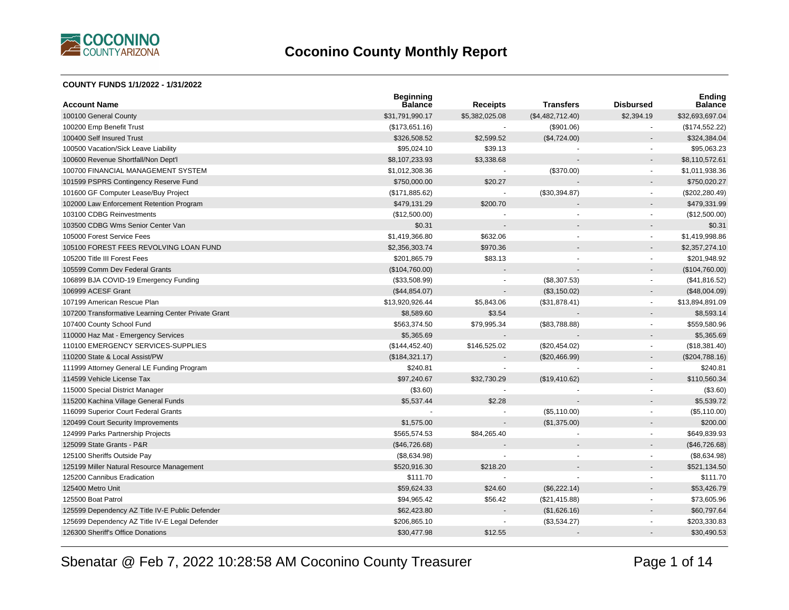

#### **COUNTY FUNDS 1/1/2022 - 1/31/2022**

| <b>Account Name</b>                                 | <b>Beginning</b><br><b>Balance</b> | <b>Receipts</b> | <b>Transfers</b> | <b>Disbursed</b>         | <b>Ending</b><br><b>Balance</b> |
|-----------------------------------------------------|------------------------------------|-----------------|------------------|--------------------------|---------------------------------|
| 100100 General County                               | \$31,791,990.17                    | \$5,382,025.08  | (\$4,482,712.40) | \$2,394.19               | \$32,693,697.04                 |
| 100200 Emp Benefit Trust                            | (\$173,651.16)                     |                 | (\$901.06)       |                          | (\$174,552.22)                  |
| 100400 Self Insured Trust                           | \$326,508.52                       | \$2,599.52      | (\$4,724.00)     |                          | \$324,384.04                    |
| 100500 Vacation/Sick Leave Liability                | \$95,024.10                        | \$39.13         |                  |                          | \$95,063.23                     |
| 100600 Revenue Shortfall/Non Dept'l                 | \$8,107,233.93                     | \$3,338.68      |                  |                          | \$8,110,572.61                  |
| 100700 FINANCIAL MANAGEMENT SYSTEM                  | \$1,012,308.36                     |                 | (\$370.00)       | $\sim$                   | \$1,011,938.36                  |
| 101599 PSPRS Contingency Reserve Fund               | \$750,000.00                       | \$20.27         |                  |                          | \$750,020.27                    |
| 101600 GF Computer Lease/Buy Project                | (\$171,885.62)                     |                 | (\$30,394.87)    | $\blacksquare$           | (\$202, 280.49)                 |
| 102000 Law Enforcement Retention Program            | \$479,131.29                       | \$200.70        |                  |                          | \$479,331.99                    |
| 103100 CDBG Reinvestments                           | (\$12,500.00)                      |                 |                  |                          | (\$12,500.00)                   |
| 103500 CDBG Wms Senior Center Van                   | \$0.31                             |                 |                  |                          | \$0.31                          |
| 105000 Forest Service Fees                          | \$1,419,366.80                     | \$632.06        |                  | $\blacksquare$           | \$1,419,998.86                  |
| 105100 FOREST FEES REVOLVING LOAN FUND              | \$2,356,303.74                     | \$970.36        |                  | $\overline{a}$           | \$2,357,274.10                  |
| 105200 Title III Forest Fees                        | \$201,865.79                       | \$83.13         |                  | $\blacksquare$           | \$201,948.92                    |
| 105599 Comm Dev Federal Grants                      | (\$104,760.00)                     |                 |                  |                          | (\$104,760.00)                  |
| 106899 BJA COVID-19 Emergency Funding               | (\$33,508.99)                      |                 | (\$8,307.53)     | $\blacksquare$           | (\$41,816.52)                   |
| 106999 ACESF Grant                                  | (\$44,854.07)                      |                 | (\$3,150.02)     |                          | (\$48,004.09)                   |
| 107199 American Rescue Plan                         | \$13,920,926.44                    | \$5,843.06      | (\$31,878.41)    | $\blacksquare$           | \$13,894,891.09                 |
| 107200 Transformative Learning Center Private Grant | \$8,589.60                         | \$3.54          |                  |                          | \$8,593.14                      |
| 107400 County School Fund                           | \$563,374.50                       | \$79,995.34     | (\$83,788.88)    | $\blacksquare$           | \$559,580.96                    |
| 110000 Haz Mat - Emergency Services                 | \$5,365.69                         |                 |                  |                          | \$5,365.69                      |
| 110100 EMERGENCY SERVICES-SUPPLIES                  | (\$144, 452.40)                    | \$146,525.02    | (\$20,454.02)    | $\blacksquare$           | (\$18,381.40)                   |
| 110200 State & Local Assist/PW                      | (\$184,321.17)                     |                 | (\$20,466.99)    |                          | (\$204,788.16)                  |
| 111999 Attorney General LE Funding Program          | \$240.81                           |                 |                  | $\overline{\phantom{a}}$ | \$240.81                        |
| 114599 Vehicle License Tax                          | \$97,240.67                        | \$32,730.29     | (\$19,410.62)    |                          | \$110,560.34                    |
| 115000 Special District Manager                     | (\$3.60)                           |                 |                  | $\overline{\phantom{a}}$ | (\$3.60)                        |
| 115200 Kachina Village General Funds                | \$5,537.44                         | \$2.28          |                  |                          | \$5,539.72                      |
| 116099 Superior Court Federal Grants                |                                    |                 | (\$5,110.00)     |                          | (\$5,110.00)                    |
| 120499 Court Security Improvements                  | \$1,575.00                         |                 | (\$1,375.00)     |                          | \$200.00                        |
| 124999 Parks Partnership Projects                   | \$565,574.53                       | \$84,265.40     |                  | $\blacksquare$           | \$649,839.93                    |
| 125099 State Grants - P&R                           | (\$46,726.68)                      |                 |                  |                          | (\$46,726.68)                   |
| 125100 Sheriffs Outside Pay                         | (\$8,634.98)                       |                 |                  | $\overline{\phantom{a}}$ | (\$8,634.98)                    |
| 125199 Miller Natural Resource Management           | \$520,916.30                       | \$218.20        |                  | $\overline{a}$           | \$521,134.50                    |
| 125200 Cannibus Eradication                         | \$111.70                           |                 |                  | $\blacksquare$           | \$111.70                        |
| 125400 Metro Unit                                   | \$59,624.33                        | \$24.60         | (\$6,222.14)     |                          | \$53,426.79                     |
| 125500 Boat Patrol                                  | \$94,965.42                        | \$56.42         | (\$21,415.88)    | $\blacksquare$           | \$73,605.96                     |
| 125599 Dependency AZ Title IV-E Public Defender     | \$62,423.80                        |                 | (\$1,626.16)     | $\overline{a}$           | \$60,797.64                     |
| 125699 Dependency AZ Title IV-E Legal Defender      | \$206,865.10                       |                 | (\$3,534.27)     |                          | \$203,330.83                    |
| 126300 Sheriff's Office Donations                   | \$30,477.98                        | \$12.55         |                  |                          | \$30,490.53                     |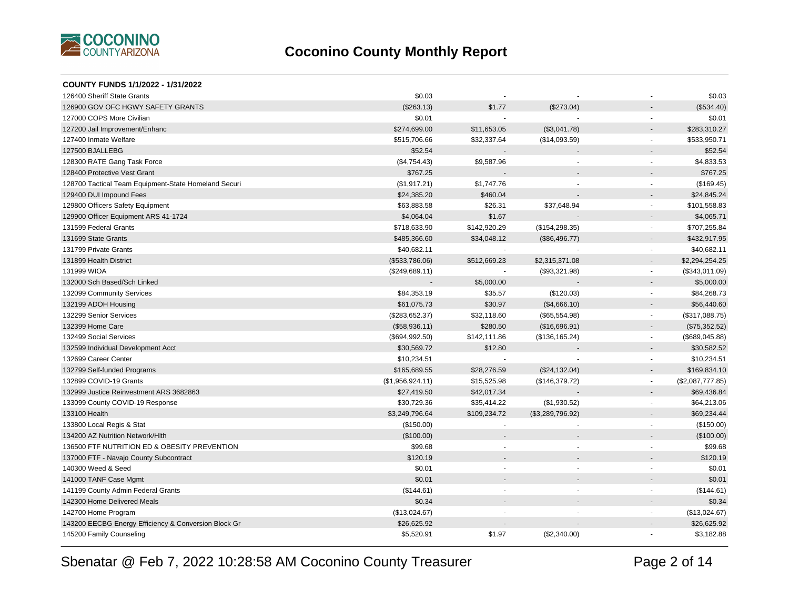

| COUNTY FUNDS 1/1/2022 - 1/31/2022                    |                  |                |                  |                          |                  |
|------------------------------------------------------|------------------|----------------|------------------|--------------------------|------------------|
| 126400 Sheriff State Grants                          | \$0.03           |                |                  |                          | \$0.03           |
| 126900 GOV OFC HGWY SAFETY GRANTS                    | (\$263.13)       | \$1.77         | (\$273.04)       |                          | (\$534.40)       |
| 127000 COPS More Civilian                            | \$0.01           |                |                  | $\blacksquare$           | \$0.01           |
| 127200 Jail Improvement/Enhanc                       | \$274,699.00     | \$11,653.05    | (\$3,041.78)     |                          | \$283,310.27     |
| 127400 Inmate Welfare                                | \$515,706.66     | \$32,337.64    | (\$14,093.59)    | $\blacksquare$           | \$533,950.71     |
| 127500 BJALLEBG                                      | \$52.54          |                |                  |                          | \$52.54          |
| 128300 RATE Gang Task Force                          | (\$4,754.43)     | \$9,587.96     |                  | $\mathbf{r}$             | \$4,833.53       |
| 128400 Protective Vest Grant                         | \$767.25         |                |                  |                          | \$767.25         |
| 128700 Tactical Team Equipment-State Homeland Securi | (\$1,917.21)     | \$1,747.76     |                  |                          | (\$169.45)       |
| 129400 DUI Impound Fees                              | \$24,385.20      | \$460.04       |                  | $\overline{\phantom{a}}$ | \$24,845.24      |
| 129800 Officers Safety Equipment                     | \$63,883.58      | \$26.31        | \$37,648.94      | $\mathbf{r}$             | \$101,558.83     |
| 129900 Officer Equipment ARS 41-1724                 | \$4,064.04       | \$1.67         |                  | $\blacksquare$           | \$4,065.71       |
| 131599 Federal Grants                                | \$718,633.90     | \$142,920.29   | (\$154, 298.35)  | $\blacksquare$           | \$707,255.84     |
| 131699 State Grants                                  | \$485,366.60     | \$34,048.12    | (\$86,496.77)    |                          | \$432,917.95     |
| 131799 Private Grants                                | \$40,682.11      |                |                  | $\blacksquare$           | \$40,682.11      |
| 131899 Health District                               | (\$533,786.06)   | \$512,669.23   | \$2,315,371.08   | $\overline{a}$           | \$2,294,254.25   |
| 131999 WIOA                                          | (\$249,689.11)   | $\sim$         | (\$93,321.98)    | $\blacksquare$           | (\$343,011.09)   |
| 132000 Sch Based/Sch Linked                          |                  | \$5,000.00     |                  | $\blacksquare$           | \$5,000.00       |
| 132099 Community Services                            | \$84,353.19      | \$35.57        | (\$120.03)       | $\overline{\phantom{a}}$ | \$84,268.73      |
| 132199 ADOH Housing                                  | \$61,075.73      | \$30.97        | (\$4,666.10)     | $\overline{a}$           | \$56,440.60      |
| 132299 Senior Services                               | (\$283,652.37)   | \$32,118.60    | (\$65,554.98)    | $\blacksquare$           | (\$317,088.75)   |
| 132399 Home Care                                     | (\$58,936.11)    | \$280.50       | (\$16,696.91)    |                          | (\$75,352.52)    |
| 132499 Social Services                               | (\$694,992.50)   | \$142,111.86   | (\$136, 165.24)  | $\blacksquare$           | (\$689,045.88)   |
| 132599 Individual Development Acct                   | \$30,569.72      | \$12.80        |                  | $\overline{\phantom{a}}$ | \$30,582.52      |
| 132699 Career Center                                 | \$10,234.51      |                |                  | $\mathbf{r}$             | \$10,234.51      |
| 132799 Self-funded Programs                          | \$165,689.55     | \$28,276.59    | (\$24,132.04)    | $\blacksquare$           | \$169,834.10     |
| 132899 COVID-19 Grants                               | (\$1,956,924.11) | \$15,525.98    | (\$146,379.72)   | $\blacksquare$           | (\$2,087,777.85) |
| 132999 Justice Reinvestment ARS 3682863              | \$27,419.50      | \$42,017.34    |                  | $\overline{\phantom{a}}$ | \$69,436.84      |
| 133099 County COVID-19 Response                      | \$30,729.36      | \$35,414.22    | (\$1,930.52)     | $\blacksquare$           | \$64,213.06      |
| 133100 Health                                        | \$3,249,796.64   | \$109,234.72   | (\$3,289,796.92) | $\blacksquare$           | \$69,234.44      |
| 133800 Local Regis & Stat                            | (\$150.00)       |                |                  |                          | (\$150.00)       |
| 134200 AZ Nutrition Network/Hith                     | (\$100.00)       |                |                  |                          | (\$100.00)       |
| 136500 FTF NUTRITION ED & OBESITY PREVENTION         | \$99.68          |                | ٠                | $\blacksquare$           | \$99.68          |
| 137000 FTF - Navajo County Subcontract               | \$120.19         |                |                  |                          | \$120.19         |
| 140300 Weed & Seed                                   | \$0.01           |                | ä,               | $\blacksquare$           | \$0.01           |
| 141000 TANF Case Mgmt                                | \$0.01           |                |                  |                          | \$0.01           |
| 141199 County Admin Federal Grants                   | (\$144.61)       | $\overline{a}$ | $\blacksquare$   | $\blacksquare$           | (\$144.61)       |
| 142300 Home Delivered Meals                          | \$0.34           |                |                  |                          | \$0.34           |
| 142700 Home Program                                  | (\$13,024.67)    |                |                  | $\overline{\phantom{a}}$ | (\$13,024.67)    |
| 143200 EECBG Energy Efficiency & Conversion Block Gr | \$26,625.92      |                |                  | $\blacksquare$           | \$26,625.92      |
| 145200 Family Counseling                             | \$5,520.91       | \$1.97         | (\$2,340.00)     |                          | \$3,182.88       |
|                                                      |                  |                |                  |                          |                  |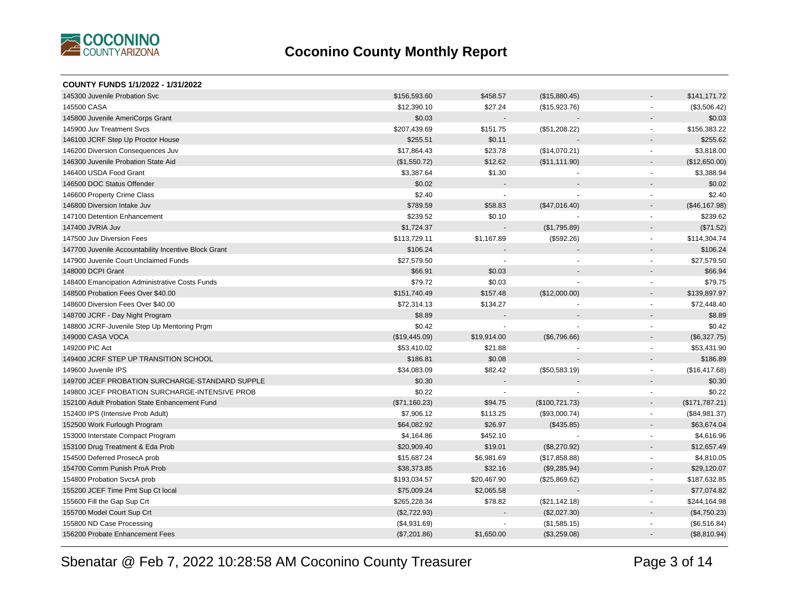

| COUNTY FUNDS 1/1/2022 - 1/31/2022                    |               |             |                |                          |                |
|------------------------------------------------------|---------------|-------------|----------------|--------------------------|----------------|
| 145300 Juvenile Probation Svc                        | \$156,593.60  | \$458.57    | (\$15,880.45)  |                          | \$141,171.72   |
| 145500 CASA                                          | \$12,390.10   | \$27.24     | (\$15,923.76)  | $\blacksquare$           | (\$3,506.42)   |
| 145800 Juvenile AmeriCorps Grant                     | \$0.03        |             |                |                          | \$0.03         |
| 145900 Juv Treatment Svcs                            | \$207,439.69  | \$151.75    | (\$51,208.22)  | $\blacksquare$           | \$156,383.22   |
| 146100 JCRF Step Up Proctor House                    | \$255.51      | \$0.11      |                | $\blacksquare$           | \$255.62       |
| 146200 Diversion Consequences Juv                    | \$17,864.43   | \$23.78     | (\$14,070.21)  | $\overline{\phantom{a}}$ | \$3,818.00     |
| 146300 Juvenile Probation State Aid                  | (\$1,550.72)  | \$12.62     | (\$11,111.90)  | $\blacksquare$           | (\$12,650.00)  |
| 146400 USDA Food Grant                               | \$3,387.64    | \$1.30      |                | $\blacksquare$           | \$3,388.94     |
| 146500 DOC Status Offender                           | \$0.02        |             |                |                          | \$0.02         |
| 146600 Property Crime Class                          | \$2.40        |             |                | $\blacksquare$           | \$2.40         |
| 146800 Diversion Intake Juv                          | \$789.59      | \$58.83     | (\$47,016.40)  |                          | (\$46,167.98)  |
| 147100 Detention Enhancement                         | \$239.52      | \$0.10      |                | $\blacksquare$           | \$239.62       |
| 147400 JVRIA Juv                                     | \$1,724.37    |             | (\$1,795.89)   | $\overline{\phantom{a}}$ | (\$71.52)      |
| 147500 Juv Diversion Fees                            | \$113,729.11  | \$1,167.89  | (\$592.26)     | $\blacksquare$           | \$114,304.74   |
| 147700 Juvenile Accountability Incentive Block Grant | \$106.24      |             |                | $\overline{\phantom{a}}$ | \$106.24       |
| 147900 Juvenile Court Unclaimed Funds                | \$27,579.50   |             |                | $\blacksquare$           | \$27,579.50    |
| 148000 DCPI Grant                                    | \$66.91       | \$0.03      |                |                          | \$66.94        |
| 148400 Emancipation Administrative Costs Funds       | \$79.72       | \$0.03      |                | $\blacksquare$           | \$79.75        |
| 148500 Probation Fees Over \$40.00                   | \$151,740.49  | \$157.48    | (\$12,000.00)  | $\blacksquare$           | \$139,897.97   |
| 148600 Diversion Fees Over \$40.00                   | \$72,314.13   | \$134.27    |                | $\blacksquare$           | \$72,448.40    |
| 148700 JCRF - Day Night Program                      | \$8.89        |             |                |                          | \$8.89         |
| 148800 JCRF-Juvenile Step Up Mentoring Prgm          | \$0.42        |             |                | $\sim$                   | \$0.42         |
| 149000 CASA VOCA                                     | (\$19,445.09) | \$19,914.00 | (\$6,796.66)   | $\overline{\phantom{a}}$ | (\$6,327.75)   |
| 149200 PIC Act                                       | \$53,410.02   | \$21.88     |                | $\blacksquare$           | \$53,431.90    |
| 149400 JCRF STEP UP TRANSITION SCHOOL                | \$186.81      | \$0.08      |                |                          | \$186.89       |
| 149600 Juvenile IPS                                  | \$34,083.09   | \$82.42     | (\$50,583.19)  | $\blacksquare$           | (\$16,417.68)  |
| 149700 JCEF PROBATION SURCHARGE-STANDARD SUPPLE      | \$0.30        |             |                |                          | \$0.30         |
| 149800 JCEF PROBATION SURCHARGE-INTENSIVE PROB       | \$0.22        |             |                | $\overline{a}$           | \$0.22         |
| 152100 Adult Probation State Enhancement Fund        | (\$71,160.23) | \$94.75     | (\$100,721.73) | $\overline{\phantom{a}}$ | (\$171,787.21) |
| 152400 IPS (Intensive Prob Adult)                    | \$7,906.12    | \$113.25    | (\$93,000.74)  | $\blacksquare$           | (\$84,981.37)  |
| 152500 Work Furlough Program                         | \$64,082.92   | \$26.97     | (\$435.85)     | $\overline{\phantom{a}}$ | \$63,674.04    |
| 153000 Interstate Compact Program                    | \$4,164.86    | \$452.10    |                | $\blacksquare$           | \$4,616.96     |
| 153100 Drug Treatment & Eda Prob                     | \$20,909.40   | \$19.01     | (\$8,270.92)   |                          | \$12,657.49    |
| 154500 Deferred ProsecA prob                         | \$15,687.24   | \$6,981.69  | (\$17,858.88)  | $\blacksquare$           | \$4,810.05     |
| 154700 Comm Punish ProA Prob                         | \$38,373.85   | \$32.16     | (\$9,285.94)   |                          | \$29,120.07    |
| 154800 Probation SvcsA prob                          | \$193,034.57  | \$20,467.90 | (\$25,869.62)  | $\overline{\phantom{a}}$ | \$187,632.85   |
| 155200 JCEF Time Pmt Sup Ct local                    | \$75,009.24   | \$2,065.58  |                | $\overline{\phantom{a}}$ | \$77,074.82    |
| 155600 Fill the Gap Sup Crt                          | \$265,228.34  | \$78.82     | (\$21,142.18)  | $\blacksquare$           | \$244,164.98   |
| 155700 Model Court Sup Crt                           | (\$2,722.93)  |             | (\$2,027.30)   | $\overline{a}$           | (\$4,750.23)   |
| 155800 ND Case Processing                            | (\$4,931.69)  |             | (\$1,585.15)   | $\blacksquare$           | (\$6,516.84)   |
| 156200 Probate Enhancement Fees                      | (\$7,201.86)  | \$1,650.00  | (\$3,259.08)   |                          | (\$8,810.94)   |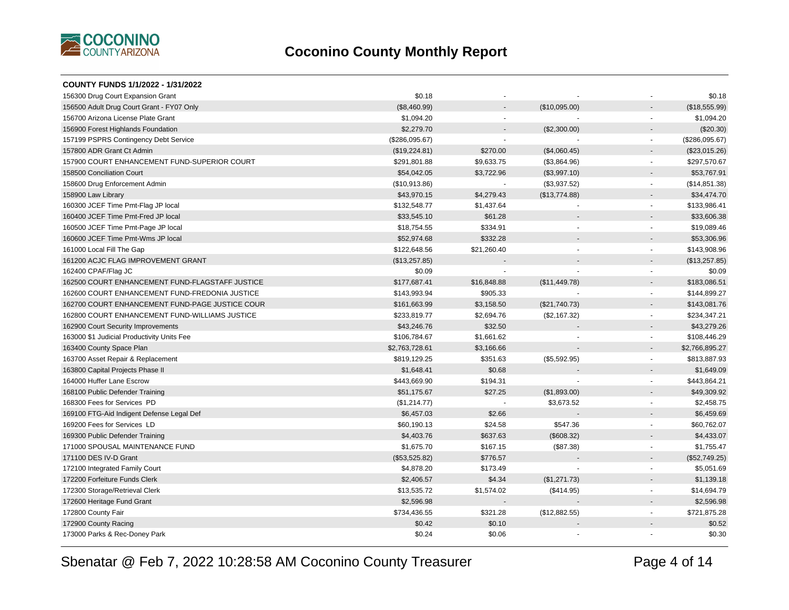

| COUNTY FUNDS 1/1/2022 - 1/31/2022               |                |                          |               |                          |                |
|-------------------------------------------------|----------------|--------------------------|---------------|--------------------------|----------------|
| 156300 Drug Court Expansion Grant               | \$0.18         |                          |               |                          | \$0.18         |
| 156500 Adult Drug Court Grant - FY07 Only       | (\$8,460.99)   |                          | (\$10,095.00) |                          | (\$18,555.99)  |
| 156700 Arizona License Plate Grant              | \$1,094.20     | $\overline{a}$           |               |                          | \$1,094.20     |
| 156900 Forest Highlands Foundation              | \$2,279.70     |                          | (\$2,300.00)  |                          | (\$20.30)      |
| 157199 PSPRS Contingency Debt Service           | (\$286,095.67) |                          |               | $\sim$                   | (\$286,095.67) |
| 157800 ADR Grant Ct Admin                       | (\$19,224.81)  | \$270.00                 | (\$4,060.45)  |                          | (\$23,015.26)  |
| 157900 COURT ENHANCEMENT FUND-SUPERIOR COURT    | \$291,801.88   | \$9,633.75               | (\$3,864.96)  | $\sim$                   | \$297,570.67   |
| 158500 Conciliation Court                       | \$54,042.05    | \$3,722.96               | (\$3,997.10)  |                          | \$53,767.91    |
| 158600 Drug Enforcement Admin                   | (\$10,913.86)  |                          | (\$3,937.52)  |                          | (\$14,851.38)  |
| 158900 Law Library                              | \$43,970.15    | \$4,279.43               | (\$13,774.88) | $\overline{\phantom{a}}$ | \$34,474.70    |
| 160300 JCEF Time Pmt-Flag JP local              | \$132,548.77   | \$1,437.64               |               | $\sim$                   | \$133,986.41   |
| 160400 JCEF Time Pmt-Fred JP local              | \$33,545.10    | \$61.28                  |               |                          | \$33,606.38    |
| 160500 JCEF Time Pmt-Page JP local              | \$18,754.55    | \$334.91                 |               |                          | \$19,089.46    |
| 160600 JCEF Time Pmt-Wms JP local               | \$52,974.68    | \$332.28                 |               |                          | \$53,306.96    |
| 161000 Local Fill The Gap                       | \$122,648.56   | \$21,260.40              |               | $\overline{\phantom{a}}$ | \$143,908.96   |
| 161200 ACJC FLAG IMPROVEMENT GRANT              | (\$13,257.85)  |                          |               |                          | (\$13,257.85)  |
| 162400 CPAF/Flag JC                             | \$0.09         | $\overline{\phantom{a}}$ |               | $\overline{\phantom{a}}$ | \$0.09         |
| 162500 COURT ENHANCEMENT FUND-FLAGSTAFF JUSTICE | \$177,687.41   | \$16,848.88              | (\$11,449.78) |                          | \$183,086.51   |
| 162600 COURT ENHANCEMENT FUND-FREDONIA JUSTICE  | \$143,993.94   | \$905.33                 |               | $\sim$                   | \$144,899.27   |
| 162700 COURT ENHANCEMENT FUND-PAGE JUSTICE COUR | \$161,663.99   | \$3,158.50               | (\$21,740.73) |                          | \$143,081.76   |
| 162800 COURT ENHANCEMENT FUND-WILLIAMS JUSTICE  | \$233,819.77   | \$2,694.76               | (\$2,167.32)  | $\sim$                   | \$234,347.21   |
| 162900 Court Security Improvements              | \$43,246.76    | \$32.50                  |               |                          | \$43,279.26    |
| 163000 \$1 Judicial Productivity Units Fee      | \$106,784.67   | \$1,661.62               |               | $\sim$                   | \$108,446.29   |
| 163400 County Space Plan                        | \$2,763,728.61 | \$3,166.66               |               |                          | \$2,766,895.27 |
| 163700 Asset Repair & Replacement               | \$819,129.25   | \$351.63                 | (\$5,592.95)  | $\sim$                   | \$813,887.93   |
| 163800 Capital Projects Phase II                | \$1,648.41     | \$0.68                   |               |                          | \$1,649.09     |
| 164000 Huffer Lane Escrow                       | \$443,669.90   | \$194.31                 |               | $\blacksquare$           | \$443,864.21   |
| 168100 Public Defender Training                 | \$51,175.67    | \$27.25                  | (\$1,893.00)  |                          | \$49,309.92    |
| 168300 Fees for Services PD                     | (\$1,214.77)   | $\overline{\phantom{a}}$ | \$3,673.52    |                          | \$2,458.75     |
| 169100 FTG-Aid Indigent Defense Legal Def       | \$6,457.03     | \$2.66                   |               |                          | \$6,459.69     |
| 169200 Fees for Services LD                     | \$60,190.13    | \$24.58                  | \$547.36      |                          | \$60,762.07    |
| 169300 Public Defender Training                 | \$4,403.76     | \$637.63                 | (\$608.32)    |                          | \$4,433.07     |
| 171000 SPOUSAL MAINTENANCE FUND                 | \$1,675.70     | \$167.15                 | (\$87.38)     | $\overline{\phantom{a}}$ | \$1,755.47     |
| 171100 DES IV-D Grant                           | (\$53,525.82)  | \$776.57                 |               |                          | (\$52,749.25)  |
| 172100 Integrated Family Court                  | \$4,878.20     | \$173.49                 |               | $\overline{\phantom{a}}$ | \$5,051.69     |
| 172200 Forfeiture Funds Clerk                   | \$2,406.57     | \$4.34                   | (\$1,271.73)  |                          | \$1,139.18     |
| 172300 Storage/Retrieval Clerk                  | \$13,535.72    | \$1,574.02               | (\$414.95)    | $\blacksquare$           | \$14,694.79    |
| 172600 Heritage Fund Grant                      | \$2,596.98     |                          |               |                          | \$2,596.98     |
| 172800 County Fair                              | \$734,436.55   | \$321.28                 | (\$12,882.55) | $\sim$                   | \$721,875.28   |
| 172900 County Racing                            | \$0.42         | \$0.10                   |               |                          | \$0.52         |
| 173000 Parks & Rec-Doney Park                   | \$0.24         | \$0.06                   |               |                          | \$0.30         |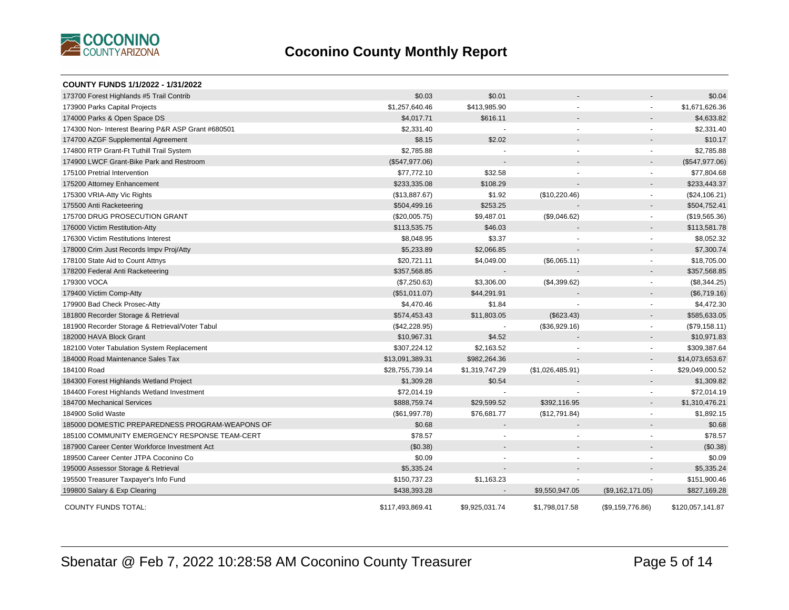

| <b>COUNTY FUNDS 1/1/2022 - 1/31/2022</b>           |                  |                          |                  |                          |                  |
|----------------------------------------------------|------------------|--------------------------|------------------|--------------------------|------------------|
| 173700 Forest Highlands #5 Trail Contrib           | \$0.03           | \$0.01                   |                  |                          | \$0.04           |
| 173900 Parks Capital Projects                      | \$1,257,640.46   | \$413,985.90             |                  |                          | \$1,671,626.36   |
| 174000 Parks & Open Space DS                       | \$4,017.71       | \$616.11                 |                  |                          | \$4,633.82       |
| 174300 Non- Interest Bearing P&R ASP Grant #680501 | \$2,331.40       | $\overline{\phantom{a}}$ |                  |                          | \$2,331.40       |
| 174700 AZGF Supplemental Agreement                 | \$8.15           | \$2.02                   |                  |                          | \$10.17          |
| 174800 RTP Grant-Ft Tuthill Trail System           | \$2,785.88       |                          |                  | $\sim$                   | \$2,785.88       |
| 174900 LWCF Grant-Bike Park and Restroom           | (\$547,977.06)   |                          |                  |                          | (\$547,977.06)   |
| 175100 Pretrial Intervention                       | \$77,772.10      | \$32.58                  |                  |                          | \$77,804.68      |
| 175200 Attorney Enhancement                        | \$233,335.08     | \$108.29                 |                  |                          | \$233,443.37     |
| 175300 VRIA-Atty Vic Rights                        | (\$13,887.67)    | \$1.92                   | (\$10,220.46)    |                          | (\$24,106.21)    |
| 175500 Anti Racketeering                           | \$504,499.16     | \$253.25                 |                  |                          | \$504,752.41     |
| 175700 DRUG PROSECUTION GRANT                      | (\$20,005.75)    | \$9,487.01               | (\$9,046.62)     |                          | (\$19,565.36)    |
| 176000 Victim Restitution-Atty                     | \$113,535.75     | \$46.03                  |                  |                          | \$113,581.78     |
| 176300 Victim Restitutions Interest                | \$8,048.95       | \$3.37                   |                  |                          | \$8,052.32       |
| 178000 Crim Just Records Impv Proj/Atty            | \$5,233.89       | \$2,066.85               |                  |                          | \$7,300.74       |
| 178100 State Aid to Count Attnys                   | \$20,721.11      | \$4,049.00               | (\$6,065.11)     | $\overline{\phantom{a}}$ | \$18,705.00      |
| 178200 Federal Anti Racketeering                   | \$357,568.85     |                          |                  |                          | \$357,568.85     |
| 179300 VOCA                                        | (\$7,250.63)     | \$3,306.00               | (\$4,399.62)     |                          | (\$8,344.25)     |
| 179400 Victim Comp-Atty                            | (\$51,011.07)    | \$44,291.91              |                  |                          | (\$6,719.16)     |
| 179900 Bad Check Prosec-Atty                       | \$4,470.46       | \$1.84                   |                  |                          | \$4,472.30       |
| 181800 Recorder Storage & Retrieval                | \$574,453.43     | \$11,803.05              | (\$623.43)       |                          | \$585,633.05     |
| 181900 Recorder Storage & Retrieval/Voter Tabul    | (\$42,228.95)    | $\blacksquare$           | (\$36,929.16)    |                          | (\$79,158.11)    |
| 182000 HAVA Block Grant                            | \$10,967.31      | \$4.52                   |                  |                          | \$10,971.83      |
| 182100 Voter Tabulation System Replacement         | \$307,224.12     | \$2,163.52               |                  | $\overline{\phantom{a}}$ | \$309,387.64     |
| 184000 Road Maintenance Sales Tax                  | \$13,091,389.31  | \$982,264.36             |                  |                          | \$14,073,653.67  |
| 184100 Road                                        | \$28,755,739.14  | \$1,319,747.29           | (\$1,026,485.91) |                          | \$29,049,000.52  |
| 184300 Forest Highlands Wetland Project            | \$1,309.28       | \$0.54                   |                  |                          | \$1,309.82       |
| 184400 Forest Highlands Wetland Investment         | \$72,014.19      |                          |                  |                          | \$72,014.19      |
| 184700 Mechanical Services                         | \$888,759.74     | \$29,599.52              | \$392,116.95     |                          | \$1,310,476.21   |
| 184900 Solid Waste                                 | (\$61,997.78)    | \$76,681.77              | (\$12,791.84)    |                          | \$1,892.15       |
| 185000 DOMESTIC PREPAREDNESS PROGRAM-WEAPONS OF    | \$0.68           |                          |                  |                          | \$0.68           |
| 185100 COMMUNITY EMERGENCY RESPONSE TEAM-CERT      | \$78.57          |                          |                  |                          | \$78.57          |
| 187900 Career Center Workforce Investment Act      | (\$0.38)         |                          |                  |                          | (\$0.38)         |
| 189500 Career Center JTPA Coconino Co              | \$0.09           | $\sim$                   |                  |                          | \$0.09           |
| 195000 Assessor Storage & Retrieval                | \$5,335.24       |                          |                  |                          | \$5,335.24       |
| 195500 Treasurer Taxpayer's Info Fund              | \$150,737.23     | \$1,163.23               |                  |                          | \$151,900.46     |
| 199800 Salary & Exp Clearing                       | \$438,393.28     |                          | \$9,550,947.05   | (\$9,162,171.05)         | \$827,169.28     |
| <b>COUNTY FUNDS TOTAL:</b>                         | \$117,493,869.41 | \$9,925,031.74           | \$1,798,017.58   | (\$9,159,776.86)         | \$120,057,141.87 |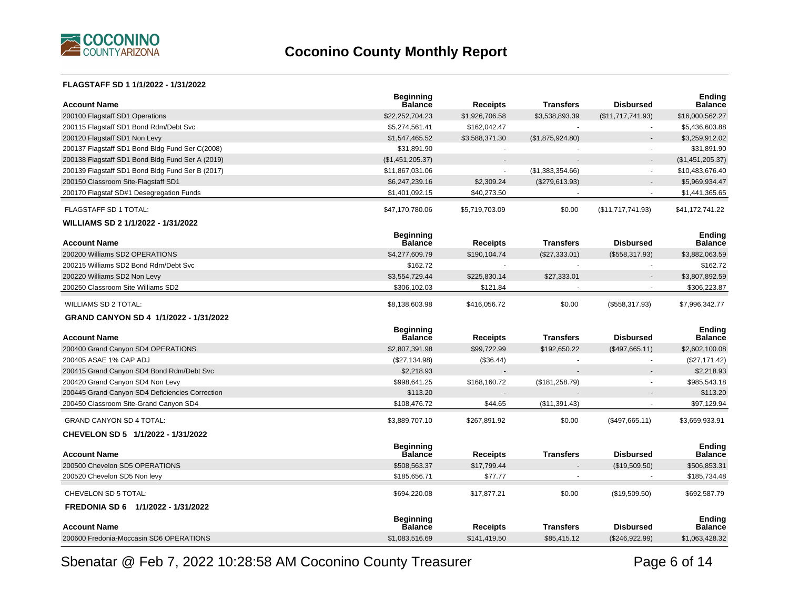

#### **FLAGSTAFF SD 1 1/1/2022 - 1/31/2022**

| <b>Account Name</b>                              | <b>Beginning</b><br>Balance        | <b>Receipts</b> | Transfers        | <b>Disbursed</b>  | <b>Ending</b><br><b>Balance</b> |
|--------------------------------------------------|------------------------------------|-----------------|------------------|-------------------|---------------------------------|
| 200100 Flagstaff SD1 Operations                  | \$22,252,704.23                    | \$1,926,706.58  | \$3,538,893.39   | (\$11,717,741.93) | \$16,000,562.27                 |
| 200115 Flagstaff SD1 Bond Rdm/Debt Svc           | \$5,274,561.41                     | \$162,042.47    |                  |                   | \$5,436,603.88                  |
| 200120 Flagstaff SD1 Non Levy                    | \$1,547,465.52                     | \$3,588,371.30  | (\$1,875,924.80) |                   | \$3,259,912.02                  |
| 200137 Flagstaff SD1 Bond Bldg Fund Ser C(2008)  | \$31,891.90                        |                 |                  |                   | \$31,891.90                     |
| 200138 Flagstaff SD1 Bond Bldg Fund Ser A (2019) | (\$1,451,205.37)                   | $\blacksquare$  |                  |                   | (\$1,451,205.37)                |
| 200139 Flagstaff SD1 Bond Bldg Fund Ser B (2017) | \$11,867,031.06                    | $\mathbf{r}$    | (\$1,383,354.66) | $\sim$            | \$10,483,676.40                 |
| 200150 Classroom Site-Flagstaff SD1              | \$6,247,239.16                     | \$2,309.24      | (\$279,613.93)   |                   | \$5,969,934.47                  |
| 200170 Flagstaf SD#1 Desegregation Funds         | \$1,401,092.15                     | \$40,273.50     |                  |                   | \$1,441,365.65                  |
| <b>FLAGSTAFF SD 1 TOTAL:</b>                     | \$47,170,780.06                    | \$5,719,703.09  | \$0.00           | (\$11,717,741.93) | \$41,172,741.22                 |
| WILLIAMS SD 2 1/1/2022 - 1/31/2022               |                                    |                 |                  |                   |                                 |
| <b>Account Name</b>                              | <b>Beginning</b><br><b>Balance</b> | <b>Receipts</b> | <b>Transfers</b> | <b>Disbursed</b>  | <b>Endina</b><br><b>Balance</b> |
| 200200 Williams SD2 OPERATIONS                   | \$4,277,609.79                     | \$190,104.74    | (\$27,333.01)    | (\$558,317.93)    | \$3,882,063.59                  |
| 200215 Williams SD2 Bond Rdm/Debt Svc            | \$162.72                           | $\mathbf{r}$    |                  |                   | \$162.72                        |
| 200220 Williams SD2 Non Levy                     | \$3,554,729.44                     | \$225,830.14    | \$27,333.01      |                   | \$3,807,892.59                  |
| 200250 Classroom Site Williams SD2               | \$306,102.03                       | \$121.84        |                  |                   | \$306,223.87                    |
| <b>WILLIAMS SD 2 TOTAL:</b>                      | \$8,138,603.98                     | \$416,056.72    | \$0.00           | (\$558,317.93)    | \$7,996,342.77                  |
| GRAND CANYON SD 4 1/1/2022 - 1/31/2022           |                                    |                 |                  |                   |                                 |
| <b>Account Name</b>                              | <b>Beginning</b><br><b>Balance</b> | <b>Receipts</b> | <b>Transfers</b> | <b>Disbursed</b>  | <b>Ending</b><br><b>Balance</b> |
| 200400 Grand Canyon SD4 OPERATIONS               | \$2,807,391.98                     | \$99,722.99     | \$192,650.22     | (\$497,665.11)    | \$2,602,100.08                  |
| 200405 ASAE 1% CAP ADJ                           | (\$27,134.98)                      | (\$36.44)       |                  |                   | (\$27,171.42)                   |
| 200415 Grand Canyon SD4 Bond Rdm/Debt Svc        | \$2,218.93                         |                 |                  |                   | \$2,218.93                      |
| 200420 Grand Canyon SD4 Non Levy                 | \$998,641.25                       | \$168,160.72    | (\$181, 258.79)  |                   | \$985,543.18                    |
| 200445 Grand Canyon SD4 Deficiencies Correction  | \$113.20                           |                 |                  |                   | \$113.20                        |
| 200450 Classroom Site-Grand Canyon SD4           | \$108,476.72                       | \$44.65         | (\$11,391.43)    |                   | \$97,129.94                     |
| <b>GRAND CANYON SD 4 TOTAL:</b>                  | \$3,889,707.10                     | \$267,891.92    | \$0.00           | (\$497,665.11)    | \$3,659,933.91                  |
| CHEVELON SD 5 1/1/2022 - 1/31/2022               |                                    |                 |                  |                   |                                 |
| <b>Account Name</b>                              | <b>Beginning</b><br><b>Balance</b> | <b>Receipts</b> | <b>Transfers</b> | <b>Disbursed</b>  | <b>Ending</b><br><b>Balance</b> |
| 200500 Chevelon SD5 OPERATIONS                   | \$508,563.37                       | \$17,799.44     |                  | (\$19,509.50)     | \$506,853.31                    |
| 200520 Chevelon SD5 Non levy                     | \$185,656.71                       | \$77.77         |                  |                   | \$185,734.48                    |
| CHEVELON SD 5 TOTAL:                             | \$694,220.08                       | \$17,877.21     | \$0.00           | (\$19,509.50)     | \$692,587.79                    |
|                                                  |                                    |                 |                  |                   |                                 |
| FREDONIA SD 6 1/1/2022 - 1/31/2022               |                                    |                 |                  |                   |                                 |
| <b>Account Name</b>                              | <b>Beginning</b><br><b>Balance</b> | <b>Receipts</b> | <b>Transfers</b> | <b>Disbursed</b>  | Ending<br><b>Balance</b>        |

Sbenatar @ Feb 7, 2022 10:28:58 AM Coconino County Treasurer

Page 6 of 14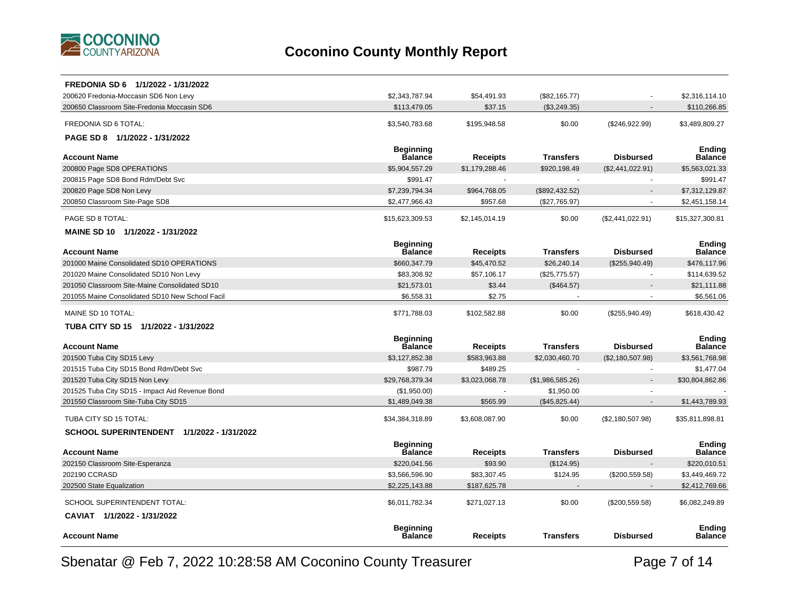

| FREDONIA SD 6 1/1/2022 - 1/31/2022              |                                    |                 |                  |                  |                                 |
|-------------------------------------------------|------------------------------------|-----------------|------------------|------------------|---------------------------------|
| 200620 Fredonia-Moccasin SD6 Non Levy           | \$2,343,787.94                     | \$54,491.93     | (\$82,165.77)    |                  | \$2,316,114.10                  |
| 200650 Classroom Site-Fredonia Moccasin SD6     | \$113,479.05                       | \$37.15         | (\$3,249.35)     |                  | \$110,266.85                    |
| FREDONIA SD 6 TOTAL:                            | \$3,540,783.68                     | \$195,948.58    | \$0.00           | (\$246,922.99)   | \$3,489,809.27                  |
| PAGE SD 8 1/1/2022 - 1/31/2022                  |                                    |                 |                  |                  |                                 |
|                                                 | <b>Beginning</b>                   |                 |                  |                  | <b>Ending</b>                   |
| <b>Account Name</b>                             | <b>Balance</b>                     | <b>Receipts</b> | <b>Transfers</b> | <b>Disbursed</b> | Balance                         |
| 200800 Page SD8 OPERATIONS                      | \$5,904,557.29                     | \$1,179,288.46  | \$920,198.49     | (\$2,441,022.91) | \$5,563,021.33                  |
| 200815 Page SD8 Bond Rdm/Debt Svc               | \$991.47                           |                 |                  | ÷.               | \$991.47                        |
| 200820 Page SD8 Non Levy                        | \$7,239,794.34                     | \$964,768.05    | (\$892,432.52)   |                  | \$7,312,129.87                  |
| 200850 Classroom Site-Page SD8                  | \$2,477,966.43                     | \$957.68        | (\$27,765.97)    |                  | \$2,451,158.14                  |
| PAGE SD 8 TOTAL:                                | \$15,623,309.53                    | \$2,145,014.19  | \$0.00           | (\$2,441,022.91) | \$15,327,300.81                 |
| MAINE SD 10 1/1/2022 - 1/31/2022                |                                    |                 |                  |                  |                                 |
|                                                 | <b>Beginning</b>                   |                 |                  |                  | <b>Ending</b>                   |
| <b>Account Name</b>                             | <b>Balance</b>                     | <b>Receipts</b> | <b>Transfers</b> | <b>Disbursed</b> | Balance                         |
| 201000 Maine Consolidated SD10 OPERATIONS       | \$660,347.79                       | \$45,470.52     | \$26,240.14      | (\$255,940.49)   | \$476,117.96                    |
| 201020 Maine Consolidated SD10 Non Levy         | \$83,308.92                        | \$57,106.17     | (\$25,775.57)    | $\blacksquare$   | \$114,639.52                    |
| 201050 Classroom Site-Maine Consolidated SD10   | \$21,573.01                        | \$3.44          | (\$464.57)       |                  | \$21,111.88                     |
| 201055 Maine Consolidated SD10 New School Facil | \$6.558.31                         | \$2.75          |                  | $\sim$           | \$6,561.06                      |
| MAINE SD 10 TOTAL:                              | \$771,788.03                       | \$102,582.88    | \$0.00           | (\$255,940.49)   | \$618,430.42                    |
| TUBA CITY SD 15 1/1/2022 - 1/31/2022            |                                    |                 |                  |                  |                                 |
|                                                 | <b>Beginning</b>                   |                 |                  |                  | <b>Ending</b>                   |
| <b>Account Name</b>                             | Balance                            | Receipts        | <b>Transfers</b> | <b>Disbursed</b> | Balance                         |
| 201500 Tuba City SD15 Levy                      | \$3,127,852.38                     | \$583,963.88    | \$2,030,460.70   | (\$2,180,507.98) | \$3,561,768.98                  |
| 201515 Tuba City SD15 Bond Rdm/Debt Svc         | \$987.79                           | \$489.25        |                  |                  | \$1,477.04                      |
| 201520 Tuba City SD15 Non Levy                  | \$29,768,379.34                    | \$3,023,068.78  | (\$1,986,585.26) |                  | \$30,804,862.86                 |
| 201525 Tuba City SD15 - Impact Aid Revenue Bond | (\$1,950.00)                       |                 | \$1,950.00       |                  |                                 |
| 201550 Classroom Site-Tuba City SD15            | \$1,489,049.38                     | \$565.99        | (\$45,825.44)    |                  | \$1,443,789.93                  |
| TUBA CITY SD 15 TOTAL:                          | \$34,384,318.89                    | \$3,608,087.90  | \$0.00           | (\$2,180,507.98) | \$35,811,898.81                 |
| SCHOOL SUPERINTENDENT 1/1/2022 - 1/31/2022      |                                    |                 |                  |                  |                                 |
| <b>Account Name</b>                             | <b>Beginning</b><br><b>Balance</b> | Receipts        | <b>Transfers</b> | <b>Disbursed</b> | <b>Ending</b><br><b>Balance</b> |
| 202150 Classroom Site-Esperanza                 | \$220,041.56                       | \$93.90         | (\$124.95)       |                  | \$220,010.51                    |
| 202190 CCRASD                                   | \$3,566,596.90                     | \$83,307.45     | \$124.95         | (\$200,559.58)   | \$3,449,469.72                  |
| 202500 State Equalization                       | \$2,225,143.88                     | \$187,625.78    |                  |                  | \$2,412,769.66                  |
| SCHOOL SUPERINTENDENT TOTAL:                    | \$6,011,782.34                     | \$271,027.13    | \$0.00           | (\$200,559.58)   | \$6,082,249.89                  |
| CAVIAT 1/1/2022 - 1/31/2022                     |                                    |                 |                  |                  |                                 |
|                                                 |                                    |                 |                  |                  |                                 |
| <b>Account Name</b>                             | <b>Beginning</b><br><b>Balance</b> | Receipts        | <b>Transfers</b> | <b>Disbursed</b> | <b>Ending</b><br>Balance        |
|                                                 |                                    |                 |                  |                  |                                 |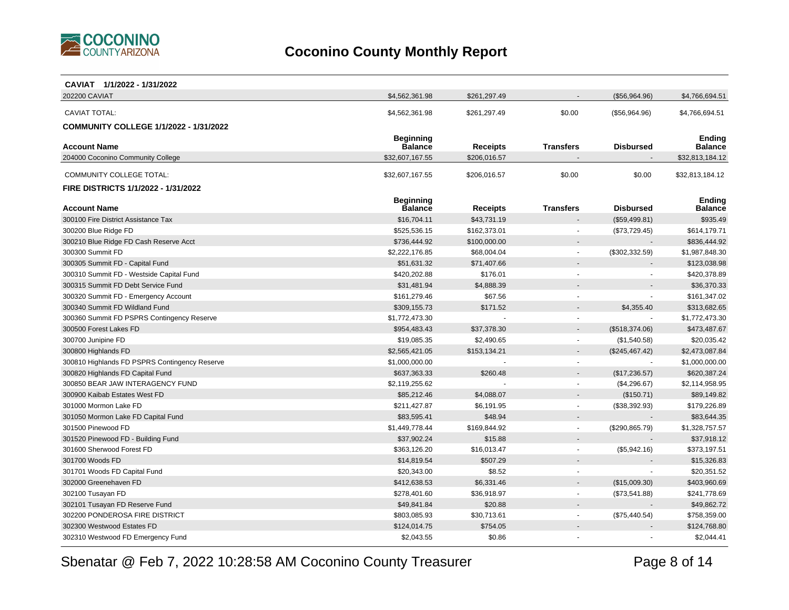

| CAVIAT 1/1/2022 - 1/31/2022                   |                                    |                 |                  |                  |                                 |
|-----------------------------------------------|------------------------------------|-----------------|------------------|------------------|---------------------------------|
| 202200 CAVIAT                                 | \$4,562,361.98                     | \$261,297.49    |                  | (\$56,964.96)    | \$4,766,694.51                  |
| <b>CAVIAT TOTAL:</b>                          | \$4,562,361.98                     | \$261,297.49    | \$0.00           | (\$56,964.96)    | \$4,766,694.51                  |
|                                               |                                    |                 |                  |                  |                                 |
| <b>COMMUNITY COLLEGE 1/1/2022 - 1/31/2022</b> |                                    |                 |                  |                  |                                 |
| <b>Account Name</b>                           | <b>Beginning</b><br><b>Balance</b> | <b>Receipts</b> | <b>Transfers</b> | <b>Disbursed</b> | <b>Ending</b><br><b>Balance</b> |
| 204000 Coconino Community College             | \$32,607,167.55                    | \$206,016.57    |                  |                  | \$32,813,184.12                 |
|                                               |                                    |                 |                  |                  |                                 |
| COMMUNITY COLLEGE TOTAL:                      | \$32,607,167.55                    | \$206,016.57    | \$0.00           | \$0.00           | \$32,813,184.12                 |
| <b>FIRE DISTRICTS 1/1/2022 - 1/31/2022</b>    |                                    |                 |                  |                  |                                 |
|                                               | <b>Beginning</b>                   |                 |                  |                  | <b>Ending</b>                   |
| <b>Account Name</b>                           | Balance                            | <b>Receipts</b> | <b>Transfers</b> | <b>Disbursed</b> | <b>Balance</b>                  |
| 300100 Fire District Assistance Tax           | \$16,704.11                        | \$43,731.19     |                  | (\$59,499.81)    | \$935.49                        |
| 300200 Blue Ridge FD                          | \$525,536.15                       | \$162,373.01    |                  | (\$73,729.45)    | \$614,179.71                    |
| 300210 Blue Ridge FD Cash Reserve Acct        | \$736,444.92                       | \$100,000.00    |                  |                  | \$836,444.92                    |
| 300300 Summit FD                              | \$2,222,176.85                     | \$68,004.04     | $\sim$           | (\$302,332.59)   | \$1,987,848.30                  |
| 300305 Summit FD - Capital Fund               | \$51,631.32                        | \$71,407.66     |                  |                  | \$123,038.98                    |
| 300310 Summit FD - Westside Capital Fund      | \$420,202.88                       | \$176.01        | $\sim$           | $\blacksquare$   | \$420,378.89                    |
| 300315 Summit FD Debt Service Fund            | \$31,481.94                        | \$4,888.39      |                  |                  | \$36,370.33                     |
| 300320 Summit FD - Emergency Account          | \$161,279.46                       | \$67.56         | $\sim$           | ÷                | \$161,347.02                    |
| 300340 Summit FD Wildland Fund                | \$309,155.73                       | \$171.52        |                  | \$4,355.40       | \$313,682.65                    |
| 300360 Summit FD PSPRS Contingency Reserve    | \$1,772,473.30                     |                 |                  | $\blacksquare$   | \$1,772,473.30                  |
| 300500 Forest Lakes FD                        | \$954,483.43                       | \$37,378.30     |                  | (\$518,374.06)   | \$473,487.67                    |
| 300700 Junipine FD                            | \$19,085.35                        | \$2,490.65      | $\sim$           | (\$1,540.58)     | \$20,035.42                     |
| 300800 Highlands FD                           | \$2,565,421.05                     | \$153,134.21    |                  | (\$245,467.42)   | \$2,473,087.84                  |
| 300810 Highlands FD PSPRS Contingency Reserve | \$1,000,000.00                     |                 |                  |                  | \$1,000,000.00                  |
| 300820 Highlands FD Capital Fund              | \$637,363.33                       | \$260.48        |                  | (\$17,236.57)    | \$620,387.24                    |
| 300850 BEAR JAW INTERAGENCY FUND              | \$2,119,255.62                     |                 |                  | (\$4,296.67)     | \$2,114,958.95                  |
| 300900 Kaibab Estates West FD                 | \$85,212.46                        | \$4,088.07      |                  | (\$150.71)       | \$89,149.82                     |
| 301000 Mormon Lake FD                         | \$211,427.87                       | \$6,191.95      |                  | (\$38,392.93)    | \$179,226.89                    |
| 301050 Mormon Lake FD Capital Fund            | \$83,595.41                        | \$48.94         |                  |                  | \$83,644.35                     |
| 301500 Pinewood FD                            | \$1,449,778.44                     | \$169,844.92    | $\sim$           | (\$290, 865.79)  | \$1,328,757.57                  |
| 301520 Pinewood FD - Building Fund            | \$37,902.24                        | \$15.88         |                  |                  | \$37,918.12                     |
| 301600 Sherwood Forest FD                     | \$363,126.20                       | \$16,013.47     |                  | (\$5,942.16)     | \$373,197.51                    |
| 301700 Woods FD                               | \$14,819.54                        | \$507.29        |                  |                  | \$15,326.83                     |
| 301701 Woods FD Capital Fund                  | \$20,343.00                        | \$8.52          |                  |                  | \$20,351.52                     |
| 302000 Greenehaven FD                         | \$412,638.53                       | \$6,331.46      |                  | (\$15,009.30)    | \$403,960.69                    |
| 302100 Tusayan FD                             | \$278,401.60                       | \$36,918.97     |                  | (\$73,541.88)    | \$241,778.69                    |
| 302101 Tusayan FD Reserve Fund                | \$49,841.84                        | \$20.88         |                  |                  | \$49,862.72                     |
| 302200 PONDEROSA FIRE DISTRICT                | \$803,085.93                       | \$30,713.61     |                  | (\$75,440.54)    | \$758,359.00                    |
| 302300 Westwood Estates FD                    | \$124,014.75                       | \$754.05        |                  |                  | \$124,768.80                    |
| 302310 Westwood FD Emergency Fund             | \$2,043.55                         | \$0.86          |                  |                  | \$2,044.41                      |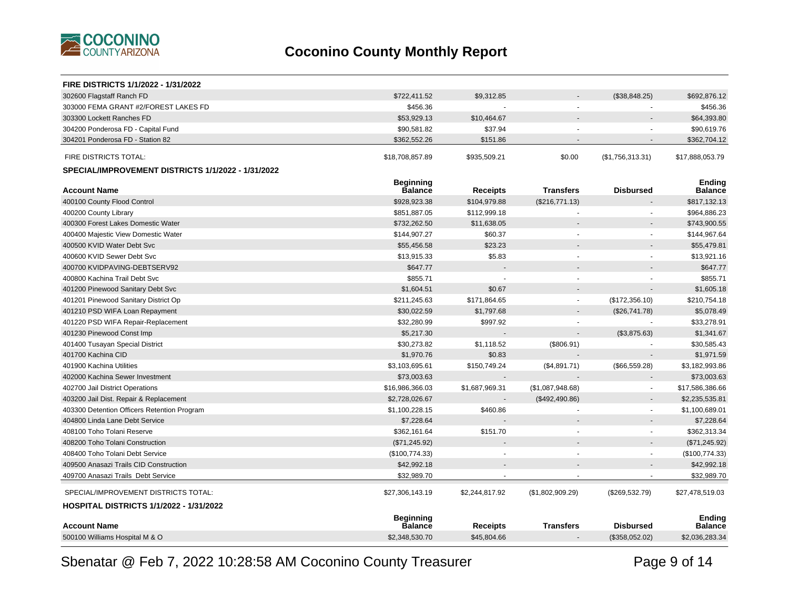

| <b>FIRE DISTRICTS 1/1/2022 - 1/31/2022</b>         |                                    |                 |                  |                          |                                 |
|----------------------------------------------------|------------------------------------|-----------------|------------------|--------------------------|---------------------------------|
| 302600 Flagstaff Ranch FD                          | \$722,411.52                       | \$9,312.85      |                  | (\$38,848.25)            | \$692,876.12                    |
| 303000 FEMA GRANT #2/FOREST LAKES FD               | \$456.36                           |                 |                  |                          | \$456.36                        |
| 303300 Lockett Ranches FD                          | \$53,929.13                        | \$10,464.67     |                  |                          | \$64,393.80                     |
| 304200 Ponderosa FD - Capital Fund                 | \$90,581.82                        | \$37.94         |                  |                          | \$90,619.76                     |
| 304201 Ponderosa FD - Station 82                   | \$362,552.26                       | \$151.86        |                  | $\overline{\phantom{a}}$ | \$362,704.12                    |
| FIRE DISTRICTS TOTAL:                              | \$18,708,857.89                    | \$935,509.21    | \$0.00           | (\$1,756,313.31)         | \$17,888,053.79                 |
| SPECIAL/IMPROVEMENT DISTRICTS 1/1/2022 - 1/31/2022 |                                    |                 |                  |                          |                                 |
| <b>Account Name</b>                                | <b>Beginning</b><br><b>Balance</b> | <b>Receipts</b> | <b>Transfers</b> | <b>Disbursed</b>         | <b>Ending</b><br><b>Balance</b> |
| 400100 County Flood Control                        | \$928,923.38                       | \$104,979.88    | (\$216,771.13)   |                          | \$817,132.13                    |
| 400200 County Library                              | \$851,887.05                       | \$112,999.18    |                  | $\blacksquare$           | \$964,886.23                    |
| 400300 Forest Lakes Domestic Water                 | \$732,262.50                       | \$11,638.05     |                  |                          | \$743,900.55                    |
| 400400 Majestic View Domestic Water                | \$144,907.27                       | \$60.37         |                  |                          | \$144,967.64                    |
| 400500 KVID Water Debt Svc                         | \$55,456.58                        | \$23.23         |                  |                          | \$55,479.81                     |
| 400600 KVID Sewer Debt Svc                         | \$13,915.33                        | \$5.83          | ä,               | ÷.                       | \$13,921.16                     |
| 400700 KVIDPAVING-DEBTSERV92                       | \$647.77                           |                 |                  |                          | \$647.77                        |
| 400800 Kachina Trail Debt Svc                      | \$855.71                           |                 |                  |                          | \$855.71                        |
| 401200 Pinewood Sanitary Debt Svc                  | \$1,604.51                         | \$0.67          |                  |                          | \$1,605.18                      |
| 401201 Pinewood Sanitary District Op               | \$211,245.63                       | \$171,864.65    | $\blacksquare$   | (\$172,356.10)           | \$210,754.18                    |
| 401210 PSD WIFA Loan Repayment                     | \$30,022.59                        | \$1,797.68      |                  | (\$26,741.78)            | \$5,078.49                      |
| 401220 PSD WIFA Repair-Replacement                 | \$32,280.99                        | \$997.92        |                  | $\sim$                   | \$33,278.91                     |
| 401230 Pinewood Const Imp                          | \$5,217.30                         |                 |                  | (\$3,875.63)             | \$1,341.67                      |
| 401400 Tusayan Special District                    | \$30,273.82                        | \$1,118.52      | (\$806.91)       | $\sim$                   | \$30,585.43                     |
| 401700 Kachina CID                                 | \$1,970.76                         | \$0.83          |                  |                          | \$1,971.59                      |
| 401900 Kachina Utilities                           | \$3,103,695.61                     | \$150,749.24    | (\$4,891.71)     | (\$66,559.28)            | \$3,182,993.86                  |
| 402000 Kachina Sewer Investment                    | \$73,003.63                        |                 |                  | $\overline{a}$           | \$73,003.63                     |
| 402700 Jail District Operations                    | \$16,986,366.03                    | \$1,687,969.31  | (\$1,087,948.68) | $\overline{\phantom{a}}$ | \$17,586,386.66                 |
| 403200 Jail Dist. Repair & Replacement             | \$2,728,026.67                     |                 | (\$492,490.86)   | $\overline{a}$           | \$2,235,535.81                  |
| 403300 Detention Officers Retention Program        | \$1,100,228.15                     | \$460.86        |                  | $\overline{\phantom{a}}$ | \$1,100,689.01                  |
| 404800 Linda Lane Debt Service                     | \$7,228.64                         |                 |                  | $\sim$                   | \$7,228.64                      |
| 408100 Toho Tolani Reserve                         | \$362,161.64                       | \$151.70        | ÷                | $\sim$                   | \$362,313.34                    |
| 408200 Toho Tolani Construction                    | (\$71,245.92)                      |                 |                  | $\blacksquare$           | (\$71, 245.92)                  |
| 408400 Toho Tolani Debt Service                    | (\$100,774.33)                     |                 | ÷.               | $\blacksquare$           | (\$100,774.33)                  |
| 409500 Anasazi Trails CID Construction             | \$42,992.18                        |                 |                  |                          | \$42,992.18                     |
| 409700 Anasazi Trails Debt Service                 | \$32,989.70                        |                 |                  | $\blacksquare$           | \$32,989.70                     |
| SPECIAL/IMPROVEMENT DISTRICTS TOTAL:               | \$27,306,143.19                    | \$2,244,817.92  | (\$1,802,909.29) | (\$269,532.79)           | \$27,478,519.03                 |
| <b>HOSPITAL DISTRICTS 1/1/2022 - 1/31/2022</b>     |                                    |                 |                  |                          |                                 |
| <b>Account Name</b>                                | <b>Beginning</b><br><b>Balance</b> | <b>Receipts</b> | <b>Transfers</b> | <b>Disbursed</b>         | <b>Ending</b><br><b>Balance</b> |
| 500100 Williams Hospital M & O                     | \$2,348,530.70                     | \$45,804.66     |                  | (\$358,052.02)           | \$2,036,283.34                  |
|                                                    |                                    |                 |                  |                          |                                 |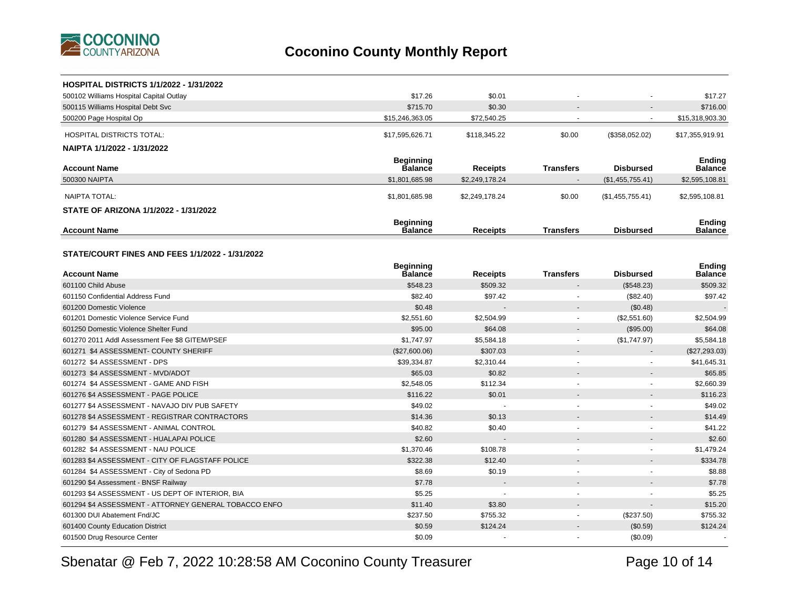

| <b>HOSPITAL DISTRICTS 1/1/2022 - 1/31/2022</b>         |                                    |                 |                          |                   |                                 |
|--------------------------------------------------------|------------------------------------|-----------------|--------------------------|-------------------|---------------------------------|
| 500102 Williams Hospital Capital Outlay                | \$17.26                            | \$0.01          |                          |                   | \$17.27                         |
| 500115 Williams Hospital Debt Svc                      | \$715.70                           | \$0.30          |                          |                   | \$716.00                        |
| 500200 Page Hospital Op                                | \$15,246,363.05                    | \$72,540.25     |                          | $\blacksquare$    | \$15,318,903.30                 |
| HOSPITAL DISTRICTS TOTAL:                              | \$17,595,626.71                    | \$118,345.22    | \$0.00                   | (\$358,052.02)    | \$17,355,919.91                 |
| NAIPTA 1/1/2022 - 1/31/2022                            |                                    |                 |                          |                   |                                 |
|                                                        | <b>Beginning</b>                   |                 |                          |                   | <b>Ending</b>                   |
| <b>Account Name</b>                                    | <b>Balance</b>                     | <b>Receipts</b> | <b>Transfers</b>         | Disbursed         | <b>Balance</b>                  |
| 500300 NAIPTA                                          | \$1,801,685.98                     | \$2,249,178.24  |                          | (\$1,455,755.41)  | \$2,595,108.81                  |
| <b>NAIPTA TOTAL:</b>                                   | \$1,801,685.98                     | \$2,249,178.24  | \$0.00                   | (S1, 455, 755.41) | \$2,595,108.81                  |
| STATE OF ARIZONA 1/1/2022 - 1/31/2022                  |                                    |                 |                          |                   |                                 |
| <b>Account Name</b>                                    | <b>Beginning</b><br><b>Balance</b> | <b>Receipts</b> | <b>Transfers</b>         | <b>Disbursed</b>  | <b>Ending</b><br><b>Balance</b> |
|                                                        |                                    |                 |                          |                   |                                 |
| <b>STATE/COURT FINES AND FEES 1/1/2022 - 1/31/2022</b> |                                    |                 |                          |                   |                                 |
| <b>Account Name</b>                                    | <b>Beginning</b><br>Balance        | <b>Receipts</b> | <b>Transfers</b>         | <b>Disbursed</b>  | <b>Ending</b><br><b>Balance</b> |
| 601100 Child Abuse                                     | \$548.23                           | \$509.32        |                          | (\$548.23)        | \$509.32                        |
| 601150 Confidential Address Fund                       | \$82.40                            | \$97.42         |                          | (\$82.40)         | \$97.42                         |
| 601200 Domestic Violence                               | \$0.48                             |                 |                          | (\$0.48)          |                                 |
| 601201 Domestic Violence Service Fund                  | \$2,551.60                         | \$2,504.99      | $\blacksquare$           | (\$2,551.60)      | \$2,504.99                      |
| 601250 Domestic Violence Shelter Fund                  | \$95.00                            | \$64.08         |                          | (\$95.00)         | \$64.08                         |
| 601270 2011 Addl Assessment Fee \$8 GITEM/PSEF         | \$1,747.97                         | \$5,584.18      | $\blacksquare$           | (\$1,747.97)      | \$5,584.18                      |
| 601271 \$4 ASSESSMENT- COUNTY SHERIFF                  | (\$27,600.06)                      | \$307.03        |                          |                   | (\$27,293.03)                   |
| 601272 \$4 ASSESSMENT - DPS                            | \$39,334.87                        | \$2,310.44      | $\blacksquare$           | $\blacksquare$    | \$41,645.31                     |
| 601273 \$4 ASSESSMENT - MVD/ADOT                       | \$65.03                            | \$0.82          |                          |                   | \$65.85                         |
| 601274 \$4 ASSESSMENT - GAME AND FISH                  | \$2,548.05                         | \$112.34        | $\ddot{\phantom{1}}$     |                   | \$2,660.39                      |
| 601276 \$4 ASSESSMENT - PAGE POLICE                    | \$116.22                           | \$0.01          |                          |                   | \$116.23                        |
| 601277 \$4 ASSESSMENT - NAVAJO DIV PUB SAFETY          | \$49.02                            | $\sim$          | $\ddot{\phantom{1}}$     | ä,                | \$49.02                         |
| 601278 \$4 ASSESSMENT - REGISTRAR CONTRACTORS          | \$14.36                            | \$0.13          |                          |                   | \$14.49                         |
| 601279 \$4 ASSESSMENT - ANIMAL CONTROL                 | \$40.82                            | \$0.40          | $\overline{\phantom{a}}$ |                   | \$41.22                         |
| 601280 \$4 ASSESSMENT - HUALAPAI POLICE                | \$2.60                             |                 |                          |                   | \$2.60                          |
| 601282 \$4 ASSESSMENT - NAU POLICE                     | \$1,370.46                         | \$108.78        | $\ddot{\phantom{1}}$     | $\blacksquare$    | \$1,479.24                      |
| 601283 \$4 ASSESSMENT - CITY OF FLAGSTAFF POLICE       | \$322.38                           | \$12.40         |                          | $\overline{a}$    | \$334.78                        |
| 601284 \$4 ASSESSMENT - City of Sedona PD              | \$8.69                             | \$0.19          | $\blacksquare$           | $\blacksquare$    | \$8.88                          |
| 601290 \$4 Assessment - BNSF Railway                   | \$7.78                             |                 |                          |                   | \$7.78                          |
| 601293 \$4 ASSESSMENT - US DEPT OF INTERIOR, BIA       | \$5.25                             | $\overline{a}$  | ÷.                       | ÷.                | \$5.25                          |
| 601294 \$4 ASSESSMENT - ATTORNEY GENERAL TOBACCO ENFO  | \$11.40                            | \$3.80          |                          |                   | \$15.20                         |
| 601300 DUI Abatement Fnd/JC                            | \$237.50                           | \$755.32        |                          | (\$237.50)        | \$755.32                        |
| 601400 County Education District                       | \$0.59                             | \$124.24        |                          | (\$0.59)          | \$124.24                        |
| 601500 Drug Resource Center                            | \$0.09                             |                 |                          | (\$0.09)          |                                 |

Sbenatar @ Feb 7, 2022 10:28:58 AM Coconino County Treasurer

Page 10 of 14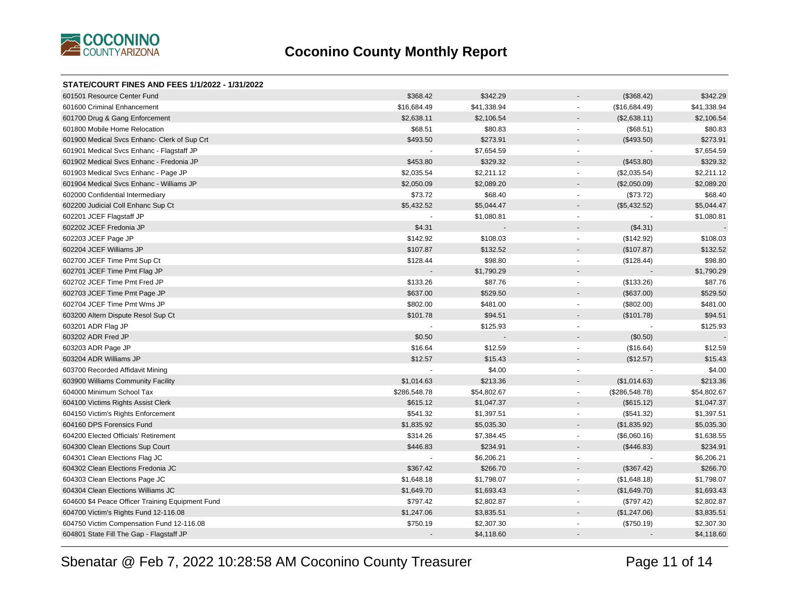

| <b>STATE/COURT FINES AND FEES 1/1/2022 - 1/31/2022</b> |                          |             |                                          |             |
|--------------------------------------------------------|--------------------------|-------------|------------------------------------------|-------------|
| 601501 Resource Center Fund                            | \$368.42                 | \$342.29    | (\$368.42)                               | \$342.29    |
| 601600 Criminal Enhancement                            | \$16,684.49              | \$41,338.94 | (\$16,684.49)<br>$\sim$                  | \$41,338.94 |
| 601700 Drug & Gang Enforcement                         | \$2,638.11               | \$2,106.54  | (\$2,638.11)<br>$\overline{\phantom{a}}$ | \$2,106.54  |
| 601800 Mobile Home Relocation                          | \$68.51                  | \$80.83     | (\$68.51)<br>$\mathbf{r}$                | \$80.83     |
| 601900 Medical Svcs Enhanc- Clerk of Sup Crt           | \$493.50                 | \$273.91    | (\$493.50)<br>$\overline{\phantom{a}}$   | \$273.91    |
| 601901 Medical Svcs Enhanc - Flagstaff JP              |                          | \$7,654.59  | $\blacksquare$                           | \$7,654.59  |
| 601902 Medical Svcs Enhanc - Fredonia JP               | \$453.80                 | \$329.32    | (\$453.80)<br>$\overline{\phantom{a}}$   | \$329.32    |
| 601903 Medical Svcs Enhanc - Page JP                   | \$2,035.54               | \$2,211.12  | (\$2,035.54)<br>$\blacksquare$           | \$2,211.12  |
| 601904 Medical Svcs Enhanc - Williams JP               | \$2,050.09               | \$2,089.20  | (\$2,050.09)<br>$\sim$                   | \$2,089.20  |
| 602000 Confidential Intermediary                       | \$73.72                  | \$68.40     | (\$73.72)<br>$\overline{\phantom{a}}$    | \$68.40     |
| 602200 Judicial Coll Enhanc Sup Ct                     | \$5,432.52               | \$5,044.47  | (\$5,432.52)<br>$\overline{a}$           | \$5,044.47  |
| 602201 JCEF Flagstaff JP                               |                          | \$1,080.81  | $\blacksquare$                           | \$1,080.81  |
| 602202 JCEF Fredonia JP                                | \$4.31                   |             | (\$4.31)<br>$\blacksquare$               |             |
| 602203 JCEF Page JP                                    | \$142.92                 | \$108.03    | (\$142.92)<br>$\blacksquare$             | \$108.03    |
| 602204 JCEF Williams JP                                | \$107.87                 | \$132.52    | (\$107.87)<br>$\overline{\phantom{a}}$   | \$132.52    |
| 602700 JCEF Time Pmt Sup Ct                            | \$128.44                 | \$98.80     | (\$128.44)<br>$\sim$                     | \$98.80     |
| 602701 JCEF Time Pmt Flag JP                           |                          | \$1,790.29  | $\overline{\phantom{a}}$                 | \$1,790.29  |
| 602702 JCEF Time Pmt Fred JP                           | \$133.26                 | \$87.76     | (\$133.26)<br>$\mathbf{r}$               | \$87.76     |
| 602703 JCEF Time Pmt Page JP                           | \$637.00                 | \$529.50    | (\$637.00)<br>$\overline{\phantom{a}}$   | \$529.50    |
| 602704 JCEF Time Pmt Wms JP                            | \$802.00                 | \$481.00    | (\$802.00)<br>$\blacksquare$             | \$481.00    |
| 603200 Altern Dispute Resol Sup Ct                     | \$101.78                 | \$94.51     | (\$101.78)<br>$\overline{\phantom{a}}$   | \$94.51     |
| 603201 ADR Flag JP                                     |                          | \$125.93    | $\overline{\phantom{a}}$                 | \$125.93    |
| 603202 ADR Fred JP                                     | \$0.50                   |             | (\$0.50)<br>$\sim$                       |             |
| 603203 ADR Page JP                                     | \$16.64                  | \$12.59     | (\$16.64)<br>$\mathbf{r}$                | \$12.59     |
| 603204 ADR Williams JP                                 | \$12.57                  | \$15.43     | (\$12.57)                                | \$15.43     |
| 603700 Recorded Affidavit Mining                       |                          | \$4.00      | $\blacksquare$                           | \$4.00      |
| 603900 Williams Community Facility                     | \$1,014.63               | \$213.36    | (\$1,014.63)<br>$\blacksquare$           | \$213.36    |
| 604000 Minimum School Tax                              | \$286,548.78             | \$54,802.67 | (\$286,548.78)<br>$\mathbf{r}$           | \$54,802.67 |
| 604100 Victims Rights Assist Clerk                     | \$615.12                 | \$1,047.37  | (\$615.12)<br>$\overline{\phantom{a}}$   | \$1,047.37  |
| 604150 Victim's Rights Enforcement                     | \$541.32                 | \$1,397.51  | (\$541.32)<br>$\blacksquare$             | \$1,397.51  |
| 604160 DPS Forensics Fund                              | \$1,835.92               | \$5,035.30  | (\$1,835.92)<br>$\overline{\phantom{a}}$ | \$5,035.30  |
| 604200 Elected Officials' Retirement                   | \$314.26                 | \$7,384.45  | (\$6,060.16)<br>$\blacksquare$           | \$1,638.55  |
| 604300 Clean Elections Sup Court                       | \$446.83                 | \$234.91    | (\$446.83)<br>$\blacksquare$             | \$234.91    |
| 604301 Clean Elections Flag JC                         | $\overline{\phantom{a}}$ | \$6,206.21  | $\mathbf{r}$                             | \$6,206.21  |
| 604302 Clean Elections Fredonia JC                     | \$367.42                 | \$266.70    | (\$367.42)<br>$\overline{a}$             | \$266.70    |
| 604303 Clean Elections Page JC                         | \$1,648.18               | \$1,798.07  | (\$1,648.18)<br>$\overline{\phantom{a}}$ | \$1,798.07  |
| 604304 Clean Elections Williams JC                     | \$1,649.70               | \$1,693.43  | (\$1,649.70)<br>$\sim$                   | \$1,693.43  |
| 604600 \$4 Peace Officer Training Equipment Fund       | \$797.42                 | \$2,802.87  | (\$797.42)<br>$\sim$                     | \$2,802.87  |
| 604700 Victim's Rights Fund 12-116.08                  | \$1,247.06               | \$3,835.51  | (\$1,247.06)<br>$\overline{\phantom{a}}$ | \$3,835.51  |
| 604750 Victim Compensation Fund 12-116.08              | \$750.19                 | \$2,307.30  | (\$750.19)<br>$\tilde{\phantom{a}}$      | \$2,307.30  |
| 604801 State Fill The Gap - Flagstaff JP               |                          | \$4,118.60  |                                          | \$4,118.60  |
|                                                        |                          |             |                                          |             |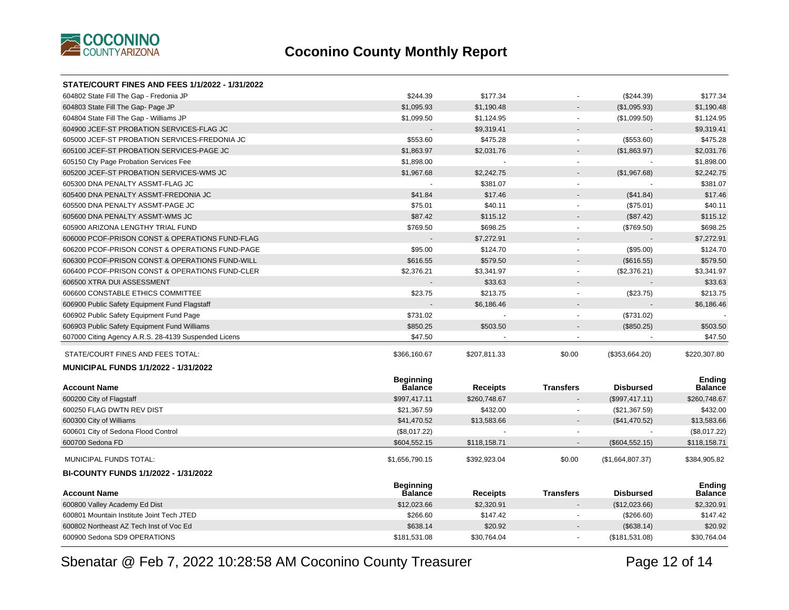

| STATE/COURT FINES AND FEES 1/1/2022 - 1/31/2022      |                             |                 |                             |                  |                          |
|------------------------------------------------------|-----------------------------|-----------------|-----------------------------|------------------|--------------------------|
| 604802 State Fill The Gap - Fredonia JP              | \$244.39                    | \$177.34        |                             | (\$244.39)       | \$177.34                 |
| 604803 State Fill The Gap- Page JP                   | \$1,095.93                  | \$1,190.48      |                             | (\$1,095.93)     | \$1,190.48               |
| 604804 State Fill The Gap - Williams JP              | \$1,099.50                  | \$1,124.95      | $\omega$                    | (\$1,099.50)     | \$1,124.95               |
| 604900 JCEF-ST PROBATION SERVICES-FLAG JC            |                             | \$9,319.41      |                             |                  | \$9,319.41               |
| 605000 JCEF-ST PROBATION SERVICES-FREDONIA JC        | \$553.60                    | \$475.28        | $\mathcal{L}_{\mathcal{A}}$ | (\$553.60)       | \$475.28                 |
| 605100 JCEF-ST PROBATION SERVICES-PAGE JC            | \$1,863.97                  | \$2,031.76      |                             | (\$1,863.97)     | \$2,031.76               |
| 605150 Cty Page Probation Services Fee               | \$1,898.00                  |                 | $\tilde{\phantom{a}}$       |                  | \$1,898.00               |
| 605200 JCEF-ST PROBATION SERVICES-WMS JC             | \$1,967.68                  | \$2,242.75      |                             | (\$1,967.68)     | \$2,242.75               |
| 605300 DNA PENALTY ASSMT-FLAG JC                     |                             | \$381.07        | ÷,                          |                  | \$381.07                 |
| 605400 DNA PENALTY ASSMT-FREDONIA JC                 | \$41.84                     | \$17.46         |                             | (\$41.84)        | \$17.46                  |
| 605500 DNA PENALTY ASSMT-PAGE JC                     | \$75.01                     | \$40.11         | $\blacksquare$              | (\$75.01)        | \$40.11                  |
| 605600 DNA PENALTY ASSMT-WMS JC                      | \$87.42                     | \$115.12        |                             | (\$87.42)        | \$115.12                 |
| 605900 ARIZONA LENGTHY TRIAL FUND                    | \$769.50                    | \$698.25        | $\blacksquare$              | (\$769.50)       | \$698.25                 |
| 606000 PCOF-PRISON CONST & OPERATIONS FUND-FLAG      |                             | \$7,272.91      |                             |                  | \$7,272.91               |
| 606200 PCOF-PRISON CONST & OPERATIONS FUND-PAGE      | \$95.00                     | \$124.70        | $\omega$                    | (\$95.00)        | \$124.70                 |
| 606300 PCOF-PRISON CONST & OPERATIONS FUND-WILL      | \$616.55                    | \$579.50        |                             | (\$616.55)       | \$579.50                 |
| 606400 PCOF-PRISON CONST & OPERATIONS FUND-CLER      | \$2,376.21                  | \$3,341.97      | $\blacksquare$              | (\$2,376.21)     | \$3,341.97               |
| 606500 XTRA DUI ASSESSMENT                           |                             | \$33.63         |                             |                  | \$33.63                  |
| 606600 CONSTABLE ETHICS COMMITTEE                    | \$23.75                     | \$213.75        | $\blacksquare$              | (\$23.75)        | \$213.75                 |
| 606900 Public Safety Equipment Fund Flagstaff        |                             | \$6,186.46      |                             |                  | \$6,186.46               |
| 606902 Public Safety Equipment Fund Page             | \$731.02                    |                 |                             | (\$731.02)       |                          |
| 606903 Public Safety Equipment Fund Williams         | \$850.25                    | \$503.50        |                             | (\$850.25)       | \$503.50                 |
| 607000 Citing Agency A.R.S. 28-4139 Suspended Licens | \$47.50                     |                 | ä,                          |                  | \$47.50                  |
| STATE/COURT FINES AND FEES TOTAL:                    | \$366,160.67                | \$207,811.33    | \$0.00                      | (\$353,664.20)   | \$220,307.80             |
| <b>MUNICIPAL FUNDS 1/1/2022 - 1/31/2022</b>          |                             |                 |                             |                  |                          |
|                                                      | <b>Beginning</b>            |                 |                             |                  | <b>Ending</b>            |
| <b>Account Name</b>                                  | <b>Balance</b>              | <b>Receipts</b> | <b>Transfers</b>            | <b>Disbursed</b> | <b>Balance</b>           |
| 600200 City of Flagstaff                             | \$997,417.11                | \$260,748.67    |                             | (\$997,417.11)   | \$260,748.67             |
| 600250 FLAG DWTN REV DIST                            | \$21,367.59                 | \$432.00        |                             | (\$21,367.59)    | \$432.00                 |
| 600300 City of Williams                              | \$41,470.52                 | \$13,583.66     |                             | (\$41,470.52)    | \$13,583.66              |
| 600601 City of Sedona Flood Control                  | (\$8,017.22)                |                 |                             |                  | (\$8,017.22)             |
| 600700 Sedona FD                                     | \$604,552.15                | \$118,158.71    |                             | (\$604,552.15)   | \$118,158.71             |
| MUNICIPAL FUNDS TOTAL:                               | \$1,656,790.15              | \$392,923.04    | \$0.00                      | (\$1,664,807.37) | \$384,905.82             |
| BI-COUNTY FUNDS 1/1/2022 - 1/31/2022                 |                             |                 |                             |                  |                          |
| <b>Account Name</b>                                  | <b>Beginning</b><br>Balance | <b>Receipts</b> | <b>Transfers</b>            | <b>Disbursed</b> | Ending<br><b>Balance</b> |
| 600800 Valley Academy Ed Dist                        | \$12,023.66                 | \$2,320.91      |                             | (\$12,023.66)    | \$2,320.91               |
| 600801 Mountain Institute Joint Tech JTED            | \$266.60                    | \$147.42        |                             | (\$266.60)       | \$147.42                 |
| 600802 Northeast AZ Tech Inst of Voc Ed              | \$638.14                    | \$20.92         |                             | (\$638.14)       | \$20.92                  |
| 600900 Sedona SD9 OPERATIONS                         | \$181,531.08                | \$30,764.04     | ÷.                          | (\$181,531.08)   | \$30,764.04              |
|                                                      |                             |                 |                             |                  |                          |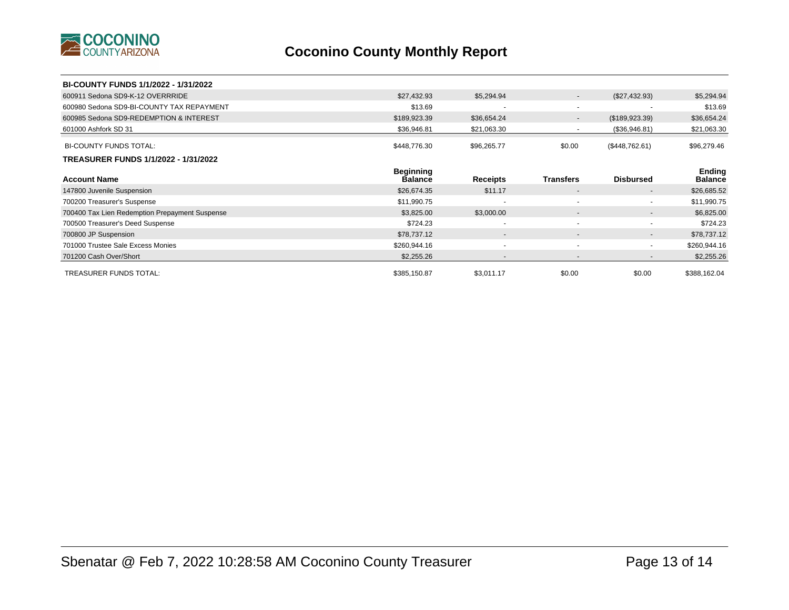

| BI-COUNTY FUNDS 1/1/2022 - 1/31/2022           |                                    |                          |                          |                          |                          |
|------------------------------------------------|------------------------------------|--------------------------|--------------------------|--------------------------|--------------------------|
| 600911 Sedona SD9-K-12 OVERRRIDE               | \$27,432.93                        | \$5,294.94               | $\sim$                   | (\$27,432.93)            | \$5,294.94               |
| 600980 Sedona SD9-BI-COUNTY TAX REPAYMENT      | \$13.69                            | $\overline{\phantom{a}}$ |                          |                          | \$13.69                  |
| 600985 Sedona SD9-REDEMPTION & INTEREST        | \$189,923.39                       | \$36,654.24              | $\sim$                   | (\$189,923.39)           | \$36,654.24              |
| 601000 Ashfork SD 31                           | \$36,946.81                        | \$21,063.30              | $\sim$                   | (\$36,946.81)            | \$21,063.30              |
| <b>BI-COUNTY FUNDS TOTAL:</b>                  | \$448,776.30                       | \$96,265.77              | \$0.00                   | (\$448,762.61)           | \$96,279.46              |
| TREASURER FUNDS 1/1/2022 - 1/31/2022           |                                    |                          |                          |                          |                          |
| <b>Account Name</b>                            | <b>Beginning</b><br><b>Balance</b> | <b>Receipts</b>          | <b>Transfers</b>         | <b>Disbursed</b>         | Ending<br><b>Balance</b> |
| 147800 Juvenile Suspension                     | \$26,674.35                        | \$11.17                  | $\sim$                   | $\sim$                   | \$26,685.52              |
| 700200 Treasurer's Suspense                    | \$11,990.75                        |                          | $\overline{\phantom{a}}$ | $\sim$                   | \$11,990.75              |
| 700400 Tax Lien Redemption Prepayment Suspense | \$3,825.00                         | \$3,000.00               | $\overline{\phantom{a}}$ | $\sim$                   | \$6,825.00               |
| 700500 Treasurer's Deed Suspense               | \$724.23                           | $\overline{\phantom{a}}$ |                          | $\sim$                   | \$724.23                 |
| 700800 JP Suspension                           | \$78,737.12                        | $\overline{\phantom{a}}$ | $\sim$                   | $\sim$                   | \$78,737.12              |
| 701000 Trustee Sale Excess Monies              | \$260,944.16                       | $\overline{\phantom{a}}$ | $\sim$                   | $\blacksquare$           | \$260,944.16             |
| 701200 Cash Over/Short                         | \$2,255.26                         | $\overline{\phantom{a}}$ |                          | $\overline{\phantom{a}}$ | \$2,255.26               |
| <b>TREASURER FUNDS TOTAL:</b>                  | \$385,150.87                       | \$3,011.17               | \$0.00                   | \$0.00                   | \$388,162.04             |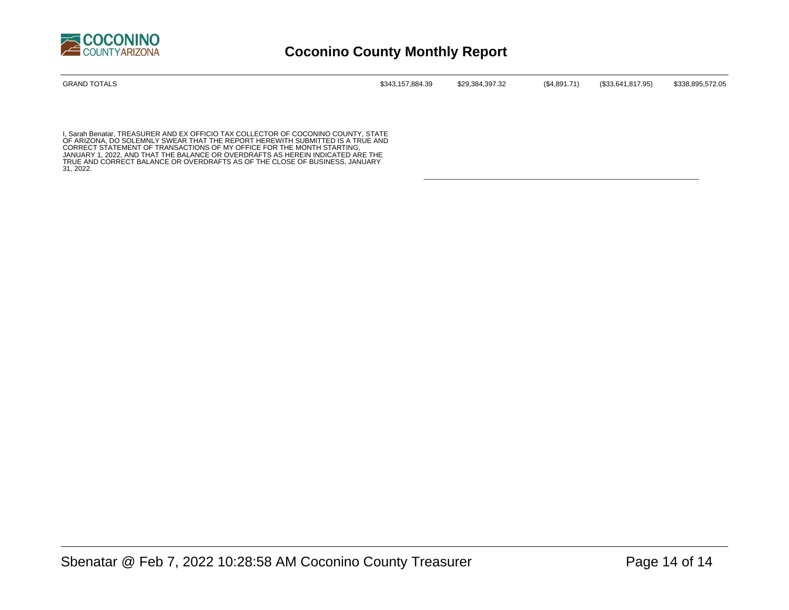

| <b>GRAND TOTALS</b> | \$343,157,884.39 | \$29,384,397.32 | (\$4,891.71) | (\$33,641,817.95) | \$338,895,572.05 |
|---------------------|------------------|-----------------|--------------|-------------------|------------------|
|                     |                  |                 |              |                   |                  |

\_\_\_\_\_\_\_\_\_\_\_\_\_\_\_\_\_\_\_\_\_\_\_\_\_\_\_\_\_\_\_\_\_\_\_\_\_\_\_\_\_\_\_\_\_\_\_\_\_\_\_\_\_\_\_\_\_\_\_\_\_\_\_\_\_\_\_\_\_\_\_

I, Sarah Benatar, TREASURER AND EX OFFICIO TAX COLLECTOR OF COCONINO COUNTY, STATE<br>OF ARIZONA, DO SOLEMNLY SWEAR THAT THE REPORT HEREWITH SUBMITTED IS A TRUE AND<br>CORRECT STATEMENT OF TRANSACTIONS OF MY OFFICE FOR THE MONTH JANUARY 1, 2022, AND THAT THE BALANCE OR OVERDRAFTS AS HEREIN INDICATED ARE THE TRUE AND CORRECT BALANCE OR OVERDRAFTS AS OF THE CLOSE OF BUSINESS, JANUARY 31, 2022.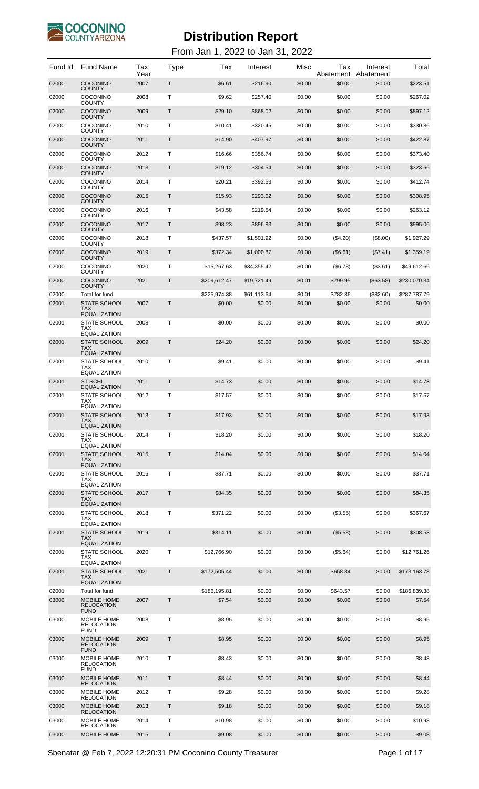

| Fund Id        | <b>Fund Name</b>                                         | Tax<br>Year | <b>Type</b>  | Tax                    | Interest         | Misc             | Tax<br>Abatement   | Interest<br>Abatement | Total                  |
|----------------|----------------------------------------------------------|-------------|--------------|------------------------|------------------|------------------|--------------------|-----------------------|------------------------|
| 02000          | <b>COCONINO</b><br><b>COUNTY</b>                         | 2007        | T.           | \$6.61                 | \$216.90         | \$0.00           | \$0.00             | \$0.00                | \$223.51               |
| 02000          | <b>COCONINO</b><br><b>COUNTY</b>                         | 2008        | T            | \$9.62                 | \$257.40         | \$0.00           | \$0.00             | \$0.00                | \$267.02               |
| 02000          | <b>COCONINO</b><br><b>COUNTY</b>                         | 2009        | T.           | \$29.10                | \$868.02         | \$0.00           | \$0.00             | \$0.00                | \$897.12               |
| 02000          | <b>COCONINO</b><br><b>COUNTY</b>                         | 2010        | т            | \$10.41                | \$320.45         | \$0.00           | \$0.00             | \$0.00                | \$330.86               |
| 02000          | <b>COCONINO</b><br><b>COUNTY</b>                         | 2011        | T.           | \$14.90                | \$407.97         | \$0.00           | \$0.00             | \$0.00                | \$422.87               |
| 02000          | <b>COCONINO</b><br><b>COUNTY</b>                         | 2012        | T            | \$16.66                | \$356.74         | \$0.00           | \$0.00             | \$0.00                | \$373.40               |
| 02000          | <b>COCONINO</b><br><b>COUNTY</b>                         | 2013        | T.           | \$19.12                | \$304.54         | \$0.00           | \$0.00             | \$0.00                | \$323.66               |
| 02000          | <b>COCONINO</b><br><b>COUNTY</b>                         | 2014        | т            | \$20.21                | \$392.53         | \$0.00           | \$0.00             | \$0.00                | \$412.74               |
| 02000          | <b>COCONINO</b><br><b>COUNTY</b>                         | 2015        | T.           | \$15.93                | \$293.02         | \$0.00           | \$0.00             | \$0.00                | \$308.95               |
| 02000          | <b>COCONINO</b><br><b>COUNTY</b>                         | 2016        | Т            | \$43.58                | \$219.54         | \$0.00           | \$0.00             | \$0.00                | \$263.12               |
| 02000          | <b>COCONINO</b><br><b>COUNTY</b>                         | 2017        | T.           | \$98.23                | \$896.83         | \$0.00           | \$0.00             | \$0.00                | \$995.06               |
| 02000          | <b>COCONINO</b><br><b>COUNTY</b>                         | 2018        | т            | \$437.57               | \$1,501.92       | \$0.00           | (\$4.20)           | (\$8.00)              | \$1,927.29             |
| 02000          | <b>COCONINO</b><br><b>COUNTY</b>                         | 2019        | T.           | \$372.34               | \$1,000.87       | \$0.00           | (\$6.61)           | (\$7.41)              | \$1,359.19             |
| 02000          | <b>COCONINO</b><br><b>COUNTY</b>                         | 2020        | т            | \$15,267.63            | \$34,355.42      | \$0.00           | (\$6.78)           | (\$3.61)              | \$49.612.66            |
| 02000          | COCONINO<br><b>COUNTY</b>                                | 2021        | T.           | \$209.612.47           | \$19,721.49      | \$0.01           | \$799.95           | (\$63.58)             | \$230.070.34           |
| 02000          | Total for fund                                           |             |              | \$225,974.38           | \$61,113.64      | \$0.01           | \$782.36           | (\$82.60)             | \$287,787.79           |
| 02001          | <b>STATE SCHOOL</b><br><b>TAX</b><br><b>EQUALIZATION</b> | 2007        | Т            | \$0.00                 | \$0.00           | \$0.00           | \$0.00             | \$0.00                | \$0.00                 |
| 02001          | STATE SCHOOL<br>TAX<br><b>EQUALIZATION</b>               | 2008        | т            | \$0.00                 | \$0.00           | \$0.00           | \$0.00             | \$0.00                | \$0.00                 |
| 02001          | <b>STATE SCHOOL</b><br>TAX<br><b>EQUALIZATION</b>        | 2009        | Т            | \$24.20                | \$0.00           | \$0.00           | \$0.00             | \$0.00                | \$24.20                |
| 02001          | STATE SCHOOL<br><b>TAX</b><br><b>EQUALIZATION</b>        | 2010        | т            | \$9.41                 | \$0.00           | \$0.00           | \$0.00             | \$0.00                | \$9.41                 |
| 02001          | <b>ST SCHL</b><br><b>EQUALIZATION</b>                    | 2011        | T            | \$14.73                | \$0.00           | \$0.00           | \$0.00             | \$0.00                | \$14.73                |
| 02001          | <b>STATE SCHOOL</b><br>TAX<br><b>EQUALIZATION</b>        | 2012        | Т            | \$17.57                | \$0.00           | \$0.00           | \$0.00             | \$0.00                | \$17.57                |
| 02001          | <b>STATE SCHOOL</b><br>TAX<br><b>EQUALIZATION</b>        | 2013        | Т            | \$17.93                | \$0.00           | \$0.00           | \$0.00             | \$0.00                | \$17.93                |
| 02001          | STATE SCHOOL<br>TAX<br><b>EQUALIZATION</b>               | 2014        | Τ            | \$18.20                | \$0.00           | \$0.00           | \$0.00             | \$0.00                | \$18.20                |
| 02001          | <b>STATE SCHOOL</b><br><b>TAX</b><br><b>EQUALIZATION</b> | 2015        | T            | \$14.04                | \$0.00           | \$0.00           | \$0.00             | \$0.00                | \$14.04                |
| 02001          | <b>STATE SCHOOL</b><br>TAX<br><b>EQUALIZATION</b>        | 2016        | т            | \$37.71                | \$0.00           | \$0.00           | \$0.00             | \$0.00                | \$37.71                |
| 02001          | <b>STATE SCHOOL</b><br><b>TAX</b><br><b>EQUALIZATION</b> | 2017        | Τ            | \$84.35                | \$0.00           | \$0.00           | \$0.00             | \$0.00                | \$84.35                |
| 02001          | STATE SCHOOL<br><b>TAX</b><br><b>EQUALIZATION</b>        | 2018        | Т            | \$371.22               | \$0.00           | \$0.00           | (\$3.55)           | \$0.00                | \$367.67               |
| 02001          | <b>STATE SCHOOL</b><br>TAX.<br><b>EQUALIZATION</b>       | 2019        | Т            | \$314.11               | \$0.00           | \$0.00           | (\$5.58)           | \$0.00                | \$308.53               |
| 02001          | STATE SCHOOL<br>TAX<br><b>EQUALIZATION</b>               | 2020        | т            | \$12,766.90            | \$0.00           | \$0.00           | (\$5.64)           | \$0.00                | \$12,761.26            |
| 02001          | <b>STATE SCHOOL</b><br><b>TAX</b><br><b>EQUALIZATION</b> | 2021        | T.           | \$172,505.44           | \$0.00           | \$0.00           | \$658.34           | \$0.00                | \$173,163.78           |
| 02001<br>03000 | Total for fund<br>MOBILE HOME                            | 2007        | $\mathsf{T}$ | \$186,195.81<br>\$7.54 | \$0.00<br>\$0.00 | \$0.00<br>\$0.00 | \$643.57<br>\$0.00 | \$0.00<br>\$0.00      | \$186,839.38<br>\$7.54 |
|                | <b>RELOCATION</b><br><b>FUND</b>                         |             |              |                        |                  |                  |                    |                       |                        |
| 03000          | MOBILE HOME<br><b>RELOCATION</b><br><b>FUND</b>          | 2008        | т            | \$8.95                 | \$0.00           | \$0.00           | \$0.00             | \$0.00                | \$8.95                 |
| 03000          | <b>MOBILE HOME</b><br><b>RELOCATION</b><br><b>FUND</b>   | 2009        | Τ            | \$8.95                 | \$0.00           | \$0.00           | \$0.00             | \$0.00                | \$8.95                 |
| 03000          | MOBILE HOME<br><b>RELOCATION</b><br><b>FUND</b>          | 2010        | T.           | \$8.43                 | \$0.00           | \$0.00           | \$0.00             | \$0.00                | \$8.43                 |
| 03000          | <b>MOBILE HOME</b><br><b>RELOCATION</b>                  | 2011        | Τ            | \$8.44                 | \$0.00           | \$0.00           | \$0.00             | \$0.00                | \$8.44                 |
| 03000          | MOBILE HOME<br><b>RELOCATION</b>                         | 2012        | т            | \$9.28                 | \$0.00           | \$0.00           | \$0.00             | \$0.00                | \$9.28                 |
| 03000          | <b>MOBILE HOME</b><br><b>RELOCATION</b>                  | 2013        | Τ            | \$9.18                 | \$0.00           | \$0.00           | \$0.00             | \$0.00                | \$9.18                 |
| 03000          | MOBILE HOME<br><b>RELOCATION</b>                         | 2014        | т            | \$10.98                | \$0.00           | \$0.00           | \$0.00             | \$0.00                | \$10.98                |
| 03000          | MOBILE HOME                                              | 2015        | Τ            | \$9.08                 | \$0.00           | \$0.00           | \$0.00             | \$0.00                | \$9.08                 |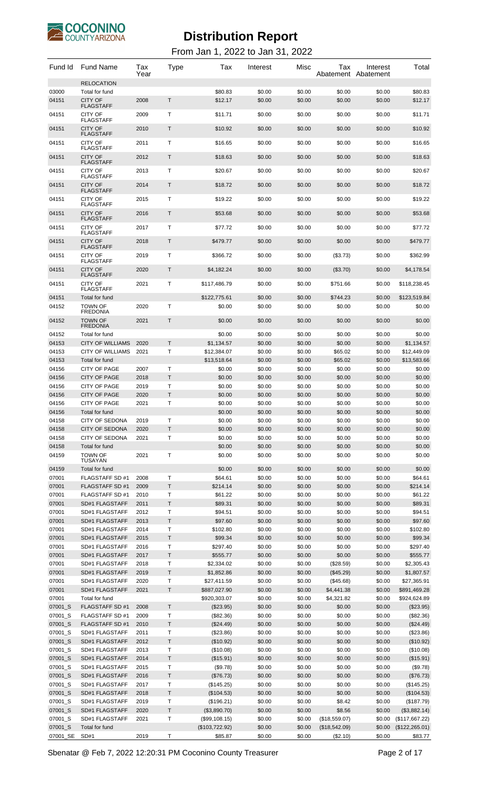

#### From Jan 1, 2022 to Jan 31, 2022

| Fund Id            | <b>Fund Name</b>                         | Tax<br>Year  | Type         | Tax                        | Interest         | Misc             | Tax<br>Abatement Abatement | Interest         | Total                      |
|--------------------|------------------------------------------|--------------|--------------|----------------------------|------------------|------------------|----------------------------|------------------|----------------------------|
|                    | <b>RELOCATION</b>                        |              |              |                            |                  |                  |                            |                  |                            |
| 03000              | Total for fund                           |              | $\mathsf T$  | \$80.83                    | \$0.00           | \$0.00           | \$0.00                     | \$0.00           | \$80.83                    |
| 04151              | <b>CITY OF</b><br><b>FLAGSTAFF</b>       | 2008         |              | \$12.17                    | \$0.00           | \$0.00           | \$0.00                     | \$0.00           | \$12.17                    |
| 04151              | <b>CITY OF</b><br><b>FLAGSTAFF</b>       | 2009         | Τ            | \$11.71                    | \$0.00           | \$0.00           | \$0.00                     | \$0.00           | \$11.71                    |
| 04151              | <b>CITY OF</b><br><b>FLAGSTAFF</b>       | 2010         | T            | \$10.92                    | \$0.00           | \$0.00           | \$0.00                     | \$0.00           | \$10.92                    |
| 04151              | CITY OF                                  | 2011         | Τ            | \$16.65                    | \$0.00           | \$0.00           | \$0.00                     | \$0.00           | \$16.65                    |
| 04151              | <b>FLAGSTAFF</b><br><b>CITY OF</b>       | 2012         | T            | \$18.63                    | \$0.00           | \$0.00           | \$0.00                     | \$0.00           | \$18.63                    |
|                    | <b>FLAGSTAFF</b>                         |              |              |                            |                  |                  |                            |                  |                            |
| 04151              | <b>CITY OF</b><br><b>FLAGSTAFF</b>       | 2013         | Τ            | \$20.67                    | \$0.00           | \$0.00           | \$0.00                     | \$0.00           | \$20.67                    |
| 04151              | <b>CITY OF</b><br><b>FLAGSTAFF</b>       | 2014         | T            | \$18.72                    | \$0.00           | \$0.00           | \$0.00                     | \$0.00           | \$18.72                    |
| 04151              | <b>CITY OF</b>                           | 2015         | Τ            | \$19.22                    | \$0.00           | \$0.00           | \$0.00                     | \$0.00           | \$19.22                    |
| 04151              | <b>FLAGSTAFF</b><br><b>CITY OF</b>       | 2016         | T            | \$53.68                    | \$0.00           | \$0.00           | \$0.00                     | \$0.00           | \$53.68                    |
|                    | <b>FLAGSTAFF</b>                         |              |              |                            |                  |                  |                            |                  |                            |
| 04151              | <b>CITY OF</b><br><b>FLAGSTAFF</b>       | 2017         | Τ            | \$77.72                    | \$0.00           | \$0.00           | \$0.00                     | \$0.00           | \$77.72                    |
| 04151              | <b>CITY OF</b><br><b>FLAGSTAFF</b>       | 2018         | T            | \$479.77                   | \$0.00           | \$0.00           | \$0.00                     | \$0.00           | \$479.77                   |
| 04151              | <b>CITY OF</b>                           | 2019         | Τ            | \$366.72                   | \$0.00           | \$0.00           | (\$3.73)                   | \$0.00           | \$362.99                   |
| 04151              | <b>FLAGSTAFF</b><br><b>CITY OF</b>       | 2020         | T            | \$4,182.24                 | \$0.00           | \$0.00           | (\$3.70)                   | \$0.00           | \$4,178.54                 |
| 04151              | <b>FLAGSTAFF</b><br><b>CITY OF</b>       | 2021         | Τ            | \$117,486.79               | \$0.00           | \$0.00           | \$751.66                   | \$0.00           | \$118,238.45               |
|                    | <b>FLAGSTAFF</b>                         |              |              |                            |                  |                  |                            |                  |                            |
| 04151              | Total for fund                           |              |              | \$122,775.61               | \$0.00           | \$0.00           | \$744.23                   | \$0.00           | \$123,519.84               |
| 04152              | <b>TOWN OF</b><br><b>FREDONIA</b>        | 2020         | Τ            | \$0.00                     | \$0.00           | \$0.00           | \$0.00                     | \$0.00           | \$0.00                     |
| 04152              | <b>TOWN OF</b><br><b>FREDONIA</b>        | 2021         | T            | \$0.00                     | \$0.00           | \$0.00           | \$0.00                     | \$0.00           | \$0.00                     |
| 04152              | Total for fund                           |              |              | \$0.00                     | \$0.00           | \$0.00           | \$0.00                     | \$0.00           | \$0.00                     |
| 04153              | <b>CITY OF WILLIAMS</b>                  | 2020         | Τ            | \$1,134.57                 | \$0.00           | \$0.00           | \$0.00                     | \$0.00           | \$1,134.57                 |
| 04153              | CITY OF WILLIAMS                         | 2021         | т            | \$12,384.07                | \$0.00           | \$0.00           | \$65.02                    | \$0.00           | \$12,449.09                |
| 04153              | Total for fund<br><b>CITY OF PAGE</b>    | 2007         | Т            | \$13,518.64                | \$0.00           | \$0.00           | \$65.02                    | \$0.00           | \$13,583.66                |
| 04156<br>04156     | <b>CITY OF PAGE</b>                      | 2018         | T            | \$0.00<br>\$0.00           | \$0.00<br>\$0.00 | \$0.00<br>\$0.00 | \$0.00<br>\$0.00           | \$0.00<br>\$0.00 | \$0.00<br>\$0.00           |
| 04156              | <b>CITY OF PAGE</b>                      | 2019         | Τ            | \$0.00                     | \$0.00           | \$0.00           | \$0.00                     | \$0.00           | \$0.00                     |
| 04156              | <b>CITY OF PAGE</b>                      | 2020         | Τ            | \$0.00                     | \$0.00           | \$0.00           | \$0.00                     | \$0.00           | \$0.00                     |
| 04156              | <b>CITY OF PAGE</b>                      | 2021         | Т            | \$0.00                     | \$0.00           | \$0.00           | \$0.00                     | \$0.00           | \$0.00                     |
| 04156              | Total for fund                           |              |              | \$0.00                     | \$0.00           | \$0.00           | \$0.00                     | \$0.00           | \$0.00                     |
| 04158              | <b>CITY OF SEDONA</b>                    | 2019         | Т            | \$0.00                     | \$0.00           | \$0.00           | \$0.00                     | \$0.00           | \$0.00                     |
| 04158              | <b>CITY OF SEDONA</b>                    | 2020         | T            | \$0.00                     | \$0.00           | \$0.00           | \$0.00                     | \$0.00           | \$0.00                     |
| 04158<br>04158     | <b>CITY OF SEDONA</b><br>Total for fund  | 2021         | т            | \$0.00<br>\$0.00           | \$0.00<br>\$0.00 | \$0.00<br>\$0.00 | \$0.00<br>\$0.00           | \$0.00<br>\$0.00 | \$0.00<br>\$0.00           |
| 04159              | <b>TOWN OF</b>                           | 2021         | Τ            | \$0.00                     | \$0.00           | \$0.00           | \$0.00                     | \$0.00           | \$0.00                     |
|                    | <b>TUSAYAN</b>                           |              |              |                            |                  |                  |                            |                  |                            |
| 04159              | Total for fund                           |              |              | \$0.00                     | \$0.00           | \$0.00           | \$0.00                     | \$0.00           | \$0.00                     |
| 07001              | FLAGSTAFF SD #1                          | 2008         | Т            | \$64.61                    | \$0.00           | \$0.00           | \$0.00                     | \$0.00           | \$64.61                    |
| 07001<br>07001     | <b>FLAGSTAFF SD#1</b><br>FLAGSTAFF SD #1 | 2009<br>2010 | $\top$<br>Т  | \$214.14<br>\$61.22        | \$0.00<br>\$0.00 | \$0.00<br>\$0.00 | \$0.00<br>\$0.00           | \$0.00<br>\$0.00 | \$214.14<br>\$61.22        |
| 07001              | SD#1 FLAGSTAFF                           | 2011         | Τ            | \$89.31                    | \$0.00           | \$0.00           | \$0.00                     | \$0.00           | \$89.31                    |
| 07001              | SD#1 FLAGSTAFF                           | 2012         | Т            | \$94.51                    | \$0.00           | \$0.00           | \$0.00                     | \$0.00           | \$94.51                    |
| 07001              | SD#1 FLAGSTAFF                           | 2013         | Τ            | \$97.60                    | \$0.00           | \$0.00           | \$0.00                     | \$0.00           | \$97.60                    |
| 07001              | SD#1 FLAGSTAFF                           | 2014         | Т            | \$102.80                   | \$0.00           | \$0.00           | \$0.00                     | \$0.00           | \$102.80                   |
| 07001              | SD#1 FLAGSTAFF                           | 2015         | $\top$       | \$99.34                    | \$0.00           | \$0.00           | \$0.00                     | \$0.00           | \$99.34                    |
| 07001              | SD#1 FLAGSTAFF                           | 2016         | T            | \$297.40                   | \$0.00           | \$0.00           | \$0.00                     | \$0.00           | \$297.40                   |
| 07001              | SD#1 FLAGSTAFF                           | 2017         | $\top$       | \$555.77                   | \$0.00           | \$0.00           | \$0.00                     | \$0.00           | \$555.77                   |
| 07001<br>07001     | SD#1 FLAGSTAFF<br>SD#1 FLAGSTAFF         | 2018<br>2019 | Τ<br>Τ       | \$2,334.02<br>\$1,852.86   | \$0.00<br>\$0.00 | \$0.00<br>\$0.00 | (\$28.59)<br>(\$45.29)     | \$0.00<br>\$0.00 | \$2,305.43<br>\$1,807.57   |
| 07001              | SD#1 FLAGSTAFF                           | 2020         | Т            | \$27,411.59                | \$0.00           | \$0.00           | (\$45.68)                  | \$0.00           | \$27,365.91                |
| 07001              | SD#1 FLAGSTAFF                           | 2021         | T            | \$887,027.90               | \$0.00           | \$0.00           | \$4,441.38                 | \$0.00           | \$891,469.28               |
| 07001              | Total for fund                           |              |              | \$920,303.07               | \$0.00           | \$0.00           | \$4,321.82                 | \$0.00           | \$924,624.89               |
| 07001_S            | <b>FLAGSTAFF SD#1</b>                    | 2008         | T            | (\$23.95)                  | \$0.00           | \$0.00           | \$0.00                     | \$0.00           | (\$23.95)                  |
| 07001_S            | <b>FLAGSTAFF SD#1</b>                    | 2009         | Т            | (\$82.36)                  | \$0.00           | \$0.00           | \$0.00                     | \$0.00           | (\$82.36)                  |
| 07001_S            | <b>FLAGSTAFF SD#1</b>                    | 2010         | Τ            | (\$24.49)                  | \$0.00           | \$0.00           | \$0.00                     | \$0.00           | (\$24.49)                  |
| 07001_S<br>07001_S | SD#1 FLAGSTAFF<br>SD#1 FLAGSTAFF         | 2011<br>2012 | Т<br>$\sf T$ | (\$23.86)<br>(\$10.92)     | \$0.00<br>\$0.00 | \$0.00<br>\$0.00 | \$0.00<br>\$0.00           | \$0.00<br>\$0.00 | (\$23.86)<br>(\$10.92)     |
| 07001_S            | SD#1 FLAGSTAFF                           | 2013         | T            | (\$10.08)                  | \$0.00           | \$0.00           | \$0.00                     | \$0.00           | (\$10.08)                  |
| 07001_S            | SD#1 FLAGSTAFF                           | 2014         | $\top$       | (\$15.91)                  | \$0.00           | \$0.00           | \$0.00                     | \$0.00           | (\$15.91)                  |
| 07001_S            | SD#1 FLAGSTAFF                           | 2015         | Т            | (\$9.78)                   | \$0.00           | \$0.00           | \$0.00                     | \$0.00           | (\$9.78)                   |
| 07001_S            | SD#1 FLAGSTAFF                           | 2016         | Τ            | (\$76.73)                  | \$0.00           | \$0.00           | \$0.00                     | \$0.00           | (\$76.73)                  |
| 07001 S            | SD#1 FLAGSTAFF                           | 2017         | Т            | (\$145.25)                 | \$0.00           | \$0.00           | \$0.00                     | \$0.00           | (\$145.25)                 |
| 07001_S            | SD#1 FLAGSTAFF                           | 2018         | $\top$       | (\$104.53)                 | \$0.00           | \$0.00           | \$0.00                     | \$0.00           | (\$104.53)                 |
| 07001_S<br>07001_S | SD#1 FLAGSTAFF<br>SD#1 FLAGSTAFF         | 2019<br>2020 | Т<br>T       | (\$196.21)<br>(\$3,890.70) | \$0.00<br>\$0.00 | \$0.00<br>\$0.00 | \$8.42<br>\$8.56           | \$0.00<br>\$0.00 | (\$187.79)<br>(\$3,882.14) |
| 07001_S            | SD#1 FLAGSTAFF                           | 2021         | Т            | (\$99,108.15)              | \$0.00           | \$0.00           | (\$18,559.07)              | \$0.00           | (\$117,667.22)             |
| 07001_S            | Total for fund                           |              |              | (\$103,722.92)             | \$0.00           | \$0.00           | (\$18,542.09)              | \$0.00           | (\$122, 265.01)            |
| 07001_SE           | SD#1                                     | 2019         | Τ            | \$85.87                    | \$0.00           | \$0.00           | (\$2.10)                   | \$0.00           | \$83.77                    |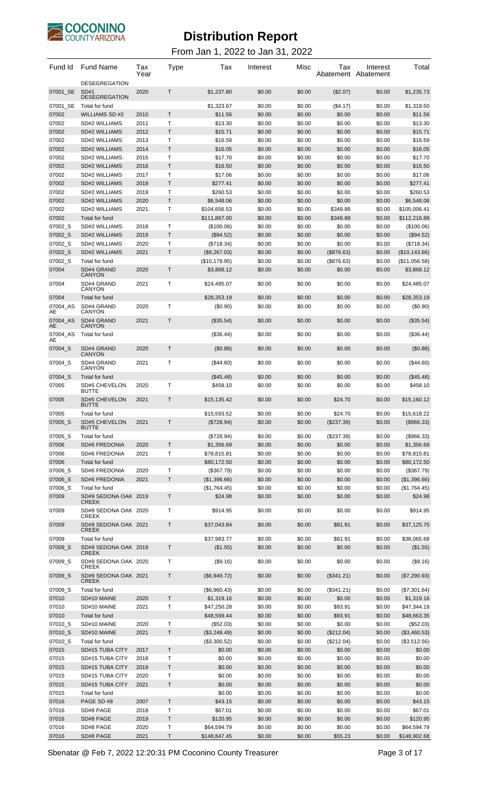

| Fund Id            | <b>Fund Name</b>                       | Tax<br>Year  | Type              | Tax                          | Interest         | Misc             | Tax                    | Interest<br>Abatement Abatement | Total                      |
|--------------------|----------------------------------------|--------------|-------------------|------------------------------|------------------|------------------|------------------------|---------------------------------|----------------------------|
| 07001 SE           | <b>DESEGREGATION</b><br>SD#1           | 2020         | $\mathsf{T}$      | \$1,237.80                   | \$0.00           | \$0.00           | (\$2.07)               | \$0.00                          | \$1,235.73                 |
|                    | <b>DESEGREGATION</b>                   |              |                   |                              |                  |                  |                        |                                 |                            |
| 07001 SE<br>07002  | Total for fund<br><b>WILLIAMS SD#2</b> | 2010         | $\mathsf{T}$      | \$1,323.67<br>\$11.56        | \$0.00<br>\$0.00 | \$0.00<br>\$0.00 | (\$4.17)<br>\$0.00     | \$0.00<br>\$0.00                | \$1,319.50<br>\$11.56      |
| 07002              | SD#2 WILLIAMS                          | 2011         | $\mathsf{T}$      | \$13.30                      | \$0.00           | \$0.00           | \$0.00                 | \$0.00                          | \$13.30                    |
| 07002              | <b>SD#2 WILLIAMS</b>                   | 2012         | $\mathsf{T}$      | \$15.71                      | \$0.00           | \$0.00           | \$0.00                 | \$0.00                          | \$15.71                    |
| 07002              | SD#2 WILLIAMS                          | 2013         | T                 | \$16.59                      | \$0.00           | \$0.00           | \$0.00                 | \$0.00                          | \$16.59                    |
| 07002              | <b>SD#2 WILLIAMS</b>                   | 2014         | $\mathsf{T}$      | \$16.05                      | \$0.00           | \$0.00           | \$0.00                 | \$0.00                          | \$16.05                    |
| 07002              | SD#2 WILLIAMS                          | 2015         | $\mathsf{T}$      | \$17.70                      | \$0.00           | \$0.00           | \$0.00                 | \$0.00                          | \$17.70                    |
| 07002              | <b>SD#2 WILLIAMS</b>                   | 2016         | T                 | \$16.50                      | \$0.00           | \$0.00           | \$0.00                 | \$0.00                          | \$16.50                    |
| 07002              | SD#2 WILLIAMS                          | 2017         | $\mathsf{T}$      | \$17.06                      | \$0.00           | \$0.00           | \$0.00                 | \$0.00                          | \$17.06                    |
| 07002              | <b>SD#2 WILLIAMS</b>                   | 2018         | T.                | \$277.41                     | \$0.00           | \$0.00           | \$0.00                 | \$0.00                          | \$277.41                   |
| 07002              | SD#2 WILLIAMS                          | 2019         | T<br>$\mathsf{T}$ | \$260.53                     | \$0.00           | \$0.00           | \$0.00                 | \$0.00                          | \$260.53                   |
| 07002<br>07002     | <b>SD#2 WILLIAMS</b><br>SD#2 WILLIAMS  | 2020<br>2021 | Т                 | \$6,548.06<br>\$104,656.53   | \$0.00<br>\$0.00 | \$0.00<br>\$0.00 | \$0.00<br>\$349.88     | \$0.00<br>\$0.00                | \$6,548.06<br>\$105,006.41 |
| 07002              | Total for fund                         |              |                   | \$111,867.00                 | \$0.00           | \$0.00           | \$349.88               | \$0.00                          | \$112,216.88               |
| 07002_S            | SD#2 WILLIAMS                          | 2018         | $\mathsf{T}$      | (\$100.06)                   | \$0.00           | \$0.00           | \$0.00                 | \$0.00                          | (\$100.06)                 |
| 07002 S            | <b>SD#2 WILLIAMS</b>                   | 2019         | $\mathsf{T}$      | (\$94.52)                    | \$0.00           | \$0.00           | \$0.00                 | \$0.00                          | (\$94.52)                  |
| 07002_S            | SD#2 WILLIAMS                          | 2020         | T                 | (\$718.34)                   | \$0.00           | \$0.00           | \$0.00                 | \$0.00                          | (\$718.34)                 |
| 07002 S            | <b>SD#2 WILLIAMS</b>                   | 2021         | T                 | (\$9,267.03)                 | \$0.00           | \$0.00           | (\$876.63)             | \$0.00                          | (\$10,143.66)              |
| 07002_S            | <b>Total for fund</b>                  |              |                   | (\$10,179.95)                | \$0.00           | \$0.00           | (\$876.63)             | \$0.00                          | (\$11,056.58)              |
| 07004              | SD#4 GRAND<br><b>CANYON</b>            | 2020         | T.                | \$3,868.12                   | \$0.00           | \$0.00           | \$0.00                 | \$0.00                          | \$3,868.12                 |
| 07004              | SD#4 GRAND<br>CANYON                   | 2021         | $\mathsf{T}$      | \$24,485.07                  | \$0.00           | \$0.00           | \$0.00                 | \$0.00                          | \$24,485.07                |
| 07004              | Total for fund                         |              |                   | \$28,353.19                  | \$0.00           | \$0.00           | \$0.00                 | \$0.00                          | \$28,353.19                |
| 07004 AS<br>AE     | SD#4 GRAND<br>CANYON                   | 2020         | T                 | (\$0.90)                     | \$0.00           | \$0.00           | \$0.00                 | \$0.00                          | (\$0.90)                   |
| 07004 AS<br>AE     | SD#4 GRAND<br><b>CANYON</b>            | 2021         | $\mathsf T$       | (\$35.54)                    | \$0.00           | \$0.00           | \$0.00                 | \$0.00                          | (\$35.54)                  |
| 07004 AS<br>AE     | Total for fund                         |              |                   | ( \$36.44)                   | \$0.00           | \$0.00           | \$0.00                 | \$0.00                          | (\$36.44)                  |
| 07004 S            | SD#4 GRAND<br><b>CANYON</b>            | 2020         | $\mathsf{T}$      | (\$0.88)                     | \$0.00           | \$0.00           | \$0.00                 | \$0.00                          | (\$0.88)                   |
| 07004 S            | SD#4 GRAND<br>CANYON                   | 2021         | T                 | $($ \$44.60)                 | \$0.00           | \$0.00           | \$0.00                 | \$0.00                          | (\$44.60)                  |
| 07004_S<br>07005   | Total for fund<br><b>SD#5 CHEVELON</b> | 2020         | $\mathsf{T}$      | $(\$45.48)$<br>\$458.10      | \$0.00<br>\$0.00 | \$0.00<br>\$0.00 | \$0.00<br>\$0.00       | \$0.00<br>\$0.00                | (\$45.48)<br>\$458.10      |
|                    | <b>BUTTE</b>                           |              |                   |                              |                  |                  |                        |                                 |                            |
| 07005              | <b>SD#5 CHEVELON</b><br><b>BUTTE</b>   | 2021         | T                 | \$15.135.42                  | \$0.00           | \$0.00           | \$24.70                | \$0.00                          | \$15,160.12                |
| 07005<br>07005_S   | Total for fund                         |              | T                 | \$15,593.52                  | \$0.00           | \$0.00           | \$24.70                | \$0.00                          | \$15,618.22                |
|                    | <b>SD#5 CHEVELON</b><br><b>BUTTE</b>   | 2021         |                   | (\$728.94)                   | \$0.00           | \$0.00           | (\$237.39)             | \$0.00                          | (\$966.33)                 |
| 07005_S            | Total for fund                         |              |                   | (\$728.94)                   | \$0.00           | \$0.00           | (\$237.39)             | \$0.00                          | (\$966.33)                 |
| 07006              | <b>SD#6 FREDONIA</b>                   | 2020         | $\mathsf{T}$      | \$1,356.69                   | \$0.00           | \$0.00           | \$0.00                 | \$0.00                          | \$1,356.69                 |
| 07006              | SD#6 FREDONIA                          | 2021         | Т                 | \$78,815.81                  | \$0.00           | \$0.00           | \$0.00                 | \$0.00                          | \$78,815.81                |
| 07006              | Total for fund                         |              |                   | \$80,172.50                  | \$0.00           | \$0.00           | \$0.00                 | \$0.00                          | \$80,172.50                |
| 07006_S            | SD#6 FREDONIA                          | 2020         | Т                 | (\$367.79)                   | \$0.00           | \$0.00           | \$0.00                 | \$0.00                          | (\$367.79)                 |
| 07006 S<br>07006_S | <b>SD#6 FREDONIA</b><br>Total for fund | 2021         | T.                | (\$1,396.66)<br>(\$1,764.45) | \$0.00           | \$0.00<br>\$0.00 | \$0.00                 | \$0.00                          | (\$1,396.66)               |
| 07009              | SD#9 SEDONA OAK 2019                   |              | $\mathsf{T}$      | \$24.98                      | \$0.00<br>\$0.00 | \$0.00           | \$0.00<br>\$0.00       | \$0.00<br>\$0.00                | (\$1,764.45)<br>\$24.98    |
|                    | <b>CREEK</b>                           |              |                   |                              |                  |                  |                        |                                 |                            |
| 07009              | SD#9 SEDONA OAK 2020<br><b>CREEK</b>   |              | T                 | \$914.95                     | \$0.00           | \$0.00           | \$0.00                 | \$0.00                          | \$914.95                   |
| 07009              | SD#9 SEDONA OAK 2021<br><b>CREEK</b>   |              | Τ                 | \$37,043.84                  | \$0.00           | \$0.00           | \$81.91                | \$0.00                          | \$37,125.75                |
| 07009<br>07009 S   | Total for fund<br>SD#9 SEDONA OAK 2019 |              | $\mathsf{T}$      | \$37,983.77                  | \$0.00<br>\$0.00 | \$0.00<br>\$0.00 | \$81.91<br>\$0.00      | \$0.00<br>\$0.00                | \$38,065.68                |
| 07009 S            | <b>CREEK</b><br>SD#9 SEDONA OAK 2020   |              | Т                 | (\$1.55)<br>(\$9.16)         | \$0.00           | \$0.00           | \$0.00                 | \$0.00                          | (\$1.55)<br>(\$9.16)       |
| 07009 S            | <b>CREEK</b><br>SD#9 SEDONA OAK 2021   |              | $\mathsf{T}$      | (\$6,949.72)                 | \$0.00           | \$0.00           | $(\$341.21)$           | \$0.00                          | (\$7,290.93)               |
|                    | <b>CREEK</b>                           |              |                   |                              |                  |                  |                        |                                 |                            |
| 07009_S<br>07010   | Total for fund<br>SD#10 MAINE          | 2020         | T.                | (\$6,960.43)<br>\$1,319.16   | \$0.00<br>\$0.00 | \$0.00<br>\$0.00 | $(\$341.21)$<br>\$0.00 | \$0.00<br>\$0.00                | (\$7,301.64)<br>\$1,319.16 |
| 07010              | SD#10 MAINE                            | 2021         | Т                 | \$47,250.28                  | \$0.00           | \$0.00           | \$93.91                | \$0.00                          | \$47,344.19                |
| 07010              | Total for fund                         |              |                   | \$48,569.44                  | \$0.00           | \$0.00           | \$93.91                | \$0.00                          | \$48,663.35                |
| 07010_S            | SD#10 MAINE                            | 2020         | T                 | (\$52.03)                    | \$0.00           | \$0.00           | \$0.00                 | \$0.00                          | (\$52.03)                  |
| 07010_S            | SD#10 MAINE                            | 2021         | $\mathsf{T}$      | (\$3,248.49)                 | \$0.00           | \$0.00           | (\$212.04)             | \$0.00                          | (\$3,460.53)               |
| 07010_S            | Total for fund                         |              |                   | (\$3,300.52)                 | \$0.00           | \$0.00           | (\$212.04)             | \$0.00                          | (\$3,512.56)               |
| 07015              | SD#15 TUBA CITY                        | 2017         | $\mathsf T$       | \$0.00                       | \$0.00           | \$0.00           | \$0.00                 | \$0.00                          | \$0.00                     |
| 07015              | SD#15 TUBA CITY                        | 2018         | $\mathsf{T}$      | \$0.00                       | \$0.00           | \$0.00           | \$0.00                 | \$0.00                          | \$0.00                     |
| 07015              | SD#15 TUBA CITY                        | 2019         | T                 | \$0.00                       | \$0.00           | \$0.00           | \$0.00                 | \$0.00                          | \$0.00                     |
| 07015              | SD#15 TUBA CITY                        | 2020         | Т                 | \$0.00                       | \$0.00           | \$0.00           | \$0.00                 | \$0.00                          | \$0.00                     |
| 07015<br>07015     | SD#15 TUBA CITY<br>Total for fund      | 2021         | $\mathsf{T}$      | \$0.00<br>\$0.00             | \$0.00<br>\$0.00 | \$0.00<br>\$0.00 | \$0.00<br>\$0.00       | \$0.00<br>\$0.00                | \$0.00<br>\$0.00           |
| 07016              | PAGE SD #8                             | 2007         | T.                | \$43.15                      | \$0.00           | \$0.00           | \$0.00                 | \$0.00                          | \$43.15                    |
| 07016              | SD#8 PAGE                              | 2018         | $\mathsf{T}$      | \$67.01                      | \$0.00           | \$0.00           | \$0.00                 | \$0.00                          | \$67.01                    |
| 07016              | SD#8 PAGE                              | 2019         | T                 | \$120.95                     | \$0.00           | \$0.00           | \$0.00                 | \$0.00                          | \$120.95                   |
| 07016              | SD#8 PAGE                              | 2020         | T                 | \$64,594.79                  | \$0.00           | \$0.00           | \$0.00                 | \$0.00                          | \$64,594.79                |
| 07016              | SD#8 PAGE                              | 2021         | Τ                 | \$148,847.45                 | \$0.00           | \$0.00           | \$55.23                | \$0.00                          | \$148,902.68               |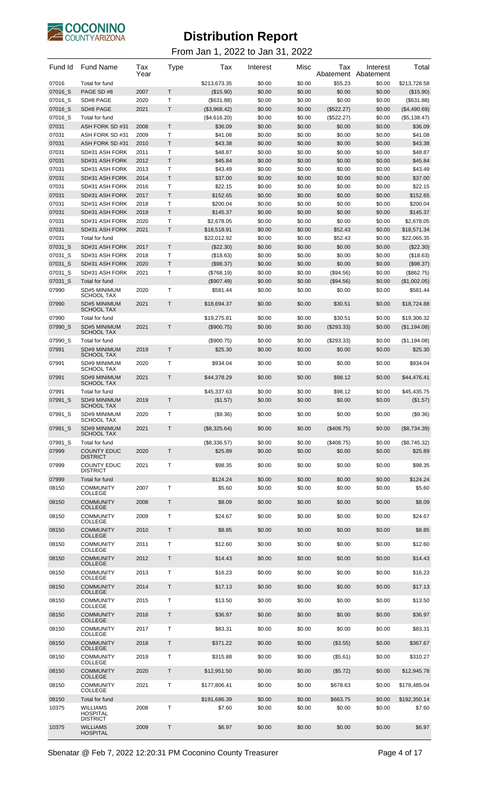

| Fund Id | <b>Fund Name</b>                         | Tax<br>Year | Type         | Tax          | Interest | Misc   | Tax<br>Abatement | Interest<br>Abatement | Total        |
|---------|------------------------------------------|-------------|--------------|--------------|----------|--------|------------------|-----------------------|--------------|
| 07016   | Total for fund                           |             |              | \$213,673.35 | \$0.00   | \$0.00 | \$55.23          | \$0.00                | \$213,728.58 |
| 07016 S | PAGE SD #8                               | 2007        | T            | (\$15.90)    | \$0.00   | \$0.00 | \$0.00           | \$0.00                | (\$15.90)    |
| 07016_S | SD#8 PAGE                                | 2020        | T            | ( \$631.88)  | \$0.00   | \$0.00 | \$0.00           | \$0.00                | (\$631.88)   |
| 07016 S | SD#8 PAGE                                | 2021        | T.           | (\$3,968.42) | \$0.00   | \$0.00 | (\$522.27)       | \$0.00                | (\$4,490.69) |
| 07016 S | Total for fund                           |             |              | (\$4,616.20) | \$0.00   | \$0.00 | (\$522.27)       | \$0.00                | (\$5,138.47) |
| 07031   | ASH FORK SD #31                          | 2008        | T.           | \$36.09      | \$0.00   | \$0.00 | \$0.00           | \$0.00                | \$36.09      |
| 07031   | ASH FORK SD #31                          | 2009        | T            | \$41.08      | \$0.00   | \$0.00 | \$0.00           | \$0.00                | \$41.08      |
| 07031   | ASH FORK SD #31                          | 2010        | T            | \$43.38      | \$0.00   | \$0.00 | \$0.00           | \$0.00                | \$43.38      |
| 07031   | SD#31 ASH FORK                           | 2011        | T            | \$48.87      | \$0.00   | \$0.00 | \$0.00           | \$0.00                | \$48.87      |
| 07031   | SD#31 ASH FORK                           | 2012        | T.           | \$45.84      | \$0.00   | \$0.00 | \$0.00           | \$0.00                | \$45.84      |
| 07031   | SD#31 ASH FORK                           | 2013        | T            | \$43.49      | \$0.00   | \$0.00 | \$0.00           | \$0.00                | \$43.49      |
| 07031   | SD#31 ASH FORK                           | 2014        | T.           | \$37.00      | \$0.00   | \$0.00 | \$0.00           | \$0.00                | \$37.00      |
| 07031   | SD#31 ASH FORK                           | 2016        | Т            | \$22.15      | \$0.00   | \$0.00 | \$0.00           | \$0.00                | \$22.15      |
| 07031   | SD#31 ASH FORK                           | 2017        | T            | \$152.65     | \$0.00   | \$0.00 | \$0.00           | \$0.00                | \$152.65     |
| 07031   | SD#31 ASH FORK                           | 2018        | T            | \$200.04     | \$0.00   | \$0.00 | \$0.00           | \$0.00                | \$200.04     |
| 07031   | SD#31 ASH FORK                           | 2019        | T.           | \$145.37     | \$0.00   | \$0.00 | \$0.00           | \$0.00                | \$145.37     |
| 07031   | SD#31 ASH FORK                           | 2020        | т            | \$2,678.05   | \$0.00   | \$0.00 | \$0.00           | \$0.00                | \$2.678.05   |
| 07031   | SD#31 ASH FORK                           | 2021        | T.           | \$18,518.91  | \$0.00   | \$0.00 | \$52.43          | \$0.00                | \$18.571.34  |
| 07031   | Total for fund                           |             |              | \$22,012.92  | \$0.00   | \$0.00 | \$52.43          | \$0.00                | \$22,065.35  |
| 07031 S | SD#31 ASH FORK                           | 2017        | T            | (\$22.30)    | \$0.00   | \$0.00 | \$0.00           | \$0.00                | $(\$22.30)$  |
| 07031_S | SD#31 ASH FORK                           | 2018        | T            | (\$18.63)    | \$0.00   | \$0.00 | \$0.00           | \$0.00                | (\$18.63)    |
| 07031_S | SD#31 ASH FORK                           | 2020        | T.           | (\$98.37)    | \$0.00   | \$0.00 | \$0.00           | \$0.00                | (\$98.37)    |
| 07031 S | SD#31 ASH FORK                           | 2021        | Т            | (\$768.19)   | \$0.00   | \$0.00 | (\$94.56)        | \$0.00                | (\$862.75)   |
| 07031_S | Total for fund                           |             |              | $(\$907.49)$ | \$0.00   | \$0.00 | $(\$94.56)$      | \$0.00                | (\$1,002.05) |
| 07990   | SD#5 MINIMUM                             | 2020        | т            | \$581.44     | \$0.00   | \$0.00 | \$0.00           | \$0.00                | \$581.44     |
| 07990   | <b>SCHOOL TAX</b><br><b>SD#5 MINIMUM</b> | 2021        | T            | \$18,694.37  | \$0.00   | \$0.00 | \$30.51          | \$0.00                | \$18,724.88  |
|         | <b>SCHOOL TAX</b>                        |             |              |              |          |        |                  |                       |              |
| 07990   | Total for fund                           |             |              | \$19,275.81  | \$0.00   | \$0.00 | \$30.51          | \$0.00                | \$19,306.32  |
| 07990 S | <b>SD#5 MINIMUM</b><br><b>SCHOOL TAX</b> | 2021        | $\mathsf{T}$ | (\$900.75)   | \$0.00   | \$0.00 | $(\$293.33)$     | \$0.00                | (\$1,194.08) |
| 07990 S | Total for fund                           |             |              | (\$900.75)   | \$0.00   | \$0.00 | $(\$293.33)$     | \$0.00                | (\$1,194.08) |
| 07991   | SD#9 MINIMUM                             | 2019        | T.           | \$25.30      | \$0.00   | \$0.00 | \$0.00           | \$0.00                | \$25.30      |
|         | <b>SCHOOL TAX</b>                        |             |              |              |          |        |                  |                       |              |
| 07991   | SD#9 MINIMUM<br><b>SCHOOL TAX</b>        | 2020        | T            | \$934.04     | \$0.00   | \$0.00 | \$0.00           | \$0.00                | \$934.04     |
| 07991   | SD#9 MINIMUM<br><b>SCHOOL TAX</b>        | 2021        | T.           | \$44,378.29  | \$0.00   | \$0.00 | \$98.12          | \$0.00                | \$44,476.41  |
| 07991   | Total for fund                           |             |              | \$45,337.63  | \$0.00   | \$0.00 | \$98.12          | \$0.00                | \$45,435.75  |
| 07991 S | SD#9 MINIMUM<br><b>SCHOOL TAX</b>        | 2019        | T            | (\$1.57)     | \$0.00   | \$0.00 | \$0.00           | \$0.00                | (\$1.57)     |
| 07991_S | SD#9 MINIMUM                             | 2020        | т            | (\$9.36)     | \$0.00   | \$0.00 | \$0.00           | \$0.00                | (\$9.36)     |
|         | <b>SCHOOL TAX</b>                        |             |              |              |          |        |                  |                       |              |
| 07991_S | SD#9 MINIMUM                             | 2021        | T            | (\$8,325.64) | \$0.00   | \$0.00 | (\$408.75)       | \$0.00                | (\$8,734.39) |
|         | <b>SCHOOL TAX</b>                        |             |              |              |          |        |                  |                       |              |
| 07991_S | Total for fund                           | 2020        | T.           | (\$8,336.57) | \$0.00   | \$0.00 | (\$408.75)       | \$0.00                | (\$8,745.32) |
| 07999   | <b>COUNTY EDUC</b><br><b>DISTRICT</b>    |             |              | \$25.89      | \$0.00   | \$0.00 | \$0.00           | \$0.00                | \$25.89      |
| 07999   | <b>COUNTY EDUC</b>                       | 2021        | Т            | \$98.35      | \$0.00   | \$0.00 | \$0.00           | \$0.00                | \$98.35      |
|         | <b>DISTRICT</b>                          |             |              |              |          |        |                  |                       |              |
| 07999   | Total for fund                           |             |              | \$124.24     | \$0.00   | \$0.00 | \$0.00           | \$0.00                | \$124.24     |
| 08150   | <b>COMMUNITY</b><br><b>COLLEGE</b>       | 2007        | T            | \$5.60       | \$0.00   | \$0.00 | \$0.00           | \$0.00                | \$5.60       |
| 08150   | <b>COMMUNITY</b>                         | 2008        | T.           | \$8.09       | \$0.00   | \$0.00 | \$0.00           | \$0.00                | \$8.09       |
|         | <b>COLLEGE</b>                           |             |              |              |          |        |                  |                       |              |
| 08150   | <b>COMMUNITY</b><br><b>COLLEGE</b>       | 2009        | T            | \$24.67      | \$0.00   | \$0.00 | \$0.00           | \$0.00                | \$24.67      |
| 08150   | <b>COMMUNITY</b>                         | 2010        | T.           | \$8.85       | \$0.00   | \$0.00 | \$0.00           | \$0.00                | \$8.85       |
|         | <b>COLLEGE</b>                           |             |              |              |          |        |                  |                       |              |
| 08150   | <b>COMMUNITY</b><br><b>COLLEGE</b>       | 2011        | T            | \$12.60      | \$0.00   | \$0.00 | \$0.00           | \$0.00                | \$12.60      |
| 08150   | <b>COMMUNITY</b>                         | 2012        | T.           | \$14.43      | \$0.00   | \$0.00 | \$0.00           | \$0.00                | \$14.43      |
| 08150   | <b>COLLEGE</b><br><b>COMMUNITY</b>       | 2013        | T            | \$16.23      | \$0.00   | \$0.00 | \$0.00           | \$0.00                | \$16.23      |
|         | <b>COLLEGE</b>                           |             |              |              |          |        |                  |                       |              |
| 08150   | <b>COMMUNITY</b><br><b>COLLEGE</b>       | 2014        | T.           | \$17.13      | \$0.00   | \$0.00 | \$0.00           | \$0.00                | \$17.13      |
| 08150   | <b>COMMUNITY</b><br><b>COLLEGE</b>       | 2015        | Т            | \$13.50      | \$0.00   | \$0.00 | \$0.00           | \$0.00                | \$13.50      |
| 08150   | <b>COMMUNITY</b><br><b>COLLEGE</b>       | 2016        | T.           | \$36.97      | \$0.00   | \$0.00 | \$0.00           | \$0.00                | \$36.97      |
| 08150   | <b>COMMUNITY</b>                         | 2017        | T            | \$83.31      | \$0.00   | \$0.00 | \$0.00           | \$0.00                | \$83.31      |
| 08150   | <b>COLLEGE</b><br><b>COMMUNITY</b>       | 2018        | T.           | \$371.22     | \$0.00   | \$0.00 | (\$3.55)         | \$0.00                | \$367.67     |
| 08150   | <b>COLLEGE</b><br><b>COMMUNITY</b>       | 2019        | Т            | \$315.88     | \$0.00   | \$0.00 |                  | \$0.00                | \$310.27     |
|         | <b>COLLEGE</b>                           |             |              |              |          |        | (\$5.61)         |                       |              |
| 08150   | <b>COMMUNITY</b><br><b>COLLEGE</b>       | 2020        | T.           | \$12,951.50  | \$0.00   | \$0.00 | (\$5.72)         | \$0.00                | \$12,945.78  |
| 08150   | <b>COMMUNITY</b><br><b>COLLEGE</b>       | 2021        | T            | \$177,806.41 | \$0.00   | \$0.00 | \$678.63         | \$0.00                | \$178,485.04 |
| 08150   | Total for fund                           |             |              | \$191,686.39 | \$0.00   | \$0.00 | \$663.75         | \$0.00                | \$192,350.14 |
| 10375   | <b>WILLIAMS</b>                          | 2008        | Т            | \$7.60       | \$0.00   | \$0.00 | \$0.00           | \$0.00                | \$7.60       |
|         | <b>HOSPITAL</b><br><b>DISTRICT</b>       |             |              |              |          |        |                  |                       |              |
| 10375   | <b>WILLIAMS</b><br><b>HOSPITAL</b>       | 2009        | T            | \$6.97       | \$0.00   | \$0.00 | \$0.00           | \$0.00                | \$6.97       |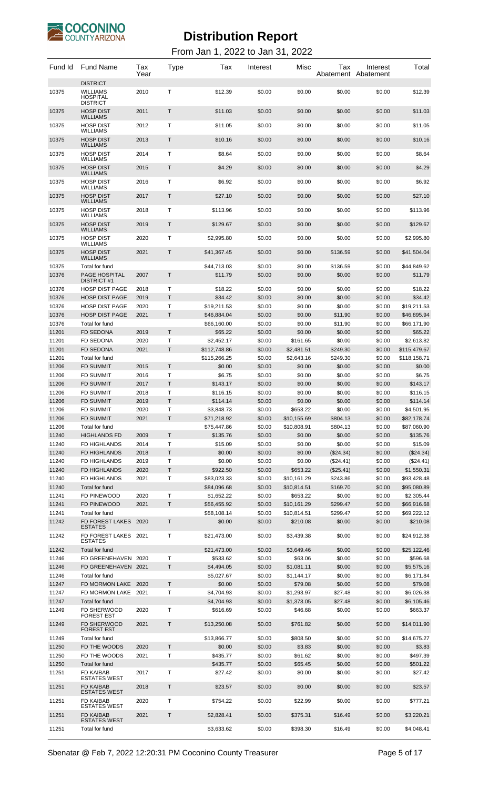

| Fund Id        | <b>Fund Name</b>                                         | Tax<br>Year  | <b>Type</b>       | Tax                        | Interest         | Misc                     | Tax                 | Interest<br>Abatement Abatement | Total                      |
|----------------|----------------------------------------------------------|--------------|-------------------|----------------------------|------------------|--------------------------|---------------------|---------------------------------|----------------------------|
| 10375          | <b>DISTRICT</b><br><b>WILLIAMS</b><br>HOSPITAL           | 2010         | т                 | \$12.39                    | \$0.00           | \$0.00                   | \$0.00              | \$0.00                          | \$12.39                    |
| 10375          | <b>DISTRICT</b><br><b>HOSP DIST</b><br><b>WILLIAMS</b>   | 2011         | Т                 | \$11.03                    | \$0.00           | \$0.00                   | \$0.00              | \$0.00                          | \$11.03                    |
| 10375          | <b>HOSP DIST</b><br>WILLIAMS                             | 2012         | т                 | \$11.05                    | \$0.00           | \$0.00                   | \$0.00              | \$0.00                          | \$11.05                    |
| 10375          | <b>HOSP DIST</b><br><b>WILLIAMS</b>                      | 2013         | Т                 | \$10.16                    | \$0.00           | \$0.00                   | \$0.00              | \$0.00                          | \$10.16                    |
| 10375          | <b>HOSP DIST</b>                                         | 2014         | т                 | \$8.64                     | \$0.00           | \$0.00                   | \$0.00              | \$0.00                          | \$8.64                     |
| 10375          | WILLIAMS<br><b>HOSP DIST</b>                             | 2015         | Т                 | \$4.29                     | \$0.00           | \$0.00                   | \$0.00              | \$0.00                          | \$4.29                     |
| 10375          | <b>WILLIAMS</b><br>HOSP DIST                             | 2016         | т                 | \$6.92                     | \$0.00           | \$0.00                   | \$0.00              | \$0.00                          | \$6.92                     |
| 10375          | WILLIAMS<br><b>HOSP DIST</b>                             | 2017         | Т                 | \$27.10                    | \$0.00           | \$0.00                   | \$0.00              | \$0.00                          | \$27.10                    |
|                | <b>WILLIAMS</b>                                          |              |                   |                            |                  |                          |                     |                                 |                            |
| 10375          | <b>HOSP DIST</b><br>WILLIAMS                             | 2018         | т                 | \$113.96                   | \$0.00           | \$0.00                   | \$0.00              | \$0.00                          | \$113.96                   |
| 10375          | <b>HOSP DIST</b><br><b>WILLIAMS</b>                      | 2019         | Т                 | \$129.67                   | \$0.00           | \$0.00                   | \$0.00              | \$0.00                          | \$129.67                   |
| 10375          | <b>HOSP DIST</b><br><b>WILLIAMS</b>                      | 2020         | т                 | \$2,995.80                 | \$0.00           | \$0.00                   | \$0.00              | \$0.00                          | \$2,995.80                 |
| 10375          | <b>HOSP DIST</b><br><b>WILLIAMS</b>                      | 2021         | Т                 | \$41,367.45                | \$0.00           | \$0.00                   | \$136.59            | \$0.00                          | \$41,504.04                |
| 10375          | Total for fund                                           |              |                   | \$44,713.03                | \$0.00           | \$0.00                   | \$136.59            | \$0.00                          | \$44,849.62                |
| 10376          | PAGE HOSPITAL<br><b>DISTRICT #1</b>                      | 2007         | T                 | \$11.79                    | \$0.00           | \$0.00                   | \$0.00              | \$0.00                          | \$11.79                    |
| 10376          | <b>HOSP DIST PAGE</b>                                    | 2018         | т<br>$\mathsf{T}$ | \$18.22                    | \$0.00           | \$0.00<br>\$0.00         | \$0.00              | \$0.00                          | \$18.22                    |
| 10376<br>10376 | <b>HOSP DIST PAGE</b><br><b>HOSP DIST PAGE</b>           | 2019<br>2020 | Т                 | \$34.42<br>\$19,211.53     | \$0.00<br>\$0.00 | \$0.00                   | \$0.00<br>\$0.00    | \$0.00<br>\$0.00                | \$34.42<br>\$19,211.53     |
| 10376          | <b>HOSP DIST PAGE</b>                                    | 2021         | T.                | \$46,884.04                | \$0.00           | \$0.00                   | \$11.90             | \$0.00                          | \$46,895.94                |
| 10376          | Total for fund                                           |              |                   | \$66,160.00                | \$0.00           | \$0.00                   | \$11.90             | \$0.00                          | \$66,171.90                |
| 11201          | <b>FD SEDONA</b>                                         | 2019         | T                 | \$65.22                    | \$0.00           | \$0.00                   | \$0.00              | \$0.00                          | \$65.22                    |
| 11201<br>11201 | FD SEDONA<br><b>FD SEDONA</b>                            | 2020<br>2021 | т<br>$\mathsf{T}$ | \$2,452.17<br>\$112,748.86 | \$0.00<br>\$0.00 | \$161.65<br>\$2,481.51   | \$0.00<br>\$249.30  | \$0.00<br>\$0.00                | \$2,613.82<br>\$115,479.67 |
| 11201          | Total for fund                                           |              |                   | \$115,266.25               | \$0.00           | \$2,643.16               | \$249.30            | \$0.00                          | \$118,158.71               |
| 11206          | <b>FD SUMMIT</b>                                         | 2015         | T                 | \$0.00                     | \$0.00           | \$0.00                   | \$0.00              | \$0.00                          | \$0.00                     |
| 11206          | <b>FD SUMMIT</b>                                         | 2016         | т                 | \$6.75                     | \$0.00           | \$0.00                   | \$0.00              | \$0.00                          | \$6.75                     |
| 11206          | <b>FD SUMMIT</b>                                         | 2017         | T                 | \$143.17                   | \$0.00           | \$0.00                   | \$0.00              | \$0.00                          | \$143.17                   |
| 11206<br>11206 | <b>FD SUMMIT</b><br><b>FD SUMMIT</b>                     | 2018<br>2019 | т<br>T            | \$116.15<br>\$114.14       | \$0.00<br>\$0.00 | \$0.00<br>\$0.00         | \$0.00<br>\$0.00    | \$0.00<br>\$0.00                | \$116.15<br>\$114.14       |
| 11206          | <b>FD SUMMIT</b>                                         | 2020         | T                 | \$3,848.73                 | \$0.00           | \$653.22                 | \$0.00              | \$0.00                          | \$4,501.95                 |
| 11206          | <b>FD SUMMIT</b>                                         | 2021         | T                 | \$71,218.92                | \$0.00           | \$10,155.69              | \$804.13            | \$0.00                          | \$82,178.74                |
| 11206          | Total for fund                                           |              |                   | \$75,447.86                | \$0.00           | \$10,808.91              | \$804.13            | \$0.00                          | \$87,060.90                |
| 11240          | <b>HIGHLANDS FD</b>                                      | 2009         | Τ                 | \$135.76                   | \$0.00           | \$0.00                   | \$0.00              | \$0.00                          | \$135.76                   |
| 11240<br>11240 | FD HIGHLANDS<br>FD HIGHLANDS                             | 2014<br>2018 | Т<br>T            | \$15.09<br>\$0.00          | \$0.00<br>\$0.00 | \$0.00<br>\$0.00         | \$0.00<br>(\$24.34) | \$0.00<br>\$0.00                | \$15.09<br>(\$24.34)       |
| 11240          | FD HIGHLANDS                                             | 2019         | Т                 | \$0.00                     | \$0.00           | \$0.00                   | (\$24.41)           | \$0.00                          | (\$24.41)                  |
| 11240          | FD HIGHLANDS                                             | 2020         | T                 | \$922.50                   | \$0.00           | \$653.22                 | (\$25.41)           | \$0.00                          | \$1,550.31                 |
| 11240          | FD HIGHLANDS                                             | 2021         | Т                 | \$83,023.33                | \$0.00           | \$10,161.29              | \$243.86            | \$0.00                          | \$93,428.48                |
| 11240          | Total for fund                                           |              |                   | \$84,096.68                | \$0.00           | \$10,814.51              | \$169.70            | \$0.00                          | \$95,080.89                |
| 11241<br>11241 | FD PINEWOOD<br>FD PINEWOOD                               | 2020<br>2021 | Τ<br>T.           | \$1,652.22<br>\$56,455.92  | \$0.00<br>\$0.00 | \$653.22<br>\$10,161.29  | \$0.00<br>\$299.47  | \$0.00<br>\$0.00                | \$2,305.44<br>\$66,916.68  |
| 11241          | Total for fund                                           |              |                   | \$58,108.14                | \$0.00           | \$10,814.51              | \$299.47            | \$0.00                          | \$69,222.12                |
| 11242          | FD FOREST LAKES                                          | 2020         | T                 | \$0.00                     | \$0.00           | \$210.08                 | \$0.00              | \$0.00                          | \$210.08                   |
| 11242          | <b>ESTATES</b><br>FD FOREST LAKES 2021<br><b>ESTATES</b> |              | Τ                 | \$21,473.00                | \$0.00           | \$3,439.38               | \$0.00              | \$0.00                          | \$24,912.38                |
| 11242          | Total for fund                                           |              |                   | \$21,473.00                | \$0.00           | \$3,649.46               | \$0.00              | \$0.00                          | \$25,122.46                |
| 11246          | FD GREENEHAVEN 2020                                      |              | Τ                 | \$533.62                   | \$0.00           | \$63.06                  | \$0.00              | \$0.00                          | \$596.68                   |
| 11246<br>11246 | FD GREENEHAVEN 2021<br>Total for fund                    |              | T                 | \$4,494.05<br>\$5,027.67   | \$0.00<br>\$0.00 | \$1,081.11<br>\$1,144.17 | \$0.00<br>\$0.00    | \$0.00<br>\$0.00                | \$5,575.16<br>\$6,171.84   |
| 11247          | FD MORMON LAKE 2020                                      |              | Τ                 | \$0.00                     | \$0.00           | \$79.08                  | \$0.00              | \$0.00                          | \$79.08                    |
| 11247          | FD MORMON LAKE 2021                                      |              | т                 | \$4,704.93                 | \$0.00           | \$1,293.97               | \$27.48             | \$0.00                          | \$6,026.38                 |
| 11247          | Total for fund                                           |              |                   | \$4,704.93                 | \$0.00           | \$1,373.05               | \$27.48             | \$0.00                          | \$6,105.46                 |
| 11249<br>11249 | FD SHERWOOD<br><b>FOREST EST</b><br><b>FD SHERWOOD</b>   | 2020<br>2021 | Τ<br>T            | \$616.69<br>\$13,250.08    | \$0.00<br>\$0.00 | \$46.68<br>\$761.82      | \$0.00<br>\$0.00    | \$0.00<br>\$0.00                | \$663.37<br>\$14,011.90    |
|                | <b>FOREST EST</b>                                        |              |                   |                            |                  |                          |                     |                                 |                            |
| 11249<br>11250 | Total for fund<br>FD THE WOODS                           | 2020         | T.                | \$13,866.77<br>\$0.00      | \$0.00<br>\$0.00 | \$808.50<br>\$3.83       | \$0.00<br>\$0.00    | \$0.00<br>\$0.00                | \$14,675.27<br>\$3.83      |
| 11250          | FD THE WOODS                                             | 2021         | Т                 | \$435.77                   | \$0.00           | \$61.62                  | \$0.00              | \$0.00                          | \$497.39                   |
| 11250          | <b>Total for fund</b>                                    |              |                   | \$435.77                   | \$0.00           | \$65.45                  | \$0.00              | \$0.00                          | \$501.22                   |
| 11251          | <b>FD KAIBAB</b><br><b>ESTATES WEST</b>                  | 2017         | т                 | \$27.42                    | \$0.00           | \$0.00                   | \$0.00              | \$0.00                          | \$27.42                    |
| 11251          | <b>FD KAIBAB</b><br><b>ESTATES WEST</b>                  | 2018         | Τ                 | \$23.57                    | \$0.00           | \$0.00                   | \$0.00              | \$0.00                          | \$23.57                    |
| 11251          | <b>FD KAIBAB</b><br><b>ESTATES WEST</b>                  | 2020         | т                 | \$754.22                   | \$0.00           | \$22.99                  | \$0.00              | \$0.00                          | \$777.21                   |
| 11251          | <b>FD KAIBAB</b><br><b>ESTATES WEST</b>                  | 2021         | Τ                 | \$2,828.41                 | \$0.00           | \$375.31                 | \$16.49             | \$0.00                          | \$3,220.21                 |
| 11251          | Total for fund                                           |              |                   | \$3,633.62                 | \$0.00           | \$398.30                 | \$16.49             | \$0.00                          | \$4,048.41                 |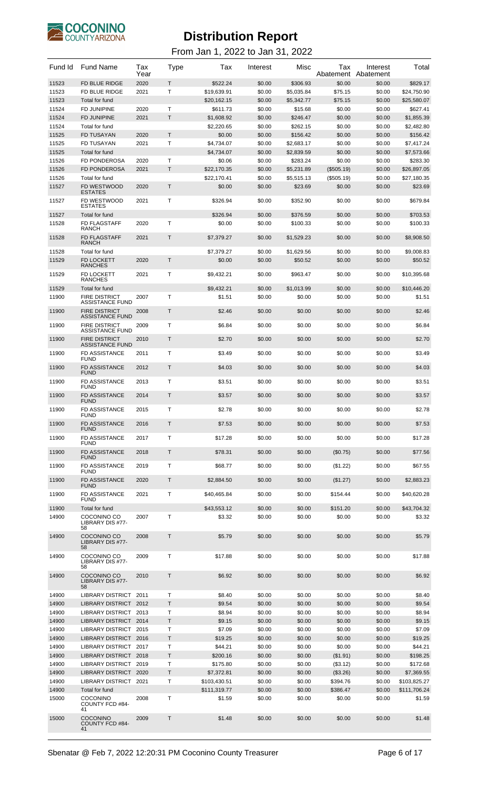

| Fund Id        | <b>Fund Name</b>                                 | Tax<br>Year | <b>Type</b>      | Tax                          | Interest         | Misc             | Tax<br>Abatement     | Interest<br>Abatement | Total                      |
|----------------|--------------------------------------------------|-------------|------------------|------------------------------|------------------|------------------|----------------------|-----------------------|----------------------------|
| 11523          | FD BLUE RIDGE                                    | 2020        | T                | \$522.24                     | \$0.00           | \$306.93         | \$0.00               | \$0.00                | \$829.17                   |
| 11523          | FD BLUE RIDGE                                    | 2021        | Т                | \$19,639.91                  | \$0.00           | \$5,035.84       | \$75.15              | \$0.00                | \$24,750.90                |
| 11523          | Total for fund                                   |             |                  | \$20,162.15                  | \$0.00           | \$5,342.77       | \$75.15              | \$0.00                | \$25,580.07                |
| 11524          | <b>FD JUNIPINE</b>                               | 2020        | $\mathsf{T}$     | \$611.73                     | \$0.00           | \$15.68          | \$0.00               | \$0.00                | \$627.41                   |
| 11524          | <b>FD JUNIPINE</b>                               | 2021        | $\mathsf{T}$     | \$1,608.92                   | \$0.00           | \$246.47         | \$0.00               | \$0.00                | \$1,855.39                 |
| 11524          | Total for fund                                   |             |                  | \$2,220.65                   | \$0.00           | \$262.15         | \$0.00               | \$0.00                | \$2,482.80                 |
| 11525          | <b>FD TUSAYAN</b>                                | 2020        | T                | \$0.00                       | \$0.00           | \$156.42         | \$0.00               | \$0.00                | \$156.42                   |
| 11525          | FD TUSAYAN                                       | 2021        | Т                | \$4,734.07                   | \$0.00           | \$2.683.17       | \$0.00               | \$0.00                | \$7,417.24                 |
| 11525          | Total for fund                                   |             |                  | \$4.734.07                   | \$0.00           | \$2,839.59       | \$0.00               | \$0.00                | \$7,573.66                 |
| 11526          | <b>FD PONDEROSA</b>                              | 2020        | $\mathsf{T}$     | \$0.06                       | \$0.00           | \$283.24         | \$0.00               | \$0.00                | \$283.30                   |
| 11526          | <b>FD PONDEROSA</b>                              | 2021        | T                | \$22,170.35                  | \$0.00           | \$5.231.89       | (\$505.19)           | \$0.00                | \$26,897.05                |
| 11526          | Total for fund                                   |             |                  | \$22,170.41                  | \$0.00           | \$5,515.13       | (\$505.19)           | \$0.00                | \$27,180.35                |
| 11527          | FD WESTWOOD<br><b>ESTATES</b>                    | 2020        | $\mathsf{T}$     | \$0.00                       | \$0.00           | \$23.69          | \$0.00               | \$0.00                | \$23.69                    |
| 11527          | FD WESTWOOD<br><b>ESTATES</b>                    | 2021        | Т                | \$326.94                     | \$0.00           | \$352.90         | \$0.00               | \$0.00                | \$679.84                   |
| 11527          | Total for fund                                   |             |                  | \$326.94                     | \$0.00           | \$376.59         | \$0.00               | \$0.00                | \$703.53                   |
| 11528          | <b>FD FLAGSTAFF</b>                              | 2020        | $\mathsf{T}$     | \$0.00                       | \$0.00           | \$100.33         | \$0.00               | \$0.00                | \$100.33                   |
|                | <b>RANCH</b>                                     |             |                  |                              |                  |                  |                      |                       |                            |
| 11528          | <b>FD FLAGSTAFF</b><br><b>RANCH</b>              | 2021        | Τ                | \$7,379.27                   | \$0.00           | \$1,529.23       | \$0.00               | \$0.00                | \$8,908.50                 |
| 11528          | Total for fund                                   |             |                  | \$7,379.27                   | \$0.00           | \$1,629.56       | \$0.00               | \$0.00                | \$9,008.83                 |
| 11529          | <b>FD LOCKETT</b><br><b>RANCHES</b>              | 2020        | $\mathsf{T}$     | \$0.00                       | \$0.00           | \$50.52          | \$0.00               | \$0.00                | \$50.52                    |
| 11529          | <b>FD LOCKETT</b><br><b>RANCHES</b>              | 2021        | Т                | \$9,432.21                   | \$0.00           | \$963.47         | \$0.00               | \$0.00                | \$10.395.68                |
| 11529          | Total for fund                                   |             |                  | \$9,432.21                   | \$0.00           | \$1,013.99       | \$0.00               | \$0.00                | \$10,446.20                |
| 11900          | <b>FIRE DISTRICT</b>                             | 2007        | Т                | \$1.51                       | \$0.00           | \$0.00           | \$0.00               | \$0.00                | \$1.51                     |
| 11900          | ASSISTANCE FUND<br><b>FIRE DISTRICT</b>          | 2008        | $\mathsf{T}$     | \$2.46                       | \$0.00           | \$0.00           | \$0.00               | \$0.00                | \$2.46                     |
| 11900          | <b>ASSISTANCE FUND</b><br><b>FIRE DISTRICT</b>   | 2009        | $\mathsf{T}$     | \$6.84                       | \$0.00           | \$0.00           | \$0.00               | \$0.00                | \$6.84                     |
|                | <b>ASSISTANCE FUND</b>                           |             |                  |                              |                  |                  |                      |                       |                            |
| 11900          | <b>FIRE DISTRICT</b><br><b>ASSISTANCE FUND</b>   | 2010        | $\mathsf{T}$     | \$2.70                       | \$0.00           | \$0.00           | \$0.00               | \$0.00                | \$2.70                     |
| 11900          | <b>FD ASSISTANCE</b><br><b>FUND</b>              | 2011        | Т                | \$3.49                       | \$0.00           | \$0.00           | \$0.00               | \$0.00                | \$3.49                     |
| 11900          | <b>FD ASSISTANCE</b><br>FUND                     | 2012        | $\mathsf{T}$     | \$4.03                       | \$0.00           | \$0.00           | \$0.00               | \$0.00                | \$4.03                     |
| 11900          | <b>FD ASSISTANCE</b><br><b>FUND</b>              | 2013        | Т                | \$3.51                       | \$0.00           | \$0.00           | \$0.00               | \$0.00                | \$3.51                     |
| 11900          | <b>FD ASSISTANCE</b>                             | 2014        | $\mathsf{T}$     | \$3.57                       | \$0.00           | \$0.00           | \$0.00               | \$0.00                | \$3.57                     |
| 11900          | <b>FUND</b><br>FD ASSISTANCE                     | 2015        | т                | \$2.78                       | \$0.00           | \$0.00           | \$0.00               | \$0.00                | \$2.78                     |
| 11900          | <b>FUND</b><br>FD ASSISTANCE                     | 2016        | $\mathsf T$      | \$7.53                       | \$0.00           | \$0.00           | \$0.00               | \$0.00                | \$7.53                     |
|                | <b>FUND</b><br>FD ASSISTANCE                     |             | Τ                |                              |                  |                  |                      |                       |                            |
| 11900          | <b>FUND</b>                                      | 2017        |                  | \$17.28                      | \$0.00           | \$0.00           | \$0.00               | \$0.00                | \$17.28                    |
| 11900          | FD ASSISTANCE<br><b>FUND</b>                     | 2018        | $\mathsf{T}$     | \$78.31                      | \$0.00           | \$0.00           | (\$0.75)             | \$0.00                | \$77.56                    |
| 11900          | FD ASSISTANCE<br><b>FUND</b>                     | 2019        | Τ                | \$68.77                      | \$0.00           | \$0.00           | (\$1.22)             | \$0.00                | \$67.55                    |
| 11900          | FD ASSISTANCE<br><b>FUND</b>                     | 2020        | $\mathsf{T}$     | \$2,884.50                   | \$0.00           | \$0.00           | (\$1.27)             | \$0.00                | \$2,883.23                 |
| 11900          | <b>FD ASSISTANCE</b><br><b>FUND</b>              | 2021        | Τ                | \$40,465.84                  | \$0.00           | \$0.00           | \$154.44             | \$0.00                | \$40,620.28                |
| 11900          | Total for fund                                   |             |                  | \$43,553.12                  | \$0.00           | \$0.00           | \$151.20             | \$0.00                | \$43,704.32                |
| 14900          | COCONINO CO<br>LIBRARY DIS #77-                  | 2007        | $\mathsf{T}$     | \$3.32                       | \$0.00           | \$0.00           | \$0.00               | \$0.00                | \$3.32                     |
| 14900          | 58<br>COCONINO CO                                | 2008        | $\mathsf T$      | \$5.79                       | \$0.00           | \$0.00           | \$0.00               | \$0.00                | \$5.79                     |
|                | LIBRARY DIS #77-<br>58                           |             |                  |                              |                  |                  |                      |                       |                            |
| 14900          | COCONINO CO<br>LIBRARY DIS #77-                  | 2009        | $\mathsf{T}$     | \$17.88                      | \$0.00           | \$0.00           | \$0.00               | \$0.00                | \$17.88                    |
| 14900          | 58<br>COCONINO CO                                | 2010        | $\mathsf T$      | \$6.92                       | \$0.00           | \$0.00           | \$0.00               | \$0.00                | \$6.92                     |
|                | LIBRARY DIS #77-<br>58                           |             |                  |                              |                  |                  |                      |                       |                            |
| 14900          | LIBRARY DISTRICT 2011                            |             | т                | \$8.40                       | \$0.00           | \$0.00           | \$0.00               | \$0.00                | \$8.40                     |
| 14900          | LIBRARY DISTRICT 2012                            |             | $\mathsf T$      | \$9.54                       | \$0.00           | \$0.00           | \$0.00               | \$0.00                | \$9.54                     |
| 14900          | LIBRARY DISTRICT 2013                            |             | $\mathsf T$      | \$8.94                       | \$0.00           | \$0.00           | \$0.00               | \$0.00                | \$8.94                     |
| 14900          | LIBRARY DISTRICT 2014                            |             | $\mathsf T$      | \$9.15                       | \$0.00           | \$0.00           | \$0.00               | \$0.00                | \$9.15                     |
| 14900          | <b>LIBRARY DISTRICT</b>                          | 2015        | Т                | \$7.09                       | \$0.00           | \$0.00           | \$0.00               | \$0.00                | \$7.09                     |
| 14900          | LIBRARY DISTRICT 2016                            |             | Τ                | \$19.25                      | \$0.00           | \$0.00           | \$0.00               | \$0.00                | \$19.25                    |
| 14900          | LIBRARY DISTRICT 2017                            |             | т                | \$44.21                      | \$0.00           | \$0.00           | \$0.00               | \$0.00                | \$44.21                    |
| 14900          | LIBRARY DISTRICT 2018                            |             | T                | \$200.16                     | \$0.00           | \$0.00           | (\$1.91)             | \$0.00                | \$198.25                   |
| 14900          | LIBRARY DISTRICT 2019                            |             | $\mathsf T$      | \$175.80                     | \$0.00           | \$0.00           | (\$3.12)             | \$0.00                | \$172.68                   |
| 14900<br>14900 | LIBRARY DISTRICT 2020<br><b>LIBRARY DISTRICT</b> |             | $\mathsf T$<br>Τ | \$7,372.81                   | \$0.00<br>\$0.00 | \$0.00<br>\$0.00 | (\$3.26)             | \$0.00                | \$7,369.55<br>\$103,825.27 |
| 14900          | Total for fund                                   | 2021        |                  | \$103,430.51<br>\$111,319.77 | \$0.00           | \$0.00           | \$394.76<br>\$386.47 | \$0.00<br>\$0.00      | \$111,706.24               |
| 15000          | <b>COCONINO</b>                                  | 2008        | Τ                | \$1.59                       | \$0.00           | \$0.00           | \$0.00               | \$0.00                | \$1.59                     |
|                | COUNTY FCD #84-<br>41                            |             |                  |                              |                  |                  |                      |                       |                            |
| 15000          | <b>COCONINO</b><br>COUNTY FCD #84-<br>41         | 2009        | Τ                | \$1.48                       | \$0.00           | \$0.00           | \$0.00               | \$0.00                | \$1.48                     |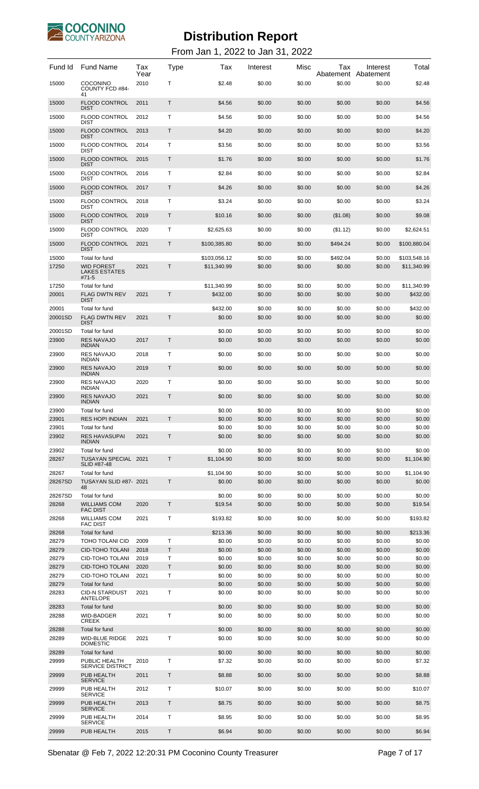

| Fund Id          | <b>Fund Name</b>                                 | Tax<br>Year  | <b>Type</b>  | Tax                         | Interest         | Misc             | Tax<br>Abatement   | Interest<br>Abatement | Total                   |
|------------------|--------------------------------------------------|--------------|--------------|-----------------------------|------------------|------------------|--------------------|-----------------------|-------------------------|
| 15000            | COCONINO<br>COUNTY FCD #84-<br>41                | 2010         | т            | \$2.48                      | \$0.00           | \$0.00           | \$0.00             | \$0.00                | \$2.48                  |
| 15000            | <b>FLOOD CONTROL</b><br><b>DIST</b>              | 2011         | Τ            | \$4.56                      | \$0.00           | \$0.00           | \$0.00             | \$0.00                | \$4.56                  |
| 15000            | <b>FLOOD CONTROL</b><br><b>DIST</b>              | 2012         | т            | \$4.56                      | \$0.00           | \$0.00           | \$0.00             | \$0.00                | \$4.56                  |
| 15000            | <b>FLOOD CONTROL</b><br><b>DIST</b>              | 2013         | Τ            | \$4.20                      | \$0.00           | \$0.00           | \$0.00             | \$0.00                | \$4.20                  |
| 15000            | <b>FLOOD CONTROL</b><br><b>DIST</b>              | 2014         | т            | \$3.56                      | \$0.00           | \$0.00           | \$0.00             | \$0.00                | \$3.56                  |
| 15000            | <b>FLOOD CONTROL</b>                             | 2015         | Τ            | \$1.76                      | \$0.00           | \$0.00           | \$0.00             | \$0.00                | \$1.76                  |
| 15000            | <b>DIST</b><br><b>FLOOD CONTROL</b>              | 2016         | Т            | \$2.84                      | \$0.00           | \$0.00           | \$0.00             | \$0.00                | \$2.84                  |
| 15000            | <b>DIST</b><br><b>FLOOD CONTROL</b>              | 2017         | Τ            | \$4.26                      | \$0.00           | \$0.00           | \$0.00             | \$0.00                | \$4.26                  |
| 15000            | <b>DIST</b><br><b>FLOOD CONTROL</b>              | 2018         | т            | \$3.24                      | \$0.00           | \$0.00           | \$0.00             | \$0.00                | \$3.24                  |
|                  | <b>DIST</b><br><b>FLOOD CONTROL</b>              |              |              |                             |                  |                  |                    |                       |                         |
| 15000            | <b>DIST</b>                                      | 2019         | Τ            | \$10.16                     | \$0.00           | \$0.00           | (\$1.08)           | \$0.00                | \$9.08                  |
| 15000            | <b>FLOOD CONTROL</b><br><b>DIST</b>              | 2020         | т            | \$2,625.63                  | \$0.00           | \$0.00           | (\$1.12)           | \$0.00                | \$2,624.51              |
| 15000            | <b>FLOOD CONTROL</b><br><b>DIST</b>              | 2021         | T            | \$100,385.80                | \$0.00           | \$0.00           | \$494.24           | \$0.00                | \$100,880.04            |
| 15000<br>17250   | Total for fund<br><b>WID FOREST</b>              | 2021         | T.           | \$103,056.12<br>\$11,340.99 | \$0.00<br>\$0.00 | \$0.00<br>\$0.00 | \$492.04<br>\$0.00 | \$0.00                | \$103,548.16            |
|                  | LAKES ESTATES<br>#71-5                           |              |              |                             |                  |                  |                    | \$0.00                | \$11,340.99             |
| 17250<br>20001   | Total for fund<br><b>FLAG DWTN REV</b>           | 2021         | Τ            | \$11,340.99<br>\$432.00     | \$0.00<br>\$0.00 | \$0.00<br>\$0.00 | \$0.00<br>\$0.00   | \$0.00<br>\$0.00      | \$11,340.99<br>\$432.00 |
|                  | <b>DIST</b>                                      |              |              |                             |                  |                  |                    |                       |                         |
| 20001<br>20001SD | Total for fund<br><b>FLAG DWTN REV</b>           | 2021         | $\mathsf{T}$ | \$432.00<br>\$0.00          | \$0.00<br>\$0.00 | \$0.00<br>\$0.00 | \$0.00<br>\$0.00   | \$0.00<br>\$0.00      | \$432.00<br>\$0.00      |
| 20001SD          | <b>DIST</b><br>Total for fund                    |              |              | \$0.00                      | \$0.00           | \$0.00           | \$0.00             | \$0.00                | \$0.00                  |
| 23900            | <b>RES NAVAJO</b><br><b>INDIAN</b>               | 2017         | T            | \$0.00                      | \$0.00           | \$0.00           | \$0.00             | \$0.00                | \$0.00                  |
| 23900            | <b>RES NAVAJO</b><br><b>INDIAN</b>               | 2018         | Т            | \$0.00                      | \$0.00           | \$0.00           | \$0.00             | \$0.00                | \$0.00                  |
| 23900            | <b>RES NAVAJO</b>                                | 2019         | $\mathsf T$  | \$0.00                      | \$0.00           | \$0.00           | \$0.00             | \$0.00                | \$0.00                  |
| 23900            | <b>INDIAN</b><br><b>RES NAVAJO</b>               | 2020         | Т            | \$0.00                      | \$0.00           | \$0.00           | \$0.00             | \$0.00                | \$0.00                  |
| 23900            | <b>INDIAN</b><br><b>RES NAVAJO</b>               | 2021         | T            | \$0.00                      | \$0.00           | \$0.00           | \$0.00             | \$0.00                | \$0.00                  |
| 23900            | <b>INDIAN</b><br>Total for fund                  |              |              | \$0.00                      | \$0.00           | \$0.00           | \$0.00             | \$0.00                | \$0.00                  |
| 23901            | <b>RES HOPI INDIAN</b>                           | 2021         | T            | \$0.00                      | \$0.00           | \$0.00           | \$0.00             | \$0.00                | \$0.00                  |
| 23901            | Total for fund                                   |              |              | \$0.00                      | \$0.00           | \$0.00           | \$0.00             | \$0.00                | \$0.00                  |
| 23902            | <b>RES HAVASUPAI</b><br><b>INDIAN</b>            | 2021         | Τ            | \$0.00                      | \$0.00           | \$0.00           | \$0.00             | \$0.00                | \$0.00                  |
| 23902            | Total for fund                                   |              |              | \$0.00                      | \$0.00           | \$0.00           | \$0.00             | \$0.00                | \$0.00                  |
| 28267            | TUSAYAN SPECIAL 2021<br>SLID #87-48              |              | Τ            | \$1,104.90                  | \$0.00           | \$0.00           | \$0.00             | \$0.00                | \$1,104.90              |
| 28267            | Total for fund                                   |              |              | \$1,104.90                  | \$0.00           | \$0.00           | \$0.00             | \$0.00                | \$1,104.90              |
| 28267SD          | TUSAYAN SLID #87- 2021<br>48                     |              | Τ            | \$0.00                      | \$0.00           | \$0.00           | \$0.00             | \$0.00                | \$0.00                  |
| 28267SD          | Total for fund                                   |              | T            | \$0.00                      | \$0.00           | \$0.00           | \$0.00             | \$0.00                | \$0.00                  |
| 28268            | <b>WILLIAMS COM</b><br><b>FAC DIST</b>           | 2020         |              | \$19.54                     | \$0.00           | \$0.00           | \$0.00             | \$0.00                | \$19.54                 |
| 28268            | <b>WILLIAMS COM</b><br><b>FAC DIST</b>           | 2021         | T.           | \$193.82                    | \$0.00           | \$0.00           | \$0.00             | \$0.00                | \$193.82                |
| 28268            | Total for fund                                   |              |              | \$213.36                    | \$0.00           | \$0.00           | \$0.00             | \$0.00                | \$213.36                |
| 28279<br>28279   | <b>TOHO TOLANI CID</b><br><b>CID-TOHO TOLANI</b> | 2009<br>2018 | Τ<br>T       | \$0.00<br>\$0.00            | \$0.00<br>\$0.00 | \$0.00<br>\$0.00 | \$0.00<br>\$0.00   | \$0.00<br>\$0.00      | \$0.00<br>\$0.00        |
| 28279            | CID-TOHO TOLANI                                  | 2019         | т            | \$0.00                      | \$0.00           | \$0.00           | \$0.00             | \$0.00                | \$0.00                  |
| 28279            | <b>CID-TOHO TOLANI</b>                           | 2020         | T            | \$0.00                      | \$0.00           | \$0.00           | \$0.00             | \$0.00                | \$0.00                  |
| 28279            | CID-TOHO TOLANI                                  | 2021         | Т            | \$0.00                      | \$0.00           | \$0.00           | \$0.00             | \$0.00                | \$0.00                  |
| 28279            | Total for fund                                   |              |              | \$0.00                      | \$0.00           | \$0.00           | \$0.00             | \$0.00                | \$0.00                  |
| 28283            | <b>CID-N STARDUST</b><br><b>ANTELOPE</b>         | 2021         | Τ            | \$0.00                      | \$0.00           | \$0.00           | \$0.00             | \$0.00                | \$0.00                  |
| 28283            | Total for fund                                   |              |              | \$0.00                      | \$0.00           | \$0.00           | \$0.00             | \$0.00                | \$0.00                  |
| 28288            | <b>WID-BADGER</b><br><b>CREEK</b>                | 2021         | Т            | \$0.00                      | \$0.00           | \$0.00           | \$0.00             | \$0.00                | \$0.00                  |
| 28288            | Total for fund                                   |              |              | \$0.00                      | \$0.00           | \$0.00           | \$0.00             | \$0.00                | \$0.00                  |
| 28289            | <b>WID-BLUE RIDGE</b><br><b>DOMESTIC</b>         | 2021         | Т            | \$0.00                      | \$0.00           | \$0.00           | \$0.00             | \$0.00                | \$0.00                  |
| 28289            | Total for fund                                   |              |              | \$0.00                      | \$0.00           | \$0.00           | \$0.00             | \$0.00                | \$0.00                  |
| 29999            | PUBLIC HEALTH<br><b>SERVICE DISTRICT</b>         | 2010         | Т            | \$7.32                      | \$0.00           | \$0.00           | \$0.00             | \$0.00                | \$7.32                  |
| 29999            | <b>PUB HEALTH</b><br><b>SERVICE</b>              | 2011         | Τ            | \$8.88                      | \$0.00           | \$0.00           | \$0.00             | \$0.00                | \$8.88                  |
| 29999            | PUB HEALTH<br><b>SERVICE</b>                     | 2012         | Т            | \$10.07                     | \$0.00           | \$0.00           | \$0.00             | \$0.00                | \$10.07                 |
| 29999            | PUB HEALTH<br><b>SERVICE</b>                     | 2013         | Τ            | \$8.75                      | \$0.00           | \$0.00           | \$0.00             | \$0.00                | \$8.75                  |
| 29999            | PUB HEALTH<br><b>SERVICE</b>                     | 2014         | Т            | \$8.95                      | \$0.00           | \$0.00           | \$0.00             | \$0.00                | \$8.95                  |
| 29999            | PUB HEALTH                                       | 2015         | Τ            | \$6.94                      | \$0.00           | \$0.00           | \$0.00             | \$0.00                | \$6.94                  |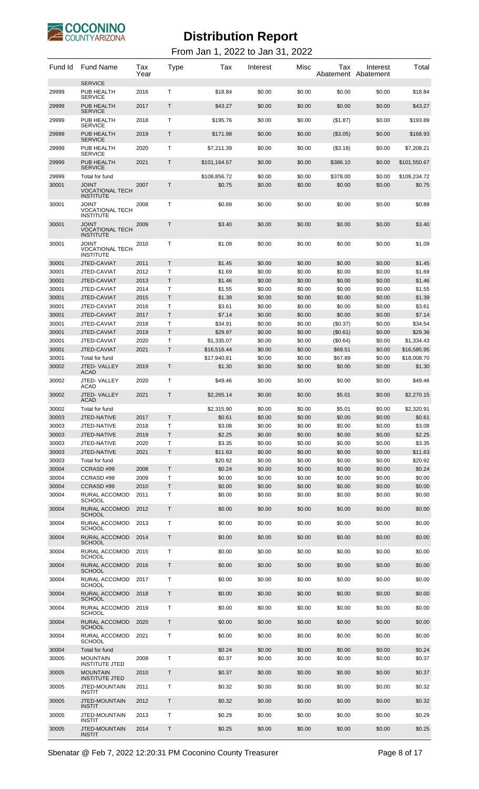

| Fund Id        | <b>Fund Name</b>                                    | Tax<br>Year  | Type        | Tax                       | Interest         | Misc             | Tax                 | Interest<br>Abatement Abatement | Total                     |
|----------------|-----------------------------------------------------|--------------|-------------|---------------------------|------------------|------------------|---------------------|---------------------------------|---------------------------|
| 29999          | <b>SERVICE</b><br>PUB HEALTH                        | 2016         | т           | \$18.84                   | \$0.00           | \$0.00           | \$0.00              | \$0.00                          | \$18.84                   |
| 29999          | <b>SERVICE</b><br>PUB HEALTH                        | 2017         | Т           | \$43.27                   | \$0.00           | \$0.00           | \$0.00              | \$0.00                          | \$43.27                   |
|                | <b>SERVICE</b>                                      |              |             |                           |                  |                  |                     |                                 |                           |
| 29999          | PUB HEALTH<br><b>SERVICE</b>                        | 2018         | т           | \$195.76                  | \$0.00           | \$0.00           | (\$1.87)            | \$0.00                          | \$193.89                  |
| 29999          | PUB HEALTH<br><b>SERVICE</b>                        | 2019         | Т           | \$171.98                  | \$0.00           | \$0.00           | (\$3.05)            | \$0.00                          | \$168.93                  |
| 29999          | PUB HEALTH<br><b>SERVICE</b>                        | 2020         | т           | \$7,211.39                | \$0.00           | \$0.00           | (\$3.18)            | \$0.00                          | \$7,208.21                |
| 29999          | PUB HEALTH<br><b>SERVICE</b>                        | 2021         | Τ           | \$101,164.57              | \$0.00           | \$0.00           | \$386.10            | \$0.00                          | \$101,550.67              |
| 29999          | Total for fund                                      |              |             | \$108,856.72              | \$0.00           | \$0.00           | \$378.00            | \$0.00                          | \$109,234.72              |
| 30001          | TNIOL<br><b>VOCATIONAL TECH</b><br><b>INSTITUTE</b> | 2007         | Т           | \$0.75                    | \$0.00           | \$0.00           | \$0.00              | \$0.00                          | \$0.75                    |
| 30001          | TNIOL<br><b>VOCATIONAL TECH</b><br><b>INSTITUTE</b> | 2008         | Т           | \$0.89                    | \$0.00           | \$0.00           | \$0.00              | \$0.00                          | \$0.89                    |
| 30001          | TNIOL<br>VOCATIONAL TECH<br><b>INSTITUTE</b>        | 2009         | Τ           | \$3.40                    | \$0.00           | \$0.00           | \$0.00              | \$0.00                          | \$3.40                    |
| 30001          | JOINT<br>VOCATIONAL TECH<br><b>INSTITUTE</b>        | 2010         | т           | \$1.09                    | \$0.00           | \$0.00           | \$0.00              | \$0.00                          | \$1.09                    |
| 30001          | JTED-CAVIAT                                         | 2011         | T           | \$1.45                    | \$0.00           | \$0.00           | \$0.00              | \$0.00                          | \$1.45                    |
| 30001<br>30001 | JTED-CAVIAT                                         | 2012<br>2013 | т<br>Τ      | \$1.69                    | \$0.00<br>\$0.00 | \$0.00<br>\$0.00 | \$0.00<br>\$0.00    | \$0.00<br>\$0.00                | \$1.69<br>\$1.46          |
| 30001          | JTED-CAVIAT<br>JTED-CAVIAT                          | 2014         | т           | \$1.46<br>\$1.55          | \$0.00           | \$0.00           | \$0.00              | \$0.00                          | \$1.55                    |
| 30001          | JTED-CAVIAT                                         | 2015         | Τ           | \$1.39                    | \$0.00           | \$0.00           | \$0.00              | \$0.00                          | \$1.39                    |
| 30001          | JTED-CAVIAT                                         | 2016         | Т           | \$3.61                    | \$0.00           | \$0.00           | \$0.00              | \$0.00                          | \$3.61                    |
| 30001          | JTED-CAVIAT                                         | 2017         | T           | \$7.14                    | \$0.00           | \$0.00           | \$0.00              | \$0.00                          | \$7.14                    |
| 30001          | JTED-CAVIAT                                         | 2018         | т           | \$34.91                   | \$0.00           | \$0.00           | (\$0.37)            | \$0.00                          | \$34.54                   |
| 30001          | JTED-CAVIAT                                         | 2019         | Τ           | \$29.97                   | \$0.00           | \$0.00           | (\$0.61)            | \$0.00                          | \$29.36                   |
| 30001<br>30001 | JTED-CAVIAT<br>JTED-CAVIAT                          | 2020<br>2021 | Т<br>T      | \$1,335.07<br>\$16,516.44 | \$0.00<br>\$0.00 | \$0.00<br>\$0.00 | (\$0.64)<br>\$69.51 | \$0.00<br>\$0.00                | \$1,334.43<br>\$16,585.95 |
| 30001          | Total for fund                                      |              |             | \$17,940.81               | \$0.00           | \$0.00           | \$67.89             | \$0.00                          | \$18,008.70               |
| 30002          | JTED-VALLEY<br><b>ACAD</b>                          | 2019         | Τ           | \$1.30                    | \$0.00           | \$0.00           | \$0.00              | \$0.00                          | \$1.30                    |
| 30002          | JTED-VALLEY<br>ACAD                                 | 2020         | Т           | \$49.46                   | \$0.00           | \$0.00           | \$0.00              | \$0.00                          | \$49.46                   |
| 30002          | JTED-VALLEY<br><b>ACAD</b>                          | 2021         | Т           | \$2,265.14                | \$0.00           | \$0.00           | \$5.01              | \$0.00                          | \$2,270.15                |
| 30002          | Total for fund                                      |              |             | \$2,315.90                | \$0.00           | \$0.00           | \$5.01              | \$0.00                          | \$2,320.91                |
| 30003          | JTED-NATIVE                                         | 2017         | T.          | \$0.61                    | \$0.00           | \$0.00           | \$0.00              | \$0.00                          | \$0.61                    |
| 30003          | JTED-NATIVE                                         | 2018         | T           | \$3.08                    | \$0.00           | \$0.00           | \$0.00              | \$0.00                          | \$3.08                    |
| 30003<br>30003 | JTED-NATIVE<br>JTED-NATIVE                          | 2019<br>2020 | T<br>т      | \$2.25<br>\$3.35          | \$0.00<br>\$0.00 | \$0.00<br>\$0.00 | \$0.00<br>\$0.00    | \$0.00<br>\$0.00                | \$2.25<br>\$3.35          |
| 30003          | JTED-NATIVE                                         | 2021         | $\top$      | \$11.63                   | \$0.00           | \$0.00           | \$0.00              | \$0.00                          | \$11.63                   |
| 30003          | Total for fund                                      |              |             | \$20.92                   | \$0.00           | \$0.00           | \$0.00              | \$0.00                          | \$20.92                   |
| 30004          | CCRASD#99                                           | 2008         | T.          | \$0.24                    | \$0.00           | \$0.00           | \$0.00              | \$0.00                          | \$0.24                    |
| 30004          | CCRASD #99                                          | 2009         | T           | \$0.00                    | \$0.00           | \$0.00           | \$0.00              | \$0.00                          | \$0.00                    |
| 30004          | CCRASD#99                                           | 2010         | T           | \$0.00                    | \$0.00           | \$0.00           | \$0.00              | \$0.00                          | \$0.00                    |
| 30004<br>30004 | RURAL ACCOMOD<br><b>SCHOOL</b><br>RURAL ACCOMOD     | 2011<br>2012 | т<br>Τ      | \$0.00<br>\$0.00          | \$0.00<br>\$0.00 | \$0.00<br>\$0.00 | \$0.00<br>\$0.00    | \$0.00<br>\$0.00                | \$0.00<br>\$0.00          |
| 30004          | <b>SCHOOL</b><br>RURAL ACCOMOD                      | 2013         | т           | \$0.00                    | \$0.00           | \$0.00           | \$0.00              | \$0.00                          | \$0.00                    |
|                | SCHOOL                                              |              |             |                           |                  |                  |                     |                                 |                           |
| 30004          | RURAL ACCOMOD<br><b>SCHOOL</b>                      | 2014         | Τ           | \$0.00                    | \$0.00           | \$0.00           | \$0.00              | \$0.00                          | \$0.00                    |
| 30004          | RURAL ACCOMOD<br>SCHOOL                             | 2015         | т           | \$0.00                    | \$0.00           | \$0.00           | \$0.00              | \$0.00                          | \$0.00                    |
| 30004          | RURAL ACCOMOD<br><b>SCHOOL</b>                      | 2016         | Τ           | \$0.00                    | \$0.00           | \$0.00           | \$0.00              | \$0.00                          | \$0.00                    |
| 30004          | RURAL ACCOMOD<br>SCHOOL                             | 2017         | т           | \$0.00                    | \$0.00           | \$0.00           | \$0.00              | \$0.00                          | \$0.00                    |
| 30004          | RURAL ACCOMOD<br><b>SCHOOL</b>                      | 2018         | Τ           | \$0.00                    | \$0.00           | \$0.00           | \$0.00              | \$0.00                          | \$0.00                    |
| 30004          | RURAL ACCOMOD<br>SCHOOL                             | 2019         | т           | \$0.00                    | \$0.00           | \$0.00           | \$0.00              | \$0.00                          | \$0.00                    |
| 30004          | RURAL ACCOMOD<br><b>SCHOOL</b>                      | 2020         | Τ           | \$0.00                    | \$0.00           | \$0.00           | \$0.00              | \$0.00                          | \$0.00                    |
| 30004          | RURAL ACCOMOD<br>SCHOOL                             | 2021         | т           | \$0.00                    | \$0.00           | \$0.00           | \$0.00              | \$0.00                          | \$0.00                    |
| 30004<br>30005 | Total for fund<br><b>MOUNTAIN</b>                   | 2009         | Т           | \$0.24<br>\$0.37          | \$0.00<br>\$0.00 | \$0.00<br>\$0.00 | \$0.00<br>\$0.00    | \$0.00<br>\$0.00                | \$0.24<br>\$0.37          |
| 30005          | <b>INSTITUTE JTED</b><br><b>MOUNTAIN</b>            | 2010         | T           | \$0.37                    | \$0.00           | \$0.00           | \$0.00              | \$0.00                          | \$0.37                    |
| 30005          | <b>INSTITUTE JTED</b><br><b>JTED-MOUNTAIN</b>       | 2011         | т           | \$0.32                    | \$0.00           | \$0.00           | \$0.00              | \$0.00                          | \$0.32                    |
| 30005          | <b>INSTIT</b><br>JTED-MOUNTAIN                      | 2012         | $\mathsf T$ | \$0.32                    | \$0.00           | \$0.00           | \$0.00              | \$0.00                          | \$0.32                    |
|                | INSTIT                                              |              |             |                           |                  |                  |                     |                                 |                           |
| 30005          | <b>JTED-MOUNTAIN</b><br><b>INSTIT</b>               | 2013         | т           | \$0.29                    | \$0.00           | \$0.00           | \$0.00              | \$0.00                          | \$0.29                    |
| 30005          | <b>JTED-MOUNTAIN</b><br>INSTIT                      | 2014         | T           | \$0.25                    | \$0.00           | \$0.00           | \$0.00              | \$0.00                          | \$0.25                    |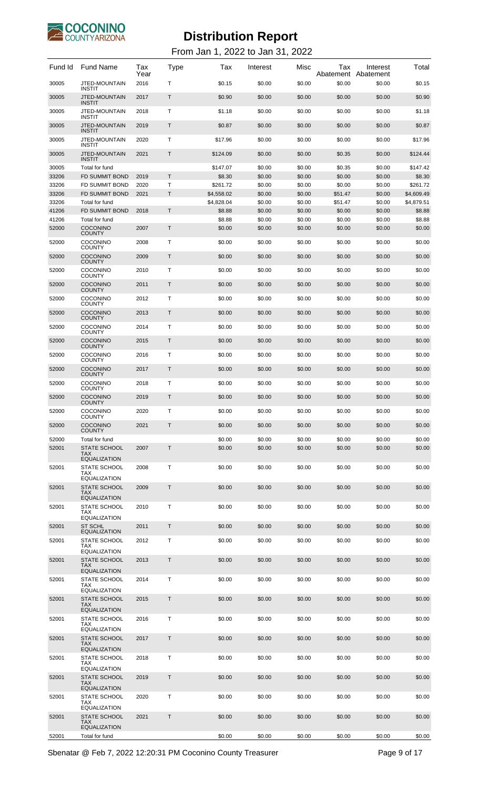

### From Jan 1, 2022 to Jan 31, 2022

| Fund Id        | <b>Fund Name</b>                               | Tax<br>Year  | Type         | Tax                    | Interest         | Misc             | Tax<br>Abatement  | Interest<br>Abatement | Total                  |
|----------------|------------------------------------------------|--------------|--------------|------------------------|------------------|------------------|-------------------|-----------------------|------------------------|
| 30005          | <b>JTED-MOUNTAIN</b><br><b>INSTIT</b>          | 2016         | т            | \$0.15                 | \$0.00           | \$0.00           | \$0.00            | \$0.00                | \$0.15                 |
| 30005          | <b>JTED-MOUNTAIN</b><br><b>INSTIT</b>          | 2017         | Т            | \$0.90                 | \$0.00           | \$0.00           | \$0.00            | \$0.00                | \$0.90                 |
| 30005          | JTED-MOUNTAIN<br><b>INSTIT</b>                 | 2018         | т            | \$1.18                 | \$0.00           | \$0.00           | \$0.00            | \$0.00                | \$1.18                 |
| 30005          | <b>JTED-MOUNTAIN</b><br><b>INSTIT</b>          | 2019         | Т            | \$0.87                 | \$0.00           | \$0.00           | \$0.00            | \$0.00                | \$0.87                 |
| 30005          | <b>JTED-MOUNTAIN</b><br><b>INSTIT</b>          | 2020         | т            | \$17.96                | \$0.00           | \$0.00           | \$0.00            | \$0.00                | \$17.96                |
| 30005          | <b>JTED-MOUNTAIN</b>                           | 2021         | Т            | \$124.09               | \$0.00           | \$0.00           | \$0.35            | \$0.00                | \$124.44               |
| 30005          | <b>INSTIT</b><br>Total for fund                |              |              | \$147.07               | \$0.00           | \$0.00           | \$0.35            | \$0.00                | \$147.42               |
| 33206          | <b>FD SUMMIT BOND</b>                          | 2019         | T            | \$8.30                 | \$0.00           | \$0.00           | \$0.00            | \$0.00                | \$8.30                 |
| 33206<br>33206 | <b>FD SUMMIT BOND</b><br><b>FD SUMMIT BOND</b> | 2020<br>2021 | T<br>Τ       | \$261.72<br>\$4,558.02 | \$0.00<br>\$0.00 | \$0.00<br>\$0.00 | \$0.00<br>\$51.47 | \$0.00<br>\$0.00      | \$261.72<br>\$4,609.49 |
| 33206          | Total for fund                                 |              |              | \$4,828.04             | \$0.00           | \$0.00           | \$51.47           | \$0.00                | \$4,879.51             |
| 41206          | <b>FD SUMMIT BOND</b>                          | 2018         | T            | \$8.88                 | \$0.00           | \$0.00           | \$0.00            | \$0.00                | \$8.88                 |
| 41206<br>52000 | Total for fund<br><b>COCONINO</b>              | 2007         | Τ            | \$8.88<br>\$0.00       | \$0.00<br>\$0.00 | \$0.00<br>\$0.00 | \$0.00<br>\$0.00  | \$0.00<br>\$0.00      | \$8.88<br>\$0.00       |
|                | <b>COUNTY</b>                                  |              |              |                        |                  |                  |                   |                       |                        |
| 52000          | <b>COCONINO</b><br><b>COUNTY</b>               | 2008         | т            | \$0.00                 | \$0.00           | \$0.00           | \$0.00            | \$0.00                | \$0.00                 |
| 52000          | <b>COCONINO</b><br><b>COUNTY</b>               | 2009         | Т            | \$0.00                 | \$0.00           | \$0.00           | \$0.00            | \$0.00                | \$0.00                 |
| 52000          | <b>COCONINO</b><br><b>COUNTY</b>               | 2010         | т            | \$0.00                 | \$0.00           | \$0.00           | \$0.00            | \$0.00                | \$0.00                 |
| 52000          | <b>COCONINO</b><br><b>COUNTY</b>               | 2011         | Т            | \$0.00                 | \$0.00           | \$0.00           | \$0.00            | \$0.00                | \$0.00                 |
| 52000          | <b>COCONINO</b><br><b>COUNTY</b>               | 2012         | т            | \$0.00                 | \$0.00           | \$0.00           | \$0.00            | \$0.00                | \$0.00                 |
| 52000          | <b>COCONINO</b>                                | 2013         | Т            | \$0.00                 | \$0.00           | \$0.00           | \$0.00            | \$0.00                | \$0.00                 |
| 52000          | <b>COUNTY</b><br><b>COCONINO</b>               | 2014         | т            | \$0.00                 | \$0.00           | \$0.00           | \$0.00            | \$0.00                | \$0.00                 |
| 52000          | <b>COUNTY</b><br><b>COCONINO</b>               | 2015         | Т            | \$0.00                 | \$0.00           | \$0.00           | \$0.00            | \$0.00                | \$0.00                 |
| 52000          | <b>COUNTY</b><br><b>COCONINO</b>               | 2016         | т            | \$0.00                 | \$0.00           | \$0.00           | \$0.00            | \$0.00                | \$0.00                 |
|                | <b>COUNTY</b>                                  |              |              |                        |                  |                  |                   |                       |                        |
| 52000          | <b>COCONINO</b><br><b>COUNTY</b>               | 2017         | Т            | \$0.00                 | \$0.00           | \$0.00           | \$0.00            | \$0.00                | \$0.00                 |
| 52000          | <b>COCONINO</b><br><b>COUNTY</b>               | 2018         | т            | \$0.00                 | \$0.00           | \$0.00           | \$0.00            | \$0.00                | \$0.00                 |
| 52000          | <b>COCONINO</b><br><b>COUNTY</b>               | 2019         | Т            | \$0.00                 | \$0.00           | \$0.00           | \$0.00            | \$0.00                | \$0.00                 |
| 52000          | COCONINO                                       | 2020         | Τ            | \$0.00                 | \$0.00           | \$0.00           | \$0.00            | \$0.00                | \$0.00                 |
| 52000          | <b>COUNTY</b><br>COCONINO                      | 2021         | T            | \$0.00                 | \$0.00           | \$0.00           | \$0.00            | \$0.00                | \$0.00                 |
| 52000          | <b>COUNTY</b><br>Total for fund                |              |              | \$0.00                 | \$0.00           | \$0.00           | \$0.00            | \$0.00                | \$0.00                 |
| 52001          | <b>STATE SCHOOL</b><br><b>TAX</b>              | 2007         | $\mathsf{T}$ | \$0.00                 | \$0.00           | \$0.00           | \$0.00            | \$0.00                | \$0.00                 |
|                | <b>EQUALIZATION</b>                            |              |              |                        |                  |                  |                   |                       |                        |
| 52001          | STATE SCHOOL<br>TAX                            | 2008         | Т            | \$0.00                 | \$0.00           | \$0.00           | \$0.00            | \$0.00                | \$0.00                 |
| 52001          | <b>EQUALIZATION</b><br><b>STATE SCHOOL</b>     | 2009         | Τ            | \$0.00                 | \$0.00           | \$0.00           | \$0.00            | \$0.00                | \$0.00                 |
|                | <b>TAX</b><br><b>EQUALIZATION</b>              |              |              |                        |                  |                  |                   |                       |                        |
| 52001          | <b>STATE SCHOOL</b><br><b>TAX</b>              | 2010         | Τ            | \$0.00                 | \$0.00           | \$0.00           | \$0.00            | \$0.00                | \$0.00                 |
| 52001          | <b>EQUALIZATION</b><br><b>ST SCHL</b>          | 2011         | Τ            |                        | \$0.00           | \$0.00           | \$0.00            |                       |                        |
|                | <b>EQUALIZATION</b>                            |              |              | \$0.00                 |                  |                  |                   | \$0.00                | \$0.00                 |
| 52001          | <b>STATE SCHOOL</b><br>TAX                     | 2012         | Τ            | \$0.00                 | \$0.00           | \$0.00           | \$0.00            | \$0.00                | \$0.00                 |
| 52001          | <b>EQUALIZATION</b><br><b>STATE SCHOOL</b>     | 2013         | Τ            | \$0.00                 | \$0.00           | \$0.00           | \$0.00            | \$0.00                | \$0.00                 |
|                | <b>TAX</b><br><b>EQUALIZATION</b>              |              |              |                        |                  |                  |                   |                       |                        |
| 52001          | <b>STATE SCHOOL</b><br><b>TAX</b>              | 2014         | Т            | \$0.00                 | \$0.00           | \$0.00           | \$0.00            | \$0.00                | \$0.00                 |
| 52001          | <b>EQUALIZATION</b><br>STATE SCHOOL            | 2015         | Τ            | \$0.00                 | \$0.00           | \$0.00           | \$0.00            | \$0.00                | \$0.00                 |
|                | <b>TAX</b><br><b>EQUALIZATION</b>              |              |              |                        |                  |                  |                   |                       |                        |
| 52001          | STATE SCHOOL<br><b>TAX</b>                     | 2016         | т            | \$0.00                 | \$0.00           | \$0.00           | \$0.00            | \$0.00                | \$0.00                 |
|                | <b>EQUALIZATION</b>                            |              |              |                        |                  |                  |                   |                       |                        |
| 52001          | <b>STATE SCHOOL</b><br><b>TAX</b>              | 2017         | Т            | \$0.00                 | \$0.00           | \$0.00           | \$0.00            | \$0.00                | \$0.00                 |
| 52001          | <b>EQUALIZATION</b><br><b>STATE SCHOOL</b>     | 2018         | Τ            | \$0.00                 | \$0.00           | \$0.00           | \$0.00            | \$0.00                | \$0.00                 |
|                | TAX.<br><b>EQUALIZATION</b>                    |              |              |                        |                  |                  |                   |                       |                        |
| 52001          | <b>STATE SCHOOL</b><br><b>TAX</b>              | 2019         | Τ            | \$0.00                 | \$0.00           | \$0.00           | \$0.00            | \$0.00                | \$0.00                 |
| 52001          | <b>EQUALIZATION</b><br><b>STATE SCHOOL</b>     | 2020         | Τ            | \$0.00                 | \$0.00           | \$0.00           | \$0.00            | \$0.00                | \$0.00                 |
|                | <b>TAX</b><br><b>EQUALIZATION</b>              |              |              |                        |                  |                  |                   |                       |                        |
| 52001          | STATE SCHOOL<br><b>TAX</b>                     | 2021         | Τ            | \$0.00                 | \$0.00           | \$0.00           | \$0.00            | \$0.00                | \$0.00                 |
|                | <b>EQUALIZATION</b>                            |              |              |                        |                  |                  |                   |                       |                        |
| 52001          | Total for fund                                 |              |              | \$0.00                 | \$0.00           | \$0.00           | \$0.00            | \$0.00                | \$0.00                 |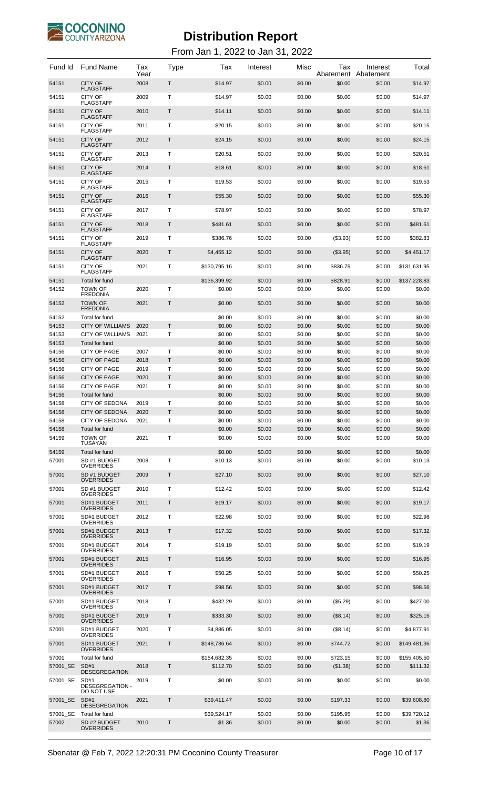

| Fund Id           | <b>Fund Name</b>                                              | Tax<br>Year  | Type   | Tax                      | Interest         | Misc             | Tax<br>Abatement     | Interest<br>Abatement | Total                    |
|-------------------|---------------------------------------------------------------|--------------|--------|--------------------------|------------------|------------------|----------------------|-----------------------|--------------------------|
| 54151             | <b>CITY OF</b><br><b>FLAGSTAFF</b>                            | 2008         | Τ      | \$14.97                  | \$0.00           | \$0.00           | \$0.00               | \$0.00                | \$14.97                  |
| 54151             | CITY OF<br><b>FLAGSTAFF</b>                                   | 2009         | т      | \$14.97                  | \$0.00           | \$0.00           | \$0.00               | \$0.00                | \$14.97                  |
| 54151             | <b>CITY OF</b><br><b>FLAGSTAFF</b>                            | 2010         | Τ      | \$14.11                  | \$0.00           | \$0.00           | \$0.00               | \$0.00                | \$14.11                  |
| 54151             | <b>CITY OF</b><br><b>FLAGSTAFF</b>                            | 2011         | т      | \$20.15                  | \$0.00           | \$0.00           | \$0.00               | \$0.00                | \$20.15                  |
| 54151             | <b>CITY OF</b><br><b>FLAGSTAFF</b>                            | 2012         | Т      | \$24.15                  | \$0.00           | \$0.00           | \$0.00               | \$0.00                | \$24.15                  |
| 54151             | CITY OF                                                       | 2013         | т      | \$20.51                  | \$0.00           | \$0.00           | \$0.00               | \$0.00                | \$20.51                  |
| 54151             | <b>FLAGSTAFF</b><br><b>CITY OF</b>                            | 2014         | Т      | \$18.61                  | \$0.00           | \$0.00           | \$0.00               | \$0.00                | \$18.61                  |
| 54151             | <b>FLAGSTAFF</b><br>CITY OF                                   | 2015         | т      | \$19.53                  | \$0.00           | \$0.00           | \$0.00               | \$0.00                | \$19.53                  |
| 54151             | <b>FLAGSTAFF</b><br><b>CITY OF</b>                            | 2016         | Τ      | \$55.30                  | \$0.00           | \$0.00           | \$0.00               | \$0.00                | \$55.30                  |
| 54151             | <b>FLAGSTAFF</b><br>CITY OF                                   | 2017         | т      | \$78.97                  | \$0.00           | \$0.00           | \$0.00               | \$0.00                | \$78.97                  |
| 54151             | <b>FLAGSTAFF</b><br><b>CITY OF</b>                            | 2018         | Т      | \$481.61                 | \$0.00           | \$0.00           | \$0.00               | \$0.00                | \$481.61                 |
| 54151             | <b>FLAGSTAFF</b><br>CITY OF                                   | 2019         | т      |                          |                  | \$0.00           |                      |                       | \$382.83                 |
|                   | <b>FLAGSTAFF</b>                                              |              |        | \$386.76                 | \$0.00           |                  | ( \$3.93)            | \$0.00                |                          |
| 54151             | <b>CITY OF</b><br><b>FLAGSTAFF</b>                            | 2020         | Τ      | \$4,455.12               | \$0.00           | \$0.00           | (\$3.95)             | \$0.00                | \$4,451.17               |
| 54151             | CITY OF<br><b>FLAGSTAFF</b>                                   | 2021         | т      | \$130,795.16             | \$0.00           | \$0.00           | \$836.79             | \$0.00                | \$131,631.95             |
| 54151<br>54152    | Total for fund<br><b>TOWN OF</b>                              | 2020         | Т      | \$136,399.92<br>\$0.00   | \$0.00<br>\$0.00 | \$0.00<br>\$0.00 | \$828.91<br>\$0.00   | \$0.00<br>\$0.00      | \$137,228.83<br>\$0.00   |
| 54152             | <b>FREDONIA</b><br><b>TOWN OF</b>                             | 2021         | Т      | \$0.00                   | \$0.00           | \$0.00           | \$0.00               | \$0.00                | \$0.00                   |
|                   | <b>FREDONIA</b>                                               |              |        |                          |                  |                  |                      |                       |                          |
| 54152<br>54153    | Total for fund<br><b>CITY OF WILLIAMS</b>                     | 2020         | T      | \$0.00<br>\$0.00         | \$0.00<br>\$0.00 | \$0.00<br>\$0.00 | \$0.00<br>\$0.00     | \$0.00<br>\$0.00      | \$0.00<br>\$0.00         |
| 54153             | <b>CITY OF WILLIAMS</b>                                       | 2021         | т      | \$0.00                   | \$0.00           | \$0.00           | \$0.00               | \$0.00                | \$0.00                   |
| 54153             | Total for fund                                                |              |        | \$0.00                   | \$0.00           | \$0.00           | \$0.00               | \$0.00                | \$0.00                   |
| 54156<br>54156    | <b>CITY OF PAGE</b><br><b>CITY OF PAGE</b>                    | 2007<br>2018 | т<br>T | \$0.00<br>\$0.00         | \$0.00<br>\$0.00 | \$0.00<br>\$0.00 | \$0.00<br>\$0.00     | \$0.00<br>\$0.00      | \$0.00<br>\$0.00         |
| 54156             | <b>CITY OF PAGE</b>                                           | 2019         | Т      | \$0.00                   | \$0.00           | \$0.00           | \$0.00               | \$0.00                | \$0.00                   |
| 54156             | <b>CITY OF PAGE</b>                                           | 2020         | T      | \$0.00                   | \$0.00           | \$0.00           | \$0.00               | \$0.00                | \$0.00                   |
| 54156             | CITY OF PAGE                                                  | 2021         | т      | \$0.00                   | \$0.00           | \$0.00           | \$0.00               | \$0.00                | \$0.00                   |
| 54156             | Total for fund                                                |              |        | \$0.00                   | \$0.00           | \$0.00           | \$0.00               | \$0.00                | \$0.00                   |
| 54158             | <b>CITY OF SEDONA</b>                                         | 2019         | т      | \$0.00                   | \$0.00           | \$0.00           | \$0.00               | \$0.00                | \$0.00                   |
| 54158<br>54158    | <b>CITY OF SEDONA</b><br><b>CITY OF SEDONA</b>                | 2020<br>2021 | Τ      | \$0.00<br>\$0.00         | \$0.00<br>\$0.00 | \$0.00<br>\$0.00 | \$0.00<br>\$0.00     | \$0.00<br>\$0.00      | \$0.00<br>\$0.00         |
| 54158             | <b>Total for fund</b>                                         |              |        | \$0.00                   | \$0.00           | \$0.00           | \$0.00               | \$0.00                | \$0.00                   |
| 54159             | <b>TOWN OF</b><br><b>TUSAYAN</b>                              | 2021         | Т      | \$0.00                   | \$0.00           | \$0.00           | \$0.00               | \$0.00                | \$0.00                   |
| 54159             | Total for fund                                                |              |        | \$0.00                   | \$0.00           | \$0.00           | \$0.00               | \$0.00                | \$0.00                   |
| 57001             | SD #1 BUDGET<br><b>OVERRIDES</b>                              | 2008         | Т      | \$10.13                  | \$0.00           | \$0.00           | \$0.00               | \$0.00                | \$10.13                  |
| 57001             | SD #1 BUDGET<br><b>OVERRIDES</b>                              | 2009         | T      | \$27.10                  | \$0.00           | \$0.00           | \$0.00               | \$0.00                | \$27.10                  |
| 57001             | SD #1 BUDGET<br><b>OVERRIDES</b>                              | 2010         | т      | \$12.42                  | \$0.00           | \$0.00           | \$0.00               | \$0.00                | \$12.42                  |
| 57001             | SD#1 BUDGET<br><b>OVERRIDES</b>                               | 2011         | T      | \$19.17                  | \$0.00           | \$0.00           | \$0.00               | \$0.00                | \$19.17                  |
| 57001             | SD#1 BUDGET                                                   | 2012         | т      | \$22.98                  | \$0.00           | \$0.00           | \$0.00               | \$0.00                | \$22.98                  |
| 57001             | OVERRIDES<br>SD#1 BUDGET                                      | 2013         | T      | \$17.32                  | \$0.00           | \$0.00           | \$0.00               | \$0.00                | \$17.32                  |
| 57001             | <b>OVERRIDES</b><br>SD#1 BUDGET                               | 2014         | т      | \$19.19                  | \$0.00           | \$0.00           | \$0.00               | \$0.00                | \$19.19                  |
| 57001             | OVERRIDES<br>SD#1 BUDGET                                      | 2015         | T      | \$16.95                  | \$0.00           | \$0.00           | \$0.00               | \$0.00                | \$16.95                  |
| 57001             | <b>OVERRIDES</b><br>SD#1 BUDGET                               | 2016         | т      | \$50.25                  | \$0.00           | \$0.00           | \$0.00               | \$0.00                | \$50.25                  |
| 57001             | OVERRIDES<br>SD#1 BUDGET                                      | 2017         | T      | \$98.56                  | \$0.00           | \$0.00           | \$0.00               | \$0.00                | \$98.56                  |
| 57001             | <b>OVERRIDES</b><br>SD#1 BUDGET                               | 2018         | т      | \$432.29                 | \$0.00           | \$0.00           | (\$5.29)             | \$0.00                | \$427.00                 |
| 57001             | OVERRIDES<br>SD#1 BUDGET                                      | 2019         | T      | \$333.30                 | \$0.00           | \$0.00           | (\$8.14)             | \$0.00                | \$325.16                 |
| 57001             | <b>OVERRIDES</b><br>SD#1 BUDGET                               | 2020         | т      | \$4,886.05               | \$0.00           | \$0.00           | (\$8.14)             | \$0.00                | \$4,877.91               |
|                   | OVERRIDES                                                     |              |        |                          |                  |                  |                      |                       |                          |
| 57001             | SD#1 BUDGET<br><b>OVERRIDES</b>                               | 2021         | T      | \$148,736.64             | \$0.00           | \$0.00           | \$744.72             | \$0.00                | \$149,481.36             |
| 57001<br>57001 SE | Total for fund<br>SD#1                                        | 2018         | T      | \$154,682.35<br>\$112.70 | \$0.00<br>\$0.00 | \$0.00<br>\$0.00 | \$723.15<br>(\$1.38) | \$0.00<br>\$0.00      | \$155,405.50<br>\$111.32 |
| 57001 SE          | <b>DESEGREGATION</b><br>SD#1<br>DESEGREGATION -<br>DO NOT USE | 2019         | Т      | \$0.00                   | \$0.00           | \$0.00           | \$0.00               | \$0.00                | \$0.00                   |
| 57001 SE          | SD#1<br><b>DESEGREGATION</b>                                  | 2021         | T      | \$39,411.47              | \$0.00           | \$0.00           | \$197.33             | \$0.00                | \$39,608.80              |
| 57001_SE<br>57002 | Total for fund<br>SD #2 BUDGET<br><b>OVERRIDES</b>            | 2010         | Т      | \$39,524.17<br>\$1.36    | \$0.00<br>\$0.00 | \$0.00<br>\$0.00 | \$195.95<br>\$0.00   | \$0.00<br>\$0.00      | \$39,720.12<br>\$1.36    |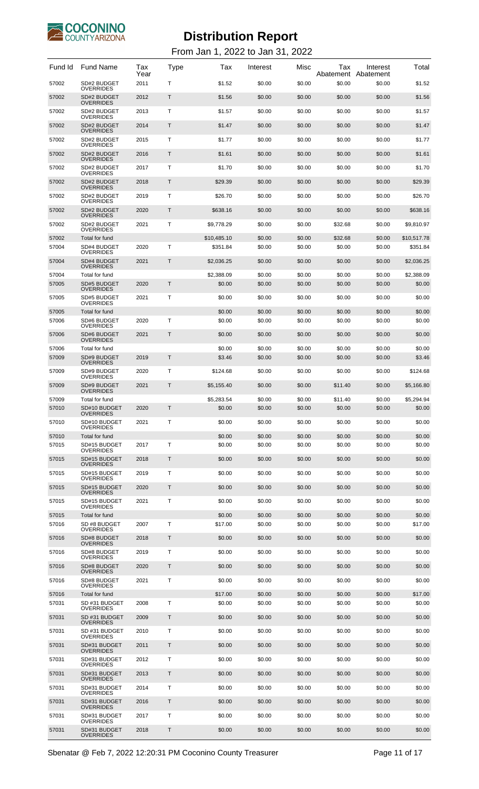

| Fund Id        | <b>Fund Name</b>                   | Tax<br>Year | Type | Tax                  | Interest         | Misc             | Tax<br>Abatement  | Interest<br>Abatement | Total                |
|----------------|------------------------------------|-------------|------|----------------------|------------------|------------------|-------------------|-----------------------|----------------------|
| 57002          | SD#2 BUDGET<br>OVERRIDES           | 2011        | т    | \$1.52               | \$0.00           | \$0.00           | \$0.00            | \$0.00                | \$1.52               |
| 57002          | SD#2 BUDGET<br><b>OVERRIDES</b>    | 2012        | Т    | \$1.56               | \$0.00           | \$0.00           | \$0.00            | \$0.00                | \$1.56               |
| 57002          | SD#2 BUDGET<br>OVERRIDES           | 2013        | т    | \$1.57               | \$0.00           | \$0.00           | \$0.00            | \$0.00                | \$1.57               |
| 57002          | SD#2 BUDGET<br><b>OVERRIDES</b>    | 2014        | Т    | \$1.47               | \$0.00           | \$0.00           | \$0.00            | \$0.00                | \$1.47               |
| 57002          | SD#2 BUDGET<br>OVERRIDES           | 2015        | т    | \$1.77               | \$0.00           | \$0.00           | \$0.00            | \$0.00                | \$1.77               |
| 57002          | SD#2 BUDGET<br><b>OVERRIDES</b>    | 2016        | Т    | \$1.61               | \$0.00           | \$0.00           | \$0.00            | \$0.00                | \$1.61               |
| 57002          | SD#2 BUDGET<br>OVERRIDES           | 2017        | т    | \$1.70               | \$0.00           | \$0.00           | \$0.00            | \$0.00                | \$1.70               |
| 57002          | SD#2 BUDGET<br><b>OVERRIDES</b>    | 2018        | Т    | \$29.39              | \$0.00           | \$0.00           | \$0.00            | \$0.00                | \$29.39              |
| 57002          | SD#2 BUDGET<br>OVERRIDES           | 2019        | т    | \$26.70              | \$0.00           | \$0.00           | \$0.00            | \$0.00                | \$26.70              |
| 57002          | SD#2 BUDGET<br>OVERRIDES           | 2020        | Т    | \$638.16             | \$0.00           | \$0.00           | \$0.00            | \$0.00                | \$638.16             |
| 57002          | SD#2 BUDGET<br>OVERRIDES           | 2021        | Т    | \$9,778.29           | \$0.00           | \$0.00           | \$32.68           | \$0.00                | \$9,810.97           |
| 57002          | Total for fund                     |             |      | \$10,485.10          | \$0.00           | \$0.00           | \$32.68           | \$0.00                | \$10,517.78          |
| 57004          | SD#4 BUDGET<br><b>OVERRIDES</b>    | 2020        | Т    | \$351.84             | \$0.00           | \$0.00           | \$0.00            | \$0.00                | \$351.84             |
| 57004          | SD#4 BUDGET<br><b>OVERRIDES</b>    | 2021        | T    | \$2,036.25           | \$0.00           | \$0.00           | \$0.00            | \$0.00                | \$2,036.25           |
| 57004<br>57005 | Total for fund<br>SD#5 BUDGET      | 2020        | T    | \$2,388.09<br>\$0.00 | \$0.00<br>\$0.00 | \$0.00<br>\$0.00 | \$0.00<br>\$0.00  | \$0.00<br>\$0.00      | \$2,388.09<br>\$0.00 |
| 57005          | <b>OVERRIDES</b><br>SD#5 BUDGET    | 2021        | T    | \$0.00               | \$0.00           | \$0.00           | \$0.00            | \$0.00                | \$0.00               |
| 57005          | <b>OVERRIDES</b><br>Total for fund |             |      | \$0.00               | \$0.00           | \$0.00           | \$0.00            | \$0.00                | \$0.00               |
| 57006          | SD#6 BUDGET<br><b>OVERRIDES</b>    | 2020        | т    | \$0.00               | \$0.00           | \$0.00           | \$0.00            | \$0.00                | \$0.00               |
| 57006          | SD#6 BUDGET<br>OVERRIDES           | 2021        | Т    | \$0.00               | \$0.00           | \$0.00           | \$0.00            | \$0.00                | \$0.00               |
| 57006          | Total for fund                     |             |      | \$0.00               | \$0.00           | \$0.00           | \$0.00            | \$0.00                | \$0.00               |
| 57009          | SD#9 BUDGET<br><b>OVERRIDES</b>    | 2019        | T    | \$3.46               | \$0.00           | \$0.00           | \$0.00            | \$0.00                | \$3.46               |
| 57009          | SD#9 BUDGET<br><b>OVERRIDES</b>    | 2020        | Т    | \$124.68             | \$0.00           | \$0.00           | \$0.00            | \$0.00                | \$124.68             |
| 57009          | SD#9 BUDGET<br><b>OVERRIDES</b>    | 2021        | T    | \$5,155.40           | \$0.00           | \$0.00           | \$11.40           | \$0.00                | \$5,166.80           |
| 57009<br>57010 | Total for fund<br>SD#10 BUDGET     | 2020        | Τ    | \$5,283.54<br>\$0.00 | \$0.00<br>\$0.00 | \$0.00<br>\$0.00 | \$11.40<br>\$0.00 | \$0.00<br>\$0.00      | \$5.294.94<br>\$0.00 |
| 57010          | <b>OVERRIDES</b><br>SD#10 BUDGET   | 2021        | т    | \$0.00               | \$0.00           | \$0.00           | \$0.00            | \$0.00                | \$0.00               |
| 57010          | <b>OVERRIDES</b><br>Total for fund |             |      | \$0.00               | \$0.00           | \$0.00           | \$0.00            | \$0.00                | \$0.00               |
| 57015          | SD#15 BUDGET<br><b>OVERRIDES</b>   | 2017        | т    | \$0.00               | \$0.00           | \$0.00           | \$0.00            | \$0.00                | \$0.00               |
| 57015          | SD#15 BUDGET<br><b>OVERRIDES</b>   | 2018        | Т    | \$0.00               | \$0.00           | \$0.00           | \$0.00            | \$0.00                | \$0.00               |
| 57015          | SD#15 BUDGET<br><b>OVERRIDES</b>   | 2019        | т    | \$0.00               | \$0.00           | \$0.00           | \$0.00            | \$0.00                | \$0.00               |
| 57015          | SD#15 BUDGET<br><b>OVERRIDES</b>   | 2020        | Т    | \$0.00               | \$0.00           | \$0.00           | \$0.00            | \$0.00                | \$0.00               |
| 57015          | SD#15 BUDGET<br><b>OVERRIDES</b>   | 2021        | т    | \$0.00               | \$0.00           | \$0.00           | \$0.00            | \$0.00                | \$0.00               |
| 57015          | Total for fund                     |             |      | \$0.00               | \$0.00           | \$0.00           | \$0.00            | \$0.00                | \$0.00               |
| 57016          | SD #8 BUDGET<br><b>OVERRIDES</b>   | 2007        | Т    | \$17.00              | \$0.00           | \$0.00           | \$0.00            | \$0.00                | \$17.00              |
| 57016          | SD#8 BUDGET<br><b>OVERRIDES</b>    | 2018        | Т    | \$0.00               | \$0.00           | \$0.00           | \$0.00            | \$0.00                | \$0.00               |
| 57016          | SD#8 BUDGET<br><b>OVERRIDES</b>    | 2019        | Т    | \$0.00               | \$0.00           | \$0.00           | \$0.00            | \$0.00                | \$0.00               |
| 57016          | SD#8 BUDGET<br><b>OVERRIDES</b>    | 2020        | Т    | \$0.00               | \$0.00           | \$0.00           | \$0.00            | \$0.00                | \$0.00               |
| 57016          | SD#8 BUDGET<br><b>OVERRIDES</b>    | 2021        | Т    | \$0.00               | \$0.00           | \$0.00           | \$0.00            | \$0.00                | \$0.00               |
| 57016          | Total for fund                     |             |      | \$17.00              | \$0.00           | \$0.00           | \$0.00            | \$0.00                | \$17.00              |
| 57031          | SD #31 BUDGET<br><b>OVERRIDES</b>  | 2008        | T    | \$0.00               | \$0.00           | \$0.00           | \$0.00            | \$0.00                | \$0.00               |
| 57031          | SD #31 BUDGET<br><b>OVERRIDES</b>  | 2009        | T    | \$0.00               | \$0.00           | \$0.00           | \$0.00            | \$0.00                | \$0.00               |
| 57031          | SD #31 BUDGET<br><b>OVERRIDES</b>  | 2010        | Т    | \$0.00               | \$0.00           | \$0.00           | \$0.00            | \$0.00                | \$0.00               |
| 57031          | SD#31 BUDGET<br><b>OVERRIDES</b>   | 2011        | T    | \$0.00               | \$0.00           | \$0.00           | \$0.00            | \$0.00                | \$0.00               |
| 57031          | SD#31 BUDGET<br><b>OVERRIDES</b>   | 2012        | Т    | \$0.00               | \$0.00           | \$0.00           | \$0.00            | \$0.00                | \$0.00               |
| 57031          | SD#31 BUDGET<br><b>OVERRIDES</b>   | 2013        | T    | \$0.00               | \$0.00           | \$0.00           | \$0.00            | \$0.00                | \$0.00               |
| 57031          | SD#31 BUDGET<br><b>OVERRIDES</b>   | 2014        | T    | \$0.00               | \$0.00           | \$0.00           | \$0.00            | \$0.00                | \$0.00               |
| 57031          | SD#31 BUDGET<br><b>OVERRIDES</b>   | 2016        | T    | \$0.00               | \$0.00           | \$0.00           | \$0.00            | \$0.00                | \$0.00               |
| 57031          | SD#31 BUDGET<br><b>OVERRIDES</b>   | 2017        | т    | \$0.00               | \$0.00           | \$0.00           | \$0.00            | \$0.00                | \$0.00               |
| 57031          | SD#31 BUDGET<br><b>OVERRIDES</b>   | 2018        | Т    | \$0.00               | \$0.00           | \$0.00           | \$0.00            | \$0.00                | \$0.00               |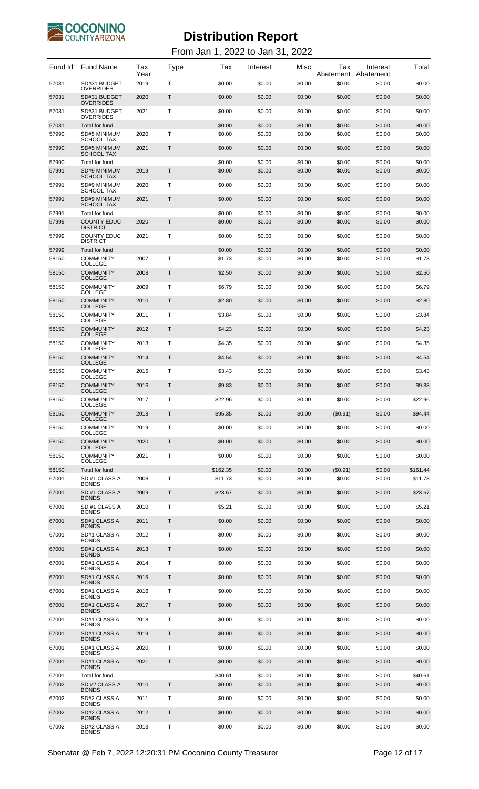

| Fund Id        | <b>Fund Name</b>                      | Tax<br>Year | <b>Type</b>  | Tax              | Interest         | Misc             | Tax<br>Abatement | Interest<br>Abatement | Total            |
|----------------|---------------------------------------|-------------|--------------|------------------|------------------|------------------|------------------|-----------------------|------------------|
| 57031          | SD#31 BUDGET<br><b>OVERRIDES</b>      | 2019        | T            | \$0.00           | \$0.00           | \$0.00           | \$0.00           | \$0.00                | \$0.00           |
| 57031          | SD#31 BUDGET<br><b>OVERRIDES</b>      | 2020        | $\mathsf{T}$ | \$0.00           | \$0.00           | \$0.00           | \$0.00           | \$0.00                | \$0.00           |
| 57031          | SD#31 BUDGET<br><b>OVERRIDES</b>      | 2021        | T            | \$0.00           | \$0.00           | \$0.00           | \$0.00           | \$0.00                | \$0.00           |
| 57031<br>57990 | Total for fund<br>SD#5 MINIMUM        | 2020        | Т            | \$0.00<br>\$0.00 | \$0.00<br>\$0.00 | \$0.00<br>\$0.00 | \$0.00<br>\$0.00 | \$0.00<br>\$0.00      | \$0.00<br>\$0.00 |
| 57990          | <b>SCHOOL TAX</b><br>SD#5 MINIMUM     | 2021        | Т            | \$0.00           | \$0.00           | \$0.00           | \$0.00           | \$0.00                | \$0.00           |
| 57990          | <b>SCHOOL TAX</b><br>Total for fund   |             |              | \$0.00           | \$0.00           | \$0.00           | \$0.00           | \$0.00                | \$0.00           |
| 57991          | SD#9 MINIMUM<br><b>SCHOOL TAX</b>     | 2019        | Т            | \$0.00           | \$0.00           | \$0.00           | \$0.00           | \$0.00                | \$0.00           |
| 57991          | SD#9 MINIMUM<br><b>SCHOOL TAX</b>     | 2020        | Т            | \$0.00           | \$0.00           | \$0.00           | \$0.00           | \$0.00                | \$0.00           |
| 57991          | SD#9 MINIMUM<br><b>SCHOOL TAX</b>     | 2021        | Т            | \$0.00           | \$0.00           | \$0.00           | \$0.00           | \$0.00                | \$0.00           |
| 57991          | Total for fund                        |             |              | \$0.00           | \$0.00           | \$0.00           | \$0.00           | \$0.00                | \$0.00           |
| 57999          | <b>COUNTY EDUC</b><br><b>DISTRICT</b> | 2020        | $\mathsf{T}$ | \$0.00           | \$0.00           | \$0.00           | \$0.00           | \$0.00                | \$0.00           |
| 57999          | <b>COUNTY EDUC</b><br><b>DISTRICT</b> | 2021        | Т            | \$0.00           | \$0.00           | \$0.00           | \$0.00           | \$0.00                | \$0.00           |
| 57999<br>58150 | Total for fund<br><b>COMMUNITY</b>    | 2007        | т            | \$0.00           | \$0.00<br>\$0.00 | \$0.00<br>\$0.00 | \$0.00<br>\$0.00 | \$0.00<br>\$0.00      | \$0.00<br>\$1.73 |
|                | <b>COLLEGE</b><br><b>COMMUNITY</b>    |             |              | \$1.73           |                  | \$0.00           |                  |                       |                  |
| 58150          | <b>COLLEGE</b>                        | 2008        | Т            | \$2.50           | \$0.00           |                  | \$0.00           | \$0.00                | \$2.50           |
| 58150          | <b>COMMUNITY</b><br><b>COLLEGE</b>    | 2009        | т            | \$6.79           | \$0.00           | \$0.00           | \$0.00           | \$0.00                | \$6.79           |
| 58150          | <b>COMMUNITY</b><br><b>COLLEGE</b>    | 2010        | T            | \$2.80           | \$0.00           | \$0.00           | \$0.00           | \$0.00                | \$2.80           |
| 58150          | <b>COMMUNITY</b><br><b>COLLEGE</b>    | 2011        | т            | \$3.84           | \$0.00           | \$0.00           | \$0.00           | \$0.00                | \$3.84           |
| 58150          | <b>COMMUNITY</b><br><b>COLLEGE</b>    | 2012        | T            | \$4.23           | \$0.00           | \$0.00           | \$0.00           | \$0.00                | \$4.23           |
| 58150          | <b>COMMUNITY</b><br><b>COLLEGE</b>    | 2013        | т            | \$4.35           | \$0.00           | \$0.00           | \$0.00           | \$0.00                | \$4.35           |
| 58150          | <b>COMMUNITY</b><br><b>COLLEGE</b>    | 2014        | T            | \$4.54           | \$0.00           | \$0.00           | \$0.00           | \$0.00                | \$4.54           |
| 58150          | <b>COMMUNITY</b><br><b>COLLEGE</b>    | 2015        | т            | \$3.43           | \$0.00           | \$0.00           | \$0.00           | \$0.00                | \$3.43           |
| 58150          | <b>COMMUNITY</b><br><b>COLLEGE</b>    | 2016        | Т            | \$9.83           | \$0.00           | \$0.00           | \$0.00           | \$0.00                | \$9.83           |
| 58150          | <b>COMMUNITY</b><br><b>COLLEGE</b>    | 2017        | т            | \$22.96          | \$0.00           | \$0.00           | \$0.00           | \$0.00                | \$22.96          |
| 58150          | <b>COMMUNITY</b><br><b>COLLEGE</b>    | 2018        | Τ            | \$95.35          | \$0.00           | \$0.00           | $(\$0.91)$       | \$0.00                | \$94.44          |
| 58150          | <b>COMMUNITY</b><br><b>COLLEGE</b>    | 2019        | Т            | \$0.00           | \$0.00           | \$0.00           | \$0.00           | \$0.00                | \$0.00           |
| 58150          | <b>COMMUNITY</b><br><b>COLLEGE</b>    | 2020        | T            | \$0.00           | \$0.00           | \$0.00           | \$0.00           | \$0.00                | \$0.00           |
| 58150          | <b>COMMUNITY</b><br><b>COLLEGE</b>    | 2021        | Т            | \$0.00           | \$0.00           | \$0.00           | \$0.00           | \$0.00                | \$0.00           |
| 58150          | Total for fund                        |             |              | \$162.35         | \$0.00           | \$0.00           | (\$0.91)         | \$0.00                | \$161.44         |
| 67001          | SD #1 CLASS A<br><b>BONDS</b>         | 2008        | Т            | \$11.73          | \$0.00           | \$0.00           | \$0.00           | \$0.00                | \$11.73          |
| 67001          | SD #1 CLASS A<br><b>BONDS</b>         | 2009        | Т            | \$23.67          | \$0.00           | \$0.00           | \$0.00           | \$0.00                | \$23.67          |
| 67001          | SD #1 CLASS A<br><b>BONDS</b>         | 2010        | т            | \$5.21           | \$0.00           | \$0.00           | \$0.00           | \$0.00                | \$5.21           |
| 67001          | SD#1 CLASS A<br><b>BONDS</b>          | 2011        | Τ            | \$0.00           | \$0.00           | \$0.00           | \$0.00           | \$0.00                | \$0.00           |
| 67001          | SD#1 CLASS A<br><b>BONDS</b>          | 2012        | т            | \$0.00           | \$0.00           | \$0.00           | \$0.00           | \$0.00                | \$0.00           |
| 67001          | SD#1 CLASS A<br><b>BONDS</b>          | 2013        | Τ            | \$0.00           | \$0.00           | \$0.00           | \$0.00           | \$0.00                | \$0.00           |
| 67001          | SD#1 CLASS A<br><b>BONDS</b>          | 2014        | т            | \$0.00           | \$0.00           | \$0.00           | \$0.00           | \$0.00                | \$0.00           |
| 67001          | SD#1 CLASS A<br><b>BONDS</b>          | 2015        | Τ            | \$0.00           | \$0.00           | \$0.00           | \$0.00           | \$0.00                | \$0.00           |
| 67001          | SD#1 CLASS A<br><b>BONDS</b>          | 2016        | т            | \$0.00           | \$0.00           | \$0.00           | \$0.00           | \$0.00                | \$0.00           |
| 67001          | SD#1 CLASS A<br><b>BONDS</b>          | 2017        | Т            | \$0.00           | \$0.00           | \$0.00           | \$0.00           | \$0.00                | \$0.00           |
| 67001          | SD#1 CLASS A                          | 2018        | т            | \$0.00           | \$0.00           | \$0.00           | \$0.00           | \$0.00                | \$0.00           |
| 67001          | <b>BONDS</b><br>SD#1 CLASS A          | 2019        | Т            | \$0.00           | \$0.00           | \$0.00           | \$0.00           | \$0.00                | \$0.00           |
| 67001          | <b>BONDS</b><br>SD#1 CLASS A          | 2020        | т            | \$0.00           | \$0.00           | \$0.00           | \$0.00           | \$0.00                | \$0.00           |
| 67001          | <b>BONDS</b><br>SD#1 CLASS A          | 2021        | Τ            | \$0.00           | \$0.00           | \$0.00           | \$0.00           | \$0.00                | \$0.00           |
| 67001          | <b>BONDS</b><br>Total for fund        |             |              | \$40.61          | \$0.00           | \$0.00           | \$0.00           | \$0.00                | \$40.61          |
| 67002          | SD #2 CLASS A<br><b>BONDS</b>         | 2010        | $\mathsf{T}$ | \$0.00           | \$0.00           | \$0.00           | \$0.00           | \$0.00                | \$0.00           |
| 67002          | SD#2 CLASS A<br><b>BONDS</b>          | 2011        | T            | \$0.00           | \$0.00           | \$0.00           | \$0.00           | \$0.00                | \$0.00           |
| 67002          | SD#2 CLASS A<br><b>BONDS</b>          | 2012        | T            | \$0.00           | \$0.00           | \$0.00           | \$0.00           | \$0.00                | \$0.00           |
| 67002          | SD#2 CLASS A<br><b>BONDS</b>          | 2013        | Т            | \$0.00           | \$0.00           | \$0.00           | \$0.00           | \$0.00                | \$0.00           |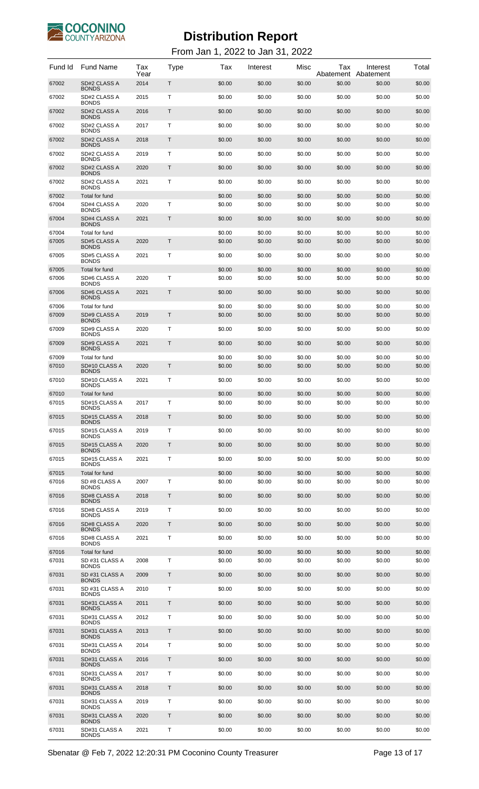

| Fund Id        | <b>Fund Name</b>                      | Tax<br>Year | Type | Тах              | Interest         | Misc             | Тах<br>Abatement | Interest<br>Abatement | Total            |
|----------------|---------------------------------------|-------------|------|------------------|------------------|------------------|------------------|-----------------------|------------------|
| 67002          | SD#2 CLASS A<br><b>BONDS</b>          | 2014        | Τ    | \$0.00           | \$0.00           | \$0.00           | \$0.00           | \$0.00                | \$0.00           |
| 67002          | SD#2 CLASS A<br><b>BONDS</b>          | 2015        | т    | \$0.00           | \$0.00           | \$0.00           | \$0.00           | \$0.00                | \$0.00           |
| 67002          | SD#2 CLASS A<br><b>BONDS</b>          | 2016        | Τ    | \$0.00           | \$0.00           | \$0.00           | \$0.00           | \$0.00                | \$0.00           |
| 67002          | SD#2 CLASS A<br><b>BONDS</b>          | 2017        | т    | \$0.00           | \$0.00           | \$0.00           | \$0.00           | \$0.00                | \$0.00           |
| 67002          | SD#2 CLASS A<br><b>BONDS</b>          | 2018        | Τ    | \$0.00           | \$0.00           | \$0.00           | \$0.00           | \$0.00                | \$0.00           |
| 67002          | SD#2 CLASS A<br><b>BONDS</b>          | 2019        | т    | \$0.00           | \$0.00           | \$0.00           | \$0.00           | \$0.00                | \$0.00           |
| 67002          | SD#2 CLASS A<br><b>BONDS</b>          | 2020        | Τ    | \$0.00           | \$0.00           | \$0.00           | \$0.00           | \$0.00                | \$0.00           |
| 67002          | SD#2 CLASS A<br><b>BONDS</b>          | 2021        | т    | \$0.00           | \$0.00           | \$0.00           | \$0.00           | \$0.00                | \$0.00           |
| 67002          | Total for fund                        |             |      | \$0.00           | \$0.00           | \$0.00           | \$0.00           | \$0.00                | \$0.00           |
| 67004          | SD#4 CLASS A<br><b>BONDS</b>          | 2020        | Т    | \$0.00           | \$0.00           | \$0.00           | \$0.00           | \$0.00                | \$0.00           |
| 67004          | SD#4 CLASS A<br><b>BONDS</b>          | 2021        | Τ    | \$0.00           | \$0.00           | \$0.00           | \$0.00           | \$0.00                | \$0.00           |
| 67004<br>67005 | Total for fund<br>SD#5 CLASS A        | 2020        | T    | \$0.00<br>\$0.00 | \$0.00<br>\$0.00 | \$0.00<br>\$0.00 | \$0.00<br>\$0.00 | \$0.00<br>\$0.00      | \$0.00<br>\$0.00 |
| 67005          | <b>BONDS</b><br>SD#5 CLASS A          | 2021        | т    | \$0.00           | \$0.00           | \$0.00           | \$0.00           | \$0.00                | \$0.00           |
| 67005          | <b>BONDS</b><br><b>Total for fund</b> |             |      | \$0.00           | \$0.00           | \$0.00           | \$0.00           | \$0.00                | \$0.00           |
| 67006          | SD#6 CLASS A<br><b>BONDS</b>          | 2020        | т    | \$0.00           | \$0.00           | \$0.00           | \$0.00           | \$0.00                | \$0.00           |
| 67006          | SD#6 CLASS A<br><b>BONDS</b>          | 2021        | Τ    | \$0.00           | \$0.00           | \$0.00           | \$0.00           | \$0.00                | \$0.00           |
| 67006          | Total for fund                        |             |      | \$0.00           | \$0.00           | \$0.00           | \$0.00           | \$0.00                | \$0.00           |
| 67009          | SD#9 CLASS A<br><b>BONDS</b>          | 2019        | Τ    | \$0.00           | \$0.00           | \$0.00           | \$0.00           | \$0.00                | \$0.00           |
| 67009          | SD#9 CLASS A<br><b>BONDS</b>          | 2020        | т    | \$0.00           | \$0.00           | \$0.00           | \$0.00           | \$0.00                | \$0.00           |
| 67009          | SD#9 CLASS A<br><b>BONDS</b>          | 2021        | Τ    | \$0.00           | \$0.00           | \$0.00           | \$0.00           | \$0.00                | \$0.00           |
| 67009<br>67010 | Total for fund<br>SD#10 CLASS A       | 2020        | T.   | \$0.00<br>\$0.00 | \$0.00<br>\$0.00 | \$0.00<br>\$0.00 | \$0.00<br>\$0.00 | \$0.00<br>\$0.00      | \$0.00<br>\$0.00 |
| 67010          | <b>BONDS</b><br>SD#10 CLASS A         | 2021        | т    | \$0.00           | \$0.00           | \$0.00           | \$0.00           | \$0.00                | \$0.00           |
| 67010          | <b>BONDS</b><br>Total for fund        |             |      | \$0.00           | \$0.00           | \$0.00           | \$0.00           | \$0.00                | \$0.00           |
| 67015          | SD#15 CLASS A<br><b>BONDS</b>         | 2017        | т    | \$0.00           | \$0.00           | \$0.00           | \$0.00           | \$0.00                | \$0.00           |
| 67015          | SD#15 CLASS A<br><b>BONDS</b>         | 2018        | T    | \$0.00           | \$0.00           | \$0.00           | \$0.00           | \$0.00                | \$0.00           |
| 67015          | SD#15 CLASS A<br><b>BONDS</b>         | 2019        | т    | \$0.00           | \$0.00           | \$0.00           | \$0.00           | \$0.00                | \$0.00           |
| 67015          | SD#15 CLASS A<br><b>BONDS</b>         | 2020        | Τ    | \$0.00           | \$0.00           | \$0.00           | \$0.00           | \$0.00                | \$0.00           |
| 67015          | SD#15 CLASS A<br><b>BONDS</b>         | 2021        | т    | \$0.00           | \$0.00           | \$0.00           | \$0.00           | \$0.00                | \$0.00           |
| 67015          | Total for fund                        |             |      | \$0.00           | \$0.00           | \$0.00           | \$0.00           | \$0.00                | \$0.00           |
| 67016          | SD #8 CLASS A<br><b>BONDS</b>         | 2007        | т    | \$0.00           | \$0.00           | \$0.00           | \$0.00           | \$0.00                | \$0.00           |
| 67016          | SD#8 CLASS A<br><b>BONDS</b>          | 2018        | Τ    | \$0.00           | \$0.00           | \$0.00           | \$0.00           | \$0.00                | \$0.00           |
| 67016          | SD#8 CLASS A<br><b>BONDS</b>          | 2019        | т    | \$0.00           | \$0.00           | \$0.00           | \$0.00           | \$0.00                | \$0.00           |
| 67016          | SD#8 CLASS A<br><b>BONDS</b>          | 2020        | Τ    | \$0.00           | \$0.00           | \$0.00           | \$0.00           | \$0.00                | \$0.00           |
| 67016          | SD#8 CLASS A<br><b>BONDS</b>          | 2021        | т    | \$0.00           | \$0.00           | \$0.00           | \$0.00           | \$0.00                | \$0.00           |
| 67016<br>67031 | Total for fund<br>SD #31 CLASS A      | 2008        | Τ    | \$0.00<br>\$0.00 | \$0.00<br>\$0.00 | \$0.00<br>\$0.00 | \$0.00<br>\$0.00 | \$0.00<br>\$0.00      | \$0.00<br>\$0.00 |
| 67031          | <b>BONDS</b><br>SD #31 CLASS A        | 2009        | T    | \$0.00           | \$0.00           | \$0.00           | \$0.00           | \$0.00                | \$0.00           |
| 67031          | <b>BONDS</b><br>SD #31 CLASS A        | 2010        | Τ    | \$0.00           | \$0.00           | \$0.00           | \$0.00           | \$0.00                | \$0.00           |
| 67031          | <b>BONDS</b><br>SD#31 CLASS A         | 2011        | T    | \$0.00           | \$0.00           | \$0.00           | \$0.00           | \$0.00                | \$0.00           |
|                | <b>BONDS</b><br>SD#31 CLASS A         |             | Τ    |                  |                  |                  |                  |                       |                  |
| 67031          | <b>BONDS</b>                          | 2012        |      | \$0.00           | \$0.00           | \$0.00           | \$0.00           | \$0.00                | \$0.00           |
| 67031          | SD#31 CLASS A<br><b>BONDS</b>         | 2013        | T    | \$0.00           | \$0.00           | \$0.00           | \$0.00           | \$0.00                | \$0.00           |
| 67031          | SD#31 CLASS A<br><b>BONDS</b>         | 2014        | Τ    | \$0.00           | \$0.00           | \$0.00           | \$0.00           | \$0.00                | \$0.00           |
| 67031          | SD#31 CLASS A<br><b>BONDS</b>         | 2016        | T    | \$0.00           | \$0.00           | \$0.00           | \$0.00           | \$0.00                | \$0.00           |
| 67031          | SD#31 CLASS A<br><b>BONDS</b>         | 2017        | Τ    | \$0.00           | \$0.00           | \$0.00           | \$0.00           | \$0.00                | \$0.00           |
| 67031          | SD#31 CLASS A<br><b>BONDS</b>         | 2018        | T    | \$0.00           | \$0.00           | \$0.00           | \$0.00           | \$0.00                | \$0.00           |
| 67031          | SD#31 CLASS A<br><b>BONDS</b>         | 2019        | Τ    | \$0.00           | \$0.00           | \$0.00           | \$0.00           | \$0.00                | \$0.00           |
| 67031          | SD#31 CLASS A<br><b>BONDS</b>         | 2020        | T    | \$0.00           | \$0.00           | \$0.00           | \$0.00           | \$0.00                | \$0.00           |
| 67031          | SD#31 CLASS A<br><b>BONDS</b>         | 2021        | Т    | \$0.00           | \$0.00           | \$0.00           | \$0.00           | \$0.00                | \$0.00           |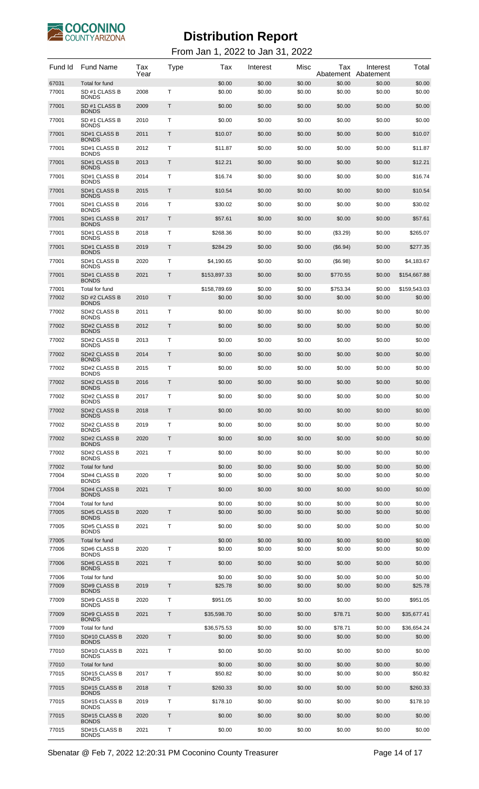

| Fund Id        | <b>Fund Name</b>                              | Tax<br>Year | Type         | Tax              | Interest         | Misc             | Tax<br>Abatement | Interest<br>Abatement | Total            |
|----------------|-----------------------------------------------|-------------|--------------|------------------|------------------|------------------|------------------|-----------------------|------------------|
| 67031<br>77001 | Total for fund<br>SD #1 CLASS B               | 2008        | т            | \$0.00<br>\$0.00 | \$0.00<br>\$0.00 | \$0.00<br>\$0.00 | \$0.00<br>\$0.00 | \$0.00<br>\$0.00      | \$0.00<br>\$0.00 |
| 77001          | <b>BONDS</b><br>SD #1 CLASS B<br><b>BONDS</b> | 2009        | Τ            | \$0.00           | \$0.00           | \$0.00           | \$0.00           | \$0.00                | \$0.00           |
| 77001          | SD #1 CLASS B<br><b>BONDS</b>                 | 2010        | т            | \$0.00           | \$0.00           | \$0.00           | \$0.00           | \$0.00                | \$0.00           |
| 77001          | SD#1 CLASS B<br><b>BONDS</b>                  | 2011        | Τ            | \$10.07          | \$0.00           | \$0.00           | \$0.00           | \$0.00                | \$10.07          |
| 77001          | SD#1 CLASS B                                  | 2012        | Т            | \$11.87          | \$0.00           | \$0.00           | \$0.00           | \$0.00                | \$11.87          |
| 77001          | <b>BONDS</b><br>SD#1 CLASS B<br><b>BONDS</b>  | 2013        | Τ            | \$12.21          | \$0.00           | \$0.00           | \$0.00           | \$0.00                | \$12.21          |
| 77001          | SD#1 CLASS B<br><b>BONDS</b>                  | 2014        | Т            | \$16.74          | \$0.00           | \$0.00           | \$0.00           | \$0.00                | \$16.74          |
| 77001          | SD#1 CLASS B<br><b>BONDS</b>                  | 2015        | Τ            | \$10.54          | \$0.00           | \$0.00           | \$0.00           | \$0.00                | \$10.54          |
| 77001          | SD#1 CLASS B<br><b>BONDS</b>                  | 2016        | Т            | \$30.02          | \$0.00           | \$0.00           | \$0.00           | \$0.00                | \$30.02          |
| 77001          | SD#1 CLASS B                                  | 2017        | Τ            | \$57.61          | \$0.00           | \$0.00           | \$0.00           | \$0.00                | \$57.61          |
| 77001          | <b>BONDS</b><br>SD#1 CLASS B                  | 2018        | т            | \$268.36         | \$0.00           | \$0.00           | $(\$3.29)$       | \$0.00                | \$265.07         |
| 77001          | <b>BONDS</b><br>SD#1 CLASS B                  | 2019        | Τ            | \$284.29         | \$0.00           | \$0.00           | (\$6.94)         | \$0.00                | \$277.35         |
| 77001          | <b>BONDS</b><br>SD#1 CLASS B                  | 2020        | Т            | \$4.190.65       | \$0.00           | \$0.00           | (\$6.98)         | \$0.00                | \$4,183.67       |
| 77001          | <b>BONDS</b><br>SD#1 CLASS B                  | 2021        | Τ            | \$153,897.33     | \$0.00           | \$0.00           | \$770.55         | \$0.00                | \$154,667.88     |
| 77001          | <b>BONDS</b><br>Total for fund                |             |              | \$158,789.69     | \$0.00           | \$0.00           | \$753.34         | \$0.00                | \$159,543.03     |
| 77002          | SD #2 CLASS B                                 | 2010        | Τ            | \$0.00           | \$0.00           | \$0.00           | \$0.00           | \$0.00                | \$0.00           |
| 77002          | <b>BONDS</b><br>SD#2 CLASS B                  | 2011        | Т            | \$0.00           | \$0.00           | \$0.00           | \$0.00           | \$0.00                | \$0.00           |
| 77002          | <b>BONDS</b><br>SD#2 CLASS B                  | 2012        | Τ            | \$0.00           | \$0.00           | \$0.00           | \$0.00           | \$0.00                | \$0.00           |
| 77002          | <b>BONDS</b><br>SD#2 CLASS B                  | 2013        | т            | \$0.00           | \$0.00           | \$0.00           | \$0.00           | \$0.00                | \$0.00           |
| 77002          | <b>BONDS</b><br>SD#2 CLASS B                  | 2014        | Τ            | \$0.00           | \$0.00           | \$0.00           | \$0.00           | \$0.00                | \$0.00           |
| 77002          | <b>BONDS</b><br>SD#2 CLASS B                  | 2015        | т            | \$0.00           | \$0.00           | \$0.00           | \$0.00           | \$0.00                | \$0.00           |
| 77002          | <b>BONDS</b><br><b>SD#2 CLASS B</b>           | 2016        | Τ            | \$0.00           | \$0.00           | \$0.00           | \$0.00           | \$0.00                | \$0.00           |
|                | <b>BONDS</b>                                  |             |              |                  |                  |                  |                  |                       |                  |
| 77002          | SD#2 CLASS B<br><b>BONDS</b>                  | 2017        | Т            | \$0.00           | \$0.00           | \$0.00           | \$0.00           | \$0.00                | \$0.00           |
| 77002          | SD#2 CLASS B<br><b>BONDS</b>                  | 2018        | $\mathsf T$  | \$0.00           | \$0.00           | \$0.00           | \$0.00           | \$0.00                | \$0.00           |
| 77002          | SD#2 CLASS B<br><b>BONDS</b>                  | 2019        | Т            | \$0.00           | \$0.00           | \$0.00           | \$0.00           | \$0.00                | \$0.00           |
| 77002          | SD#2 CLASS B<br><b>BONDS</b>                  | 2020        | T            | \$0.00           | \$0.00           | \$0.00           | \$0.00           | \$0.00                | \$0.00           |
| 77002          | SD#2 CLASS B<br><b>BONDS</b>                  | 2021        | Т            | \$0.00           | \$0.00           | \$0.00           | \$0.00           | \$0.00                | \$0.00           |
| 77002          | Total for fund                                |             |              | \$0.00           | \$0.00           | \$0.00           | \$0.00           | \$0.00                | \$0.00           |
| 77004          | SD#4 CLASS B<br><b>BONDS</b>                  | 2020        | Т            | \$0.00           | \$0.00           | \$0.00           | \$0.00           | \$0.00                | \$0.00           |
| 77004          | <b>SD#4 CLASS B</b><br><b>BONDS</b>           | 2021        | T            | \$0.00           | \$0.00           | \$0.00           | \$0.00           | \$0.00                | \$0.00           |
| 77004<br>77005 | Total for fund<br><b>SD#5 CLASS B</b>         | 2020        | T            | \$0.00<br>\$0.00 | \$0.00<br>\$0.00 | \$0.00<br>\$0.00 | \$0.00<br>\$0.00 | \$0.00<br>\$0.00      | \$0.00<br>\$0.00 |
| 77005          | <b>BONDS</b><br>SD#5 CLASS B                  | 2021        | т            | \$0.00           | \$0.00           | \$0.00           | \$0.00           | \$0.00                | \$0.00           |
|                | <b>BONDS</b>                                  |             |              |                  |                  |                  |                  |                       |                  |
| 77005<br>77006 | Total for fund<br>SD#6 CLASS B                | 2020        | т            | \$0.00<br>\$0.00 | \$0.00<br>\$0.00 | \$0.00<br>\$0.00 | \$0.00<br>\$0.00 | \$0.00<br>\$0.00      | \$0.00<br>\$0.00 |
| 77006          | <b>BONDS</b><br>SD#6 CLASS B                  | 2021        | Τ            | \$0.00           | \$0.00           | \$0.00           | \$0.00           | \$0.00                | \$0.00           |
| 77006          | <b>BONDS</b><br>Total for fund                |             |              | \$0.00           | \$0.00           | \$0.00           | \$0.00           | \$0.00                | \$0.00           |
| 77009          | SD#9 CLASS B<br><b>BONDS</b>                  | 2019        | T.           | \$25.78          | \$0.00           | \$0.00           | \$0.00           | \$0.00                | \$25.78          |
| 77009          | SD#9 CLASS B<br><b>BONDS</b>                  | 2020        | т            | \$951.05         | \$0.00           | \$0.00           | \$0.00           | \$0.00                | \$951.05         |
| 77009          | <b>SD#9 CLASS B</b><br><b>BONDS</b>           | 2021        | $\mathsf{T}$ | \$35,598.70      | \$0.00           | \$0.00           | \$78.71          | \$0.00                | \$35,677.41      |
| 77009          | Total for fund                                |             |              | \$36,575.53      | \$0.00           | \$0.00           | \$78.71          | \$0.00                | \$36,654.24      |
| 77010          | SD#10 CLASS B<br><b>BONDS</b>                 | 2020        | Τ            | \$0.00           | \$0.00           | \$0.00           | \$0.00           | \$0.00                | \$0.00           |
| 77010          | SD#10 CLASS B<br><b>BONDS</b>                 | 2021        | т            | \$0.00           | \$0.00           | \$0.00           | \$0.00           | \$0.00                | \$0.00           |
| 77010          | Total for fund                                |             |              | \$0.00           | \$0.00           | \$0.00           | \$0.00           | \$0.00                | \$0.00           |
| 77015          | SD#15 CLASS B<br><b>BONDS</b>                 | 2017        | Т            | \$50.82          | \$0.00           | \$0.00           | \$0.00           | \$0.00                | \$50.82          |
| 77015          | SD#15 CLASS B<br><b>BONDS</b>                 | 2018        | Τ            | \$260.33         | \$0.00           | \$0.00           | \$0.00           | \$0.00                | \$260.33         |
| 77015          | SD#15 CLASS B<br><b>BONDS</b>                 | 2019        | Т            | \$178.10         | \$0.00           | \$0.00           | \$0.00           | \$0.00                | \$178.10         |
| 77015          | SD#15 CLASS B<br><b>BONDS</b>                 | 2020        | Τ            | \$0.00           | \$0.00           | \$0.00           | \$0.00           | \$0.00                | \$0.00           |
| 77015          | SD#15 CLASS B<br><b>BONDS</b>                 | 2021        | Т            | \$0.00           | \$0.00           | \$0.00           | \$0.00           | \$0.00                | \$0.00           |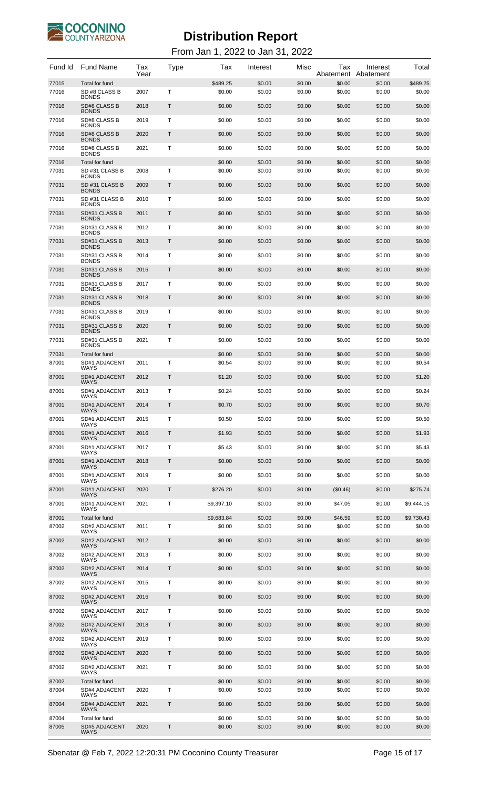

| Fund Id        | <b>Fund Name</b>                                | Tax<br>Year | Type | Tax                | Interest         | Misc             | Tax<br>Abatement | Interest<br>Abatement | Total              |
|----------------|-------------------------------------------------|-------------|------|--------------------|------------------|------------------|------------------|-----------------------|--------------------|
| 77015<br>77016 | Total for fund<br>SD #8 CLASS B<br><b>BONDS</b> | 2007        | T    | \$489.25<br>\$0.00 | \$0.00<br>\$0.00 | \$0.00<br>\$0.00 | \$0.00<br>\$0.00 | \$0.00<br>\$0.00      | \$489.25<br>\$0.00 |
| 77016          | SD#8 CLASS B<br><b>BONDS</b>                    | 2018        | T    | \$0.00             | \$0.00           | \$0.00           | \$0.00           | \$0.00                | \$0.00             |
| 77016          | SD#8 CLASS B<br><b>BONDS</b>                    | 2019        | T    | \$0.00             | \$0.00           | \$0.00           | \$0.00           | \$0.00                | \$0.00             |
| 77016          | <b>SD#8 CLASS B</b><br><b>BONDS</b>             | 2020        | T    | \$0.00             | \$0.00           | \$0.00           | \$0.00           | \$0.00                | \$0.00             |
| 77016          | SD#8 CLASS B<br><b>BONDS</b>                    | 2021        | T    | \$0.00             | \$0.00           | \$0.00           | \$0.00           | \$0.00                | \$0.00             |
| 77016          | Total for fund                                  |             |      | \$0.00             | \$0.00           | \$0.00           | \$0.00           | \$0.00                | \$0.00             |
| 77031          | SD #31 CLASS B<br><b>BONDS</b>                  | 2008        | Τ    | \$0.00             | \$0.00           | \$0.00           | \$0.00           | \$0.00                | \$0.00             |
| 77031          | SD #31 CLASS B<br><b>BONDS</b>                  | 2009        | Τ    | \$0.00             | \$0.00           | \$0.00           | \$0.00           | \$0.00                | \$0.00             |
| 77031          | SD #31 CLASS B<br><b>BONDS</b>                  | 2010        | Τ    | \$0.00             | \$0.00           | \$0.00           | \$0.00           | \$0.00                | \$0.00             |
| 77031          | SD#31 CLASS B<br><b>BONDS</b>                   | 2011        | T    | \$0.00             | \$0.00           | \$0.00           | \$0.00           | \$0.00                | \$0.00             |
| 77031          | SD#31 CLASS B<br><b>BONDS</b>                   | 2012        | Τ    | \$0.00             | \$0.00           | \$0.00           | \$0.00           | \$0.00                | \$0.00             |
| 77031          | SD#31 CLASS B<br><b>BONDS</b>                   | 2013        | T    | \$0.00             | \$0.00           | \$0.00           | \$0.00           | \$0.00                | \$0.00             |
| 77031          | SD#31 CLASS B<br><b>BONDS</b>                   | 2014        | Τ    | \$0.00             | \$0.00           | \$0.00           | \$0.00           | \$0.00                | \$0.00             |
| 77031          | SD#31 CLASS B<br><b>BONDS</b>                   | 2016        | T    | \$0.00             | \$0.00           | \$0.00           | \$0.00           | \$0.00                | \$0.00             |
| 77031          | SD#31 CLASS B<br><b>BONDS</b>                   | 2017        | Τ    | \$0.00             | \$0.00           | \$0.00           | \$0.00           | \$0.00                | \$0.00             |
| 77031          | SD#31 CLASS B<br><b>BONDS</b>                   | 2018        | T    | \$0.00             | \$0.00           | \$0.00           | \$0.00           | \$0.00                | \$0.00             |
| 77031          | SD#31 CLASS B<br><b>BONDS</b>                   | 2019        | Τ    | \$0.00             | \$0.00           | \$0.00           | \$0.00           | \$0.00                | \$0.00             |
| 77031          | SD#31 CLASS B                                   | 2020        | T    | \$0.00             | \$0.00           | \$0.00           | \$0.00           | \$0.00                | \$0.00             |
| 77031          | <b>BONDS</b><br>SD#31 CLASS B                   | 2021        | Τ    | \$0.00             | \$0.00           | \$0.00           | \$0.00           | \$0.00                | \$0.00             |
| 77031          | <b>BONDS</b><br>Total for fund                  |             |      | \$0.00             | \$0.00           | \$0.00           | \$0.00           | \$0.00                | \$0.00             |
| 87001          | SD#1 ADJACENT<br>WAYS                           | 2011        | Τ    | \$0.54             | \$0.00           | \$0.00           | \$0.00           | \$0.00                | \$0.54             |
| 87001          | SD#1 ADJACENT<br><b>WAYS</b>                    | 2012        | Τ    | \$1.20             | \$0.00           | \$0.00           | \$0.00           | \$0.00                | \$1.20             |
| 87001          | SD#1 ADJACENT<br><b>WAYS</b>                    | 2013        | Τ    | \$0.24             | \$0.00           | \$0.00           | \$0.00           | \$0.00                | \$0.24             |
| 87001          | SD#1 ADJACENT<br><b>WAYS</b>                    | 2014        | Τ    | \$0.70             | \$0.00           | \$0.00           | \$0.00           | \$0.00                | \$0.70             |
| 87001          | SD#1 ADJACENT<br><b>WAYS</b>                    | 2015        | T    | \$0.50             | \$0.00           | \$0.00           | \$0.00           | \$0.00                | \$0.50             |
| 87001          | <b>SD#1 ADJACENT</b><br><b>WAYS</b>             | 2016        | Τ    | \$1.93             | \$0.00           | \$0.00           | \$0.00           | \$0.00                | \$1.93             |
| 87001          | SD#1 ADJACENT<br><b>WAYS</b>                    | 2017        | Τ    | \$5.43             | \$0.00           | \$0.00           | \$0.00           | \$0.00                | \$5.43             |
| 87001          | <b>SD#1 ADJACENT</b><br><b>WAYS</b>             | 2018        | Τ    | \$0.00             | \$0.00           | \$0.00           | \$0.00           | \$0.00                | \$0.00             |
| 87001          | SD#1 ADJACENT<br><b>WAYS</b>                    | 2019        | Τ    | \$0.00             | \$0.00           | \$0.00           | \$0.00           | \$0.00                | \$0.00             |
| 87001          | <b>SD#1 ADJACENT</b><br><b>WAYS</b>             | 2020        | Τ    | \$276.20           | \$0.00           | \$0.00           | (\$0.46)         | \$0.00                | \$275.74           |
| 87001          | SD#1 ADJACENT                                   | 2021        | Τ    | \$9,397.10         | \$0.00           | \$0.00           | \$47.05          | \$0.00                | \$9,444.15         |
| 87001          | <b>WAYS</b><br>Total for fund                   |             |      | \$9,683.84         | \$0.00           | \$0.00           | \$46.59          | \$0.00                | \$9,730.43         |
| 87002          | SD#2 ADJACENT<br><b>WAYS</b>                    | 2011        | T    | \$0.00             | \$0.00           | \$0.00           | \$0.00           | \$0.00                | \$0.00             |
| 87002          | SD#2 ADJACENT<br><b>WAYS</b>                    | 2012        | T.   | \$0.00             | \$0.00           | \$0.00           | \$0.00           | \$0.00                | \$0.00             |
| 87002          | SD#2 ADJACENT<br><b>WAYS</b>                    | 2013        | T    | \$0.00             | \$0.00           | \$0.00           | \$0.00           | \$0.00                | \$0.00             |
| 87002          | SD#2 ADJACENT<br><b>WAYS</b>                    | 2014        | T.   | \$0.00             | \$0.00           | \$0.00           | \$0.00           | \$0.00                | \$0.00             |
| 87002          | SD#2 ADJACENT<br><b>WAYS</b>                    | 2015        | Т    | \$0.00             | \$0.00           | \$0.00           | \$0.00           | \$0.00                | \$0.00             |
| 87002          | SD#2 ADJACENT<br><b>WAYS</b>                    | 2016        | T.   | \$0.00             | \$0.00           | \$0.00           | \$0.00           | \$0.00                | \$0.00             |
| 87002          | SD#2 ADJACENT<br><b>WAYS</b>                    | 2017        | Т    | \$0.00             | \$0.00           | \$0.00           | \$0.00           | \$0.00                | \$0.00             |
| 87002          | SD#2 ADJACENT<br><b>WAYS</b>                    | 2018        | T.   | \$0.00             | \$0.00           | \$0.00           | \$0.00           | \$0.00                | \$0.00             |
| 87002          | SD#2 ADJACENT<br><b>WAYS</b>                    | 2019        | Т    | \$0.00             | \$0.00           | \$0.00           | \$0.00           | \$0.00                | \$0.00             |
| 87002          | SD#2 ADJACENT                                   | 2020        | T.   | \$0.00             | \$0.00           | \$0.00           | \$0.00           | \$0.00                | \$0.00             |
| 87002          | <b>WAYS</b><br>SD#2 ADJACENT                    | 2021        | Т    | \$0.00             | \$0.00           | \$0.00           | \$0.00           | \$0.00                | \$0.00             |
| 87002          | <b>WAYS</b><br>Total for fund                   |             |      | \$0.00             | \$0.00           | \$0.00           | \$0.00           | \$0.00                | \$0.00             |
| 87004          | SD#4 ADJACENT<br><b>WAYS</b>                    | 2020        | Τ    | \$0.00             | \$0.00           | \$0.00           | \$0.00           | \$0.00                | \$0.00             |
| 87004          | SD#4 ADJACENT<br><b>WAYS</b>                    | 2021        | Τ    | \$0.00             | \$0.00           | \$0.00           | \$0.00           | \$0.00                | \$0.00             |
| 87004          | Total for fund                                  |             |      | \$0.00             | \$0.00           | \$0.00           | \$0.00           | \$0.00                | \$0.00             |
| 87005          | SD#5 ADJACENT<br>WAYS                           | 2020        | Τ    | \$0.00             | \$0.00           | \$0.00           | \$0.00           | \$0.00                | \$0.00             |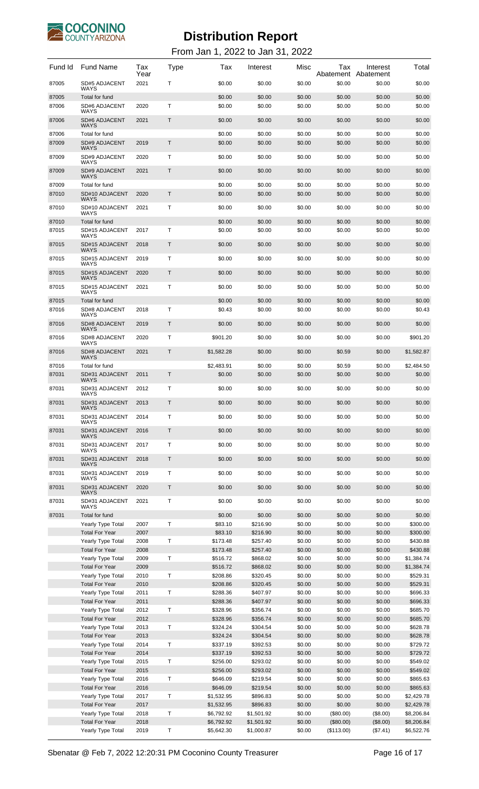

| Fund Id        | <b>Fund Name</b>                           | Tax<br>Year  | Type | Tax                      | Interest                 | Misc             | Tax              | Interest<br>Abatement Abatement | Total                |
|----------------|--------------------------------------------|--------------|------|--------------------------|--------------------------|------------------|------------------|---------------------------------|----------------------|
| 87005          | <b>SD#5 ADJACENT</b><br>WAYS               | 2021         | т    | \$0.00                   | \$0.00                   | \$0.00           | \$0.00           | \$0.00                          | \$0.00               |
| 87005          | Total for fund                             |              |      | \$0.00                   | \$0.00                   | \$0.00           | \$0.00           | \$0.00                          | \$0.00               |
| 87006          | SD#6 ADJACENT<br><b>WAYS</b>               | 2020         | т    | \$0.00                   | \$0.00                   | \$0.00           | \$0.00           | \$0.00                          | \$0.00               |
| 87006          | <b>SD#6 ADJACENT</b><br>WAYS               | 2021         | Τ    | \$0.00                   | \$0.00                   | \$0.00           | \$0.00           | \$0.00                          | \$0.00               |
| 87006<br>87009 | Total for fund<br><b>SD#9 ADJACENT</b>     | 2019         | T    | \$0.00<br>\$0.00         | \$0.00<br>\$0.00         | \$0.00<br>\$0.00 | \$0.00<br>\$0.00 | \$0.00<br>\$0.00                | \$0.00<br>\$0.00     |
| 87009          | WAYS<br><b>SD#9 ADJACENT</b>               | 2020         | т    | \$0.00                   | \$0.00                   | \$0.00           | \$0.00           | \$0.00                          | \$0.00               |
|                | <b>WAYS</b><br><b>SD#9 ADJACENT</b>        |              |      |                          |                          |                  |                  |                                 |                      |
| 87009          | <b>WAYS</b>                                | 2021         | Τ    | \$0.00                   | \$0.00                   | \$0.00           | \$0.00           | \$0.00                          | \$0.00               |
| 87009<br>87010 | Total for fund<br>SD#10 ADJACENT           | 2020         | T    | \$0.00<br>\$0.00         | \$0.00<br>\$0.00         | \$0.00<br>\$0.00 | \$0.00<br>\$0.00 | \$0.00<br>\$0.00                | \$0.00<br>\$0.00     |
| 87010          | WAYS<br>SD#10 ADJACENT                     | 2021         | Т    | \$0.00                   | \$0.00                   | \$0.00           | \$0.00           | \$0.00                          | \$0.00               |
| 87010          | WAYS<br>Total for fund                     |              |      | \$0.00                   | \$0.00                   | \$0.00           | \$0.00           | \$0.00                          | \$0.00               |
| 87015          | SD#15 ADJACENT                             | 2017         | т    | \$0.00                   | \$0.00                   | \$0.00           | \$0.00           | \$0.00                          | \$0.00               |
| 87015          | <b>WAYS</b><br>SD#15 ADJACENT              | 2018         | Τ    | \$0.00                   | \$0.00                   | \$0.00           | \$0.00           | \$0.00                          | \$0.00               |
| 87015          | <b>WAYS</b><br>SD#15 ADJACENT              | 2019         | т    | \$0.00                   | \$0.00                   | \$0.00           | \$0.00           | \$0.00                          | \$0.00               |
| 87015          | WAYS<br>SD#15 ADJACENT                     | 2020         | T    | \$0.00                   | \$0.00                   | \$0.00           | \$0.00           | \$0.00                          | \$0.00               |
| 87015          | <b>WAYS</b><br>SD#15 ADJACENT              | 2021         | т    | \$0.00                   | \$0.00                   | \$0.00           | \$0.00           | \$0.00                          | \$0.00               |
|                | WAYS                                       |              |      |                          |                          |                  |                  |                                 |                      |
| 87015<br>87016 | Total for fund<br>SD#8 ADJACENT            | 2018         | т    | \$0.00<br>\$0.43         | \$0.00<br>\$0.00         | \$0.00<br>\$0.00 | \$0.00<br>\$0.00 | \$0.00<br>\$0.00                | \$0.00<br>\$0.43     |
| 87016          | <b>WAYS</b><br><b>SD#8 ADJACENT</b>        | 2019         | Т    | \$0.00                   | \$0.00                   | \$0.00           | \$0.00           | \$0.00                          | \$0.00               |
|                | WAYS                                       |              |      |                          |                          |                  |                  |                                 |                      |
| 87016          | SD#8 ADJACENT<br><b>WAYS</b>               | 2020         | т    | \$901.20                 | \$0.00                   | \$0.00           | \$0.00           | \$0.00                          | \$901.20             |
| 87016          | <b>SD#8 ADJACENT</b><br><b>WAYS</b>        | 2021         | Т    | \$1,582.28               | \$0.00                   | \$0.00           | \$0.59           | \$0.00                          | \$1,582.87           |
| 87016<br>87031 | Total for fund<br>SD#31 ADJACENT           | 2011         | T    | \$2,483.91<br>\$0.00     | \$0.00<br>\$0.00         | \$0.00<br>\$0.00 | \$0.59<br>\$0.00 | \$0.00<br>\$0.00                | \$2,484.50<br>\$0.00 |
|                | WAYS<br>SD#31 ADJACENT                     | 2012         |      |                          |                          |                  |                  |                                 |                      |
| 87031          | WAYS                                       |              | т    | \$0.00                   | \$0.00                   | \$0.00           | \$0.00           | \$0.00                          | \$0.00               |
| 87031          | SD#31 ADJACENT<br>WAYS                     | 2013         | T    | \$0.00                   | \$0.00                   | \$0.00           | \$0.00           | \$0.00                          | \$0.00               |
| 87031          | SD#31 ADJACENT<br>WAYS                     | 2014         | T    | \$0.00                   | \$0.00                   | \$0.00           | \$0.00           | \$0.00                          | \$0.00               |
| 87031          | SD#31 ADJACENT<br>WAYS                     | 2016         | Τ    | \$0.00                   | \$0.00                   | \$0.00           | \$0.00           | \$0.00                          | \$0.00               |
| 87031          | SD#31 ADJACENT<br>WAYS                     | 2017         | Т    | \$0.00                   | \$0.00                   | \$0.00           | \$0.00           | \$0.00                          | \$0.00               |
| 87031          | SD#31 ADJACENT<br>WAYS                     | 2018         | T    | \$0.00                   | \$0.00                   | \$0.00           | \$0.00           | \$0.00                          | \$0.00               |
| 87031          | SD#31 ADJACENT<br>WAYS                     | 2019         | Т    | \$0.00                   | \$0.00                   | \$0.00           | \$0.00           | \$0.00                          | \$0.00               |
| 87031          | SD#31 ADJACENT                             | 2020         | T    | \$0.00                   | \$0.00                   | \$0.00           | \$0.00           | \$0.00                          | \$0.00               |
| 87031          | WAYS<br>SD#31 ADJACENT                     | 2021         | Т    | \$0.00                   | \$0.00                   | \$0.00           | \$0.00           | \$0.00                          | \$0.00               |
| 87031          | WAYS<br>Total for fund                     |              |      | \$0.00                   | \$0.00                   | \$0.00           | \$0.00           | \$0.00                          | \$0.00               |
|                | Yearly Type Total                          | 2007         | Т    | \$83.10                  | \$216.90                 | \$0.00           | \$0.00           | \$0.00                          | \$300.00             |
|                | <b>Total For Year</b>                      | 2007         |      | \$83.10                  | \$216.90                 | \$0.00           | \$0.00           | \$0.00                          | \$300.00             |
|                | Yearly Type Total                          | 2008         | Т    | \$173.48                 | \$257.40                 | \$0.00           | \$0.00           | \$0.00                          | \$430.88             |
|                | <b>Total For Year</b>                      | 2008         |      | \$173.48                 | \$257.40                 | \$0.00           | \$0.00           | \$0.00                          | \$430.88             |
|                | Yearly Type Total                          | 2009         | т    | \$516.72                 | \$868.02                 | \$0.00           | \$0.00           | \$0.00                          | \$1,384.74           |
|                | <b>Total For Year</b>                      | 2009         |      | \$516.72                 | \$868.02                 | \$0.00           | \$0.00           | \$0.00                          | \$1,384.74           |
|                | Yearly Type Total                          | 2010         | Т    | \$208.86                 | \$320.45                 | \$0.00           | \$0.00           | \$0.00                          | \$529.31             |
|                | <b>Total For Year</b><br>Yearly Type Total | 2010<br>2011 | Т    | \$208.86<br>\$288.36     | \$320.45<br>\$407.97     | \$0.00<br>\$0.00 | \$0.00<br>\$0.00 | \$0.00<br>\$0.00                | \$529.31<br>\$696.33 |
|                | <b>Total For Year</b>                      | 2011         |      | \$288.36                 | \$407.97                 | \$0.00           | \$0.00           | \$0.00                          | \$696.33             |
|                | Yearly Type Total                          | 2012         | т    | \$328.96                 | \$356.74                 | \$0.00           | \$0.00           | \$0.00                          | \$685.70             |
|                | <b>Total For Year</b>                      | 2012         |      | \$328.96                 | \$356.74                 | \$0.00           | \$0.00           | \$0.00                          | \$685.70             |
|                | Yearly Type Total                          | 2013         | Т    | \$324.24                 | \$304.54                 | \$0.00           | \$0.00           | \$0.00                          | \$628.78             |
|                | <b>Total For Year</b>                      | 2013         |      | \$324.24                 | \$304.54                 | \$0.00           | \$0.00           | \$0.00                          | \$628.78             |
|                | Yearly Type Total                          | 2014         | Т    | \$337.19                 | \$392.53                 | \$0.00           | \$0.00           | \$0.00                          | \$729.72             |
|                | <b>Total For Year</b>                      | 2014         |      | \$337.19                 | \$392.53                 | \$0.00           | \$0.00           | \$0.00                          | \$729.72             |
|                | Yearly Type Total                          | 2015         | т    | \$256.00                 | \$293.02                 | \$0.00           | \$0.00           | \$0.00                          | \$549.02             |
|                | <b>Total For Year</b>                      | 2015         |      | \$256.00                 | \$293.02                 | \$0.00           | \$0.00           | \$0.00                          | \$549.02             |
|                | Yearly Type Total                          | 2016         | т    | \$646.09                 | \$219.54                 | \$0.00           | \$0.00           | \$0.00                          | \$865.63             |
|                | <b>Total For Year</b>                      | 2016         |      | \$646.09                 | \$219.54                 | \$0.00           | \$0.00           | \$0.00                          | \$865.63             |
|                | Yearly Type Total                          | 2017         | Т    | \$1,532.95               | \$896.83                 | \$0.00           | \$0.00           | \$0.00                          | \$2,429.78           |
|                | <b>Total For Year</b>                      | 2017         |      | \$1,532.95               | \$896.83                 | \$0.00           | \$0.00           | \$0.00                          | \$2,429.78           |
|                | Yearly Type Total<br><b>Total For Year</b> | 2018<br>2018 | т    | \$6,792.92               | \$1,501.92               | \$0.00           | (\$80.00)        | (\$8.00)                        | \$8,206.84           |
|                | Yearly Type Total                          | 2019         | т    | \$6,792.92<br>\$5,642.30 | \$1,501.92<br>\$1,000.87 | \$0.00<br>\$0.00 | (\$80.00)        | (\$8.00)                        | \$8,206.84           |
|                |                                            |              |      |                          |                          |                  | (\$113.00)       | $(\$7.41)$                      | \$6,522.76           |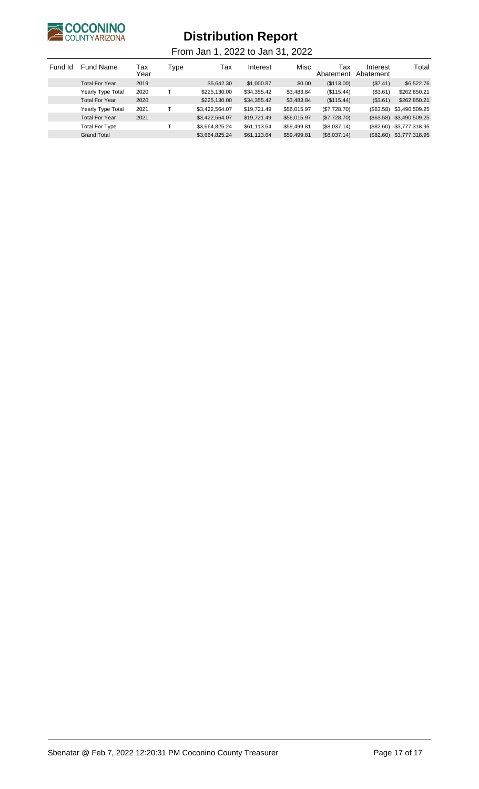

| Fund Id | <b>Fund Name</b>         | Tax<br>Year | Type | Тах            | Interest    | Misc        | Тах<br>Abatement | Interest<br>Abatement | Total                    |
|---------|--------------------------|-------------|------|----------------|-------------|-------------|------------------|-----------------------|--------------------------|
|         | <b>Total For Year</b>    | 2019        |      | \$5,642.30     | \$1,000.87  | \$0.00      | (\$113.00)       | (\$7.41)              | \$6,522.76               |
|         | <b>Yearly Type Total</b> | 2020        |      | \$225,130.00   | \$34,355.42 | \$3,483.84  | (\$115.44)       | (\$3.61)              | \$262,850.21             |
|         | <b>Total For Year</b>    | 2020        |      | \$225,130.00   | \$34,355.42 | \$3,483.84  | (\$115.44)       | (\$3.61)              | \$262,850.21             |
|         | <b>Yearly Type Total</b> | 2021        |      | \$3,422,564.07 | \$19.721.49 | \$56.015.97 | (\$7,728.70)     | $(\$63.58)$           | \$3,490,509.25           |
|         | <b>Total For Year</b>    | 2021        |      | \$3,422,564.07 | \$19,721.49 | \$56,015.97 | (\$7,728.70)     |                       | (\$63.58) \$3,490,509.25 |
|         | <b>Total For Type</b>    |             |      | \$3,664,825.24 | \$61,113.64 | \$59,499.81 | (\$8,037.14)     | $(\$82.60)$           | \$3,777,318.95           |
|         | <b>Grand Total</b>       |             |      | \$3,664,825.24 | \$61,113.64 | \$59,499.81 | (\$8,037.14)     |                       | (\$82.60) \$3,777,318.95 |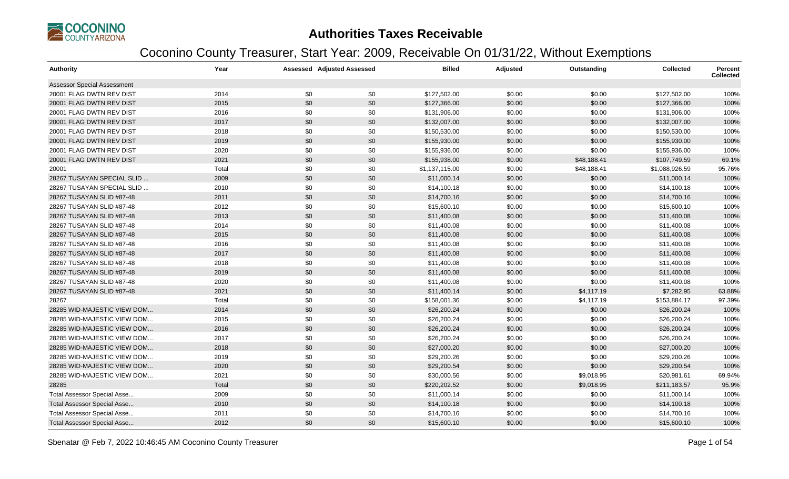

| Authority                          | Year  |     | <b>Assessed Adjusted Assessed</b> | <b>Billed</b>  | <b>Adjusted</b> | Outstanding | <b>Collected</b> | <b>Percent</b><br><b>Collected</b> |
|------------------------------------|-------|-----|-----------------------------------|----------------|-----------------|-------------|------------------|------------------------------------|
| Assessor Special Assessment        |       |     |                                   |                |                 |             |                  |                                    |
| 20001 FLAG DWTN REV DIST           | 2014  | \$0 | \$0                               | \$127,502.00   | \$0.00          | \$0.00      | \$127,502.00     | 100%                               |
| 20001 FLAG DWTN REV DIST           | 2015  | \$0 | \$0                               | \$127,366.00   | \$0.00          | \$0.00      | \$127,366.00     | 100%                               |
| 20001 FLAG DWTN REV DIST           | 2016  | \$0 | \$0                               | \$131,906.00   | \$0.00          | \$0.00      | \$131,906.00     | 100%                               |
| 20001 FLAG DWTN REV DIST           | 2017  | \$0 | \$0                               | \$132,007.00   | \$0.00          | \$0.00      | \$132,007.00     | 100%                               |
| 20001 FLAG DWTN REV DIST           | 2018  | \$0 | \$0                               | \$150,530.00   | \$0.00          | \$0.00      | \$150,530.00     | 100%                               |
| 20001 FLAG DWTN REV DIST           | 2019  | \$0 | \$0                               | \$155,930.00   | \$0.00          | \$0.00      | \$155,930.00     | 100%                               |
| 20001 FLAG DWTN REV DIST           | 2020  | \$0 | \$0                               | \$155,936.00   | \$0.00          | \$0.00      | \$155,936.00     | 100%                               |
| 20001 FLAG DWTN REV DIST           | 2021  | \$0 | \$0                               | \$155,938.00   | \$0.00          | \$48,188.41 | \$107,749.59     | 69.1%                              |
| 20001                              | Total | \$0 | \$0                               | \$1,137,115.00 | \$0.00          | \$48,188.41 | \$1,088,926.59   | 95.76%                             |
| 28267 TUSAYAN SPECIAL SLID         | 2009  | \$0 | \$0                               | \$11,000.14    | \$0.00          | \$0.00      | \$11,000.14      | 100%                               |
| 28267 TUSAYAN SPECIAL SLID         | 2010  | \$0 | \$0                               | \$14,100.18    | \$0.00          | \$0.00      | \$14,100.18      | 100%                               |
| 28267 TUSAYAN SLID #87-48          | 2011  | \$0 | \$0                               | \$14,700.16    | \$0.00          | \$0.00      | \$14,700.16      | 100%                               |
| 28267 TUSAYAN SLID #87-48          | 2012  | \$0 | \$0                               | \$15,600.10    | \$0.00          | \$0.00      | \$15,600.10      | 100%                               |
| 28267 TUSAYAN SLID #87-48          | 2013  | \$0 | \$0                               | \$11,400.08    | \$0.00          | \$0.00      | \$11,400.08      | 100%                               |
| 28267 TUSAYAN SLID #87-48          | 2014  | \$0 | \$0                               | \$11,400.08    | \$0.00          | \$0.00      | \$11,400.08      | 100%                               |
| 28267 TUSAYAN SLID #87-48          | 2015  | \$0 | \$0                               | \$11,400.08    | \$0.00          | \$0.00      | \$11,400.08      | 100%                               |
| 28267 TUSAYAN SLID #87-48          | 2016  | \$0 | \$0                               | \$11,400.08    | \$0.00          | \$0.00      | \$11,400.08      | 100%                               |
| 28267 TUSAYAN SLID #87-48          | 2017  | \$0 | \$0                               | \$11,400.08    | \$0.00          | \$0.00      | \$11,400.08      | 100%                               |
| 28267 TUSAYAN SLID #87-48          | 2018  | \$0 | \$0                               | \$11,400.08    | \$0.00          | \$0.00      | \$11,400.08      | 100%                               |
| 28267 TUSAYAN SLID #87-48          | 2019  | \$0 | \$0                               | \$11,400.08    | \$0.00          | \$0.00      | \$11,400.08      | 100%                               |
| 28267 TUSAYAN SLID #87-48          | 2020  | \$0 | \$0                               | \$11,400.08    | \$0.00          | \$0.00      | \$11,400.08      | 100%                               |
| 28267 TUSAYAN SLID #87-48          | 2021  | \$0 | \$0                               | \$11,400.14    | \$0.00          | \$4,117.19  | \$7,282.95       | 63.88%                             |
| 28267                              | Total | \$0 | \$0                               | \$158,001.36   | \$0.00          | \$4,117.19  | \$153,884.17     | 97.39%                             |
| 28285 WID-MAJESTIC VIEW DOM        | 2014  | \$0 | \$0                               | \$26,200.24    | \$0.00          | \$0.00      | \$26,200.24      | 100%                               |
| 28285 WID-MAJESTIC VIEW DOM        | 2015  | \$0 | \$0                               | \$26,200.24    | \$0.00          | \$0.00      | \$26,200.24      | 100%                               |
| 28285 WID-MAJESTIC VIEW DOM        | 2016  | \$0 | \$0                               | \$26,200.24    | \$0.00          | \$0.00      | \$26,200.24      | 100%                               |
| 28285 WID-MAJESTIC VIEW DOM        | 2017  | \$0 | \$0                               | \$26,200.24    | \$0.00          | \$0.00      | \$26,200.24      | 100%                               |
| 28285 WID-MAJESTIC VIEW DOM        | 2018  | \$0 | \$0                               | \$27,000.20    | \$0.00          | \$0.00      | \$27,000.20      | 100%                               |
| 28285 WID-MAJESTIC VIEW DOM        | 2019  | \$0 | \$0                               | \$29,200.26    | \$0.00          | \$0.00      | \$29,200.26      | 100%                               |
| 28285 WID-MAJESTIC VIEW DOM        | 2020  | \$0 | \$0                               | \$29,200.54    | \$0.00          | \$0.00      | \$29,200.54      | 100%                               |
| 28285 WID-MAJESTIC VIEW DOM        | 2021  | \$0 | \$0                               | \$30,000.56    | \$0.00          | \$9,018.95  | \$20,981.61      | 69.94%                             |
| 28285                              | Total | \$0 | \$0                               | \$220,202.52   | \$0.00          | \$9,018.95  | \$211,183.57     | 95.9%                              |
| Total Assessor Special Asse        | 2009  | \$0 | \$0                               | \$11,000.14    | \$0.00          | \$0.00      | \$11,000.14      | 100%                               |
| <b>Total Assessor Special Asse</b> | 2010  | \$0 | \$0                               | \$14,100.18    | \$0.00          | \$0.00      | \$14,100.18      | 100%                               |
| Total Assessor Special Asse        | 2011  | \$0 | \$0                               | \$14,700.16    | \$0.00          | \$0.00      | \$14,700.16      | 100%                               |
| Total Assessor Special Asse        | 2012  | \$0 | \$0                               | \$15,600.10    | \$0.00          | \$0.00      | \$15,600.10      | 100%                               |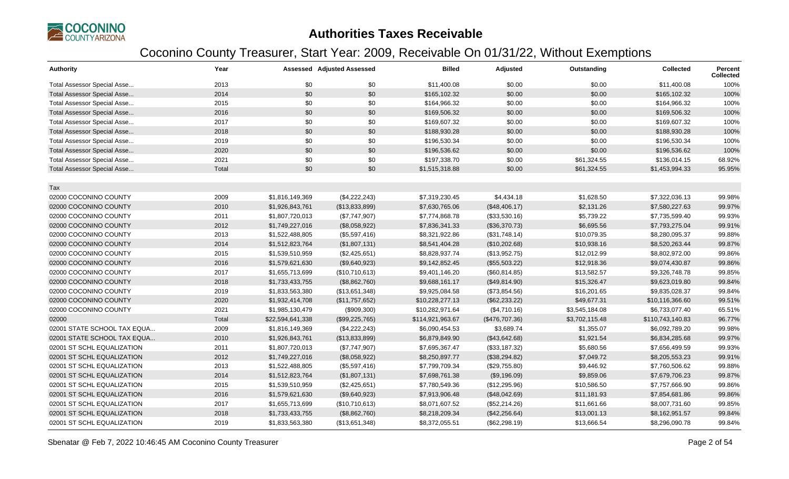

| <b>Authority</b>                   | Year  |                  | <b>Assessed Adjusted Assessed</b> | <b>Billed</b>    | <b>Adjusted</b> | Outstanding    | <b>Collected</b> | Percent<br><b>Collected</b> |
|------------------------------------|-------|------------------|-----------------------------------|------------------|-----------------|----------------|------------------|-----------------------------|
| Total Assessor Special Asse        | 2013  | \$0              | \$0                               | \$11,400.08      | \$0.00          | \$0.00         | \$11,400.08      | 100%                        |
| Total Assessor Special Asse        | 2014  | \$0              | \$0                               | \$165,102.32     | \$0.00          | \$0.00         | \$165,102.32     | 100%                        |
| Total Assessor Special Asse        | 2015  | \$0              | \$0                               | \$164,966.32     | \$0.00          | \$0.00         | \$164,966.32     | 100%                        |
| Total Assessor Special Asse        | 2016  | \$0              | \$0                               | \$169,506.32     | \$0.00          | \$0.00         | \$169,506.32     | 100%                        |
| Total Assessor Special Asse        | 2017  | \$0              | \$0                               | \$169,607.32     | \$0.00          | \$0.00         | \$169,607.32     | 100%                        |
| <b>Total Assessor Special Asse</b> | 2018  | \$0              | \$0                               | \$188,930.28     | \$0.00          | \$0.00         | \$188,930.28     | 100%                        |
| Total Assessor Special Asse        | 2019  | \$0              | \$0                               | \$196,530.34     | \$0.00          | \$0.00         | \$196,530.34     | 100%                        |
| <b>Total Assessor Special Asse</b> | 2020  | \$0              | \$0                               | \$196,536.62     | \$0.00          | \$0.00         | \$196,536.62     | 100%                        |
| Total Assessor Special Asse        | 2021  | \$0              | \$0                               | \$197,338.70     | \$0.00          | \$61,324.55    | \$136,014.15     | 68.92%                      |
| <b>Total Assessor Special Asse</b> | Total | \$0              | \$0                               | \$1,515,318.88   | \$0.00          | \$61,324.55    | \$1,453,994.33   | 95.95%                      |
|                                    |       |                  |                                   |                  |                 |                |                  |                             |
| Tax                                |       |                  |                                   |                  |                 |                |                  |                             |
| 02000 COCONINO COUNTY              | 2009  | \$1,816,149,369  | (\$4,222,243)                     | \$7,319,230.45   | \$4,434.18      | \$1,628.50     | \$7,322,036.13   | 99.98%                      |
| 02000 COCONINO COUNTY              | 2010  | \$1,926,843,761  | (\$13,833,899)                    | \$7,630,765.06   | (\$48,406.17)   | \$2,131.26     | \$7,580,227.63   | 99.97%                      |
| 02000 COCONINO COUNTY              | 2011  | \$1,807,720,013  | (\$7,747,907)                     | \$7,774,868.78   | (\$33,530.16)   | \$5,739.22     | \$7,735,599.40   | 99.93%                      |
| 02000 COCONINO COUNTY              | 2012  | \$1,749,227,016  | (\$8,058,922)                     | \$7,836,341.33   | (\$36,370.73)   | \$6,695.56     | \$7,793,275.04   | 99.91%                      |
| 02000 COCONINO COUNTY              | 2013  | \$1,522,488,805  | (\$5,597,416)                     | \$8,321,922.86   | (\$31,748.14)   | \$10,079.35    | \$8,280,095.37   | 99.88%                      |
| 02000 COCONINO COUNTY              | 2014  | \$1,512,823,764  | (\$1,807,131)                     | \$8,541,404.28   | (\$10,202.68)   | \$10,938.16    | \$8,520,263.44   | 99.87%                      |
| 02000 COCONINO COUNTY              | 2015  | \$1,539,510,959  | (\$2,425,651)                     | \$8,828,937.74   | (\$13,952.75)   | \$12,012.99    | \$8,802,972.00   | 99.86%                      |
| 02000 COCONINO COUNTY              | 2016  | \$1,579,621,630  | (\$9,640,923)                     | \$9,142,852.45   | (\$55,503.22)   | \$12,918.36    | \$9,074,430.87   | 99.86%                      |
| 02000 COCONINO COUNTY              | 2017  | \$1,655,713,699  | (\$10,710,613)                    | \$9,401,146.20   | (\$60, 814.85)  | \$13,582.57    | \$9,326,748.78   | 99.85%                      |
| 02000 COCONINO COUNTY              | 2018  | \$1,733,433,755  | (\$8,862,760)                     | \$9,688,161.17   | (\$49,814.90)   | \$15,326.47    | \$9,623,019.80   | 99.84%                      |
| 02000 COCONINO COUNTY              | 2019  | \$1,833,563,380  | (\$13,651,348)                    | \$9,925,084.58   | (\$73,854.56)   | \$16,201.65    | \$9,835,028.37   | 99.84%                      |
| 02000 COCONINO COUNTY              | 2020  | \$1,932,414,708  | (\$11,757,652)                    | \$10,228,277.13  | (\$62,233.22)   | \$49,677.31    | \$10,116,366.60  | 99.51%                      |
| 02000 COCONINO COUNTY              | 2021  | \$1,985,130,479  | (\$909,300)                       | \$10,282,971.64  | (\$4,710.16)    | \$3,545,184.08 | \$6,733,077.40   | 65.51%                      |
| 02000                              | Total | \$22,594,641,338 | (\$99,225,765)                    | \$114,921,963.67 | (\$476,707.36)  | \$3,702,115.48 | \$110,743,140.83 | 96.77%                      |
| 02001 STATE SCHOOL TAX EQUA        | 2009  | \$1,816,149,369  | (\$4,222,243)                     | \$6,090,454.53   | \$3,689.74      | \$1,355.07     | \$6,092,789.20   | 99.98%                      |
| 02001 STATE SCHOOL TAX EQUA        | 2010  | \$1,926,843,761  | (\$13,833,899)                    | \$6,879,849.90   | (\$43,642.68)   | \$1,921.54     | \$6,834,285.68   | 99.97%                      |
| 02001 ST SCHL EQUALIZATION         | 2011  | \$1,807,720,013  | (\$7,747,907)                     | \$7,695,367.47   | (\$33,187.32)   | \$5,680.56     | \$7,656,499.59   | 99.93%                      |
| 02001 ST SCHL EQUALIZATION         | 2012  | \$1,749,227,016  | (\$8,058,922)                     | \$8,250,897.77   | (\$38,294.82)   | \$7,049.72     | \$8,205,553.23   | 99.91%                      |
| 02001 ST SCHL EQUALIZATION         | 2013  | \$1,522,488,805  | (\$5,597,416)                     | \$7,799,709.34   | (\$29,755.80)   | \$9,446.92     | \$7,760,506.62   | 99.88%                      |
| 02001 ST SCHL EQUALIZATION         | 2014  | \$1,512,823,764  | (\$1,807,131)                     | \$7,698,761.38   | (\$9,196.09)    | \$9,859.06     | \$7,679,706.23   | 99.87%                      |
| 02001 ST SCHL EQUALIZATION         | 2015  | \$1,539,510,959  | (\$2,425,651)                     | \$7,780,549.36   | (\$12,295.96)   | \$10,586.50    | \$7,757,666.90   | 99.86%                      |
| 02001 ST SCHL EQUALIZATION         | 2016  | \$1,579,621,630  | (\$9,640,923)                     | \$7,913,906.48   | (\$48,042.69)   | \$11,181.93    | \$7,854,681.86   | 99.86%                      |
| 02001 ST SCHL EQUALIZATION         | 2017  | \$1,655,713,699  | (\$10,710,613)                    | \$8,071,607.52   | (\$52,214.26)   | \$11,661.66    | \$8,007,731.60   | 99.85%                      |
| 02001 ST SCHL EQUALIZATION         | 2018  | \$1,733,433,755  | (\$8,862,760)                     | \$8,218,209.34   | (\$42,256.64)   | \$13,001.13    | \$8,162,951.57   | 99.84%                      |
| 02001 ST SCHL EQUALIZATION         | 2019  | \$1,833,563,380  | (\$13,651,348)                    | \$8,372,055.51   | (\$62,298.19)   | \$13,666.54    | \$8,296,090.78   | 99.84%                      |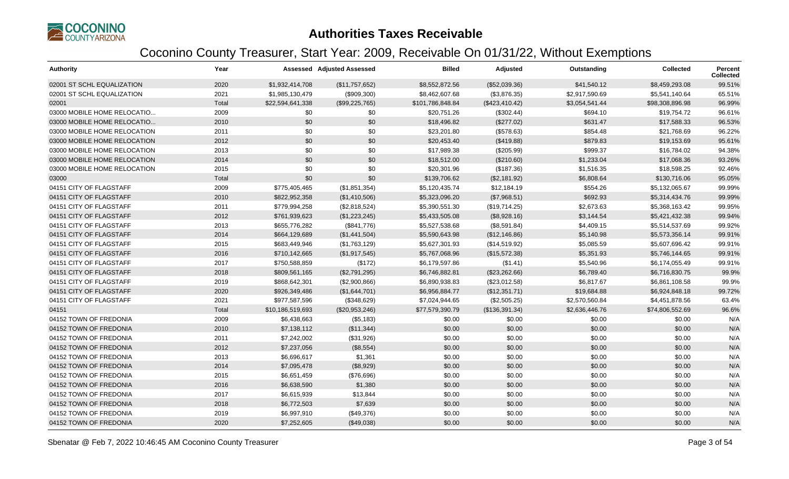

| <b>Authority</b>             | Year  |                  | <b>Assessed Adjusted Assessed</b> | <b>Billed</b>    | Adjusted       | Outstanding    | <b>Collected</b> | Percent<br><b>Collected</b> |
|------------------------------|-------|------------------|-----------------------------------|------------------|----------------|----------------|------------------|-----------------------------|
| 02001 ST SCHL EQUALIZATION   | 2020  | \$1,932,414,708  | (\$11,757,652)                    | \$8,552,872.56   | (\$52,039.36)  | \$41,540.12    | \$8,459,293.08   | 99.51%                      |
| 02001 ST SCHL EQUALIZATION   | 2021  | \$1,985,130,479  | (\$909,300)                       | \$8,462,607.68   | (\$3,876.35)   | \$2,917,590.69 | \$5,541,140.64   | 65.51%                      |
| 02001                        | Total | \$22,594,641,338 | (\$99,225,765)                    | \$101,786,848.84 | (\$423,410.42) | \$3,054,541.44 | \$98,308,896.98  | 96.99%                      |
| 03000 MOBILE HOME RELOCATIO  | 2009  | \$0              | \$0                               | \$20,751.26      | (\$302.44)     | \$694.10       | \$19,754.72      | 96.61%                      |
| 03000 MOBILE HOME RELOCATIO  | 2010  | \$0              | \$0                               | \$18,496.82      | (\$277.02)     | \$631.47       | \$17,588.33      | 96.53%                      |
| 03000 MOBILE HOME RELOCATION | 2011  | \$0              | \$0                               | \$23,201.80      | (\$578.63)     | \$854.48       | \$21,768.69      | 96.22%                      |
| 03000 MOBILE HOME RELOCATION | 2012  | \$0              | \$0                               | \$20,453.40      | (\$419.88)     | \$879.83       | \$19,153.69      | 95.61%                      |
| 03000 MOBILE HOME RELOCATION | 2013  | \$0              | \$0                               | \$17,989.38      | $(\$205.99)$   | \$999.37       | \$16,784.02      | 94.38%                      |
| 03000 MOBILE HOME RELOCATION | 2014  | \$0              | \$0                               | \$18,512.00      | (\$210.60)     | \$1,233.04     | \$17,068.36      | 93.26%                      |
| 03000 MOBILE HOME RELOCATION | 2015  | \$0              | \$0                               | \$20,301.96      | (\$187.36)     | \$1,516.35     | \$18,598.25      | 92.46%                      |
| 03000                        | Total | \$0              | \$0                               | \$139,706.62     | (\$2,181.92)   | \$6,808.64     | \$130,716.06     | 95.05%                      |
| 04151 CITY OF FLAGSTAFF      | 2009  | \$775,405,465    | (\$1,851,354)                     | \$5,120,435.74   | \$12,184.19    | \$554.26       | \$5,132,065.67   | 99.99%                      |
| 04151 CITY OF FLAGSTAFF      | 2010  | \$822,952,358    | (\$1,410,506)                     | \$5,323,096.20   | (\$7,968.51)   | \$692.93       | \$5,314,434.76   | 99.99%                      |
| 04151 CITY OF FLAGSTAFF      | 2011  | \$779,994,258    | (\$2,818,524)                     | \$5,390,551.30   | (\$19,714.25)  | \$2,673.63     | \$5,368,163.42   | 99.95%                      |
| 04151 CITY OF FLAGSTAFF      | 2012  | \$761,939,623    | (\$1,223,245)                     | \$5,433,505.08   | (\$8,928.16)   | \$3,144.54     | \$5,421,432.38   | 99.94%                      |
| 04151 CITY OF FLAGSTAFF      | 2013  | \$655,776,282    | (\$841,776)                       | \$5,527,538.68   | (\$8,591.84)   | \$4,409.15     | \$5,514,537.69   | 99.92%                      |
| 04151 CITY OF FLAGSTAFF      | 2014  | \$664,129,689    | (\$1,441,504)                     | \$5,590,643.98   | (\$12,146.86)  | \$5,140.98     | \$5,573,356.14   | 99.91%                      |
| 04151 CITY OF FLAGSTAFF      | 2015  | \$683,449,946    | (\$1,763,129)                     | \$5,627,301.93   | (\$14,519.92)  | \$5,085.59     | \$5,607,696.42   | 99.91%                      |
| 04151 CITY OF FLAGSTAFF      | 2016  | \$710,142,665    | (\$1,917,545)                     | \$5,767,068.96   | (\$15,572.38)  | \$5,351.93     | \$5,746,144.65   | 99.91%                      |
| 04151 CITY OF FLAGSTAFF      | 2017  | \$750,588,859    | (\$172)                           | \$6,179,597.86   | (\$1.41)       | \$5,540.96     | \$6,174,055.49   | 99.91%                      |
| 04151 CITY OF FLAGSTAFF      | 2018  | \$809,561,165    | (\$2,791,295)                     | \$6,746,882.81   | (\$23,262.66)  | \$6,789.40     | \$6,716,830.75   | 99.9%                       |
| 04151 CITY OF FLAGSTAFF      | 2019  | \$868,642,301    | (\$2,900,866)                     | \$6,890,938.83   | (\$23,012.58)  | \$6,817.67     | \$6,861,108.58   | 99.9%                       |
| 04151 CITY OF FLAGSTAFF      | 2020  | \$926,349,486    | (\$1,644,701)                     | \$6,956,884.77   | (\$12,351.71)  | \$19,684.88    | \$6,924,848.18   | 99.72%                      |
| 04151 CITY OF FLAGSTAFF      | 2021  | \$977,587,596    | (\$348,629)                       | \$7,024,944.65   | (\$2,505.25)   | \$2,570,560.84 | \$4,451,878.56   | 63.4%                       |
| 04151                        | Total | \$10,186,519,693 | (\$20,953,246)                    | \$77,579,390.79  | (\$136,391.34) | \$2,636,446.76 | \$74,806,552.69  | 96.6%                       |
| 04152 TOWN OF FREDONIA       | 2009  | \$6,438,663      | (\$5,183)                         | \$0.00           | \$0.00         | \$0.00         | \$0.00           | N/A                         |
| 04152 TOWN OF FREDONIA       | 2010  | \$7,138,112      | (\$11,344)                        | \$0.00           | \$0.00         | \$0.00         | \$0.00           | N/A                         |
| 04152 TOWN OF FREDONIA       | 2011  | \$7,242,002      | (\$31,926)                        | \$0.00           | \$0.00         | \$0.00         | \$0.00           | N/A                         |
| 04152 TOWN OF FREDONIA       | 2012  | \$7,237,056      | (\$8,554)                         | \$0.00           | \$0.00         | \$0.00         | \$0.00           | N/A                         |
| 04152 TOWN OF FREDONIA       | 2013  | \$6,696,617      | \$1,361                           | \$0.00           | \$0.00         | \$0.00         | \$0.00           | N/A                         |
| 04152 TOWN OF FREDONIA       | 2014  | \$7,095,478      | (\$8,929)                         | \$0.00           | \$0.00         | \$0.00         | \$0.00           | N/A                         |
| 04152 TOWN OF FREDONIA       | 2015  | \$6,651,459      | (\$76,696)                        | \$0.00           | \$0.00         | \$0.00         | \$0.00           | N/A                         |
| 04152 TOWN OF FREDONIA       | 2016  | \$6,638,590      | \$1,380                           | \$0.00           | \$0.00         | \$0.00         | \$0.00           | N/A                         |
| 04152 TOWN OF FREDONIA       | 2017  | \$6,615,939      | \$13,844                          | \$0.00           | \$0.00         | \$0.00         | \$0.00           | N/A                         |
| 04152 TOWN OF FREDONIA       | 2018  | \$6,772,503      | \$7,639                           | \$0.00           | \$0.00         | \$0.00         | \$0.00           | N/A                         |
| 04152 TOWN OF FREDONIA       | 2019  | \$6,997,910      | (\$49,376)                        | \$0.00           | \$0.00         | \$0.00         | \$0.00           | N/A                         |
| 04152 TOWN OF FREDONIA       | 2020  | \$7,252,605      | (\$49,038)                        | \$0.00           | \$0.00         | \$0.00         | \$0.00           | N/A                         |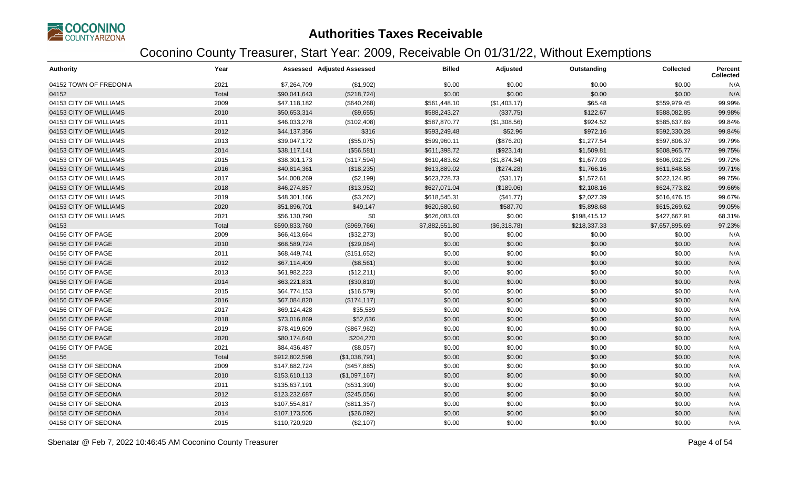

| <b>Authority</b>       | Year  |               | <b>Assessed Adjusted Assessed</b> | <b>Billed</b>  | Adjusted     | Outstanding  | <b>Collected</b> | Percent<br><b>Collected</b> |
|------------------------|-------|---------------|-----------------------------------|----------------|--------------|--------------|------------------|-----------------------------|
| 04152 TOWN OF FREDONIA | 2021  | \$7,264,709   | (\$1,902)                         | \$0.00         | \$0.00       | \$0.00       | \$0.00           | N/A                         |
| 04152                  | Total | \$90,041,643  | (\$218,724)                       | \$0.00         | \$0.00       | \$0.00       | \$0.00           | N/A                         |
| 04153 CITY OF WILLIAMS | 2009  | \$47,118,182  | (\$640,268)                       | \$561,448.10   | (\$1,403.17) | \$65.48      | \$559,979.45     | 99.99%                      |
| 04153 CITY OF WILLIAMS | 2010  | \$50,653,314  | (\$9,655)                         | \$588,243.27   | (\$37.75)    | \$122.67     | \$588,082.85     | 99.98%                      |
| 04153 CITY OF WILLIAMS | 2011  | \$46,033,278  | (\$102,408)                       | \$587,870.77   | (\$1,308.56) | \$924.52     | \$585,637.69     | 99.84%                      |
| 04153 CITY OF WILLIAMS | 2012  | \$44,137,356  | \$316                             | \$593,249.48   | \$52.96      | \$972.16     | \$592,330.28     | 99.84%                      |
| 04153 CITY OF WILLIAMS | 2013  | \$39,047,172  | (\$55,075)                        | \$599,960.11   | (\$876.20)   | \$1,277.54   | \$597,806.37     | 99.79%                      |
| 04153 CITY OF WILLIAMS | 2014  | \$38,117,141  | (\$56,581)                        | \$611,398.72   | (\$923.14)   | \$1,509.81   | \$608,965.77     | 99.75%                      |
| 04153 CITY OF WILLIAMS | 2015  | \$38,301,173  | (\$117,594)                       | \$610,483.62   | (\$1,874.34) | \$1,677.03   | \$606,932.25     | 99.72%                      |
| 04153 CITY OF WILLIAMS | 2016  | \$40,814,361  | (\$18,235)                        | \$613,889.02   | (\$274.28)   | \$1,766.16   | \$611,848.58     | 99.71%                      |
| 04153 CITY OF WILLIAMS | 2017  | \$44,008,269  | (\$2,199)                         | \$623,728.73   | (\$31.17)    | \$1,572.61   | \$622,124.95     | 99.75%                      |
| 04153 CITY OF WILLIAMS | 2018  | \$46,274,857  | (\$13,952)                        | \$627,071.04   | (\$189.06)   | \$2,108.16   | \$624,773.82     | 99.66%                      |
| 04153 CITY OF WILLIAMS | 2019  | \$48,301,166  | (\$3,262)                         | \$618,545.31   | (\$41.77)    | \$2,027.39   | \$616,476.15     | 99.67%                      |
| 04153 CITY OF WILLIAMS | 2020  | \$51,896,701  | \$49,147                          | \$620,580.60   | \$587.70     | \$5,898.68   | \$615,269.62     | 99.05%                      |
| 04153 CITY OF WILLIAMS | 2021  | \$56,130,790  | \$0                               | \$626,083.03   | \$0.00       | \$198,415.12 | \$427,667.91     | 68.31%                      |
| 04153                  | Total | \$590,833,760 | (\$969,766)                       | \$7,882,551.80 | (\$6,318.78) | \$218,337.33 | \$7,657,895.69   | 97.23%                      |
| 04156 CITY OF PAGE     | 2009  | \$66,413,664  | (\$32,273)                        | \$0.00         | \$0.00       | \$0.00       | \$0.00           | N/A                         |
| 04156 CITY OF PAGE     | 2010  | \$68,589,724  | (\$29,064)                        | \$0.00         | \$0.00       | \$0.00       | \$0.00           | N/A                         |
| 04156 CITY OF PAGE     | 2011  | \$68,449,741  | (\$151,652)                       | \$0.00         | \$0.00       | \$0.00       | \$0.00           | N/A                         |
| 04156 CITY OF PAGE     | 2012  | \$67,114,409  | (\$8,561)                         | \$0.00         | \$0.00       | \$0.00       | \$0.00           | N/A                         |
| 04156 CITY OF PAGE     | 2013  | \$61,982,223  | (\$12,211)                        | \$0.00         | \$0.00       | \$0.00       | \$0.00           | N/A                         |
| 04156 CITY OF PAGE     | 2014  | \$63,221,831  | (\$30,810)                        | \$0.00         | \$0.00       | \$0.00       | \$0.00           | N/A                         |
| 04156 CITY OF PAGE     | 2015  | \$64,774,153  | (\$16,579)                        | \$0.00         | \$0.00       | \$0.00       | \$0.00           | N/A                         |
| 04156 CITY OF PAGE     | 2016  | \$67,084,820  | (\$174, 117)                      | \$0.00         | \$0.00       | \$0.00       | \$0.00           | N/A                         |
| 04156 CITY OF PAGE     | 2017  | \$69,124,428  | \$35,589                          | \$0.00         | \$0.00       | \$0.00       | \$0.00           | N/A                         |
| 04156 CITY OF PAGE     | 2018  | \$73,016,869  | \$52,636                          | \$0.00         | \$0.00       | \$0.00       | \$0.00           | N/A                         |
| 04156 CITY OF PAGE     | 2019  | \$78,419,609  | (\$867,962)                       | \$0.00         | \$0.00       | \$0.00       | \$0.00           | N/A                         |
| 04156 CITY OF PAGE     | 2020  | \$80,174,640  | \$204,270                         | \$0.00         | \$0.00       | \$0.00       | \$0.00           | N/A                         |
| 04156 CITY OF PAGE     | 2021  | \$84,436,487  | (\$8,057)                         | \$0.00         | \$0.00       | \$0.00       | \$0.00           | N/A                         |
| 04156                  | Total | \$912,802,598 | (\$1,038,791)                     | \$0.00         | \$0.00       | \$0.00       | \$0.00           | N/A                         |
| 04158 CITY OF SEDONA   | 2009  | \$147,682,724 | (\$457,885)                       | \$0.00         | \$0.00       | \$0.00       | \$0.00           | N/A                         |
| 04158 CITY OF SEDONA   | 2010  | \$153,610,113 | (\$1,097,167)                     | \$0.00         | \$0.00       | \$0.00       | \$0.00           | N/A                         |
| 04158 CITY OF SEDONA   | 2011  | \$135,637,191 | (\$531,390)                       | \$0.00         | \$0.00       | \$0.00       | \$0.00           | N/A                         |
| 04158 CITY OF SEDONA   | 2012  | \$123,232,687 | (\$245,056)                       | \$0.00         | \$0.00       | \$0.00       | \$0.00           | N/A                         |
| 04158 CITY OF SEDONA   | 2013  | \$107,554,817 | (\$811,357)                       | \$0.00         | \$0.00       | \$0.00       | \$0.00           | N/A                         |
| 04158 CITY OF SEDONA   | 2014  | \$107,173,505 | (\$26,092)                        | \$0.00         | \$0.00       | \$0.00       | \$0.00           | N/A                         |
| 04158 CITY OF SEDONA   | 2015  | \$110,720,920 | (\$2,107)                         | \$0.00         | \$0.00       | \$0.00       | \$0.00           | N/A                         |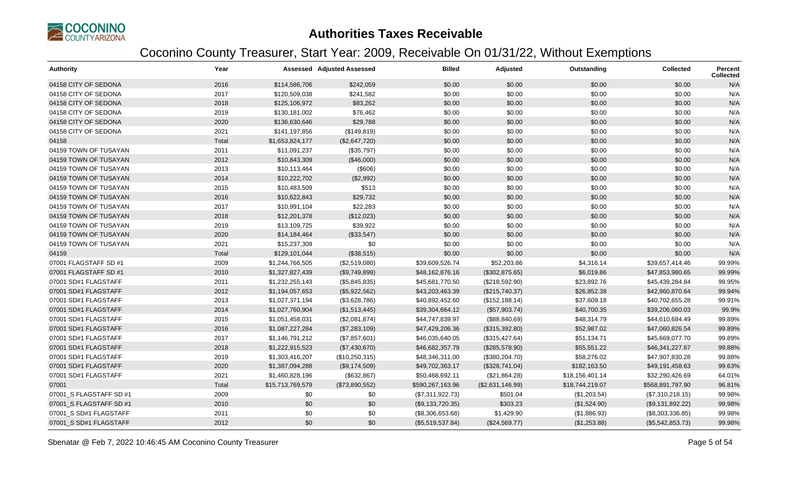

| <b>Authority</b>        | Year  |                  | <b>Assessed Adjusted Assessed</b> | <b>Billed</b>    | Adjusted         | Outstanding     | <b>Collected</b> | Percent<br>Collected |
|-------------------------|-------|------------------|-----------------------------------|------------------|------------------|-----------------|------------------|----------------------|
| 04158 CITY OF SEDONA    | 2016  | \$114,586,706    | \$242,059                         | \$0.00           | \$0.00           | \$0.00          | \$0.00           | N/A                  |
| 04158 CITY OF SEDONA    | 2017  | \$120,509,038    | \$241,582                         | \$0.00           | \$0.00           | \$0.00          | \$0.00           | N/A                  |
| 04158 CITY OF SEDONA    | 2018  | \$125,106,972    | \$83,262                          | \$0.00           | \$0.00           | \$0.00          | \$0.00           | N/A                  |
| 04158 CITY OF SEDONA    | 2019  | \$130,181,002    | \$76,462                          | \$0.00           | \$0.00           | \$0.00          | \$0.00           | N/A                  |
| 04158 CITY OF SEDONA    | 2020  | \$136,630,646    | \$29,788                          | \$0.00           | \$0.00           | \$0.00          | \$0.00           | N/A                  |
| 04158 CITY OF SEDONA    | 2021  | \$141,197,856    | (\$149, 819)                      | \$0.00           | \$0.00           | \$0.00          | \$0.00           | N/A                  |
| 04158                   | Total | \$1,653,824,177  | (\$2,647,720)                     | \$0.00           | \$0.00           | \$0.00          | \$0.00           | N/A                  |
| 04159 TOWN OF TUSAYAN   | 2011  | \$11,091,237     | (\$35,797)                        | \$0.00           | \$0.00           | \$0.00          | \$0.00           | N/A                  |
| 04159 TOWN OF TUSAYAN   | 2012  | \$10,843,309     | (\$46,000)                        | \$0.00           | \$0.00           | \$0.00          | \$0.00           | N/A                  |
| 04159 TOWN OF TUSAYAN   | 2013  | \$10,113,464     | (\$606)                           | \$0.00           | \$0.00           | \$0.00          | \$0.00           | N/A                  |
| 04159 TOWN OF TUSAYAN   | 2014  | \$10,222,702     | (\$2,992)                         | \$0.00           | \$0.00           | \$0.00          | \$0.00           | N/A                  |
| 04159 TOWN OF TUSAYAN   | 2015  | \$10,483,509     | \$513                             | \$0.00           | \$0.00           | \$0.00          | \$0.00           | N/A                  |
| 04159 TOWN OF TUSAYAN   | 2016  | \$10,622,843     | \$29,732                          | \$0.00           | \$0.00           | \$0.00          | \$0.00           | N/A                  |
| 04159 TOWN OF TUSAYAN   | 2017  | \$10,991,104     | \$22,283                          | \$0.00           | \$0.00           | \$0.00          | \$0.00           | N/A                  |
| 04159 TOWN OF TUSAYAN   | 2018  | \$12,201,378     | (\$12,023)                        | \$0.00           | \$0.00           | \$0.00          | \$0.00           | N/A                  |
| 04159 TOWN OF TUSAYAN   | 2019  | \$13,109,725     | \$39,922                          | \$0.00           | \$0.00           | \$0.00          | \$0.00           | N/A                  |
| 04159 TOWN OF TUSAYAN   | 2020  | \$14,184,464     | (\$33,547)                        | \$0.00           | \$0.00           | \$0.00          | \$0.00           | N/A                  |
| 04159 TOWN OF TUSAYAN   | 2021  | \$15,237,309     | \$0                               | \$0.00           | \$0.00           | \$0.00          | \$0.00           | N/A                  |
| 04159                   | Total | \$129,101,044    | (\$38,515)                        | \$0.00           | \$0.00           | \$0.00          | \$0.00           | N/A                  |
| 07001 FLAGSTAFF SD #1   | 2009  | \$1,244,766,505  | (\$2,519,080)                     | \$39,609,526.74  | \$52,203.86      | \$4,316.14      | \$39,657,414.46  | 99.99%               |
| 07001 FLAGSTAFF SD #1   | 2010  | \$1,327,827,439  | (\$9,749,899)                     | \$48,162,876.16  | (\$302,875.65)   | \$6,019.86      | \$47,853,980.65  | 99.99%               |
| 07001 SD#1 FLAGSTAFF    | 2011  | \$1,232,255,143  | (\$5,845,835)                     | \$45,681,770.50  | (\$218,592.90)   | \$23,892.76     | \$45,439,284.84  | 99.95%               |
| 07001 SD#1 FLAGSTAFF    | 2012  | \$1,194,057,653  | (\$5,922,562)                     | \$43,203,463.39  | (\$215,740.37)   | \$26,852.38     | \$42,960,870.64  | 99.94%               |
| 07001 SD#1 FLAGSTAFF    | 2013  | \$1,027,371,194  | (\$3,628,786)                     | \$40,892,452.60  | (\$152, 188.14)  | \$37,609.18     | \$40,702,655.28  | 99.91%               |
| 07001 SD#1 FLAGSTAFF    | 2014  | \$1,027,760,904  | (\$1,513,445)                     | \$39,304,664.12  | (\$57,903.74)    | \$40,700.35     | \$39,206,060.03  | 99.9%                |
| 07001 SD#1 FLAGSTAFF    | 2015  | \$1,051,458,031  | (\$2,081,874)                     | \$44,747,839.97  | (\$88, 840.69)   | \$48,314.79     | \$44,610,684.49  | 99.89%               |
| 07001 SD#1 FLAGSTAFF    | 2016  | \$1,087,227,284  | (\$7,283,109)                     | \$47,429,206.36  | (\$315,392.80)   | \$52,987.02     | \$47,060,826.54  | 99.89%               |
| 07001 SD#1 FLAGSTAFF    | 2017  | \$1,146,791,212  | (\$7,857,601)                     | \$46,035,640.05  | (\$315,427.64)   | \$51,134.71     | \$45,669,077.70  | 99.89%               |
| 07001 SD#1 FLAGSTAFF    | 2018  | \$1,222,915,523  | (\$7,430,670)                     | \$46,682,357.79  | (\$285,578.90)   | \$55,551.22     | \$46,341,227.67  | 99.88%               |
| 07001 SD#1 FLAGSTAFF    | 2019  | \$1,303,416,207  | (\$10,250,315)                    | \$48,346,311.00  | (\$380, 204.70)  | \$58,276.02     | \$47,907,830.28  | 99.88%               |
| 07001 SD#1 FLAGSTAFF    | 2020  | \$1,387,094,288  | (\$9,174,509)                     | \$49,702,363.17  | (\$328,741.04)   | \$182,163.50    | \$49,191,458.63  | 99.63%               |
| 07001 SD#1 FLAGSTAFF    | 2021  | \$1,460,828,196  | (\$632,867)                       | \$50,468,692.11  | (\$21,864.28)    | \$18,156,401.14 | \$32,290,426.69  | 64.01%               |
| 07001                   | Total | \$15,713,769,579 | (\$73,890,552)                    | \$590,267,163.96 | (\$2,631,146.99) | \$18,744,219.07 | \$568,891,797.90 | 96.81%               |
| 07001_S FLAGSTAFF SD #1 | 2009  | \$0              | \$0                               | (\$7,311,922.73) | \$501.04         | (\$1,203.54)    | (\$7,310,218.15) | 99.98%               |
| 07001 S FLAGSTAFF SD #1 | 2010  | \$0              | \$0                               | (\$9,133,720.35) | \$303.23         | (\$1,524.90)    | (\$9,131,892.22) | 99.98%               |
| 07001_S SD#1 FLAGSTAFF  | 2011  | \$0              | \$0                               | (\$8,306,653.68) | \$1,429.90       | (\$1,886.93)    | (\$8,303,336.85) | 99.98%               |
| 07001 S SD#1 FLAGSTAFF  | 2012  | \$0              | \$0                               | (\$5,519,537.84) | (\$24,569.77)    | (\$1,253.88)    | (\$5,542,853.73) | 99.98%               |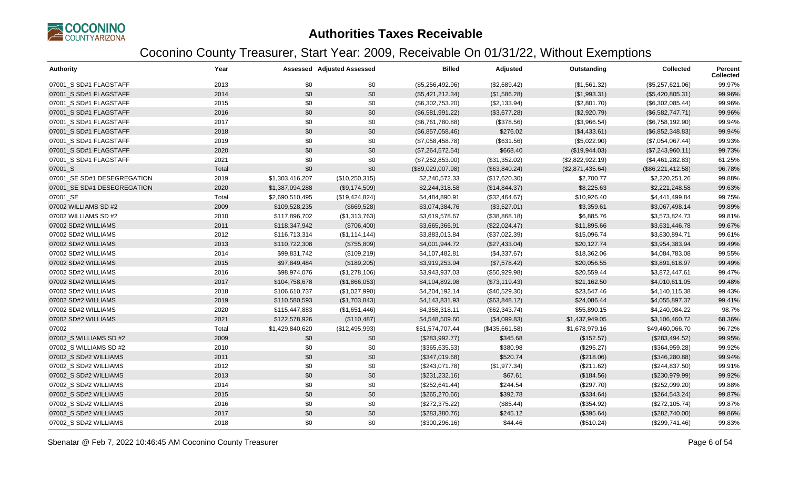

| Authority                   | Year  |                 | Assessed Adjusted Assessed | <b>Billed</b>     | Adjusted       | Outstanding      | <b>Collected</b>  | Percent<br><b>Collected</b> |
|-----------------------------|-------|-----------------|----------------------------|-------------------|----------------|------------------|-------------------|-----------------------------|
| 07001_S SD#1 FLAGSTAFF      | 2013  | \$0             | \$0                        | (\$5,256,492.96)  | (\$2,689.42)   | (\$1,561.32)     | (\$5,257,621.06)  | 99.97%                      |
| 07001 S SD#1 FLAGSTAFF      | 2014  | \$0             | \$0                        | (\$5,421,212.34)  | (\$1,586.28)   | (\$1,993.31)     | (\$5,420,805.31)  | 99.96%                      |
| 07001_S SD#1 FLAGSTAFF      | 2015  | \$0             | \$0                        | (\$6,302,753.20)  | (\$2,133.94)   | (\$2,801.70)     | (\$6,302,085.44)  | 99.96%                      |
| 07001 S SD#1 FLAGSTAFF      | 2016  | \$0             | \$0                        | (\$6,581,991.22)  | (\$3,677.28)   | (\$2,920.79)     | (\$6,582,747.71)  | 99.96%                      |
| 07001 S SD#1 FLAGSTAFF      | 2017  | \$0             | \$0                        | (\$6,761,780.88)  | (\$378.56)     | (\$3,966.54)     | (\$6,758,192.90)  | 99.94%                      |
| 07001_S SD#1 FLAGSTAFF      | 2018  | \$0             | \$0                        | (\$6,857,058.46)  | \$276.02       | (\$4,433.61)     | (\$6,852,348.83)  | 99.94%                      |
| 07001_S SD#1 FLAGSTAFF      | 2019  | \$0             | \$0                        | (\$7,058,458.78)  | (\$631.56)     | (\$5,022.90)     | (\$7,054,067.44)  | 99.93%                      |
| 07001 S SD#1 FLAGSTAFF      | 2020  | \$0             | \$0                        | (\$7,264,572.54)  | \$668.40       | (\$19,944.03)    | (\$7,243,960.11)  | 99.73%                      |
| 07001_S SD#1 FLAGSTAFF      | 2021  | \$0             | \$0                        | (\$7,252,853.00)  | (\$31,352.02)  | (\$2,822,922.19) | (\$4,461,282.83)  | 61.25%                      |
| 07001_S                     | Total | \$0             | \$0                        | (\$89,029,007.98) | (\$63,840.24)  | (\$2,871,435.64) | (\$86,221,412.58) | 96.78%                      |
| 07001 SE SD#1 DESEGREGATION | 2019  | \$1,303,416,207 | (\$10,250,315)             | \$2,240,572.33    | (\$17,620.30)  | \$2,700.77       | \$2,220,251.26    | 99.88%                      |
| 07001_SE SD#1 DESEGREGATION | 2020  | \$1,387,094,288 | (\$9,174,509)              | \$2,244,318.58    | (\$14,844.37)  | \$8,225.63       | \$2,221,248.58    | 99.63%                      |
| 07001_SE                    | Total | \$2,690,510,495 | (\$19,424,824)             | \$4,484,890.91    | (\$32,464.67)  | \$10,926.40      | \$4,441,499.84    | 99.75%                      |
| 07002 WILLIAMS SD #2        | 2009  | \$109,528,235   | (\$669,528)                | \$3,074,384.76    | (\$3,527.01)   | \$3,359.61       | \$3,067,498.14    | 99.89%                      |
| 07002 WILLIAMS SD #2        | 2010  | \$117,896,702   | (\$1,313,763)              | \$3,619,578.67    | (\$38,868.18)  | \$6,885.76       | \$3,573,824.73    | 99.81%                      |
| 07002 SD#2 WILLIAMS         | 2011  | \$118,347,942   | (\$706,400)                | \$3,665,366.91    | (\$22,024.47)  | \$11,895.66      | \$3,631,446.78    | 99.67%                      |
| 07002 SD#2 WILLIAMS         | 2012  | \$116,713,314   | (\$1,114,144)              | \$3,883,013.84    | (\$37,022.39)  | \$15,096.74      | \$3,830,894.71    | 99.61%                      |
| 07002 SD#2 WILLIAMS         | 2013  | \$110,722,308   | (\$755,809)                | \$4,001,944.72    | (\$27,433.04)  | \$20,127.74      | \$3,954,383.94    | 99.49%                      |
| 07002 SD#2 WILLIAMS         | 2014  | \$99,831,742    | (\$109,219)                | \$4,107,482.81    | (\$4,337.67)   | \$18,362.06      | \$4,084,783.08    | 99.55%                      |
| 07002 SD#2 WILLIAMS         | 2015  | \$97,849,484    | (\$189,205)                | \$3,919,253.94    | (\$7,578.42)   | \$20,056.55      | \$3,891,618.97    | 99.49%                      |
| 07002 SD#2 WILLIAMS         | 2016  | \$98,974,076    | (\$1,278,106)              | \$3,943,937.03    | (\$50,929.98)  | \$20,559.44      | \$3,872,447.61    | 99.47%                      |
| 07002 SD#2 WILLIAMS         | 2017  | \$104,758,678   | (\$1,866,053)              | \$4,104,892.98    | (\$73,119.43)  | \$21,162.50      | \$4,010,611.05    | 99.48%                      |
| 07002 SD#2 WILLIAMS         | 2018  | \$106,610,737   | (\$1,027,990)              | \$4,204,192.14    | (\$40,529.30)  | \$23,547.46      | \$4,140,115.38    | 99.43%                      |
| 07002 SD#2 WILLIAMS         | 2019  | \$110,580,593   | (\$1,703,843)              | \$4,143,831.93    | (\$63,848.12)  | \$24,086.44      | \$4,055,897.37    | 99.41%                      |
| 07002 SD#2 WILLIAMS         | 2020  | \$115,447,883   | (\$1,651,446)              | \$4,358,318.11    | (\$62,343.74)  | \$55,890.15      | \$4,240,084.22    | 98.7%                       |
| 07002 SD#2 WILLIAMS         | 2021  | \$122,578,926   | (\$110,487)                | \$4,548,509.60    | (\$4,099.83)   | \$1,437,949.05   | \$3,106,460.72    | 68.36%                      |
| 07002                       | Total | \$1,429,840,620 | (\$12,495,993)             | \$51,574,707.44   | (\$435,661.58) | \$1,678,979.16   | \$49,460,066.70   | 96.72%                      |
| 07002 S WILLIAMS SD #2      | 2009  | \$0             | \$0                        | (\$283,992.77)    | \$345.68       | (\$152.57)       | (\$283,494.52)    | 99.95%                      |
| 07002_S WILLIAMS SD #2      | 2010  | \$0             | \$0                        | (\$365,635.53)    | \$380.98       | (\$295.27)       | (\$364,959.28)    | 99.92%                      |
| 07002 S SD#2 WILLIAMS       | 2011  | \$0             | \$0                        | (\$347,019.68)    | \$520.74       | (\$218.06)       | (\$346,280.88)    | 99.94%                      |
| 07002 S SD#2 WILLIAMS       | 2012  | \$0             | \$0                        | (\$243,071.78)    | (\$1,977.34)   | (\$211.62)       | (\$244, 837.50)   | 99.91%                      |
| 07002 S SD#2 WILLIAMS       | 2013  | \$0             | \$0                        | (\$231, 232.16)   | \$67.61        | (\$184.56)       | (\$230,979.99)    | 99.92%                      |
| 07002 S SD#2 WILLIAMS       | 2014  | \$0             | \$0                        | (\$252,641.44)    | \$244.54       | (\$297.70)       | (\$252,099.20)    | 99.88%                      |
| 07002_S SD#2 WILLIAMS       | 2015  | \$0             | \$0                        | (\$265,270.66)    | \$392.78       | (\$334.64)       | (\$264,543.24)    | 99.87%                      |
| 07002 S SD#2 WILLIAMS       | 2016  | \$0             | \$0                        | (\$272,375.22)    | (\$85.44)      | (\$354.92)       | (\$272,105.74)    | 99.87%                      |
| 07002 S SD#2 WILLIAMS       | 2017  | \$0             | \$0                        | (\$283,380.76)    | \$245.12       | (\$395.64)       | (\$282,740.00)    | 99.86%                      |
| 07002 S SD#2 WILLIAMS       | 2018  | \$0             | \$0                        | (\$300, 296.16)   | \$44.46        | (\$510.24)       | (\$299,741.46)    | 99.83%                      |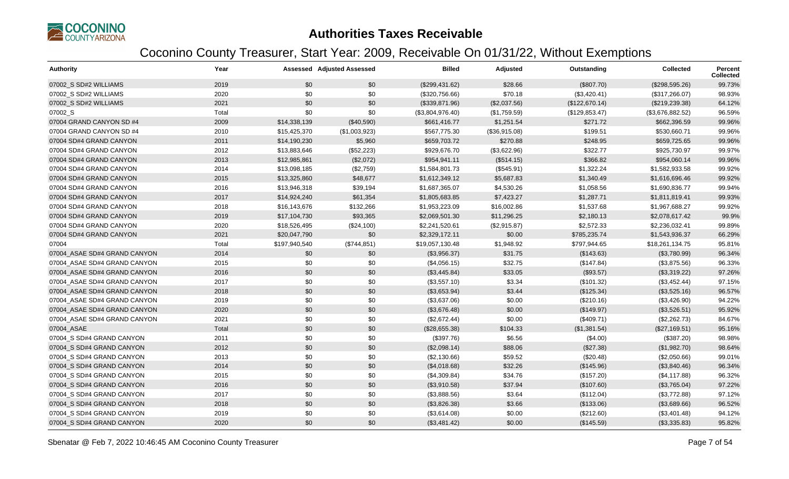

| Authority                    | Year  |               | <b>Assessed Adjusted Assessed</b> | <b>Billed</b>    | Adjusted      | Outstanding    | <b>Collected</b> | Percent<br><b>Collected</b> |
|------------------------------|-------|---------------|-----------------------------------|------------------|---------------|----------------|------------------|-----------------------------|
| 07002 S SD#2 WILLIAMS        | 2019  | \$0           | \$0                               | (\$299,431.62)   | \$28.66       | (\$807.70)     | (\$298,595.26)   | 99.73%                      |
| 07002 S SD#2 WILLIAMS        | 2020  | \$0           | \$0                               | (\$320,756.66)   | \$70.18       | (\$3,420.41)   | (\$317,266.07)   | 98.93%                      |
| 07002_S SD#2 WILLIAMS        | 2021  | \$0           | \$0                               | (\$339,871.96)   | (\$2,037.56)  | (\$122,670.14) | (\$219,239.38)   | 64.12%                      |
| 07002_S                      | Total | \$0           | \$0                               | (\$3,804,976.40) | (\$1,759.59)  | (\$129,853.47) | (\$3,676,882.52) | 96.59%                      |
| 07004 GRAND CANYON SD #4     | 2009  | \$14,338,139  | (\$40,590)                        | \$661,416.77     | \$1,251.54    | \$271.72       | \$662,396.59     | 99.96%                      |
| 07004 GRAND CANYON SD #4     | 2010  | \$15,425,370  | (\$1,003,923)                     | \$567,775.30     | (\$36,915.08) | \$199.51       | \$530,660.71     | 99.96%                      |
| 07004 SD#4 GRAND CANYON      | 2011  | \$14,190,230  | \$5,960                           | \$659,703.72     | \$270.88      | \$248.95       | \$659,725.65     | 99.96%                      |
| 07004 SD#4 GRAND CANYON      | 2012  | \$13,883,646  | (\$52,223)                        | \$929,676.70     | (\$3,622.96)  | \$322.77       | \$925,730.97     | 99.97%                      |
| 07004 SD#4 GRAND CANYON      | 2013  | \$12,985,861  | (\$2,072)                         | \$954,941.11     | (\$514.15)    | \$366.82       | \$954,060.14     | 99.96%                      |
| 07004 SD#4 GRAND CANYON      | 2014  | \$13,098,185  | (\$2,759)                         | \$1,584,801.73   | (\$545.91)    | \$1,322.24     | \$1,582,933.58   | 99.92%                      |
| 07004 SD#4 GRAND CANYON      | 2015  | \$13,325,860  | \$48,677                          | \$1,612,349.12   | \$5,687.83    | \$1,340.49     | \$1,616,696.46   | 99.92%                      |
| 07004 SD#4 GRAND CANYON      | 2016  | \$13,946,318  | \$39,194                          | \$1,687,365.07   | \$4,530.26    | \$1,058.56     | \$1,690,836.77   | 99.94%                      |
| 07004 SD#4 GRAND CANYON      | 2017  | \$14,924,240  | \$61,354                          | \$1,805,683.85   | \$7,423.27    | \$1,287.71     | \$1,811,819.41   | 99.93%                      |
| 07004 SD#4 GRAND CANYON      | 2018  | \$16,143,676  | \$132,266                         | \$1,953,223.09   | \$16,002.86   | \$1,537.68     | \$1,967,688.27   | 99.92%                      |
| 07004 SD#4 GRAND CANYON      | 2019  | \$17,104,730  | \$93,365                          | \$2,069,501.30   | \$11,296.25   | \$2,180.13     | \$2,078,617.42   | 99.9%                       |
| 07004 SD#4 GRAND CANYON      | 2020  | \$18,526,495  | (\$24,100)                        | \$2,241,520.61   | (\$2,915.87)  | \$2,572.33     | \$2,236,032.41   | 99.89%                      |
| 07004 SD#4 GRAND CANYON      | 2021  | \$20,047,790  | \$0                               | \$2,329,172.11   | \$0.00        | \$785,235.74   | \$1,543,936.37   | 66.29%                      |
| 07004                        | Total | \$197,940,540 | (\$744,851)                       | \$19,057,130.48  | \$1,948.92    | \$797,944.65   | \$18,261,134.75  | 95.81%                      |
| 07004 ASAE SD#4 GRAND CANYON | 2014  | \$0           | \$0                               | (\$3,956.37)     | \$31.75       | (\$143.63)     | (\$3,780.99)     | 96.34%                      |
| 07004_ASAE SD#4 GRAND CANYON | 2015  | \$0           | \$0                               | (\$4,056.15)     | \$32.75       | (\$147.84)     | (\$3,875.56)     | 96.33%                      |
| 07004 ASAE SD#4 GRAND CANYON | 2016  | \$0           | \$0                               | (\$3,445.84)     | \$33.05       | (\$93.57)      | (\$3,319.22)     | 97.26%                      |
| 07004 ASAE SD#4 GRAND CANYON | 2017  | \$0           | \$0                               | (\$3,557.10)     | \$3.34        | (\$101.32)     | (\$3,452.44)     | 97.15%                      |
| 07004_ASAE SD#4 GRAND CANYON | 2018  | \$0           | \$0                               | (\$3,653.94)     | \$3.44        | (\$125.34)     | (\$3,525.16)     | 96.57%                      |
| 07004 ASAE SD#4 GRAND CANYON | 2019  | \$0           | \$0                               | (\$3,637.06)     | \$0.00        | (\$210.16)     | (\$3,426.90)     | 94.22%                      |
| 07004 ASAE SD#4 GRAND CANYON | 2020  | \$0           | \$0                               | (\$3,676.48)     | \$0.00        | (\$149.97)     | (\$3,526.51)     | 95.92%                      |
| 07004_ASAE SD#4 GRAND CANYON | 2021  | \$0           | \$0                               | (\$2,672.44)     | \$0.00        | (\$409.71)     | (\$2,262.73)     | 84.67%                      |
| 07004 ASAE                   | Total | \$0           | \$0                               | (\$28,655.38)    | \$104.33      | (\$1,381.54)   | (\$27,169.51)    | 95.16%                      |
| 07004 S SD#4 GRAND CANYON    | 2011  | \$0           | \$0                               | (\$397.76)       | \$6.56        | (\$4.00)       | (\$387.20)       | 98.98%                      |
| 07004 S SD#4 GRAND CANYON    | 2012  | \$0           | \$0                               | (\$2,098.14)     | \$88.06       | (\$27.38)      | (\$1,982.70)     | 98.64%                      |
| 07004_S SD#4 GRAND CANYON    | 2013  | \$0           | \$0                               | (\$2,130.66)     | \$59.52       | (\$20.48)      | (\$2,050.66)     | 99.01%                      |
| 07004 S SD#4 GRAND CANYON    | 2014  | \$0           | \$0                               | (\$4,018.68)     | \$32.26       | (\$145.96)     | (\$3,840.46)     | 96.34%                      |
| 07004_S SD#4 GRAND CANYON    | 2015  | \$0           | \$0                               | (\$4,309.84)     | \$34.76       | (\$157.20)     | (\$4,117.88)     | 96.32%                      |
| 07004 S SD#4 GRAND CANYON    | 2016  | \$0           | \$0                               | (\$3,910.58)     | \$37.94       | (\$107.60)     | (\$3,765.04)     | 97.22%                      |
| 07004_S SD#4 GRAND CANYON    | 2017  | \$0           | \$0                               | (\$3,888.56)     | \$3.64        | (\$112.04)     | (\$3,772.88)     | 97.12%                      |
| 07004 S SD#4 GRAND CANYON    | 2018  | \$0           | \$0                               | (\$3,826.38)     | \$3.66        | (\$133.06)     | (\$3,689.66)     | 96.52%                      |
| 07004 S SD#4 GRAND CANYON    | 2019  | \$0           | \$0                               | (\$3,614.08)     | \$0.00        | (\$212.60)     | (\$3,401.48)     | 94.12%                      |
| 07004 S SD#4 GRAND CANYON    | 2020  | \$0           | \$0                               | (\$3,481.42)     | \$0.00        | (\$145.59)     | (\$3,335.83)     | 95.82%                      |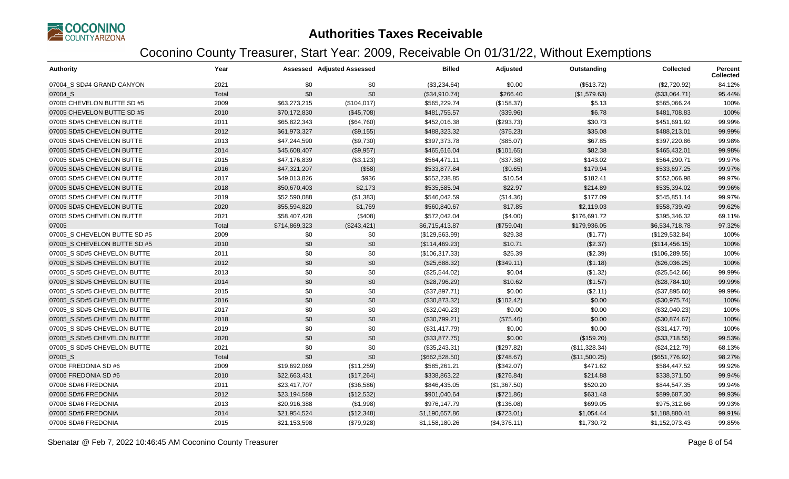

| <b>Authority</b>             | Year  |               | Assessed Adjusted Assessed | <b>Billed</b>  | Adjusted     | Outstanding   | <b>Collected</b> | Percent<br><b>Collected</b> |
|------------------------------|-------|---------------|----------------------------|----------------|--------------|---------------|------------------|-----------------------------|
| 07004 S SD#4 GRAND CANYON    | 2021  | \$0           | \$0                        | (\$3,234.64)   | \$0.00       | (\$513.72)    | (\$2,720.92)     | 84.12%                      |
| 07004 S                      | Total | \$0           | \$0                        | (\$34,910.74)  | \$266.40     | (\$1,579.63)  | (\$33,064.71)    | 95.44%                      |
| 07005 CHEVELON BUTTE SD #5   | 2009  | \$63,273,215  | (\$104,017)                | \$565,229.74   | (\$158.37)   | \$5.13        | \$565,066.24     | 100%                        |
| 07005 CHEVELON BUTTE SD #5   | 2010  | \$70,172,830  | (\$45,708)                 | \$481,755.57   | (\$39.96)    | \$6.78        | \$481,708.83     | 100%                        |
| 07005 SD#5 CHEVELON BUTTE    | 2011  | \$65,822,343  | (\$64,760)                 | \$452,016.38   | (\$293.73)   | \$30.73       | \$451,691.92     | 99.99%                      |
| 07005 SD#5 CHEVELON BUTTE    | 2012  | \$61,973,327  | (\$9,155)                  | \$488,323.32   | (\$75.23)    | \$35.08       | \$488,213.01     | 99.99%                      |
| 07005 SD#5 CHEVELON BUTTE    | 2013  | \$47,244,590  | (\$9,730)                  | \$397,373.78   | (\$85.07)    | \$67.85       | \$397,220.86     | 99.98%                      |
| 07005 SD#5 CHEVELON BUTTE    | 2014  | \$45,608,407  | (\$9,957)                  | \$465,616.04   | (\$101.65)   | \$82.38       | \$465,432.01     | 99.98%                      |
| 07005 SD#5 CHEVELON BUTTE    | 2015  | \$47,176,839  | (\$3,123)                  | \$564,471.11   | (\$37.38)    | \$143.02      | \$564,290.71     | 99.97%                      |
| 07005 SD#5 CHEVELON BUTTE    | 2016  | \$47,321,207  | (\$58)                     | \$533,877.84   | (\$0.65)     | \$179.94      | \$533,697.25     | 99.97%                      |
| 07005 SD#5 CHEVELON BUTTE    | 2017  | \$49,013,826  | \$936                      | \$552,238.85   | \$10.54      | \$182.41      | \$552,066.98     | 99.97%                      |
| 07005 SD#5 CHEVELON BUTTE    | 2018  | \$50,670,403  | \$2,173                    | \$535,585.94   | \$22.97      | \$214.89      | \$535,394.02     | 99.96%                      |
| 07005 SD#5 CHEVELON BUTTE    | 2019  | \$52,590,088  | (\$1,383)                  | \$546,042.59   | (\$14.36)    | \$177.09      | \$545,851.14     | 99.97%                      |
| 07005 SD#5 CHEVELON BUTTE    | 2020  | \$55,594,820  | \$1,769                    | \$560,840.67   | \$17.85      | \$2,119.03    | \$558,739.49     | 99.62%                      |
| 07005 SD#5 CHEVELON BUTTE    | 2021  | \$58,407,428  | (\$408)                    | \$572,042.04   | (\$4.00)     | \$176,691.72  | \$395,346.32     | 69.11%                      |
| 07005                        | Total | \$714,869,323 | (\$243, 421)               | \$6,715,413.87 | (\$759.04)   | \$179,936.05  | \$6,534,718.78   | 97.32%                      |
| 07005 S CHEVELON BUTTE SD #5 | 2009  | \$0           | \$0                        | (\$129,563.99) | \$29.38      | (\$1.77)      | (\$129,532.84)   | 100%                        |
| 07005 S CHEVELON BUTTE SD #5 | 2010  | \$0           | \$0                        | (\$114,469.23) | \$10.71      | (\$2.37)      | (\$114,456.15)   | 100%                        |
| 07005_S SD#5 CHEVELON BUTTE  | 2011  | \$0           | \$0                        | (\$106,317.33) | \$25.39      | (\$2.39)      | (\$106, 289.55)  | 100%                        |
| 07005 S SD#5 CHEVELON BUTTE  | 2012  | \$0           | \$0                        | (\$25,688.32)  | (\$349.11)   | (\$1.18)      | (\$26,036.25)    | 100%                        |
| 07005 S SD#5 CHEVELON BUTTE  | 2013  | \$0           | \$0                        | (\$25,544.02)  | \$0.04       | (\$1.32)      | (\$25,542.66)    | 99.99%                      |
| 07005 S SD#5 CHEVELON BUTTE  | 2014  | \$0           | \$0                        | (\$28,796.29)  | \$10.62      | (\$1.57)      | (\$28,784.10)    | 99.99%                      |
| 07005 S SD#5 CHEVELON BUTTE  | 2015  | \$0           | \$0                        | (\$37,897.71)  | \$0.00       | (\$2.11)      | (\$37,895.60)    | 99.99%                      |
| 07005_S SD#5 CHEVELON BUTTE  | 2016  | \$0           | \$0                        | (\$30,873.32)  | (\$102.42)   | \$0.00        | (\$30,975.74)    | 100%                        |
| 07005 S SD#5 CHEVELON BUTTE  | 2017  | \$0           | \$0                        | (\$32,040.23)  | \$0.00       | \$0.00        | (\$32,040.23)    | 100%                        |
| 07005 S SD#5 CHEVELON BUTTE  | 2018  | \$0           | \$0                        | (\$30,799.21)  | (\$75.46)    | \$0.00        | (\$30,874.67)    | 100%                        |
| 07005 S SD#5 CHEVELON BUTTE  | 2019  | \$0           | \$0                        | (\$31,417.79)  | \$0.00       | \$0.00        | (\$31,417.79)    | 100%                        |
| 07005 S SD#5 CHEVELON BUTTE  | 2020  | \$0           | \$0                        | (\$33,877.75)  | \$0.00       | (\$159.20)    | (\$33,718.55)    | 99.53%                      |
| 07005_S SD#5 CHEVELON BUTTE  | 2021  | \$0           | \$0                        | (\$35,243.31)  | (\$297.82)   | (\$11,328.34) | (\$24,212.79)    | 68.13%                      |
| 07005_S                      | Total | \$0           | \$0                        | (\$662,528.50) | (\$748.67)   | (\$11,500.25) | (\$651,776.92)   | 98.27%                      |
| 07006 FREDONIA SD #6         | 2009  | \$19,692,069  | (\$11,259)                 | \$585,261.21   | (\$342.07)   | \$471.62      | \$584,447.52     | 99.92%                      |
| 07006 FREDONIA SD #6         | 2010  | \$22,663,431  | (\$17,264)                 | \$338,863.22   | (\$276.84)   | \$214.88      | \$338,371.50     | 99.94%                      |
| 07006 SD#6 FREDONIA          | 2011  | \$23,417,707  | (\$36,586)                 | \$846,435.05   | (\$1,367.50) | \$520.20      | \$844,547.35     | 99.94%                      |
| 07006 SD#6 FREDONIA          | 2012  | \$23,194,589  | (\$12,532)                 | \$901,040.64   | (\$721.86)   | \$631.48      | \$899,687.30     | 99.93%                      |
| 07006 SD#6 FREDONIA          | 2013  | \$20,916,388  | (\$1,998)                  | \$976,147.79   | (\$136.08)   | \$699.05      | \$975,312.66     | 99.93%                      |
| 07006 SD#6 FREDONIA          | 2014  | \$21,954,524  | (\$12,348)                 | \$1,190,657.86 | (\$723.01)   | \$1,054.44    | \$1,188,880.41   | 99.91%                      |
| 07006 SD#6 FREDONIA          | 2015  | \$21,153,598  | (\$79,928)                 | \$1,158,180.26 | (\$4,376.11) | \$1,730.72    | \$1,152,073.43   | 99.85%                      |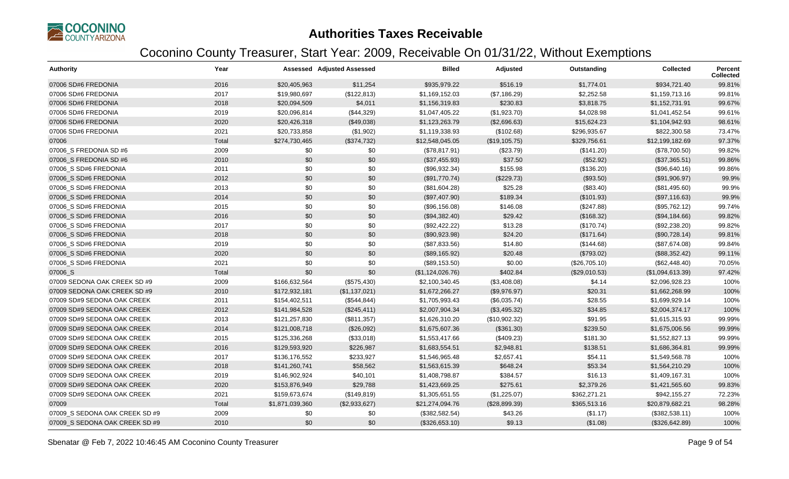

| <b>Authority</b>               | Year  |                 | <b>Assessed Adjusted Assessed</b> | <b>Billed</b>    | Adjusted       | Outstanding   | <b>Collected</b> | Percent<br><b>Collected</b> |
|--------------------------------|-------|-----------------|-----------------------------------|------------------|----------------|---------------|------------------|-----------------------------|
| 07006 SD#6 FREDONIA            | 2016  | \$20,405,963    | \$11,254                          | \$935,979.22     | \$516.19       | \$1,774.01    | \$934,721.40     | 99.81%                      |
| 07006 SD#6 FREDONIA            | 2017  | \$19,980,697    | (\$122,813)                       | \$1,169,152.03   | (\$7,186.29)   | \$2,252.58    | \$1,159,713.16   | 99.81%                      |
| 07006 SD#6 FREDONIA            | 2018  | \$20,094,509    | \$4,011                           | \$1,156,319.83   | \$230.83       | \$3,818.75    | \$1,152,731.91   | 99.67%                      |
| 07006 SD#6 FREDONIA            | 2019  | \$20,096,814    | (\$44,329)                        | \$1,047,405.22   | (\$1,923.70)   | \$4,028.98    | \$1,041,452.54   | 99.61%                      |
| 07006 SD#6 FREDONIA            | 2020  | \$20,426,318    | (\$49,038)                        | \$1,123,263.79   | (\$2,696.63)   | \$15,624.23   | \$1,104,942.93   | 98.61%                      |
| 07006 SD#6 FREDONIA            | 2021  | \$20,733,858    | (\$1,902)                         | \$1,119,338.93   | (\$102.68)     | \$296,935.67  | \$822,300.58     | 73.47%                      |
| 07006                          | Total | \$274,730,465   | (\$374,732)                       | \$12,548,045.05  | (\$19, 105.75) | \$329,756.61  | \$12,199,182.69  | 97.37%                      |
| 07006 S FREDONIA SD #6         | 2009  | \$0             | \$0                               | (\$78,817.91)    | (\$23.79)      | (\$141.20)    | (\$78,700.50)    | 99.82%                      |
| 07006 S FREDONIA SD #6         | 2010  | \$0             | \$0                               | (\$37,455.93)    | \$37.50        | (\$52.92)     | (\$37,365.51)    | 99.86%                      |
| 07006_S SD#6 FREDONIA          | 2011  | \$0             | \$0                               | (\$96,932.34)    | \$155.98       | (\$136.20)    | (\$96,640.16)    | 99.86%                      |
| 07006 S SD#6 FREDONIA          | 2012  | \$0             | \$0                               | (\$91,770.74)    | (\$229.73)     | (\$93.50)     | (\$91,906.97)    | 99.9%                       |
| 07006 S SD#6 FREDONIA          | 2013  | \$0             | \$0                               | (\$81,604.28)    | \$25.28        | (\$83.40)     | (\$81,495.60)    | 99.9%                       |
| 07006_S SD#6 FREDONIA          | 2014  | \$0             | \$0                               | (\$97,407.90)    | \$189.34       | (\$101.93)    | (\$97,116.63)    | 99.9%                       |
| 07006_S SD#6 FREDONIA          | 2015  | \$0             | \$0                               | (\$96,156.08)    | \$146.08       | (\$247.88)    | (\$95,762.12)    | 99.74%                      |
| 07006_S SD#6 FREDONIA          | 2016  | \$0             | \$0                               | (\$94,382.40)    | \$29.42        | (\$168.32)    | (\$94,184.66)    | 99.82%                      |
| 07006_S SD#6 FREDONIA          | 2017  | \$0             | \$0                               | (\$92,422.22)    | \$13.28        | (\$170.74)    | (\$92,238.20)    | 99.82%                      |
| 07006 S SD#6 FREDONIA          | 2018  | \$0             | \$0                               | (\$90,923.98)    | \$24.20        | (\$171.64)    | (\$90,728.14)    | 99.81%                      |
| 07006_S SD#6 FREDONIA          | 2019  | \$0             | \$0                               | (\$87,833.56)    | \$14.80        | (\$144.68)    | (\$87,674.08)    | 99.84%                      |
| 07006 S SD#6 FREDONIA          | 2020  | \$0             | \$0                               | (\$89,165.92)    | \$20.48        | (\$793.02)    | (\$88,352.42)    | 99.11%                      |
| 07006_S SD#6 FREDONIA          | 2021  | \$0             | \$0                               | (\$89,153.50)    | \$0.00         | (\$26,705.10) | (\$62,448.40)    | 70.05%                      |
| 07006_S                        | Total | \$0             | \$0                               | (\$1,124,026.76) | \$402.84       | (\$29,010.53) | (\$1,094,613.39) | 97.42%                      |
| 07009 SEDONA OAK CREEK SD #9   | 2009  | \$166,632,564   | (\$575,430)                       | \$2,100,340.45   | (\$3,408.08)   | \$4.14        | \$2,096,928.23   | 100%                        |
| 07009 SEDONA OAK CREEK SD #9   | 2010  | \$172,932,181   | (\$1,137,021)                     | \$1,672,266.27   | (\$9,976.97)   | \$20.31       | \$1,662,268.99   | 100%                        |
| 07009 SD#9 SEDONA OAK CREEK    | 2011  | \$154,402,511   | (\$544, 844)                      | \$1,705,993.43   | (\$6,035.74)   | \$28.55       | \$1,699,929.14   | 100%                        |
| 07009 SD#9 SEDONA OAK CREEK    | 2012  | \$141,984,528   | (\$245,411)                       | \$2,007,904.34   | (\$3,495.32)   | \$34.85       | \$2,004,374.17   | 100%                        |
| 07009 SD#9 SEDONA OAK CREEK    | 2013  | \$121,257,830   | (\$811,357)                       | \$1,626,310.20   | (\$10,902.32)  | \$91.95       | \$1,615,315.93   | 99.99%                      |
| 07009 SD#9 SEDONA OAK CREEK    | 2014  | \$121,008,718   | (\$26,092)                        | \$1,675,607.36   | (\$361.30)     | \$239.50      | \$1,675,006.56   | 99.99%                      |
| 07009 SD#9 SEDONA OAK CREEK    | 2015  | \$125,336,268   | (\$33,018)                        | \$1,553,417.66   | (\$409.23)     | \$181.30      | \$1,552,827.13   | 99.99%                      |
| 07009 SD#9 SEDONA OAK CREEK    | 2016  | \$129,593,920   | \$226,987                         | \$1,683,554.51   | \$2,948.81     | \$138.51      | \$1,686,364.81   | 99.99%                      |
| 07009 SD#9 SEDONA OAK CREEK    | 2017  | \$136,176,552   | \$233,927                         | \$1,546,965.48   | \$2,657.41     | \$54.11       | \$1,549,568.78   | 100%                        |
| 07009 SD#9 SEDONA OAK CREEK    | 2018  | \$141,260,741   | \$58,562                          | \$1,563,615.39   | \$648.24       | \$53.34       | \$1,564,210.29   | 100%                        |
| 07009 SD#9 SEDONA OAK CREEK    | 2019  | \$146,902,924   | \$40,101                          | \$1,408,798.87   | \$384.57       | \$16.13       | \$1,409,167.31   | 100%                        |
| 07009 SD#9 SEDONA OAK CREEK    | 2020  | \$153,876,949   | \$29,788                          | \$1,423,669.25   | \$275.61       | \$2,379.26    | \$1,421,565.60   | 99.83%                      |
| 07009 SD#9 SEDONA OAK CREEK    | 2021  | \$159,673,674   | (\$149, 819)                      | \$1,305,651.55   | (\$1,225.07)   | \$362,271.21  | \$942,155.27     | 72.23%                      |
| 07009                          | Total | \$1,871,039,360 | (\$2,933,627)                     | \$21,274,094.76  | (\$28,899.39)  | \$365,513.16  | \$20,879,682.21  | 98.28%                      |
| 07009_S SEDONA OAK CREEK SD #9 | 2009  | \$0             | \$0                               | (\$382,582.54)   | \$43.26        | (\$1.17)      | (\$382,538.11)   | 100%                        |
| 07009 S SEDONA OAK CREEK SD #9 | 2010  | \$0             | \$0                               | (\$326,653.10)   | \$9.13         | (\$1.08)      | (\$326,642.89)   | 100%                        |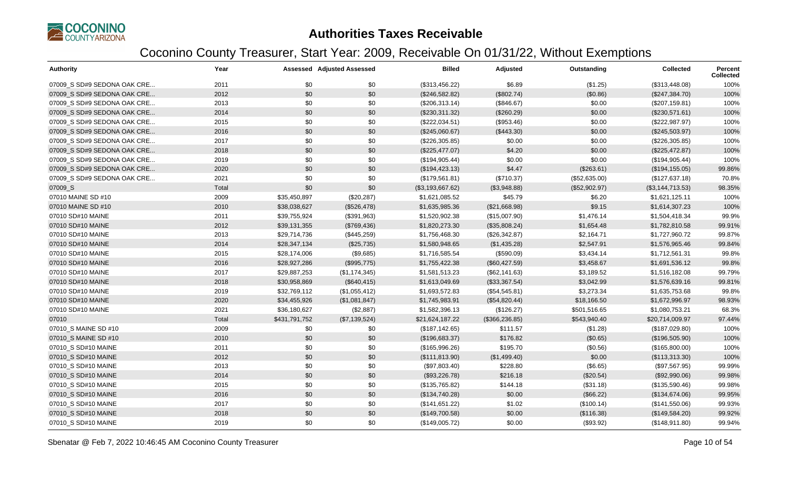

| <b>Authority</b>            | Year  |               | <b>Assessed Adjusted Assessed</b> | <b>Billed</b>    | Adjusted        | Outstanding   | <b>Collected</b> | <b>Percent</b><br><b>Collected</b> |
|-----------------------------|-------|---------------|-----------------------------------|------------------|-----------------|---------------|------------------|------------------------------------|
| 07009 S SD#9 SEDONA OAK CRE | 2011  | \$0           | \$0                               | (\$313,456.22)   | \$6.89          | (\$1.25)      | (\$313,448.08)   | 100%                               |
| 07009 S SD#9 SEDONA OAK CRE | 2012  | \$0           | \$0                               | (\$246,582.82)   | (\$802.74)      | (\$0.86)      | (\$247,384.70)   | 100%                               |
| 07009 S SD#9 SEDONA OAK CRE | 2013  | \$0           | \$0                               | (\$206,313.14)   | (\$846.67)      | \$0.00        | (\$207, 159.81)  | 100%                               |
| 07009_S SD#9 SEDONA OAK CRE | 2014  | \$0           | \$0                               | $(\$230,311.32)$ | (\$260.29)      | \$0.00        | (\$230,571.61)   | 100%                               |
| 07009_S SD#9 SEDONA OAK CRE | 2015  | \$0           | \$0                               | (\$222,034.51)   | (\$953.46)      | \$0.00        | (\$222,987.97)   | 100%                               |
| 07009 S SD#9 SEDONA OAK CRE | 2016  | \$0           | \$0                               | (\$245,060.67)   | (\$443.30)      | \$0.00        | (\$245,503.97)   | 100%                               |
| 07009_S SD#9 SEDONA OAK CRE | 2017  | \$0           | \$0                               | (\$226,305.85)   | \$0.00          | \$0.00        | (\$226,305.85)   | 100%                               |
| 07009 S SD#9 SEDONA OAK CRE | 2018  | \$0           | \$0                               | (\$225,477.07)   | \$4.20          | \$0.00        | (\$225,472.87)   | 100%                               |
| 07009_S SD#9 SEDONA OAK CRE | 2019  | \$0           | \$0                               | (\$194,905.44)   | \$0.00          | \$0.00        | (\$194,905.44)   | 100%                               |
| 07009 S SD#9 SEDONA OAK CRE | 2020  | \$0           | \$0                               | (\$194, 423.13)  | \$4.47          | (\$263.61)    | (\$194, 155.05)  | 99.86%                             |
| 07009_S SD#9 SEDONA OAK CRE | 2021  | \$0           | \$0                               | (\$179,561.81)   | (\$710.37)      | (\$52,635.00) | (\$127,637.18)   | 70.8%                              |
| 07009_S                     | Total | \$0           | \$0                               | (\$3,193,667.62) | (\$3,948.88)    | (\$52,902.97) | (\$3,144,713.53) | 98.35%                             |
| 07010 MAINE SD #10          | 2009  | \$35,450,897  | (\$20,287)                        | \$1,621,085.52   | \$45.79         | \$6.20        | \$1,621,125.11   | 100%                               |
| 07010 MAINE SD #10          | 2010  | \$38,038,627  | (\$526,478)                       | \$1,635,985.36   | (\$21,668.98)   | \$9.15        | \$1,614,307.23   | 100%                               |
| 07010 SD#10 MAINE           | 2011  | \$39,755,924  | (\$391,963)                       | \$1,520,902.38   | (\$15,007.90)   | \$1,476.14    | \$1,504,418.34   | 99.9%                              |
| 07010 SD#10 MAINE           | 2012  | \$39,131,355  | (\$769,436)                       | \$1,820,273.30   | (\$35,808.24)   | \$1,654.48    | \$1,782,810.58   | 99.91%                             |
| 07010 SD#10 MAINE           | 2013  | \$29,714,736  | (\$445,259)                       | \$1,756,468.30   | (\$26,342.87)   | \$2,164.71    | \$1,727,960.72   | 99.87%                             |
| 07010 SD#10 MAINE           | 2014  | \$28,347,134  | (\$25,735)                        | \$1,580,948.65   | (\$1,435.28)    | \$2,547.91    | \$1,576,965.46   | 99.84%                             |
| 07010 SD#10 MAINE           | 2015  | \$28,174,006  | (\$9,685)                         | \$1,716,585.54   | (\$590.09)      | \$3,434.14    | \$1,712,561.31   | 99.8%                              |
| 07010 SD#10 MAINE           | 2016  | \$28,927,286  | (\$995,775)                       | \$1,755,422.38   | (\$60,427.59)   | \$3,458.67    | \$1,691,536.12   | 99.8%                              |
| 07010 SD#10 MAINE           | 2017  | \$29,887,253  | (\$1,174,345)                     | \$1,581,513.23   | (\$62,141.63)   | \$3,189.52    | \$1,516,182.08   | 99.79%                             |
| 07010 SD#10 MAINE           | 2018  | \$30,958,869  | (\$640, 415)                      | \$1,613,049.69   | (\$33,367.54)   | \$3,042.99    | \$1,576,639.16   | 99.81%                             |
| 07010 SD#10 MAINE           | 2019  | \$32,769,112  | (\$1,055,412)                     | \$1,693,572.83   | (\$54,545.81)   | \$3,273.34    | \$1,635,753.68   | 99.8%                              |
| 07010 SD#10 MAINE           | 2020  | \$34,455,926  | (\$1,081,847)                     | \$1,745,983.91   | (\$54,820.44)   | \$18,166.50   | \$1,672,996.97   | 98.93%                             |
| 07010 SD#10 MAINE           | 2021  | \$36,180,627  | (\$2,887)                         | \$1,582,396.13   | (\$126.27)      | \$501,516.65  | \$1,080,753.21   | 68.3%                              |
| 07010                       | Total | \$431,791,752 | (\$7,139,524)                     | \$21,624,187.22  | (\$366, 236.85) | \$543,940.40  | \$20,714,009.97  | 97.44%                             |
| 07010_S MAINE SD #10        | 2009  | \$0           | \$0                               | (\$187, 142.65)  | \$111.57        | (\$1.28)      | (\$187,029.80)   | 100%                               |
| 07010_S MAINE SD #10        | 2010  | \$0           | \$0                               | (\$196,683.37)   | \$176.82        | (\$0.65)      | (\$196,505.90)   | 100%                               |
| 07010_S SD#10 MAINE         | 2011  | \$0           | \$0                               | (\$165,996.26)   | \$195.70        | (\$0.56)      | (\$165,800.00)   | 100%                               |
| 07010 S SD#10 MAINE         | 2012  | \$0           | \$0                               | (\$111, 813.90)  | (\$1,499.40)    | \$0.00        | (\$113,313.30)   | 100%                               |
| 07010 S SD#10 MAINE         | 2013  | \$0           | \$0                               | (\$97,803.40)    | \$228.80        | (\$6.65)      | (\$97,567.95)    | 99.99%                             |
| 07010 S SD#10 MAINE         | 2014  | \$0           | \$0                               | (\$93,226.78)    | \$216.18        | (\$20.54)     | (\$92,990.06)    | 99.98%                             |
| 07010 S SD#10 MAINE         | 2015  | \$0           | \$0                               | (\$135,765.82)   | \$144.18        | (\$31.18)     | (\$135,590.46)   | 99.98%                             |
| 07010_S SD#10 MAINE         | 2016  | \$0           | \$0                               | (\$134,740.28)   | \$0.00          | (\$66.22)     | (\$134,674.06)   | 99.95%                             |
| 07010 S SD#10 MAINE         | 2017  | \$0           | \$0                               | (\$141,651.22)   | \$1.02          | (\$100.14)    | (\$141,550.06)   | 99.93%                             |
| 07010 S SD#10 MAINE         | 2018  | \$0           | \$0                               | (\$149,700.58)   | \$0.00          | (\$116.38)    | (\$149,584.20)   | 99.92%                             |
| 07010_S SD#10 MAINE         | 2019  | \$0           | \$0                               | (\$149,005.72)   | \$0.00          | (\$93.92)     | (\$148,911.80)   | 99.94%                             |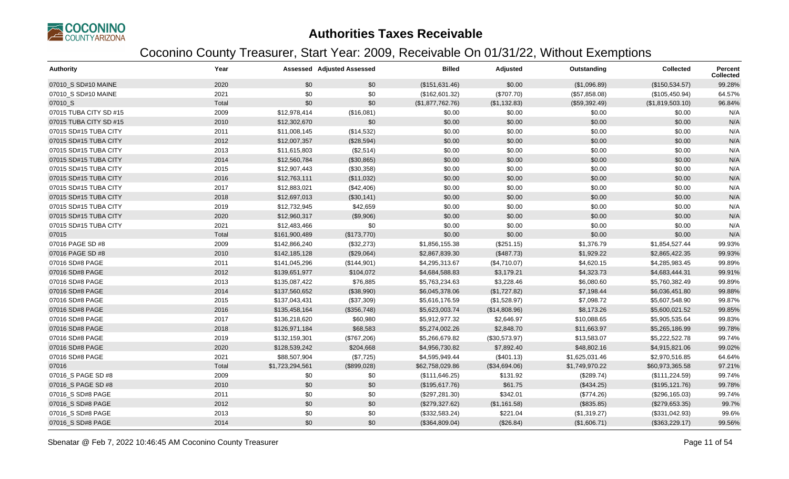

| <b>Authority</b>       | Year  |                 | <b>Assessed Adjusted Assessed</b> | <b>Billed</b>    | Adjusted      | Outstanding    | <b>Collected</b> | <b>Percent</b><br>Collected |
|------------------------|-------|-----------------|-----------------------------------|------------------|---------------|----------------|------------------|-----------------------------|
| 07010_S SD#10 MAINE    | 2020  | \$0             | \$0                               | (\$151,631.46)   | \$0.00        | (\$1,096.89)   | (\$150,534.57)   | 99.28%                      |
| 07010 S SD#10 MAINE    | 2021  | \$0             | \$0                               | (\$162,601.32)   | (\$707.70)    | (\$57,858.08)  | (\$105,450.94)   | 64.57%                      |
| 07010 S                | Total | \$0             | \$0                               | (\$1,877,762.76) | (\$1,132.83)  | (\$59,392.49)  | (\$1,819,503.10) | 96.84%                      |
| 07015 TUBA CITY SD #15 | 2009  | \$12,978,414    | (\$16,081)                        | \$0.00           | \$0.00        | \$0.00         | \$0.00           | N/A                         |
| 07015 TUBA CITY SD #15 | 2010  | \$12,302,670    | \$0                               | \$0.00           | \$0.00        | \$0.00         | \$0.00           | N/A                         |
| 07015 SD#15 TUBA CITY  | 2011  | \$11,008,145    | (\$14,532)                        | \$0.00           | \$0.00        | \$0.00         | \$0.00           | N/A                         |
| 07015 SD#15 TUBA CITY  | 2012  | \$12,007,357    | (\$28,594)                        | \$0.00           | \$0.00        | \$0.00         | \$0.00           | N/A                         |
| 07015 SD#15 TUBA CITY  | 2013  | \$11,615,803    | (\$2,514)                         | \$0.00           | \$0.00        | \$0.00         | \$0.00           | N/A                         |
| 07015 SD#15 TUBA CITY  | 2014  | \$12,560,784    | (\$30,865)                        | \$0.00           | \$0.00        | \$0.00         | \$0.00           | N/A                         |
| 07015 SD#15 TUBA CITY  | 2015  | \$12,907,443    | (\$30,358)                        | \$0.00           | \$0.00        | \$0.00         | \$0.00           | N/A                         |
| 07015 SD#15 TUBA CITY  | 2016  | \$12,763,111    | (\$11,032)                        | \$0.00           | \$0.00        | \$0.00         | \$0.00           | N/A                         |
| 07015 SD#15 TUBA CITY  | 2017  | \$12,883,021    | (\$42,406)                        | \$0.00           | \$0.00        | \$0.00         | \$0.00           | N/A                         |
| 07015 SD#15 TUBA CITY  | 2018  | \$12,697,013    | (\$30,141)                        | \$0.00           | \$0.00        | \$0.00         | \$0.00           | N/A                         |
| 07015 SD#15 TUBA CITY  | 2019  | \$12,732,945    | \$42,659                          | \$0.00           | \$0.00        | \$0.00         | \$0.00           | N/A                         |
| 07015 SD#15 TUBA CITY  | 2020  | \$12,960,317    | (\$9,906)                         | \$0.00           | \$0.00        | \$0.00         | \$0.00           | N/A                         |
| 07015 SD#15 TUBA CITY  | 2021  | \$12,483,466    | \$0                               | \$0.00           | \$0.00        | \$0.00         | \$0.00           | N/A                         |
| 07015                  | Total | \$161,900,489   | (\$173,770)                       | \$0.00           | \$0.00        | \$0.00         | \$0.00           | N/A                         |
| 07016 PAGE SD #8       | 2009  | \$142,866,240   | (\$32,273)                        | \$1,856,155.38   | (\$251.15)    | \$1,376.79     | \$1,854,527.44   | 99.93%                      |
| 07016 PAGE SD #8       | 2010  | \$142,185,128   | (\$29,064)                        | \$2,867,839.30   | (\$487.73)    | \$1,929.22     | \$2,865,422.35   | 99.93%                      |
| 07016 SD#8 PAGE        | 2011  | \$141,045,296   | (\$144,901)                       | \$4,295,313.67   | (\$4,710.07)  | \$4,620.15     | \$4,285,983.45   | 99.89%                      |
| 07016 SD#8 PAGE        | 2012  | \$139,651,977   | \$104,072                         | \$4,684,588.83   | \$3,179.21    | \$4,323.73     | \$4,683,444.31   | 99.91%                      |
| 07016 SD#8 PAGE        | 2013  | \$135,087,422   | \$76,885                          | \$5,763,234.63   | \$3,228.46    | \$6,080.60     | \$5,760,382.49   | 99.89%                      |
| 07016 SD#8 PAGE        | 2014  | \$137,560,652   | (\$38,990)                        | \$6,045,378.06   | (\$1,727.82)  | \$7,198.44     | \$6,036,451.80   | 99.88%                      |
| 07016 SD#8 PAGE        | 2015  | \$137,043,431   | (\$37,309)                        | \$5,616,176.59   | (\$1,528.97)  | \$7,098.72     | \$5,607,548.90   | 99.87%                      |
| 07016 SD#8 PAGE        | 2016  | \$135,458,164   | (\$356,748)                       | \$5,623,003.74   | (\$14,808.96) | \$8,173.26     | \$5,600,021.52   | 99.85%                      |
| 07016 SD#8 PAGE        | 2017  | \$136,218,620   | \$60,980                          | \$5,912,977.32   | \$2,646.97    | \$10,088.65    | \$5,905,535.64   | 99.83%                      |
| 07016 SD#8 PAGE        | 2018  | \$126,971,184   | \$68,583                          | \$5,274,002.26   | \$2,848.70    | \$11,663.97    | \$5,265,186.99   | 99.78%                      |
| 07016 SD#8 PAGE        | 2019  | \$132,159,301   | (\$767,206)                       | \$5,266,679.82   | (\$30,573.97) | \$13,583.07    | \$5,222,522.78   | 99.74%                      |
| 07016 SD#8 PAGE        | 2020  | \$128,539,242   | \$204,668                         | \$4,956,730.82   | \$7,892.40    | \$48,802.16    | \$4,915,821.06   | 99.02%                      |
| 07016 SD#8 PAGE        | 2021  | \$88,507,904    | (\$7,725)                         | \$4,595,949.44   | (\$401.13)    | \$1,625,031.46 | \$2,970,516.85   | 64.64%                      |
| 07016                  | Total | \$1,723,294,561 | (\$899,028)                       | \$62,758,029.86  | (\$34,694.06) | \$1,749,970.22 | \$60,973,365.58  | 97.21%                      |
| 07016_S PAGE SD #8     | 2009  | \$0             | \$0                               | (\$111, 646.25)  | \$131.92      | (\$289.74)     | (\$111, 224.59)  | 99.74%                      |
| 07016 S PAGE SD #8     | 2010  | \$0             | \$0                               | (\$195,617.76)   | \$61.75       | (\$434.25)     | (\$195, 121.76)  | 99.78%                      |
| 07016 S SD#8 PAGE      | 2011  | \$0             | \$0                               | (\$297, 281.30)  | \$342.01      | (\$774.26)     | (\$296,165.03)   | 99.74%                      |
| 07016_S SD#8 PAGE      | 2012  | \$0             | \$0                               | (\$279,327.62)   | (\$1,161.58)  | (\$835.85)     | (\$279,653.35)   | 99.7%                       |
| 07016_S SD#8 PAGE      | 2013  | \$0             | \$0                               | (\$332,583.24)   | \$221.04      | (\$1,319.27)   | (\$331,042.93)   | 99.6%                       |
| 07016_S SD#8 PAGE      | 2014  | \$0             | \$0                               | (\$364,809.04)   | (\$26.84)     | (\$1,606.71)   | (\$363,229.17)   | 99.56%                      |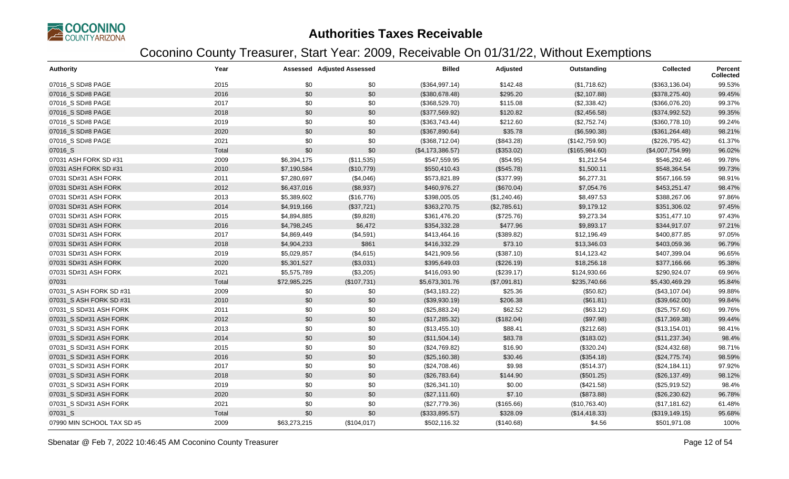

| <b>Authority</b>           | Year  |              | <b>Assessed Adjusted Assessed</b> | <b>Billed</b>    | Adjusted     | Outstanding    | Collected        | Percent<br><b>Collected</b> |
|----------------------------|-------|--------------|-----------------------------------|------------------|--------------|----------------|------------------|-----------------------------|
| 07016_S SD#8 PAGE          | 2015  | \$0          | \$0                               | (\$364,997.14)   | \$142.48     | (\$1,718.62)   | (\$363,136.04)   | 99.53%                      |
| 07016 S SD#8 PAGE          | 2016  | \$0          | \$0                               | (\$380,678.48)   | \$295.20     | (\$2,107.88)   | (\$378, 275.40)  | 99.45%                      |
| 07016_S SD#8 PAGE          | 2017  | \$0          | \$0                               | (\$368,529.70)   | \$115.08     | (\$2,338.42)   | (\$366,076.20)   | 99.37%                      |
| 07016_S SD#8 PAGE          | 2018  | \$0          | \$0                               | (\$377,569.92)   | \$120.82     | (\$2,456.58)   | (\$374,992.52)   | 99.35%                      |
| 07016_S SD#8 PAGE          | 2019  | \$0          | \$0                               | (\$363,743.44)   | \$212.60     | (\$2,752.74)   | (\$360,778.10)   | 99.24%                      |
| 07016_S SD#8 PAGE          | 2020  | \$0          | \$0                               | (\$367,890.64)   | \$35.78      | (\$6,590.38)   | (\$361, 264.48)  | 98.21%                      |
| 07016_S SD#8 PAGE          | 2021  | \$0          | \$0                               | (\$368,712.04)   | (\$843.28)   | (\$142,759.90) | (\$226,795.42)   | 61.37%                      |
| 07016_S                    | Total | \$0          | \$0                               | (\$4,173,386.57) | (\$353.02)   | (\$165,984.60) | (\$4,007,754.99) | 96.02%                      |
| 07031 ASH FORK SD #31      | 2009  | \$6,394,175  | (\$11,535)                        | \$547,559.95     | (\$54.95)    | \$1,212.54     | \$546,292.46     | 99.78%                      |
| 07031 ASH FORK SD #31      | 2010  | \$7,190,584  | (\$10,779)                        | \$550,410.43     | (\$545.78)   | \$1,500.11     | \$548,364.54     | 99.73%                      |
| 07031 SD#31 ASH FORK       | 2011  | \$7,280,697  | (\$4,046)                         | \$573,821.89     | (\$377.99)   | \$6,277.31     | \$567,166.59     | 98.91%                      |
| 07031 SD#31 ASH FORK       | 2012  | \$6,437,016  | (\$8,937)                         | \$460,976.27     | (\$670.04)   | \$7,054.76     | \$453,251.47     | 98.47%                      |
| 07031 SD#31 ASH FORK       | 2013  | \$5,389,602  | (\$16,776)                        | \$398,005.05     | (\$1,240.46) | \$8,497.53     | \$388,267.06     | 97.86%                      |
| 07031 SD#31 ASH FORK       | 2014  | \$4,919,166  | (\$37,721)                        | \$363,270.75     | (\$2,785.61) | \$9,179.12     | \$351,306.02     | 97.45%                      |
| 07031 SD#31 ASH FORK       | 2015  | \$4,894,885  | (\$9,828)                         | \$361,476.20     | (\$725.76)   | \$9,273.34     | \$351,477.10     | 97.43%                      |
| 07031 SD#31 ASH FORK       | 2016  | \$4,798,245  | \$6,472                           | \$354,332.28     | \$477.96     | \$9,893.17     | \$344,917.07     | 97.21%                      |
| 07031 SD#31 ASH FORK       | 2017  | \$4,869,449  | (\$4,591)                         | \$413,464.16     | (\$389.82)   | \$12,196.49    | \$400,877.85     | 97.05%                      |
| 07031 SD#31 ASH FORK       | 2018  | \$4,904,233  | \$861                             | \$416,332.29     | \$73.10      | \$13,346.03    | \$403,059.36     | 96.79%                      |
| 07031 SD#31 ASH FORK       | 2019  | \$5,029,857  | (\$4,615)                         | \$421,909.56     | (\$387.10)   | \$14,123.42    | \$407,399.04     | 96.65%                      |
| 07031 SD#31 ASH FORK       | 2020  | \$5,301,527  | (\$3,031)                         | \$395,649.03     | (\$226.19)   | \$18,256.18    | \$377,166.66     | 95.38%                      |
| 07031 SD#31 ASH FORK       | 2021  | \$5,575,789  | (\$3,205)                         | \$416,093.90     | (\$239.17)   | \$124,930.66   | \$290,924.07     | 69.96%                      |
| 07031                      | Total | \$72,985,225 | (\$107,731)                       | \$5,673,301.76   | (\$7,091.81) | \$235,740.66   | \$5,430,469.29   | 95.84%                      |
| 07031_S ASH FORK SD #31    | 2009  | \$0          | \$0                               | (\$43,183.22)    | \$25.36      | (\$50.82)      | (\$43,107.04)    | 99.88%                      |
| 07031_S ASH FORK SD #31    | 2010  | \$0          | \$0                               | (\$39,930.19)    | \$206.38     | (\$61.81)      | (\$39,662.00)    | 99.84%                      |
| 07031 S SD#31 ASH FORK     | 2011  | \$0          | \$0                               | (\$25,883.24)    | \$62.52      | (\$63.12)      | (\$25,757.60)    | 99.76%                      |
| 07031 S SD#31 ASH FORK     | 2012  | \$0          | \$0                               | (\$17,285.32)    | (\$182.04)   | (\$97.98)      | (\$17,369.38)    | 99.44%                      |
| 07031 S SD#31 ASH FORK     | 2013  | \$0          | \$0                               | (\$13,455.10)    | \$88.41      | (\$212.68)     | (\$13,154.01)    | 98.41%                      |
| 07031 S SD#31 ASH FORK     | 2014  | \$0          | \$0                               | (\$11,504.14)    | \$83.78      | (\$183.02)     | (\$11,237.34)    | 98.4%                       |
| 07031_S SD#31 ASH FORK     | 2015  | \$0          | \$0                               | (\$24,769.82)    | \$16.90      | (\$320.24)     | (\$24,432.68)    | 98.71%                      |
| 07031_S SD#31 ASH FORK     | 2016  | \$0          | \$0                               | (\$25,160.38)    | \$30.46      | (\$354.18)     | (\$24,775.74)    | 98.59%                      |
| 07031 S SD#31 ASH FORK     | 2017  | \$0          | \$0                               | (\$24,708.46)    | \$9.98       | (\$514.37)     | (\$24,184.11)    | 97.92%                      |
| 07031_S SD#31 ASH FORK     | 2018  | \$0          | \$0                               | (\$26,783.64)    | \$144.90     | (\$501.25)     | (\$26,137.49)    | 98.12%                      |
| 07031 S SD#31 ASH FORK     | 2019  | \$0          | \$0                               | (\$26,341.10)    | \$0.00       | (\$421.58)     | (\$25,919.52)    | 98.4%                       |
| 07031_S SD#31 ASH FORK     | 2020  | \$0          | \$0                               | (\$27,111.60)    | \$7.10       | (\$873.88)     | (\$26,230.62)    | 96.78%                      |
| 07031_S SD#31 ASH FORK     | 2021  | \$0          | \$0                               | (\$27,779.36)    | (\$165.66)   | (\$10,763.40)  | (\$17,181.62)    | 61.48%                      |
| 07031 S                    | Total | \$0          | \$0                               | (\$333,895.57)   | \$328.09     | (\$14,418.33)  | (\$319, 149.15)  | 95.68%                      |
| 07990 MIN SCHOOL TAX SD #5 | 2009  | \$63,273,215 | (\$104,017)                       | \$502,116.32     | (\$140.68)   | \$4.56         | \$501,971.08     | 100%                        |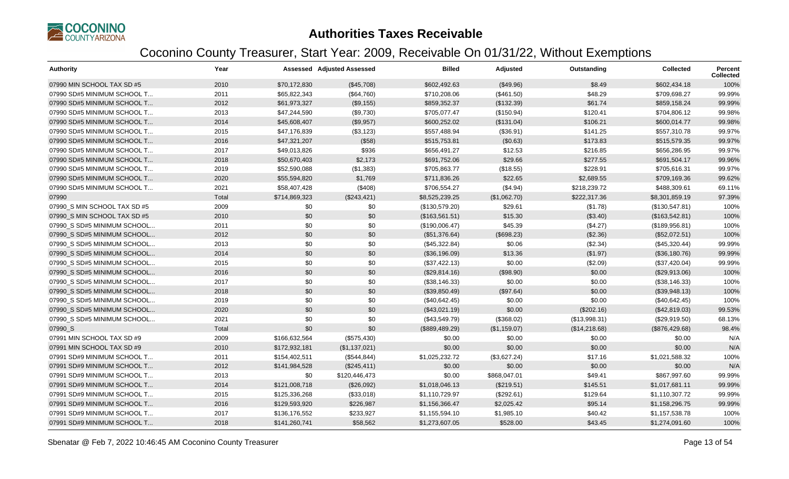

| <b>Authority</b>             | Year  |               | <b>Assessed Adjusted Assessed</b> | <b>Billed</b>  | Adjusted     | Outstanding   | Collected      | <b>Percent</b><br><b>Collected</b> |
|------------------------------|-------|---------------|-----------------------------------|----------------|--------------|---------------|----------------|------------------------------------|
| 07990 MIN SCHOOL TAX SD #5   | 2010  | \$70,172,830  | (\$45,708)                        | \$602,492.63   | (\$49.96)    | \$8.49        | \$602,434.18   | 100%                               |
| 07990 SD#5 MINIMUM SCHOOL T  | 2011  | \$65,822,343  | (\$64,760)                        | \$710,208.06   | (\$461.50)   | \$48.29       | \$709,698.27   | 99.99%                             |
| 07990 SD#5 MINIMUM SCHOOL T  | 2012  | \$61,973,327  | (\$9,155)                         | \$859,352.37   | (\$132.39)   | \$61.74       | \$859,158.24   | 99.99%                             |
| 07990 SD#5 MINIMUM SCHOOL T  | 2013  | \$47,244,590  | (\$9,730)                         | \$705,077.47   | (\$150.94)   | \$120.41      | \$704,806.12   | 99.98%                             |
| 07990 SD#5 MINIMUM SCHOOL T  | 2014  | \$45,608,407  | (\$9,957)                         | \$600,252.02   | (\$131.04)   | \$106.21      | \$600,014.77   | 99.98%                             |
| 07990 SD#5 MINIMUM SCHOOL T  | 2015  | \$47,176,839  | (\$3,123)                         | \$557,488.94   | (\$36.91)    | \$141.25      | \$557,310.78   | 99.97%                             |
| 07990 SD#5 MINIMUM SCHOOL T  | 2016  | \$47,321,207  | (\$58)                            | \$515,753.81   | (\$0.63)     | \$173.83      | \$515,579.35   | 99.97%                             |
| 07990 SD#5 MINIMUM SCHOOL T  | 2017  | \$49,013,826  | \$936                             | \$656,491.27   | \$12.53      | \$216.85      | \$656,286.95   | 99.97%                             |
| 07990 SD#5 MINIMUM SCHOOL T  | 2018  | \$50,670,403  | \$2,173                           | \$691,752.06   | \$29.66      | \$277.55      | \$691,504.17   | 99.96%                             |
| 07990 SD#5 MINIMUM SCHOOL T  | 2019  | \$52,590,088  | (\$1,383)                         | \$705,863.77   | (\$18.55)    | \$228.91      | \$705,616.31   | 99.97%                             |
| 07990 SD#5 MINIMUM SCHOOL T  | 2020  | \$55,594,820  | \$1,769                           | \$711,836.26   | \$22.65      | \$2,689.55    | \$709,169.36   | 99.62%                             |
| 07990 SD#5 MINIMUM SCHOOL T  | 2021  | \$58,407,428  | (\$408)                           | \$706,554.27   | (\$4.94)     | \$218,239.72  | \$488,309.61   | 69.11%                             |
| 07990                        | Total | \$714,869,323 | (\$243,421)                       | \$8,525,239.25 | (\$1,062.70) | \$222,317.36  | \$8,301,859.19 | 97.39%                             |
| 07990_S MIN SCHOOL TAX SD #5 | 2009  | \$0           | \$0                               | (\$130,579.20) | \$29.61      | (\$1.78)      | (\$130,547.81) | 100%                               |
| 07990 S MIN SCHOOL TAX SD #5 | 2010  | \$0           | \$0                               | (\$163,561.51) | \$15.30      | (\$3.40)      | (\$163,542.81) | 100%                               |
| 07990 S SD#5 MINIMUM SCHOOL  | 2011  | \$0           | \$0                               | (\$190,006.47) | \$45.39      | (\$4.27)      | (\$189,956.81) | 100%                               |
| 07990_S SD#5 MINIMUM SCHOOL  | 2012  | \$0           | \$0                               | (\$51,376.64)  | (\$698.23)   | (\$2.36)      | (\$52,072.51)  | 100%                               |
| 07990_S SD#5 MINIMUM SCHOOL  | 2013  | \$0           | \$0                               | (\$45,322.84)  | \$0.06       | (\$2.34)      | (\$45,320.44)  | 99.99%                             |
| 07990 S SD#5 MINIMUM SCHOOL  | 2014  | \$0           | \$0                               | (\$36,196.09)  | \$13.36      | (\$1.97)      | (\$36,180.76)  | 99.99%                             |
| 07990_S SD#5 MINIMUM SCHOOL  | 2015  | \$0           | \$0                               | (\$37,422.13)  | \$0.00       | (\$2.09)      | (\$37,420.04)  | 99.99%                             |
| 07990 S SD#5 MINIMUM SCHOOL  | 2016  | \$0           | \$0                               | (\$29,814.16)  | (\$98.90)    | \$0.00        | (\$29,913.06)  | 100%                               |
| 07990 S SD#5 MINIMUM SCHOOL  | 2017  | \$0           | \$0                               | (\$38,146.33)  | \$0.00       | \$0.00        | (\$38,146.33)  | 100%                               |
| 07990_S SD#5 MINIMUM SCHOOL  | 2018  | \$0           | \$0                               | (\$39,850.49)  | (\$97.64)    | \$0.00        | (\$39,948.13)  | 100%                               |
| 07990_S SD#5 MINIMUM SCHOOL  | 2019  | \$0           | \$0                               | (\$40,642.45)  | \$0.00       | \$0.00        | (\$40,642.45)  | 100%                               |
| 07990 S SD#5 MINIMUM SCHOOL  | 2020  | \$0           | \$0                               | (\$43,021.19)  | \$0.00       | (\$202.16)    | (\$42,819.03)  | 99.53%                             |
| 07990 S SD#5 MINIMUM SCHOOL  | 2021  | \$0           | \$0                               | (\$43,549.79)  | (\$368.02)   | (\$13,998.31) | (\$29,919.50)  | 68.13%                             |
| 07990 S                      | Total | \$0           | \$0                               | (\$889,489.29) | (\$1,159.07) | (\$14,218.68) | (\$876,429.68) | 98.4%                              |
| 07991 MIN SCHOOL TAX SD #9   | 2009  | \$166,632,564 | (\$575,430)                       | \$0.00         | \$0.00       | \$0.00        | \$0.00         | N/A                                |
| 07991 MIN SCHOOL TAX SD #9   | 2010  | \$172,932,181 | (\$1,137,021)                     | \$0.00         | \$0.00       | \$0.00        | \$0.00         | N/A                                |
| 07991 SD#9 MINIMUM SCHOOL T  | 2011  | \$154,402,511 | (\$544, 844)                      | \$1,025,232.72 | (\$3,627.24) | \$17.16       | \$1,021,588.32 | 100%                               |
| 07991 SD#9 MINIMUM SCHOOL T  | 2012  | \$141,984,528 | (\$245,411)                       | \$0.00         | \$0.00       | \$0.00        | \$0.00         | N/A                                |
| 07991 SD#9 MINIMUM SCHOOL T  | 2013  | \$0           | \$120,446,473                     | \$0.00         | \$868,047.01 | \$49.41       | \$867,997.60   | 99.99%                             |
| 07991 SD#9 MINIMUM SCHOOL T  | 2014  | \$121,008,718 | (\$26,092)                        | \$1,018,046.13 | (\$219.51)   | \$145.51      | \$1,017,681.11 | 99.99%                             |
| 07991 SD#9 MINIMUM SCHOOL T  | 2015  | \$125,336,268 | (\$33,018)                        | \$1,110,729.97 | (\$292.61)   | \$129.64      | \$1,110,307.72 | 99.99%                             |
| 07991 SD#9 MINIMUM SCHOOL T  | 2016  | \$129,593,920 | \$226,987                         | \$1,156,366.47 | \$2,025.42   | \$95.14       | \$1,158,296.75 | 99.99%                             |
| 07991 SD#9 MINIMUM SCHOOL T  | 2017  | \$136,176,552 | \$233,927                         | \$1,155,594.10 | \$1,985.10   | \$40.42       | \$1,157,538.78 | 100%                               |
| 07991 SD#9 MINIMUM SCHOOL T  | 2018  | \$141,260,741 | \$58,562                          | \$1,273,607.05 | \$528.00     | \$43.45       | \$1,274,091.60 | 100%                               |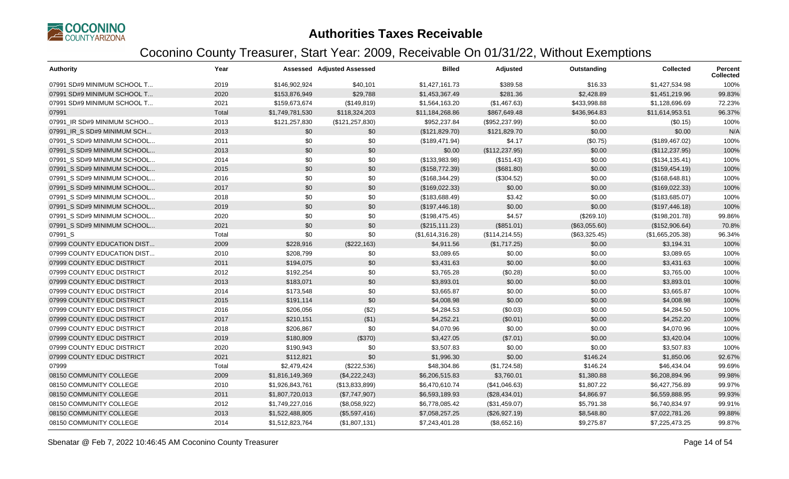

| <b>Authority</b>            | Year  |                 | <b>Assessed Adjusted Assessed</b> | <b>Billed</b>    | Adjusted        | Outstanding   | <b>Collected</b> | Percent<br><b>Collected</b> |
|-----------------------------|-------|-----------------|-----------------------------------|------------------|-----------------|---------------|------------------|-----------------------------|
| 07991 SD#9 MINIMUM SCHOOL T | 2019  | \$146,902,924   | \$40,101                          | \$1,427,161.73   | \$389.58        | \$16.33       | \$1,427,534.98   | 100%                        |
| 07991 SD#9 MINIMUM SCHOOL T | 2020  | \$153,876,949   | \$29,788                          | \$1,453,367.49   | \$281.36        | \$2,428.89    | \$1,451,219.96   | 99.83%                      |
| 07991 SD#9 MINIMUM SCHOOL T | 2021  | \$159,673,674   | (\$149, 819)                      | \$1,564,163.20   | (\$1,467.63)    | \$433,998.88  | \$1,128,696.69   | 72.23%                      |
| 07991                       | Total | \$1,749,781,530 | \$118,324,203                     | \$11,184,268.86  | \$867,649.48    | \$436,964.83  | \$11,614,953.51  | 96.37%                      |
| 07991_IR SD#9 MINIMUM SCHOO | 2013  | \$121,257,830   | (\$121, 257, 830)                 | \$952,237.84     | (\$952,237.99)  | \$0.00        | (\$0.15)         | 100%                        |
| 07991 IR S SD#9 MINIMUM SCH | 2013  | \$0             | \$0                               | (\$121,829.70)   | \$121,829.70    | \$0.00        | \$0.00           | N/A                         |
| 07991_S SD#9 MINIMUM SCHOOL | 2011  | \$0             | \$0                               | (\$189,471.94)   | \$4.17          | (\$0.75)      | (\$189,467.02)   | 100%                        |
| 07991 S SD#9 MINIMUM SCHOOL | 2013  | \$0             | \$0                               | \$0.00           | (\$112, 237.95) | \$0.00        | (\$112, 237.95)  | 100%                        |
| 07991 S SD#9 MINIMUM SCHOOL | 2014  | \$0             | \$0                               | (\$133,983.98)   | (\$151.43)      | \$0.00        | (\$134, 135.41)  | 100%                        |
| 07991 S SD#9 MINIMUM SCHOOL | 2015  | \$0             | \$0                               | (\$158,772.39)   | (\$681.80)      | \$0.00        | (\$159,454.19)   | 100%                        |
| 07991 S SD#9 MINIMUM SCHOOL | 2016  | \$0             | \$0                               | (\$168,344.29)   | (\$304.52)      | \$0.00        | (\$168, 648.81)  | 100%                        |
| 07991 S SD#9 MINIMUM SCHOOL | 2017  | \$0             | \$0                               | (\$169,022.33)   | \$0.00          | \$0.00        | (\$169,022.33)   | 100%                        |
| 07991 S SD#9 MINIMUM SCHOOL | 2018  | \$0             | \$0                               | (\$183,688.49)   | \$3.42          | \$0.00        | (\$183,685.07)   | 100%                        |
| 07991 S SD#9 MINIMUM SCHOOL | 2019  | \$0             | \$0                               | (\$197,446.18)   | \$0.00          | \$0.00        | (\$197,446.18)   | 100%                        |
| 07991_S SD#9 MINIMUM SCHOOL | 2020  | \$0             | \$0                               | (\$198,475.45)   | \$4.57          | (\$269.10)    | (\$198,201.78)   | 99.86%                      |
| 07991 S SD#9 MINIMUM SCHOOL | 2021  | \$0             | \$0                               | (\$215, 111.23)  | (\$851.01)      | (\$63,055.60) | (\$152,906.64)   | 70.8%                       |
| 07991_S                     | Total | \$0             | \$0                               | (\$1,614,316.28) | (\$114, 214.55) | (\$63,325.45) | (\$1,665,205.38) | 96.34%                      |
| 07999 COUNTY EDUCATION DIST | 2009  | \$228,916       | (\$222,163)                       | \$4,911.56       | (\$1,717.25)    | \$0.00        | \$3,194.31       | 100%                        |
| 07999 COUNTY EDUCATION DIST | 2010  | \$208,799       | \$0                               | \$3,089.65       | \$0.00          | \$0.00        | \$3,089.65       | 100%                        |
| 07999 COUNTY EDUC DISTRICT  | 2011  | \$194,075       | \$0                               | \$3,431.63       | \$0.00          | \$0.00        | \$3,431.63       | 100%                        |
| 07999 COUNTY EDUC DISTRICT  | 2012  | \$192,254       | \$0                               | \$3,765.28       | (\$0.28)        | \$0.00        | \$3,765.00       | 100%                        |
| 07999 COUNTY EDUC DISTRICT  | 2013  | \$183,071       | \$0                               | \$3,893.01       | \$0.00          | \$0.00        | \$3,893.01       | 100%                        |
| 07999 COUNTY EDUC DISTRICT  | 2014  | \$173,548       | \$0                               | \$3,665.87       | \$0.00          | \$0.00        | \$3,665.87       | 100%                        |
| 07999 COUNTY EDUC DISTRICT  | 2015  | \$191,114       | \$0                               | \$4,008.98       | \$0.00          | \$0.00        | \$4,008.98       | 100%                        |
| 07999 COUNTY EDUC DISTRICT  | 2016  | \$206,056       | (\$2)                             | \$4,284.53       | (\$0.03)        | \$0.00        | \$4,284.50       | 100%                        |
| 07999 COUNTY EDUC DISTRICT  | 2017  | \$210,151       | ( \$1)                            | \$4,252.21       | (\$0.01)        | \$0.00        | \$4,252.20       | 100%                        |
| 07999 COUNTY EDUC DISTRICT  | 2018  | \$206,867       | \$0                               | \$4,070.96       | \$0.00          | \$0.00        | \$4,070.96       | 100%                        |
| 07999 COUNTY EDUC DISTRICT  | 2019  | \$180,809       | (\$370)                           | \$3,427.05       | (\$7.01)        | \$0.00        | \$3,420.04       | 100%                        |
| 07999 COUNTY EDUC DISTRICT  | 2020  | \$190,943       | \$0                               | \$3,507.83       | \$0.00          | \$0.00        | \$3,507.83       | 100%                        |
| 07999 COUNTY EDUC DISTRICT  | 2021  | \$112,821       | \$0                               | \$1,996.30       | \$0.00          | \$146.24      | \$1,850.06       | 92.67%                      |
| 07999                       | Total | \$2,479,424     | (\$222,536)                       | \$48,304.86      | (\$1,724.58)    | \$146.24      | \$46,434.04      | 99.69%                      |
| 08150 COMMUNITY COLLEGE     | 2009  | \$1,816,149,369 | (\$4,222,243)                     | \$6,206,515.83   | \$3,760.01      | \$1,380.88    | \$6,208,894.96   | 99.98%                      |
| 08150 COMMUNITY COLLEGE     | 2010  | \$1,926,843,761 | (\$13,833,899)                    | \$6,470,610.74   | (\$41,046.63)   | \$1,807.22    | \$6,427,756.89   | 99.97%                      |
| 08150 COMMUNITY COLLEGE     | 2011  | \$1,807,720,013 | (\$7,747,907)                     | \$6,593,189.93   | (\$28,434.01)   | \$4,866.97    | \$6,559,888.95   | 99.93%                      |
| 08150 COMMUNITY COLLEGE     | 2012  | \$1,749,227,016 | (\$8,058,922)                     | \$6,778,085.42   | (\$31,459.07)   | \$5,791.38    | \$6,740,834.97   | 99.91%                      |
| 08150 COMMUNITY COLLEGE     | 2013  | \$1,522,488,805 | (\$5,597,416)                     | \$7,058,257.25   | (\$26,927.19)   | \$8,548.80    | \$7,022,781.26   | 99.88%                      |
| 08150 COMMUNITY COLLEGE     | 2014  | \$1,512,823,764 | (\$1,807,131)                     | \$7,243,401.28   | (\$8,652.16)    | \$9,275.87    | \$7,225,473.25   | 99.87%                      |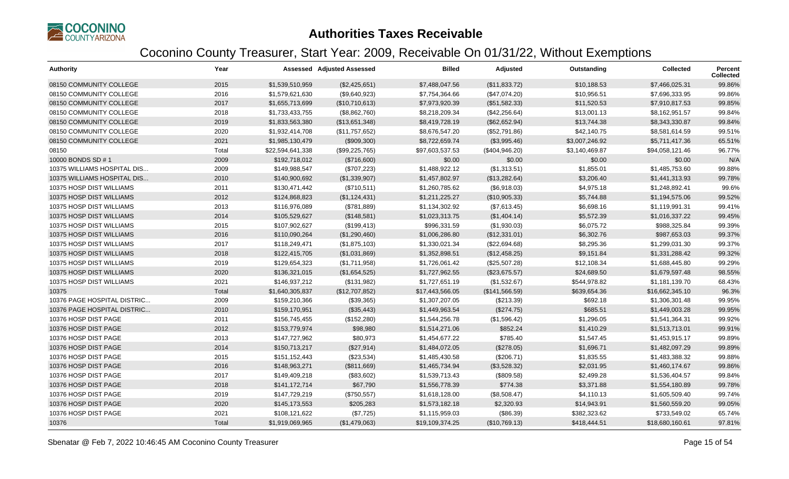

| <b>Authority</b>            | Year  |                  | <b>Assessed Adjusted Assessed</b> | <b>Billed</b>   | Adjusted       | Outstanding    | <b>Collected</b> | Percent<br><b>Collected</b> |
|-----------------------------|-------|------------------|-----------------------------------|-----------------|----------------|----------------|------------------|-----------------------------|
| 08150 COMMUNITY COLLEGE     | 2015  | \$1,539,510,959  | (\$2,425,651)                     | \$7,488,047.56  | (\$11,833.72)  | \$10,188.53    | \$7,466,025.31   | 99.86%                      |
| 08150 COMMUNITY COLLEGE     | 2016  | \$1,579,621,630  | (\$9,640,923)                     | \$7,754,364.66  | (\$47,074.20)  | \$10,956.51    | \$7,696,333.95   | 99.86%                      |
| 08150 COMMUNITY COLLEGE     | 2017  | \$1,655,713,699  | (\$10,710,613)                    | \$7,973,920.39  | (\$51,582.33)  | \$11,520.53    | \$7,910,817.53   | 99.85%                      |
| 08150 COMMUNITY COLLEGE     | 2018  | \$1,733,433,755  | (\$8,862,760)                     | \$8,218,209.34  | (\$42,256.64)  | \$13,001.13    | \$8,162,951.57   | 99.84%                      |
| 08150 COMMUNITY COLLEGE     | 2019  | \$1,833,563,380  | (\$13,651,348)                    | \$8,419,728.19  | (\$62,652.94)  | \$13,744.38    | \$8,343,330.87   | 99.84%                      |
| 08150 COMMUNITY COLLEGE     | 2020  | \$1,932,414,708  | (\$11,757,652)                    | \$8,676,547.20  | (\$52,791.86)  | \$42,140.75    | \$8,581,614.59   | 99.51%                      |
| 08150 COMMUNITY COLLEGE     | 2021  | \$1,985,130,479  | (\$909,300)                       | \$8,722,659.74  | (\$3,995.46)   | \$3,007,246.92 | \$5,711,417.36   | 65.51%                      |
| 08150                       | Total | \$22,594,641,338 | (\$99,225,765)                    | \$97,603,537.53 | (\$404,946.20) | \$3,140,469.87 | \$94,058,121.46  | 96.77%                      |
| 10000 BONDS SD #1           | 2009  | \$192,718,012    | (\$716,600)                       | \$0.00          | \$0.00         | \$0.00         | \$0.00           | N/A                         |
| 10375 WILLIAMS HOSPITAL DIS | 2009  | \$149,988,547    | (\$707,223)                       | \$1,488,922.12  | (\$1,313.51)   | \$1,855.01     | \$1,485,753.60   | 99.88%                      |
| 10375 WILLIAMS HOSPITAL DIS | 2010  | \$140,900,692    | (\$1,339,907)                     | \$1,457,802.97  | (\$13,282.64)  | \$3,206.40     | \$1,441,313.93   | 99.78%                      |
| 10375 HOSP DIST WILLIAMS    | 2011  | \$130,471,442    | (\$710,511)                       | \$1,260,785.62  | (\$6,918.03)   | \$4,975.18     | \$1,248,892.41   | 99.6%                       |
| 10375 HOSP DIST WILLIAMS    | 2012  | \$124,868,823    | (\$1,124,431)                     | \$1,211,225.27  | (\$10,905.33)  | \$5,744.88     | \$1,194,575.06   | 99.52%                      |
| 10375 HOSP DIST WILLIAMS    | 2013  | \$116,976,089    | (\$781,889)                       | \$1,134,302.92  | (\$7,613.45)   | \$6,698.16     | \$1,119,991.31   | 99.41%                      |
| 10375 HOSP DIST WILLIAMS    | 2014  | \$105,529,627    | (\$148,581)                       | \$1,023,313.75  | (\$1,404.14)   | \$5,572.39     | \$1,016,337.22   | 99.45%                      |
| 10375 HOSP DIST WILLIAMS    | 2015  | \$107,902,627    | (\$199,413)                       | \$996,331.59    | (\$1,930.03)   | \$6,075.72     | \$988,325.84     | 99.39%                      |
| 10375 HOSP DIST WILLIAMS    | 2016  | \$110,090,264    | (\$1,290,460)                     | \$1,006,286.80  | (\$12,331.01)  | \$6,302.76     | \$987,653.03     | 99.37%                      |
| 10375 HOSP DIST WILLIAMS    | 2017  | \$118,249,471    | (\$1,875,103)                     | \$1,330,021.34  | (\$22,694.68)  | \$8,295.36     | \$1,299,031.30   | 99.37%                      |
| 10375 HOSP DIST WILLIAMS    | 2018  | \$122,415,705    | (\$1,031,869)                     | \$1,352,898.51  | (\$12,458.25)  | \$9,151.84     | \$1,331,288.42   | 99.32%                      |
| 10375 HOSP DIST WILLIAMS    | 2019  | \$129,654,323    | (\$1,711,958)                     | \$1,726,061.42  | (\$25,507.28)  | \$12,108.34    | \$1,688,445.80   | 99.29%                      |
| 10375 HOSP DIST WILLIAMS    | 2020  | \$136,321,015    | (\$1,654,525)                     | \$1,727,962.55  | (\$23,675.57)  | \$24,689.50    | \$1,679,597.48   | 98.55%                      |
| 10375 HOSP DIST WILLIAMS    | 2021  | \$146,937,212    | (\$131,982)                       | \$1,727,651.19  | (\$1,532.67)   | \$544,978.82   | \$1,181,139.70   | 68.43%                      |
| 10375                       | Total | \$1,640,305,837  | (\$12,707,852)                    | \$17,443,566.05 | (\$141,566.59) | \$639,654.36   | \$16,662,345.10  | 96.3%                       |
| 10376 PAGE HOSPITAL DISTRIC | 2009  | \$159,210,366    | (\$39,365)                        | \$1,307,207.05  | (\$213.39)     | \$692.18       | \$1,306,301.48   | 99.95%                      |
| 10376 PAGE HOSPITAL DISTRIC | 2010  | \$159,170,951    | (\$35,443)                        | \$1,449,963.54  | (\$274.75)     | \$685.51       | \$1,449,003.28   | 99.95%                      |
| 10376 HOSP DIST PAGE        | 2011  | \$156,745,455    | (\$152,280)                       | \$1,544,256.78  | (\$1,596.42)   | \$1,296.05     | \$1,541,364.31   | 99.92%                      |
| 10376 HOSP DIST PAGE        | 2012  | \$153,779,974    | \$98,980                          | \$1,514,271.06  | \$852.24       | \$1,410.29     | \$1,513,713.01   | 99.91%                      |
| 10376 HOSP DIST PAGE        | 2013  | \$147,727,962    | \$80,973                          | \$1,454,677.22  | \$785.40       | \$1,547.45     | \$1,453,915.17   | 99.89%                      |
| 10376 HOSP DIST PAGE        | 2014  | \$150,713,217    | (\$27,914)                        | \$1,484,072.05  | (\$278.05)     | \$1,696.71     | \$1,482,097.29   | 99.89%                      |
| 10376 HOSP DIST PAGE        | 2015  | \$151,152,443    | (\$23,534)                        | \$1,485,430.58  | (\$206.71)     | \$1,835.55     | \$1,483,388.32   | 99.88%                      |
| 10376 HOSP DIST PAGE        | 2016  | \$148,963,271    | (\$811,669)                       | \$1,465,734.94  | (\$3,528.32)   | \$2,031.95     | \$1,460,174.67   | 99.86%                      |
| 10376 HOSP DIST PAGE        | 2017  | \$149,409,218    | (\$83,602)                        | \$1,539,713.43  | (\$809.58)     | \$2,499.28     | \$1,536,404.57   | 99.84%                      |
| 10376 HOSP DIST PAGE        | 2018  | \$141,172,714    | \$67,790                          | \$1,556,778.39  | \$774.38       | \$3,371.88     | \$1,554,180.89   | 99.78%                      |
| 10376 HOSP DIST PAGE        | 2019  | \$147,729,219    | (\$750,557)                       | \$1,618,128.00  | (\$8,508.47)   | \$4,110.13     | \$1,605,509.40   | 99.74%                      |
| 10376 HOSP DIST PAGE        | 2020  | \$145,173,553    | \$205,283                         | \$1,573,182.18  | \$2,320.93     | \$14,943.91    | \$1,560,559.20   | 99.05%                      |
| 10376 HOSP DIST PAGE        | 2021  | \$108,121,622    | (\$7,725)                         | \$1,115,959.03  | (\$86.39)      | \$382,323.62   | \$733,549.02     | 65.74%                      |
| 10376                       | Total | \$1,919,069,965  | (\$1,479,063)                     | \$19,109,374.25 | (\$10,769.13)  | \$418,444.51   | \$18,680,160.61  | 97.81%                      |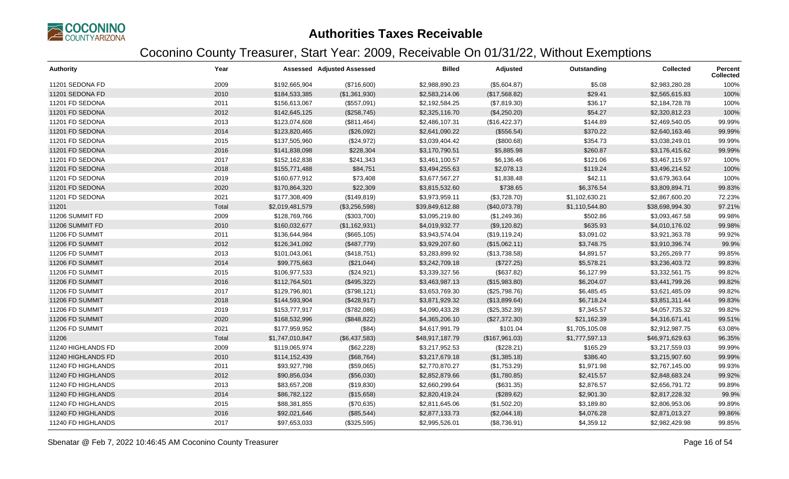

| <b>Authority</b>   | Year  |                 | Assessed Adjusted Assessed | <b>Billed</b>   | Adjusted       | Outstanding    | <b>Collected</b> | Percent<br><b>Collected</b> |
|--------------------|-------|-----------------|----------------------------|-----------------|----------------|----------------|------------------|-----------------------------|
| 11201 SEDONA FD    | 2009  | \$192,665,904   | (\$716,600)                | \$2,988,890.23  | (\$5,604.87)   | \$5.08         | \$2,983,280.28   | 100%                        |
| 11201 SEDONA FD    | 2010  | \$184,533,385   | (\$1,361,930)              | \$2,583,214.06  | (\$17,568.82)  | \$29.41        | \$2,565,615.83   | 100%                        |
| 11201 FD SEDONA    | 2011  | \$156,613,067   | (\$557,091)                | \$2,192,584.25  | (\$7,819.30)   | \$36.17        | \$2,184,728.78   | 100%                        |
| 11201 FD SEDONA    | 2012  | \$142,645,125   | (\$258,745)                | \$2,325,116.70  | (\$4,250.20)   | \$54.27        | \$2,320,812.23   | 100%                        |
| 11201 FD SEDONA    | 2013  | \$123,074,608   | (\$811,464)                | \$2,486,107.31  | (\$16,422.37)  | \$144.89       | \$2,469,540.05   | 99.99%                      |
| 11201 FD SEDONA    | 2014  | \$123,820,465   | (\$26,092)                 | \$2,641,090.22  | (\$556.54)     | \$370.22       | \$2,640,163.46   | 99.99%                      |
| 11201 FD SEDONA    | 2015  | \$137,505,960   | (\$24,972)                 | \$3,039,404.42  | (\$800.68)     | \$354.73       | \$3,038,249.01   | 99.99%                      |
| 11201 FD SEDONA    | 2016  | \$141,838,098   | \$228,304                  | \$3,170,790.51  | \$5,885.98     | \$260.87       | \$3,176,415.62   | 99.99%                      |
| 11201 FD SEDONA    | 2017  | \$152,162,838   | \$241,343                  | \$3,461,100.57  | \$6,136.46     | \$121.06       | \$3,467,115.97   | 100%                        |
| 11201 FD SEDONA    | 2018  | \$155,771,488   | \$84,751                   | \$3,494,255.63  | \$2,078.13     | \$119.24       | \$3,496,214.52   | 100%                        |
| 11201 FD SEDONA    | 2019  | \$160,677,912   | \$73,408                   | \$3,677,567.27  | \$1,838.48     | \$42.11        | \$3,679,363.64   | 100%                        |
| 11201 FD SEDONA    | 2020  | \$170,864,320   | \$22,309                   | \$3,815,532.60  | \$738.65       | \$6,376.54     | \$3,809,894.71   | 99.83%                      |
| 11201 FD SEDONA    | 2021  | \$177,308,409   | (\$149, 819)               | \$3,973,959.11  | (\$3,728.70)   | \$1,102,630.21 | \$2,867,600.20   | 72.23%                      |
| 11201              | Total | \$2,019,481,579 | (\$3,256,598)              | \$39,849,612.88 | (\$40,073.78)  | \$1,110,544.80 | \$38,698,994.30  | 97.21%                      |
| 11206 SUMMIT FD    | 2009  | \$128,769,766   | (\$303,700)                | \$3,095,219.80  | (\$1,249.36)   | \$502.86       | \$3,093,467.58   | 99.98%                      |
| 11206 SUMMIT FD    | 2010  | \$160,032,677   | (\$1,162,931)              | \$4,019,932.77  | (\$9,120.82)   | \$635.93       | \$4,010,176.02   | 99.98%                      |
| 11206 FD SUMMIT    | 2011  | \$136,644,984   | (\$665, 105)               | \$3,943,574.04  | (\$19, 119.24) | \$3,091.02     | \$3,921,363.78   | 99.92%                      |
| 11206 FD SUMMIT    | 2012  | \$126,341,092   | (\$487,779)                | \$3,929,207.60  | (\$15,062.11)  | \$3,748.75     | \$3,910,396.74   | 99.9%                       |
| 11206 FD SUMMIT    | 2013  | \$101,043,061   | (\$418,751)                | \$3,283,899.92  | (\$13,738.58)  | \$4,891.57     | \$3,265,269.77   | 99.85%                      |
| 11206 FD SUMMIT    | 2014  | \$99,775,663    | (\$21,044)                 | \$3,242,709.18  | (\$727.25)     | \$5,578.21     | \$3,236,403.72   | 99.83%                      |
| 11206 FD SUMMIT    | 2015  | \$106,977,533   | (\$24,921)                 | \$3,339,327.56  | (\$637.82)     | \$6,127.99     | \$3,332,561.75   | 99.82%                      |
| 11206 FD SUMMIT    | 2016  | \$112,764,501   | (\$495,322)                | \$3,463,987.13  | (\$15,983.80)  | \$6,204.07     | \$3,441,799.26   | 99.82%                      |
| 11206 FD SUMMIT    | 2017  | \$129,796,801   | (\$798, 121)               | \$3,653,769.30  | (\$25,798.76)  | \$6,485.45     | \$3,621,485.09   | 99.82%                      |
| 11206 FD SUMMIT    | 2018  | \$144,593,904   | (\$428,917)                | \$3,871,929.32  | (\$13,899.64)  | \$6,718.24     | \$3,851,311.44   | 99.83%                      |
| 11206 FD SUMMIT    | 2019  | \$153,777,917   | (\$782,086)                | \$4,090,433.28  | (\$25,352.39)  | \$7,345.57     | \$4,057,735.32   | 99.82%                      |
| 11206 FD SUMMIT    | 2020  | \$168,532,996   | (\$848, 822)               | \$4,365,206.10  | (\$27,372.30)  | \$21,162.39    | \$4,316,671.41   | 99.51%                      |
| 11206 FD SUMMIT    | 2021  | \$177,959,952   | (\$84)                     | \$4,617,991.79  | \$101.04       | \$1,705,105.08 | \$2,912,987.75   | 63.08%                      |
| 11206              | Total | \$1,747,010,847 | (\$6,437,583)              | \$48,917,187.79 | (\$167,961.03) | \$1,777,597.13 | \$46,971,629.63  | 96.35%                      |
| 11240 HIGHLANDS FD | 2009  | \$119,065,974   | (\$62,228)                 | \$3,217,952.53  | (\$228.21)     | \$165.29       | \$3,217,559.03   | 99.99%                      |
| 11240 HIGHLANDS FD | 2010  | \$114,152,439   | (\$68,764)                 | \$3,217,679.18  | (\$1,385.18)   | \$386.40       | \$3,215,907.60   | 99.99%                      |
| 11240 FD HIGHLANDS | 2011  | \$93,927,798    | (\$59,065)                 | \$2,770,870.27  | (\$1,753.29)   | \$1,971.98     | \$2,767,145.00   | 99.93%                      |
| 11240 FD HIGHLANDS | 2012  | \$90,856,034    | (\$56,030)                 | \$2,852,879.66  | (\$1,780.85)   | \$2,415.57     | \$2,848,683.24   | 99.92%                      |
| 11240 FD HIGHLANDS | 2013  | \$83,657,208    | (\$19,830)                 | \$2,660,299.64  | (\$631.35)     | \$2,876.57     | \$2,656,791.72   | 99.89%                      |
| 11240 FD HIGHLANDS | 2014  | \$86,782,122    | (\$15,658)                 | \$2,820,419.24  | (\$289.62)     | \$2,901.30     | \$2,817,228.32   | 99.9%                       |
| 11240 FD HIGHLANDS | 2015  | \$88,381,855    | (\$70,635)                 | \$2,811,645.06  | (\$1,502.20)   | \$3,189.80     | \$2,806,953.06   | 99.89%                      |
| 11240 FD HIGHLANDS | 2016  | \$92,021,646    | (\$85,544)                 | \$2,877,133.73  | (\$2,044.18)   | \$4,076.28     | \$2,871,013.27   | 99.86%                      |
| 11240 FD HIGHLANDS | 2017  | \$97,653,033    | (\$325,595)                | \$2,995,526.01  | (\$8,736.91)   | \$4,359.12     | \$2,982,429.98   | 99.85%                      |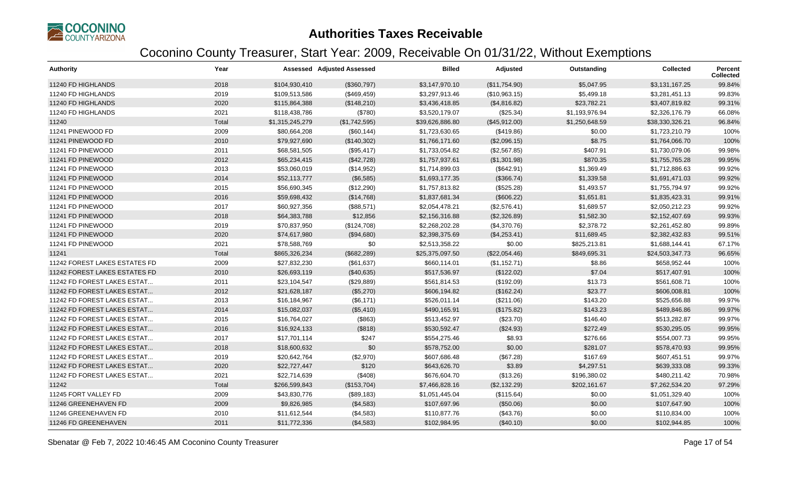

| <b>Authority</b>              | Year  |                 | <b>Assessed Adjusted Assessed</b> | <b>Billed</b>   | Adjusted      | Outstanding    | <b>Collected</b> | Percent<br><b>Collected</b> |
|-------------------------------|-------|-----------------|-----------------------------------|-----------------|---------------|----------------|------------------|-----------------------------|
| 11240 FD HIGHLANDS            | 2018  | \$104,930,410   | (\$360,797)                       | \$3,147,970.10  | (\$11,754.90) | \$5,047.95     | \$3,131,167.25   | 99.84%                      |
| 11240 FD HIGHLANDS            | 2019  | \$109,513,586   | (\$469,459)                       | \$3,297,913.46  | (\$10,963.15) | \$5,499.18     | \$3,281,451.13   | 99.83%                      |
| 11240 FD HIGHLANDS            | 2020  | \$115,864,388   | (\$148,210)                       | \$3,436,418.85  | (\$4,816.82)  | \$23,782.21    | \$3,407,819.82   | 99.31%                      |
| 11240 FD HIGHLANDS            | 2021  | \$118,438,786   | (\$780)                           | \$3,520,179.07  | (\$25.34)     | \$1,193,976.94 | \$2,326,176.79   | 66.08%                      |
| 11240                         | Total | \$1,315,245,279 | (\$1,742,595)                     | \$39,626,886.80 | (\$45,912.00) | \$1,250,648.59 | \$38,330,326.21  | 96.84%                      |
| 11241 PINEWOOD FD             | 2009  | \$80,664,208    | (\$60,144)                        | \$1,723,630.65  | (\$419.86)    | \$0.00         | \$1,723,210.79   | 100%                        |
| 11241 PINEWOOD FD             | 2010  | \$79,927,690    | (\$140,302)                       | \$1,766,171.60  | (\$2,096.15)  | \$8.75         | \$1,764,066.70   | 100%                        |
| 11241 FD PINEWOOD             | 2011  | \$68,581,505    | (\$95,417)                        | \$1,733,054.82  | (\$2,567.85)  | \$407.91       | \$1,730,079.06   | 99.98%                      |
| 11241 FD PINEWOOD             | 2012  | \$65,234,415    | (\$42,728)                        | \$1,757,937.61  | (\$1,301.98)  | \$870.35       | \$1,755,765.28   | 99.95%                      |
| 11241 FD PINEWOOD             | 2013  | \$53,060,019    | (\$14,952)                        | \$1,714,899.03  | (\$642.91)    | \$1,369.49     | \$1,712,886.63   | 99.92%                      |
| 11241 FD PINEWOOD             | 2014  | \$52,113,777    | (\$6,585)                         | \$1,693,177.35  | (\$366.74)    | \$1,339.58     | \$1,691,471.03   | 99.92%                      |
| 11241 FD PINEWOOD             | 2015  | \$56,690,345    | (\$12,290)                        | \$1,757,813.82  | (\$525.28)    | \$1,493.57     | \$1,755,794.97   | 99.92%                      |
| 11241 FD PINEWOOD             | 2016  | \$59,698,432    | (\$14,768)                        | \$1,837,681.34  | (\$606.22)    | \$1,651.81     | \$1,835,423.31   | 99.91%                      |
| 11241 FD PINEWOOD             | 2017  | \$60,927,356    | (\$88,571)                        | \$2,054,478.21  | (\$2,576.41)  | \$1,689.57     | \$2,050,212.23   | 99.92%                      |
| 11241 FD PINEWOOD             | 2018  | \$64,383,788    | \$12,856                          | \$2,156,316.88  | (\$2,326.89)  | \$1,582.30     | \$2,152,407.69   | 99.93%                      |
| 11241 FD PINEWOOD             | 2019  | \$70,837,950    | (\$124,708)                       | \$2,268,202.28  | (\$4,370.76)  | \$2,378.72     | \$2,261,452.80   | 99.89%                      |
| 11241 FD PINEWOOD             | 2020  | \$74,617,980    | (\$94,680)                        | \$2,398,375.69  | (\$4,253.41)  | \$11,689.45    | \$2,382,432.83   | 99.51%                      |
| 11241 FD PINEWOOD             | 2021  | \$78,588,769    | \$0                               | \$2,513,358.22  | \$0.00        | \$825,213.81   | \$1,688,144.41   | 67.17%                      |
| 11241                         | Total | \$865,326,234   | (\$682,289)                       | \$25,375,097.50 | (\$22,054.46) | \$849,695.31   | \$24,503,347.73  | 96.65%                      |
| 11242 FOREST LAKES ESTATES FD | 2009  | \$27,832,230    | (\$61,637)                        | \$660,114.01    | (\$1,152.71)  | \$8.86         | \$658,952.44     | 100%                        |
| 11242 FOREST LAKES ESTATES FD | 2010  | \$26,693,119    | (\$40,635)                        | \$517,536.97    | (\$122.02)    | \$7.04         | \$517,407.91     | 100%                        |
| 11242 FD FOREST LAKES ESTAT   | 2011  | \$23,104,547    | (\$29,889)                        | \$561,814.53    | (\$192.09)    | \$13.73        | \$561,608.71     | 100%                        |
| 11242 FD FOREST LAKES ESTAT   | 2012  | \$21,628,187    | (\$5,270)                         | \$606,194.82    | (\$162.24)    | \$23.77        | \$606,008.81     | 100%                        |
| 11242 FD FOREST LAKES ESTAT   | 2013  | \$16,184,967    | (\$6,171)                         | \$526,011.14    | (\$211.06)    | \$143.20       | \$525,656.88     | 99.97%                      |
| 11242 FD FOREST LAKES ESTAT   | 2014  | \$15,082,037    | (\$5,410)                         | \$490,165.91    | (\$175.82)    | \$143.23       | \$489,846.86     | 99.97%                      |
| 11242 FD FOREST LAKES ESTAT   | 2015  | \$16,764,027    | (\$863)                           | \$513,452.97    | (\$23.70)     | \$146.40       | \$513,282.87     | 99.97%                      |
| 11242 FD FOREST LAKES ESTAT   | 2016  | \$16,924,133    | (\$818)                           | \$530,592.47    | (\$24.93)     | \$272.49       | \$530,295.05     | 99.95%                      |
| 11242 FD FOREST LAKES ESTAT   | 2017  | \$17,701,114    | \$247                             | \$554,275.46    | \$8.93        | \$276.66       | \$554,007.73     | 99.95%                      |
| 11242 FD FOREST LAKES ESTAT   | 2018  | \$18,600,632    | \$0                               | \$578,752.00    | \$0.00        | \$281.07       | \$578,470.93     | 99.95%                      |
| 11242 FD FOREST LAKES ESTAT   | 2019  | \$20,642,764    | (\$2,970)                         | \$607,686.48    | (\$67.28)     | \$167.69       | \$607,451.51     | 99.97%                      |
| 11242 FD FOREST LAKES ESTAT   | 2020  | \$22,727,447    | \$120                             | \$643,626.70    | \$3.89        | \$4,297.51     | \$639,333.08     | 99.33%                      |
| 11242 FD FOREST LAKES ESTAT   | 2021  | \$22,714,639    | (\$408)                           | \$676,604.70    | (\$13.26)     | \$196,380.02   | \$480,211.42     | 70.98%                      |
| 11242                         | Total | \$266,599,843   | (\$153,704)                       | \$7,466,828.16  | (\$2,132.29)  | \$202,161.67   | \$7,262,534.20   | 97.29%                      |
| 11245 FORT VALLEY FD          | 2009  | \$43,830,776    | (\$89,183)                        | \$1,051,445.04  | (\$115.64)    | \$0.00         | \$1,051,329.40   | 100%                        |
| 11246 GREENEHAVEN FD          | 2009  | \$9,826,985     | (\$4,583)                         | \$107,697.96    | (\$50.06)     | \$0.00         | \$107,647.90     | 100%                        |
| 11246 GREENEHAVEN FD          | 2010  | \$11,612,544    | (\$4,583)                         | \$110,877.76    | (\$43.76)     | \$0.00         | \$110,834.00     | 100%                        |
| 11246 FD GREENEHAVEN          | 2011  | \$11,772,336    | (\$4,583)                         | \$102,984.95    | (\$40.10)     | \$0.00         | \$102,944.85     | 100%                        |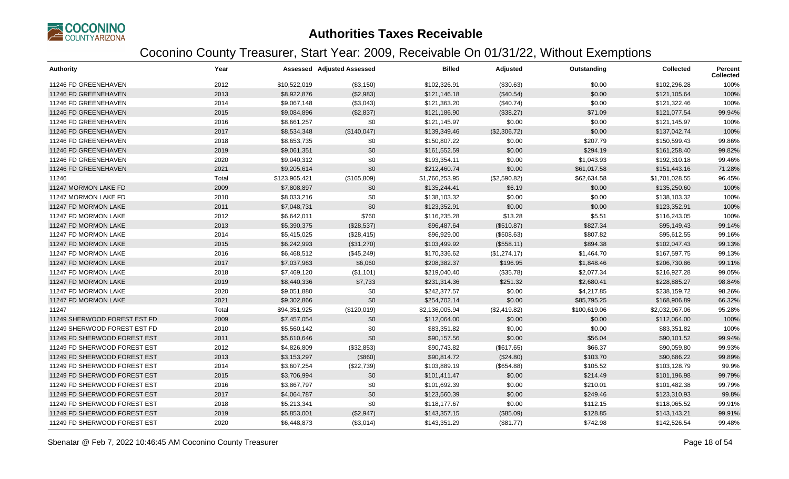

| <b>Authority</b>             | Year  |               | <b>Assessed Adjusted Assessed</b> | <b>Billed</b>  | Adjusted     | Outstanding  | <b>Collected</b> | Percent<br><b>Collected</b> |
|------------------------------|-------|---------------|-----------------------------------|----------------|--------------|--------------|------------------|-----------------------------|
| 11246 FD GREENEHAVEN         | 2012  | \$10,522,019  | (\$3,150)                         | \$102,326.91   | (\$30.63)    | \$0.00       | \$102,296.28     | 100%                        |
| 11246 FD GREENEHAVEN         | 2013  | \$8,922,876   | (\$2,983)                         | \$121,146.18   | (\$40.54)    | \$0.00       | \$121,105.64     | 100%                        |
| 11246 FD GREENEHAVEN         | 2014  | \$9,067,148   | (\$3,043)                         | \$121,363.20   | (\$40.74)    | \$0.00       | \$121,322.46     | 100%                        |
| 11246 FD GREENEHAVEN         | 2015  | \$9,084,896   | (\$2,837)                         | \$121,186.90   | (\$38.27)    | \$71.09      | \$121,077.54     | 99.94%                      |
| 11246 FD GREENEHAVEN         | 2016  | \$8,661,257   | \$0                               | \$121,145.97   | \$0.00       | \$0.00       | \$121,145.97     | 100%                        |
| 11246 FD GREENEHAVEN         | 2017  | \$8,534,348   | (\$140,047)                       | \$139,349.46   | (\$2,306.72) | \$0.00       | \$137,042.74     | 100%                        |
| 11246 FD GREENEHAVEN         | 2018  | \$8,653,735   | \$0                               | \$150,807.22   | \$0.00       | \$207.79     | \$150,599.43     | 99.86%                      |
| 11246 FD GREENEHAVEN         | 2019  | \$9,061,351   | \$0                               | \$161,552.59   | \$0.00       | \$294.19     | \$161,258.40     | 99.82%                      |
| 11246 FD GREENEHAVEN         | 2020  | \$9,040,312   | \$0                               | \$193,354.11   | \$0.00       | \$1,043.93   | \$192,310.18     | 99.46%                      |
| 11246 FD GREENEHAVEN         | 2021  | \$9,205,614   | \$0                               | \$212,460.74   | \$0.00       | \$61,017.58  | \$151,443.16     | 71.28%                      |
| 11246                        | Total | \$123,965,421 | (\$165,809)                       | \$1,766,253.95 | (\$2,590.82) | \$62,634.58  | \$1,701,028.55   | 96.45%                      |
| 11247 MORMON LAKE FD         | 2009  | \$7,808,897   | \$0                               | \$135,244.41   | \$6.19       | \$0.00       | \$135,250.60     | 100%                        |
| 11247 MORMON LAKE FD         | 2010  | \$8,033,216   | \$0                               | \$138,103.32   | \$0.00       | \$0.00       | \$138,103.32     | 100%                        |
| 11247 FD MORMON LAKE         | 2011  | \$7,048,731   | \$0                               | \$123,352.91   | \$0.00       | \$0.00       | \$123,352.91     | 100%                        |
| 11247 FD MORMON LAKE         | 2012  | \$6,642,011   | \$760                             | \$116,235.28   | \$13.28      | \$5.51       | \$116,243.05     | 100%                        |
| 11247 FD MORMON LAKE         | 2013  | \$5,390,375   | (\$28,537)                        | \$96,487.64    | (\$510.87)   | \$827.34     | \$95,149.43      | 99.14%                      |
| 11247 FD MORMON LAKE         | 2014  | \$5,415,025   | (\$28,415)                        | \$96,929.00    | (\$508.63)   | \$807.82     | \$95,612.55      | 99.16%                      |
| 11247 FD MORMON LAKE         | 2015  | \$6,242,993   | (\$31,270)                        | \$103,499.92   | (\$558.11)   | \$894.38     | \$102,047.43     | 99.13%                      |
| 11247 FD MORMON LAKE         | 2016  | \$6,468,512   | (\$45,249)                        | \$170,336.62   | (\$1,274.17) | \$1,464.70   | \$167,597.75     | 99.13%                      |
| 11247 FD MORMON LAKE         | 2017  | \$7,037,963   | \$6,060                           | \$208,382.37   | \$196.95     | \$1,848.46   | \$206,730.86     | 99.11%                      |
| 11247 FD MORMON LAKE         | 2018  | \$7,469,120   | (\$1,101)                         | \$219,040.40   | (\$35.78)    | \$2,077.34   | \$216,927.28     | 99.05%                      |
| 11247 FD MORMON LAKE         | 2019  | \$8,440,336   | \$7,733                           | \$231,314.36   | \$251.32     | \$2,680.41   | \$228,885.27     | 98.84%                      |
| 11247 FD MORMON LAKE         | 2020  | \$9,051,880   | \$0                               | \$242,377.57   | \$0.00       | \$4,217.85   | \$238,159.72     | 98.26%                      |
| 11247 FD MORMON LAKE         | 2021  | \$9,302,866   | \$0                               | \$254,702.14   | \$0.00       | \$85,795.25  | \$168,906.89     | 66.32%                      |
| 11247                        | Total | \$94,351,925  | (\$120,019)                       | \$2,136,005.94 | (\$2,419.82) | \$100,619.06 | \$2,032,967.06   | 95.28%                      |
| 11249 SHERWOOD FOREST EST FD | 2009  | \$7,457,054   | \$0                               | \$112,064.00   | \$0.00       | \$0.00       | \$112,064.00     | 100%                        |
| 11249 SHERWOOD FOREST EST FD | 2010  | \$5,560,142   | \$0                               | \$83,351.82    | \$0.00       | \$0.00       | \$83,351.82      | 100%                        |
| 11249 FD SHERWOOD FOREST EST | 2011  | \$5,610,646   | \$0                               | \$90,157.56    | \$0.00       | \$56.04      | \$90,101.52      | 99.94%                      |
| 11249 FD SHERWOOD FOREST EST | 2012  | \$4,826,809   | (\$32,853)                        | \$90,743.82    | (\$617.65)   | \$66.37      | \$90,059.80      | 99.93%                      |
| 11249 FD SHERWOOD FOREST EST | 2013  | \$3,153,297   | (\$860)                           | \$90,814.72    | (\$24.80)    | \$103.70     | \$90,686.22      | 99.89%                      |
| 11249 FD SHERWOOD FOREST EST | 2014  | \$3,607,254   | (\$22,739)                        | \$103,889.19   | (\$654.88)   | \$105.52     | \$103,128.79     | 99.9%                       |
| 11249 FD SHERWOOD FOREST EST | 2015  | \$3,706,994   | \$0                               | \$101,411.47   | \$0.00       | \$214.49     | \$101,196.98     | 99.79%                      |
| 11249 FD SHERWOOD FOREST EST | 2016  | \$3,867,797   | \$0                               | \$101,692.39   | \$0.00       | \$210.01     | \$101,482.38     | 99.79%                      |
| 11249 FD SHERWOOD FOREST EST | 2017  | \$4,064,787   | \$0                               | \$123,560.39   | \$0.00       | \$249.46     | \$123,310.93     | 99.8%                       |
| 11249 FD SHERWOOD FOREST EST | 2018  | \$5,213,341   | \$0                               | \$118,177.67   | \$0.00       | \$112.15     | \$118,065.52     | 99.91%                      |
| 11249 FD SHERWOOD FOREST EST | 2019  | \$5,853,001   | (\$2,947)                         | \$143,357.15   | (\$85.09)    | \$128.85     | \$143,143.21     | 99.91%                      |
| 11249 FD SHERWOOD FOREST EST | 2020  | \$6,448,873   | (\$3,014)                         | \$143,351.29   | (\$81.77)    | \$742.98     | \$142,526.54     | 99.48%                      |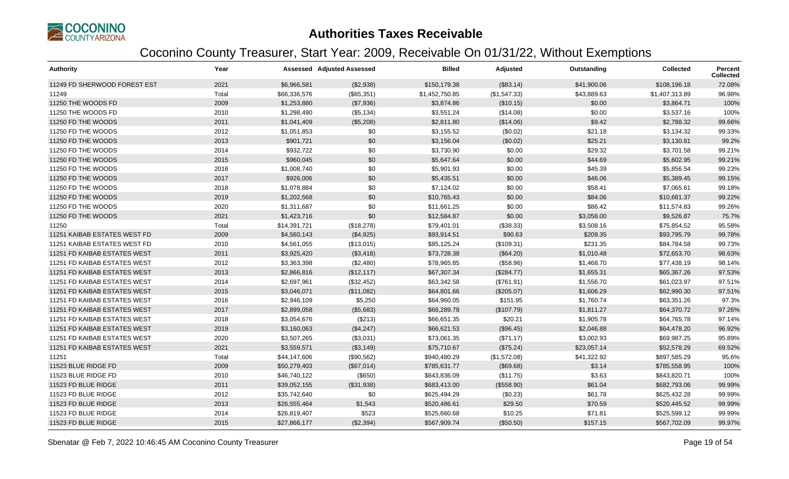

| <b>Authority</b>             | Year  |              | Assessed Adjusted Assessed | <b>Billed</b>  | Adjusted     | Outstanding | <b>Collected</b> | <b>Percent</b><br><b>Collected</b> |
|------------------------------|-------|--------------|----------------------------|----------------|--------------|-------------|------------------|------------------------------------|
| 11249 FD SHERWOOD FOREST EST | 2021  | \$6,966,581  | (\$2,938)                  | \$150,179.38   | (\$83.14)    | \$41,900.06 | \$108,196.18     | 72.08%                             |
| 11249                        | Total | \$66,336,576 | (\$65,351)                 | \$1,452,750.85 | (\$1,547.33) | \$43,889.63 | \$1,407,313.89   | 96.98%                             |
| 11250 THE WOODS FD           | 2009  | \$1,253,880  | (\$7,936)                  | \$3,874.86     | (\$10.15)    | \$0.00      | \$3,864.71       | 100%                               |
| 11250 THE WOODS FD           | 2010  | \$1,298,490  | (\$5,134)                  | \$3,551.24     | (\$14.08)    | \$0.00      | \$3,537.16       | 100%                               |
| 11250 FD THE WOODS           | 2011  | \$1,041,409  | (\$5,208)                  | \$2,811.80     | (\$14.06)    | \$9.42      | \$2,788.32       | 99.66%                             |
| 11250 FD THE WOODS           | 2012  | \$1,051,853  | \$0                        | \$3,155.52     | (\$0.02)     | \$21.18     | \$3,134.32       | 99.33%                             |
| 11250 FD THE WOODS           | 2013  | \$901,721    | \$0                        | \$3,156.04     | (\$0.02)     | \$25.21     | \$3,130.81       | 99.2%                              |
| 11250 FD THE WOODS           | 2014  | \$932,722    | \$0                        | \$3,730.90     | \$0.00       | \$29.32     | \$3,701.58       | 99.21%                             |
| 11250 FD THE WOODS           | 2015  | \$960,045    | \$0                        | \$5,647.64     | \$0.00       | \$44.69     | \$5,602.95       | 99.21%                             |
| 11250 FD THE WOODS           | 2016  | \$1,008,740  | \$0                        | \$5,901.93     | \$0.00       | \$45.39     | \$5,856.54       | 99.23%                             |
| 11250 FD THE WOODS           | 2017  | \$926,006    | \$0                        | \$5,435.51     | \$0.00       | \$46.06     | \$5,389.45       | 99.15%                             |
| 11250 FD THE WOODS           | 2018  | \$1,078,884  | \$0                        | \$7,124.02     | \$0.00       | \$58.41     | \$7,065.61       | 99.18%                             |
| 11250 FD THE WOODS           | 2019  | \$1,202,568  | \$0                        | \$10,765.43    | \$0.00       | \$84.06     | \$10,681.37      | 99.22%                             |
| 11250 FD THE WOODS           | 2020  | \$1,311,687  | \$0                        | \$11,661.25    | \$0.00       | \$86.42     | \$11,574.83      | 99.26%                             |
| 11250 FD THE WOODS           | 2021  | \$1,423,716  | \$0                        | \$12,584.87    | \$0.00       | \$3,058.00  | \$9,526.87       | 75.7%                              |
| 11250                        | Total | \$14,391,721 | (\$18,278)                 | \$79,401.01    | (\$38.33)    | \$3,508.16  | \$75,854.52      | 95.58%                             |
| 11251 KAIBAB ESTATES WEST FD | 2009  | \$4,560,143  | (\$4,925)                  | \$93,914.51    | \$90.63      | \$209.35    | \$93,795.79      | 99.78%                             |
| 11251 KAIBAB ESTATES WEST FD | 2010  | \$4,561,055  | (\$13,015)                 | \$85,125.24    | (\$109.31)   | \$231.35    | \$84,784.58      | 99.73%                             |
| 11251 FD KAIBAB ESTATES WEST | 2011  | \$3,925,420  | (\$3,418)                  | \$73,728.38    | (\$64.20)    | \$1,010.48  | \$72,653.70      | 98.63%                             |
| 11251 FD KAIBAB ESTATES WEST | 2012  | \$3,363,398  | (\$2,480)                  | \$78,965.85    | (\$58.96)    | \$1,468.70  | \$77,438.19      | 98.14%                             |
| 11251 FD KAIBAB ESTATES WEST | 2013  | \$2,866,816  | (\$12,117)                 | \$67,307.34    | (\$284.77)   | \$1,655.31  | \$65,367.26      | 97.53%                             |
| 11251 FD KAIBAB ESTATES WEST | 2014  | \$2,697,961  | (\$32,452)                 | \$63,342.58    | (\$761.91)   | \$1,556.70  | \$61,023.97      | 97.51%                             |
| 11251 FD KAIBAB ESTATES WEST | 2015  | \$3,046,071  | (\$11,082)                 | \$64,801.66    | (\$205.07)   | \$1,606.29  | \$62,990.30      | 97.51%                             |
| 11251 FD KAIBAB ESTATES WEST | 2016  | \$2,946,109  | \$5,250                    | \$64,960.05    | \$151.95     | \$1,760.74  | \$63,351.26      | 97.3%                              |
| 11251 FD KAIBAB ESTATES WEST | 2017  | \$2,899,058  | (\$5,683)                  | \$66,289.78    | (\$107.79)   | \$1,811.27  | \$64,370.72      | 97.26%                             |
| 11251 FD KAIBAB ESTATES WEST | 2018  | \$3,054,676  | (\$213)                    | \$66,651.35    | \$20.21      | \$1,905.78  | \$64,765.78      | 97.14%                             |
| 11251 FD KAIBAB ESTATES WEST | 2019  | \$3,160,063  | (\$4,247)                  | \$66,621.53    | (\$96.45)    | \$2,046.88  | \$64,478.20      | 96.92%                             |
| 11251 FD KAIBAB ESTATES WEST | 2020  | \$3,507,265  | (\$3,031)                  | \$73,061.35    | (\$71.17)    | \$3,002.93  | \$69,987.25      | 95.89%                             |
| 11251 FD KAIBAB ESTATES WEST | 2021  | \$3,559,571  | (\$3,149)                  | \$75,710.67    | (\$75.24)    | \$23,057.14 | \$52,578.29      | 69.52%                             |
| 11251                        | Total | \$44,147,606 | (\$90,562)                 | \$940,480.29   | (\$1,572.08) | \$41,322.92 | \$897,585.29     | 95.6%                              |
| 11523 BLUE RIDGE FD          | 2009  | \$50,279,403 | (\$67,014)                 | \$785,631.77   | (\$69.68)    | \$3.14      | \$785,558.95     | 100%                               |
| 11523 BLUE RIDGE FD          | 2010  | \$46,740,122 | (\$650)                    | \$843,836.09   | (\$11.75)    | \$3.63      | \$843,820.71     | 100%                               |
| 11523 FD BLUE RIDGE          | 2011  | \$39,052,155 | (\$31,938)                 | \$683,413.00   | (\$558.90)   | \$61.04     | \$682,793.06     | 99.99%                             |
| 11523 FD BLUE RIDGE          | 2012  | \$35,742,640 | \$0                        | \$625,494.29   | (\$0.23)     | \$61.78     | \$625,432.28     | 99.99%                             |
| 11523 FD BLUE RIDGE          | 2013  | \$26,555,464 | \$1,543                    | \$520,486.61   | \$29.50      | \$70.59     | \$520,445.52     | 99.99%                             |
| 11523 FD BLUE RIDGE          | 2014  | \$26,819,407 | \$523                      | \$525,660.68   | \$10.25      | \$71.81     | \$525,599.12     | 99.99%                             |
| 11523 FD BLUE RIDGE          | 2015  | \$27,866,177 | (\$2,394)                  | \$567,909.74   | (\$50.50)    | \$157.15    | \$567,702.09     | 99.97%                             |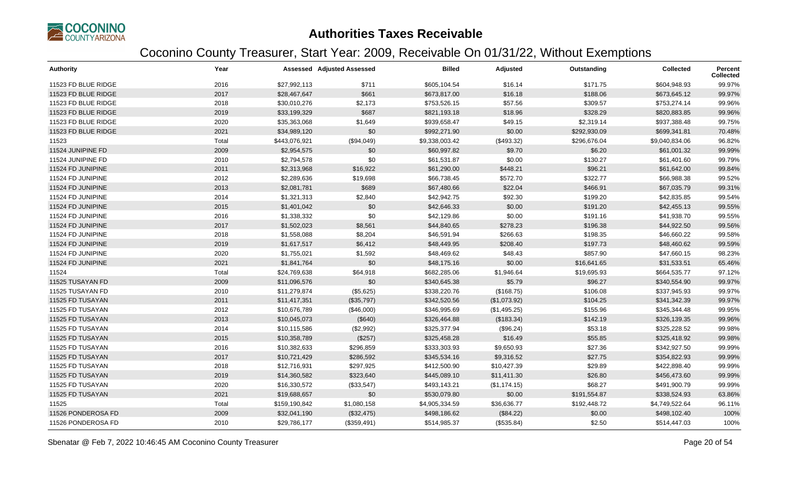

| <b>Authority</b>    | Year  |               | <b>Assessed Adjusted Assessed</b> | <b>Billed</b>  | Adjusted     | Outstanding  | <b>Collected</b> | <b>Percent</b><br><b>Collected</b> |
|---------------------|-------|---------------|-----------------------------------|----------------|--------------|--------------|------------------|------------------------------------|
| 11523 FD BLUE RIDGE | 2016  | \$27,992,113  | \$711                             | \$605,104.54   | \$16.14      | \$171.75     | \$604,948.93     | 99.97%                             |
| 11523 FD BLUE RIDGE | 2017  | \$28,467,647  | \$661                             | \$673,817.00   | \$16.18      | \$188.06     | \$673,645.12     | 99.97%                             |
| 11523 FD BLUE RIDGE | 2018  | \$30,010,276  | \$2,173                           | \$753,526.15   | \$57.56      | \$309.57     | \$753,274.14     | 99.96%                             |
| 11523 FD BLUE RIDGE | 2019  | \$33,199,329  | \$687                             | \$821,193.18   | \$18.96      | \$328.29     | \$820,883.85     | 99.96%                             |
| 11523 FD BLUE RIDGE | 2020  | \$35,363,068  | \$1,649                           | \$939,658.47   | \$49.15      | \$2,319.14   | \$937,388.48     | 99.75%                             |
| 11523 FD BLUE RIDGE | 2021  | \$34,989,120  | \$0                               | \$992,271.90   | \$0.00       | \$292,930.09 | \$699,341.81     | 70.48%                             |
| 11523               | Total | \$443,076,921 | (\$94,049)                        | \$9,338,003.42 | (\$493.32)   | \$296,676.04 | \$9,040,834.06   | 96.82%                             |
| 11524 JUNIPINE FD   | 2009  | \$2,954,575   | \$0                               | \$60,997.82    | \$9.70       | \$6.20       | \$61,001.32      | 99.99%                             |
| 11524 JUNIPINE FD   | 2010  | \$2,794,578   | \$0                               | \$61,531.87    | \$0.00       | \$130.27     | \$61,401.60      | 99.79%                             |
| 11524 FD JUNIPINE   | 2011  | \$2,313,968   | \$16,922                          | \$61,290.00    | \$448.21     | \$96.21      | \$61,642.00      | 99.84%                             |
| 11524 FD JUNIPINE   | 2012  | \$2,289,636   | \$19,698                          | \$66,738.45    | \$572.70     | \$322.77     | \$66,988.38      | 99.52%                             |
| 11524 FD JUNIPINE   | 2013  | \$2,081,781   | \$689                             | \$67,480.66    | \$22.04      | \$466.91     | \$67,035.79      | 99.31%                             |
| 11524 FD JUNIPINE   | 2014  | \$1,321,313   | \$2,840                           | \$42,942.75    | \$92.30      | \$199.20     | \$42,835.85      | 99.54%                             |
| 11524 FD JUNIPINE   | 2015  | \$1,401,042   | \$0                               | \$42,646.33    | \$0.00       | \$191.20     | \$42,455.13      | 99.55%                             |
| 11524 FD JUNIPINE   | 2016  | \$1,338,332   | \$0                               | \$42,129.86    | \$0.00       | \$191.16     | \$41,938.70      | 99.55%                             |
| 11524 FD JUNIPINE   | 2017  | \$1,502,023   | \$8,561                           | \$44,840.65    | \$278.23     | \$196.38     | \$44,922.50      | 99.56%                             |
| 11524 FD JUNIPINE   | 2018  | \$1,558,088   | \$8,204                           | \$46,591.94    | \$266.63     | \$198.35     | \$46,660.22      | 99.58%                             |
| 11524 FD JUNIPINE   | 2019  | \$1,617,517   | \$6,412                           | \$48,449.95    | \$208.40     | \$197.73     | \$48,460.62      | 99.59%                             |
| 11524 FD JUNIPINE   | 2020  | \$1,755,021   | \$1,592                           | \$48,469.62    | \$48.43      | \$857.90     | \$47,660.15      | 98.23%                             |
| 11524 FD JUNIPINE   | 2021  | \$1,841,764   | \$0                               | \$48,175.16    | \$0.00       | \$16,641.65  | \$31,533.51      | 65.46%                             |
| 11524               | Total | \$24,769,638  | \$64,918                          | \$682,285.06   | \$1,946.64   | \$19,695.93  | \$664,535.77     | 97.12%                             |
| 11525 TUSAYAN FD    | 2009  | \$11,096,576  | \$0                               | \$340,645.38   | \$5.79       | \$96.27      | \$340,554.90     | 99.97%                             |
| 11525 TUSAYAN FD    | 2010  | \$11,279,874  | (\$5,625)                         | \$338,220.76   | (\$168.75)   | \$106.08     | \$337,945.93     | 99.97%                             |
| 11525 FD TUSAYAN    | 2011  | \$11,417,351  | (\$35,797)                        | \$342,520.56   | (\$1,073.92) | \$104.25     | \$341,342.39     | 99.97%                             |
| 11525 FD TUSAYAN    | 2012  | \$10,676,789  | (\$46,000)                        | \$346,995.69   | (\$1,495.25) | \$155.96     | \$345,344.48     | 99.95%                             |
| 11525 FD TUSAYAN    | 2013  | \$10,045,073  | (\$640)                           | \$326,464.88   | (\$183.34)   | \$142.19     | \$326,139.35     | 99.96%                             |
| 11525 FD TUSAYAN    | 2014  | \$10,115,586  | (\$2,992)                         | \$325,377.94   | (\$96.24)    | \$53.18      | \$325,228.52     | 99.98%                             |
| 11525 FD TUSAYAN    | 2015  | \$10,358,789  | (\$257)                           | \$325,458.28   | \$16.49      | \$55.85      | \$325,418.92     | 99.98%                             |
| 11525 FD TUSAYAN    | 2016  | \$10,382,633  | \$296,859                         | \$333,303.93   | \$9,650.93   | \$27.36      | \$342,927.50     | 99.99%                             |
| 11525 FD TUSAYAN    | 2017  | \$10,721,429  | \$286,592                         | \$345,534.16   | \$9,316.52   | \$27.75      | \$354,822.93     | 99.99%                             |
| 11525 FD TUSAYAN    | 2018  | \$12,716,931  | \$297,925                         | \$412,500.90   | \$10,427.39  | \$29.89      | \$422,898.40     | 99.99%                             |
| 11525 FD TUSAYAN    | 2019  | \$14,360,582  | \$323,640                         | \$445,089.10   | \$11,411.30  | \$26.80      | \$456,473.60     | 99.99%                             |
| 11525 FD TUSAYAN    | 2020  | \$16,330,572  | (\$33,547)                        | \$493,143.21   | (\$1,174.15) | \$68.27      | \$491,900.79     | 99.99%                             |
| 11525 FD TUSAYAN    | 2021  | \$19,688,657  | \$0                               | \$530,079.80   | \$0.00       | \$191,554.87 | \$338,524.93     | 63.86%                             |
| 11525               | Total | \$159,190,842 | \$1,080,158                       | \$4,905,334.59 | \$36,636.77  | \$192,448.72 | \$4,749,522.64   | 96.11%                             |
| 11526 PONDEROSA FD  | 2009  | \$32,041,190  | (\$32,475)                        | \$498,186.62   | (\$84.22)    | \$0.00       | \$498,102.40     | 100%                               |
| 11526 PONDEROSA FD  | 2010  | \$29,786,177  | (\$359,491)                       | \$514,985.37   | (\$535.84)   | \$2.50       | \$514,447.03     | 100%                               |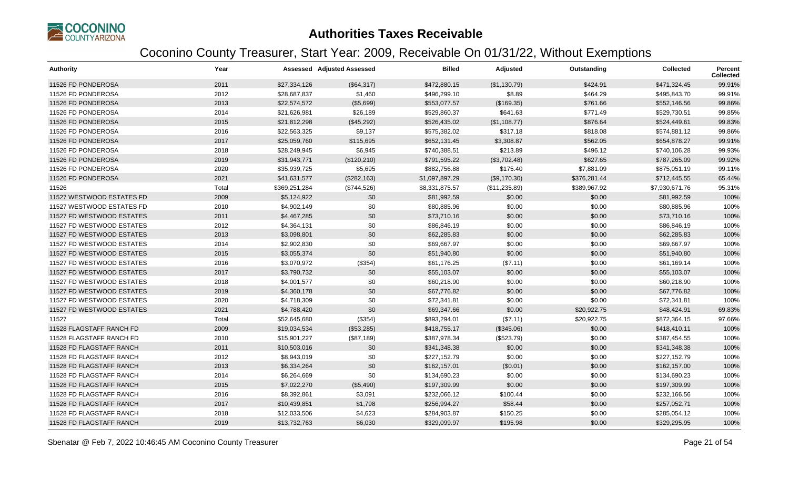

| <b>Authority</b>          | Year  |               | <b>Assessed Adjusted Assessed</b> | <b>Billed</b>  | Adjusted      | Outstanding  | <b>Collected</b> | Percent<br><b>Collected</b> |
|---------------------------|-------|---------------|-----------------------------------|----------------|---------------|--------------|------------------|-----------------------------|
| 11526 FD PONDEROSA        | 2011  | \$27,334,126  | (\$64,317)                        | \$472,880.15   | (\$1,130.79)  | \$424.91     | \$471,324.45     | 99.91%                      |
| 11526 FD PONDEROSA        | 2012  | \$28,687,837  | \$1,460                           | \$496,299.10   | \$8.89        | \$464.29     | \$495,843.70     | 99.91%                      |
| 11526 FD PONDEROSA        | 2013  | \$22,574,572  | (\$5,699)                         | \$553,077.57   | (\$169.35)    | \$761.66     | \$552,146.56     | 99.86%                      |
| 11526 FD PONDEROSA        | 2014  | \$21,626,981  | \$26,189                          | \$529,860.37   | \$641.63      | \$771.49     | \$529,730.51     | 99.85%                      |
| 11526 FD PONDEROSA        | 2015  | \$21,812,298  | (\$45,292)                        | \$526,435.02   | (\$1,108.77)  | \$876.64     | \$524,449.61     | 99.83%                      |
| 11526 FD PONDEROSA        | 2016  | \$22,563,325  | \$9,137                           | \$575,382.02   | \$317.18      | \$818.08     | \$574,881.12     | 99.86%                      |
| 11526 FD PONDEROSA        | 2017  | \$25,059,760  | \$115,695                         | \$652,131.45   | \$3,308.87    | \$562.05     | \$654,878.27     | 99.91%                      |
| 11526 FD PONDEROSA        | 2018  | \$28,249,945  | \$6,945                           | \$740,388.51   | \$213.89      | \$496.12     | \$740,106.28     | 99.93%                      |
| 11526 FD PONDEROSA        | 2019  | \$31,943,771  | (\$120,210)                       | \$791,595.22   | (\$3,702.48)  | \$627.65     | \$787,265.09     | 99.92%                      |
| 11526 FD PONDEROSA        | 2020  | \$35,939,725  | \$5,695                           | \$882,756.88   | \$175.40      | \$7,881.09   | \$875,051.19     | 99.11%                      |
| 11526 FD PONDEROSA        | 2021  | \$41,631,577  | (\$282,163)                       | \$1,097,897.29 | (\$9,170.30)  | \$376,281.44 | \$712,445.55     | 65.44%                      |
| 11526                     | Total | \$369,251,284 | (\$744,526)                       | \$8,331,875.57 | (\$11,235.89) | \$389,967.92 | \$7,930,671.76   | 95.31%                      |
| 11527 WESTWOOD ESTATES FD | 2009  | \$5,124,922   | \$0                               | \$81,992.59    | \$0.00        | \$0.00       | \$81,992.59      | 100%                        |
| 11527 WESTWOOD ESTATES FD | 2010  | \$4,902,149   | \$0                               | \$80,885.96    | \$0.00        | \$0.00       | \$80,885.96      | 100%                        |
| 11527 FD WESTWOOD ESTATES | 2011  | \$4,467,285   | \$0                               | \$73,710.16    | \$0.00        | \$0.00       | \$73,710.16      | 100%                        |
| 11527 FD WESTWOOD ESTATES | 2012  | \$4,364,131   | \$0                               | \$86,846.19    | \$0.00        | \$0.00       | \$86,846.19      | 100%                        |
| 11527 FD WESTWOOD ESTATES | 2013  | \$3,098,801   | \$0                               | \$62,285.83    | \$0.00        | \$0.00       | \$62,285.83      | 100%                        |
| 11527 FD WESTWOOD ESTATES | 2014  | \$2,902,830   | \$0                               | \$69,667.97    | \$0.00        | \$0.00       | \$69,667.97      | 100%                        |
| 11527 FD WESTWOOD ESTATES | 2015  | \$3,055,374   | \$0                               | \$51,940.80    | \$0.00        | \$0.00       | \$51,940.80      | 100%                        |
| 11527 FD WESTWOOD ESTATES | 2016  | \$3,070,972   | (\$354)                           | \$61,176.25    | (\$7.11)      | \$0.00       | \$61,169.14      | 100%                        |
| 11527 FD WESTWOOD ESTATES | 2017  | \$3,790,732   | \$0                               | \$55,103.07    | \$0.00        | \$0.00       | \$55,103.07      | 100%                        |
| 11527 FD WESTWOOD ESTATES | 2018  | \$4,001,577   | \$0                               | \$60,218.90    | \$0.00        | \$0.00       | \$60,218.90      | 100%                        |
| 11527 FD WESTWOOD ESTATES | 2019  | \$4,360,178   | \$0                               | \$67,776.82    | \$0.00        | \$0.00       | \$67,776.82      | 100%                        |
| 11527 FD WESTWOOD ESTATES | 2020  | \$4,718,309   | \$0                               | \$72,341.81    | \$0.00        | \$0.00       | \$72,341.81      | 100%                        |
| 11527 FD WESTWOOD ESTATES | 2021  | \$4,788,420   | \$0                               | \$69,347.66    | \$0.00        | \$20,922.75  | \$48,424.91      | 69.83%                      |
| 11527                     | Total | \$52,645,680  | (\$354)                           | \$893,294.01   | (\$7.11)      | \$20,922.75  | \$872,364.15     | 97.66%                      |
| 11528 FLAGSTAFF RANCH FD  | 2009  | \$19,034,534  | (\$53,285)                        | \$418,755.17   | (\$345.06)    | \$0.00       | \$418,410.11     | 100%                        |
| 11528 FLAGSTAFF RANCH FD  | 2010  | \$15,901,227  | (\$87,189)                        | \$387,978.34   | (\$523.79)    | \$0.00       | \$387,454.55     | 100%                        |
| 11528 FD FLAGSTAFF RANCH  | 2011  | \$10,503,016  | \$0                               | \$341,348.38   | \$0.00        | \$0.00       | \$341,348.38     | 100%                        |
| 11528 FD FLAGSTAFF RANCH  | 2012  | \$8,943,019   | \$0                               | \$227,152.79   | \$0.00        | \$0.00       | \$227,152.79     | 100%                        |
| 11528 FD FLAGSTAFF RANCH  | 2013  | \$6,334,264   | \$0                               | \$162,157.01   | (\$0.01)      | \$0.00       | \$162,157.00     | 100%                        |
| 11528 FD FLAGSTAFF RANCH  | 2014  | \$6,264,669   | \$0                               | \$134,690.23   | \$0.00        | \$0.00       | \$134,690.23     | 100%                        |
| 11528 FD FLAGSTAFF RANCH  | 2015  | \$7,022,270   | (\$5,490)                         | \$197,309.99   | \$0.00        | \$0.00       | \$197,309.99     | 100%                        |
| 11528 FD FLAGSTAFF RANCH  | 2016  | \$8,392,861   | \$3,091                           | \$232,066.12   | \$100.44      | \$0.00       | \$232,166.56     | 100%                        |
| 11528 FD FLAGSTAFF RANCH  | 2017  | \$10,439,851  | \$1,798                           | \$256,994.27   | \$58.44       | \$0.00       | \$257,052.71     | 100%                        |
| 11528 FD FLAGSTAFF RANCH  | 2018  | \$12,033,506  | \$4,623                           | \$284,903.87   | \$150.25      | \$0.00       | \$285,054.12     | 100%                        |
| 11528 FD FLAGSTAFF RANCH  | 2019  | \$13,732,763  | \$6,030                           | \$329,099.97   | \$195.98      | \$0.00       | \$329,295.95     | 100%                        |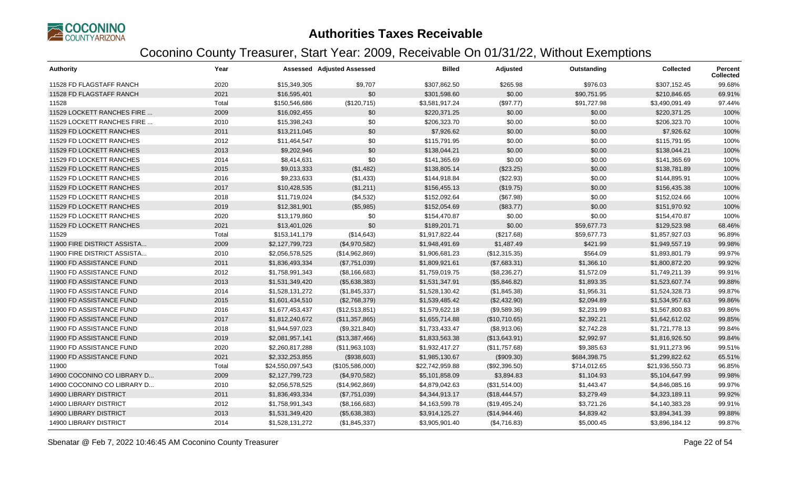

| <b>Authority</b>              | Year  |                  | <b>Assessed Adjusted Assessed</b> | <b>Billed</b>   | Adjusted      | Outstanding  | <b>Collected</b> | Percent<br><b>Collected</b> |
|-------------------------------|-------|------------------|-----------------------------------|-----------------|---------------|--------------|------------------|-----------------------------|
| 11528 FD FLAGSTAFF RANCH      | 2020  | \$15,349,305     | \$9,707                           | \$307,862.50    | \$265.98      | \$976.03     | \$307,152.45     | 99.68%                      |
| 11528 FD FLAGSTAFF RANCH      | 2021  | \$16,595,401     | \$0                               | \$301,598.60    | \$0.00        | \$90,751.95  | \$210,846.65     | 69.91%                      |
| 11528                         | Total | \$150,546,686    | (\$120,715)                       | \$3,581,917.24  | (\$97.77)     | \$91,727.98  | \$3,490,091.49   | 97.44%                      |
| 11529 LOCKETT RANCHES FIRE    | 2009  | \$16,092,455     | \$0                               | \$220,371.25    | \$0.00        | \$0.00       | \$220,371.25     | 100%                        |
| 11529 LOCKETT RANCHES FIRE    | 2010  | \$15,398,243     | \$0                               | \$206,323.70    | \$0.00        | \$0.00       | \$206,323.70     | 100%                        |
| 11529 FD LOCKETT RANCHES      | 2011  | \$13,211,045     | \$0                               | \$7,926.62      | \$0.00        | \$0.00       | \$7,926.62       | 100%                        |
| 11529 FD LOCKETT RANCHES      | 2012  | \$11,464,547     | \$0                               | \$115,791.95    | \$0.00        | \$0.00       | \$115,791.95     | 100%                        |
| 11529 FD LOCKETT RANCHES      | 2013  | \$9,202,946      | \$0                               | \$138,044.21    | \$0.00        | \$0.00       | \$138,044.21     | 100%                        |
| 11529 FD LOCKETT RANCHES      | 2014  | \$8,414,631      | \$0                               | \$141,365.69    | \$0.00        | \$0.00       | \$141,365.69     | 100%                        |
| 11529 FD LOCKETT RANCHES      | 2015  | \$9,013,333      | (\$1,482)                         | \$138,805.14    | (\$23.25)     | \$0.00       | \$138,781.89     | 100%                        |
| 11529 FD LOCKETT RANCHES      | 2016  | \$9,233,633      | (\$1,433)                         | \$144,918.84    | (\$22.93)     | \$0.00       | \$144,895.91     | 100%                        |
| 11529 FD LOCKETT RANCHES      | 2017  | \$10,428,535     | (\$1,211)                         | \$156,455.13    | (\$19.75)     | \$0.00       | \$156,435.38     | 100%                        |
| 11529 FD LOCKETT RANCHES      | 2018  | \$11,719,024     | (\$4,532)                         | \$152,092.64    | (\$67.98)     | \$0.00       | \$152,024.66     | 100%                        |
| 11529 FD LOCKETT RANCHES      | 2019  | \$12,381,901     | (\$5,985)                         | \$152,054.69    | (\$83.77)     | \$0.00       | \$151,970.92     | 100%                        |
| 11529 FD LOCKETT RANCHES      | 2020  | \$13,179,860     | \$0                               | \$154,470.87    | \$0.00        | \$0.00       | \$154,470.87     | 100%                        |
| 11529 FD LOCKETT RANCHES      | 2021  | \$13,401,026     | \$0                               | \$189,201.71    | \$0.00        | \$59,677.73  | \$129,523.98     | 68.46%                      |
| 11529                         | Total | \$153,141,179    | (\$14,643)                        | \$1,917,822.44  | (\$217.68)    | \$59,677.73  | \$1,857,927.03   | 96.89%                      |
| 11900 FIRE DISTRICT ASSISTA   | 2009  | \$2,127,799,723  | (\$4,970,582)                     | \$1,948,491.69  | \$1,487.49    | \$421.99     | \$1,949,557.19   | 99.98%                      |
| 11900 FIRE DISTRICT ASSISTA   | 2010  | \$2,056,578,525  | (\$14,962,869)                    | \$1,906,681.23  | (\$12,315.35) | \$564.09     | \$1,893,801.79   | 99.97%                      |
| 11900 FD ASSISTANCE FUND      | 2011  | \$1,836,493,334  | (\$7,751,039)                     | \$1,809,921.61  | (\$7,683.31)  | \$1,366.10   | \$1,800,872.20   | 99.92%                      |
| 11900 FD ASSISTANCE FUND      | 2012  | \$1,758,991,343  | (\$8,166,683)                     | \$1,759,019.75  | (\$8,236.27)  | \$1,572.09   | \$1,749,211.39   | 99.91%                      |
| 11900 FD ASSISTANCE FUND      | 2013  | \$1,531,349,420  | (\$5,638,383)                     | \$1,531,347.91  | (\$5,846.82)  | \$1,893.35   | \$1,523,607.74   | 99.88%                      |
| 11900 FD ASSISTANCE FUND      | 2014  | \$1,528,131,272  | (\$1,845,337)                     | \$1,528,130.42  | (\$1,845.38)  | \$1,956.31   | \$1,524,328.73   | 99.87%                      |
| 11900 FD ASSISTANCE FUND      | 2015  | \$1,601,434,510  | (\$2,768,379)                     | \$1,539,485.42  | (\$2,432.90)  | \$2,094.89   | \$1,534,957.63   | 99.86%                      |
| 11900 FD ASSISTANCE FUND      | 2016  | \$1,677,453,437  | (\$12,513,851)                    | \$1,579,622.18  | (\$9,589.36)  | \$2,231.99   | \$1,567,800.83   | 99.86%                      |
| 11900 FD ASSISTANCE FUND      | 2017  | \$1,812,240,672  | (\$11,357,865)                    | \$1,655,714.88  | (\$10,710.65) | \$2,392.21   | \$1,642,612.02   | 99.85%                      |
| 11900 FD ASSISTANCE FUND      | 2018  | \$1,944,597,023  | (\$9,321,840)                     | \$1,733,433.47  | (\$8,913.06)  | \$2,742.28   | \$1,721,778.13   | 99.84%                      |
| 11900 FD ASSISTANCE FUND      | 2019  | \$2,081,957,141  | (\$13,387,466)                    | \$1,833,563.38  | (\$13,643.91) | \$2,992.97   | \$1,816,926.50   | 99.84%                      |
| 11900 FD ASSISTANCE FUND      | 2020  | \$2,260,817,288  | (\$11,963,103)                    | \$1,932,417.27  | (\$11,757.68) | \$9,385.63   | \$1,911,273.96   | 99.51%                      |
| 11900 FD ASSISTANCE FUND      | 2021  | \$2,332,253,855  | (\$938,603)                       | \$1,985,130.67  | (\$909.30)    | \$684,398.75 | \$1,299,822.62   | 65.51%                      |
| 11900                         | Total | \$24,550,097,543 | (\$105,586,000)                   | \$22,742,959.88 | (\$92,396.50) | \$714,012.65 | \$21,936,550.73  | 96.85%                      |
| 14900 COCONINO CO LIBRARY D   | 2009  | \$2,127,799,723  | (\$4,970,582)                     | \$5,101,858.09  | \$3,894.83    | \$1,104.93   | \$5,104,647.99   | 99.98%                      |
| 14900 COCONINO CO LIBRARY D   | 2010  | \$2,056,578,525  | (\$14,962,869)                    | \$4,879,042.63  | (\$31,514.00) | \$1,443.47   | \$4,846,085.16   | 99.97%                      |
| <b>14900 LIBRARY DISTRICT</b> | 2011  | \$1,836,493,334  | (\$7,751,039)                     | \$4,344,913.17  | (\$18,444.57) | \$3,279.49   | \$4,323,189.11   | 99.92%                      |
| <b>14900 LIBRARY DISTRICT</b> | 2012  | \$1,758,991,343  | (\$8,166,683)                     | \$4,163,599.78  | (\$19,495.24) | \$3,721.26   | \$4,140,383.28   | 99.91%                      |
| <b>14900 LIBRARY DISTRICT</b> | 2013  | \$1,531,349,420  | (\$5,638,383)                     | \$3,914,125.27  | (\$14,944.46) | \$4,839.42   | \$3,894,341.39   | 99.88%                      |
| 14900 LIBRARY DISTRICT        | 2014  | \$1,528,131,272  | (\$1,845,337)                     | \$3,905,901.40  | (\$4,716.83)  | \$5,000.45   | \$3,896,184.12   | 99.87%                      |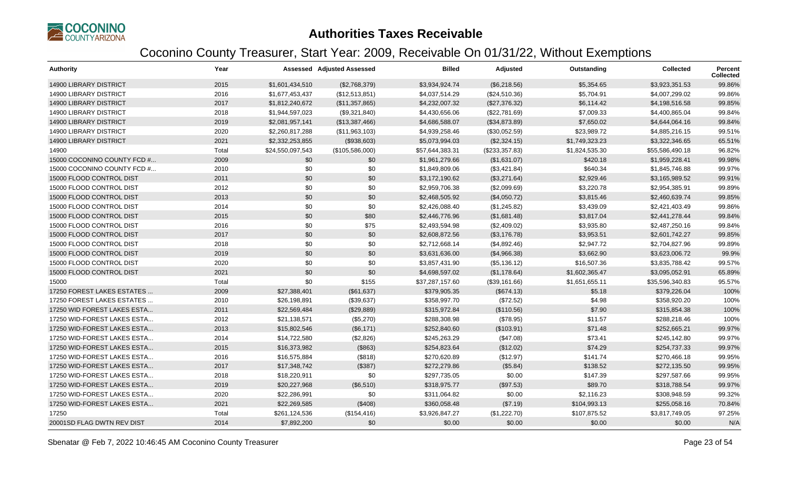

| <b>Authority</b>              | Year  |                  | <b>Assessed Adjusted Assessed</b> | <b>Billed</b>   | Adjusted       | Outstanding    | Collected       | Percent<br><b>Collected</b> |
|-------------------------------|-------|------------------|-----------------------------------|-----------------|----------------|----------------|-----------------|-----------------------------|
| <b>14900 LIBRARY DISTRICT</b> | 2015  | \$1,601,434,510  | (\$2,768,379)                     | \$3,934,924.74  | (\$6,218.56)   | \$5,354.65     | \$3,923,351.53  | 99.86%                      |
| <b>14900 LIBRARY DISTRICT</b> | 2016  | \$1,677,453,437  | (\$12,513,851)                    | \$4,037,514.29  | (\$24,510.36)  | \$5,704.91     | \$4,007,299.02  | 99.86%                      |
| <b>14900 LIBRARY DISTRICT</b> | 2017  | \$1,812,240,672  | (\$11,357,865)                    | \$4,232,007.32  | (\$27,376.32)  | \$6,114.42     | \$4,198,516.58  | 99.85%                      |
| <b>14900 LIBRARY DISTRICT</b> | 2018  | \$1,944,597,023  | (\$9,321,840)                     | \$4,430,656.06  | (\$22,781.69)  | \$7,009.33     | \$4,400,865.04  | 99.84%                      |
| <b>14900 LIBRARY DISTRICT</b> | 2019  | \$2,081,957,141  | (\$13,387,466)                    | \$4,686,588.07  | (\$34,873.89)  | \$7,650.02     | \$4,644,064.16  | 99.84%                      |
| <b>14900 LIBRARY DISTRICT</b> | 2020  | \$2,260,817,288  | (\$11,963,103)                    | \$4,939,258.46  | (\$30,052.59)  | \$23,989.72    | \$4,885,216.15  | 99.51%                      |
| <b>14900 LIBRARY DISTRICT</b> | 2021  | \$2,332,253,855  | (\$938,603)                       | \$5,073,994.03  | (\$2,324.15)   | \$1,749,323.23 | \$3,322,346.65  | 65.51%                      |
| 14900                         | Total | \$24,550,097,543 | (\$105,586,000)                   | \$57,644,383.31 | (\$233,357.83) | \$1,824,535.30 | \$55,586,490.18 | 96.82%                      |
| 15000 COCONINO COUNTY FCD #   | 2009  | \$0              | \$0                               | \$1,961,279.66  | (\$1,631.07)   | \$420.18       | \$1,959,228.41  | 99.98%                      |
| 15000 COCONINO COUNTY FCD #   | 2010  | \$0              | \$0                               | \$1,849,809.06  | (\$3,421.84)   | \$640.34       | \$1,845,746.88  | 99.97%                      |
| 15000 FLOOD CONTROL DIST      | 2011  | \$0              | \$0                               | \$3,172,190.62  | (\$3,271.64)   | \$2,929.46     | \$3,165,989.52  | 99.91%                      |
| 15000 FLOOD CONTROL DIST      | 2012  | \$0              | \$0                               | \$2,959,706.38  | (\$2,099.69)   | \$3,220.78     | \$2,954,385.91  | 99.89%                      |
| 15000 FLOOD CONTROL DIST      | 2013  | \$0              | \$0                               | \$2,468,505.92  | (\$4,050.72)   | \$3,815.46     | \$2,460,639.74  | 99.85%                      |
| 15000 FLOOD CONTROL DIST      | 2014  | \$0              | \$0                               | \$2,426,088.40  | (\$1,245.82)   | \$3,439.09     | \$2,421,403.49  | 99.86%                      |
| 15000 FLOOD CONTROL DIST      | 2015  | \$0              | \$80                              | \$2,446,776.96  | (\$1,681.48)   | \$3,817.04     | \$2,441,278.44  | 99.84%                      |
| 15000 FLOOD CONTROL DIST      | 2016  | \$0              | \$75                              | \$2,493,594.98  | (\$2,409.02)   | \$3,935.80     | \$2,487,250.16  | 99.84%                      |
| 15000 FLOOD CONTROL DIST      | 2017  | \$0              | \$0                               | \$2,608,872.56  | (\$3,176.78)   | \$3,953.51     | \$2,601,742.27  | 99.85%                      |
| 15000 FLOOD CONTROL DIST      | 2018  | \$0              | \$0                               | \$2,712,668.14  | (\$4,892.46)   | \$2,947.72     | \$2,704,827.96  | 99.89%                      |
| 15000 FLOOD CONTROL DIST      | 2019  | \$0              | \$0                               | \$3,631,636.00  | (\$4,966.38)   | \$3,662.90     | \$3,623,006.72  | 99.9%                       |
| 15000 FLOOD CONTROL DIST      | 2020  | \$0              | \$0                               | \$3,857,431.90  | (\$5,136.12)   | \$16,507.36    | \$3,835,788.42  | 99.57%                      |
| 15000 FLOOD CONTROL DIST      | 2021  | \$0              | \$0                               | \$4,698,597.02  | (\$1,178.64)   | \$1,602,365.47 | \$3,095,052.91  | 65.89%                      |
| 15000                         | Total | \$0              | \$155                             | \$37,287,157.60 | (\$39,161.66)  | \$1,651,655.11 | \$35,596,340.83 | 95.57%                      |
| 17250 FOREST LAKES ESTATES    | 2009  | \$27,388,401     | (\$61,637)                        | \$379,905.35    | (\$674.13)     | \$5.18         | \$379,226.04    | 100%                        |
| 17250 FOREST LAKES ESTATES    | 2010  | \$26,198,891     | (\$39,637)                        | \$358,997.70    | (\$72.52)      | \$4.98         | \$358,920.20    | 100%                        |
| 17250 WID FOREST LAKES ESTA   | 2011  | \$22,569,484     | (\$29,889)                        | \$315,972.84    | (\$110.56)     | \$7.90         | \$315,854.38    | 100%                        |
| 17250 WID-FOREST LAKES ESTA   | 2012  | \$21,138,571     | (\$5,270)                         | \$288,308.98    | (\$78.95)      | \$11.57        | \$288,218.46    | 100%                        |
| 17250 WID-FOREST LAKES ESTA   | 2013  | \$15,802,546     | (\$6,171)                         | \$252,840.60    | (\$103.91)     | \$71.48        | \$252,665.21    | 99.97%                      |
| 17250 WID-FOREST LAKES ESTA   | 2014  | \$14,722,580     | (\$2,826)                         | \$245,263.29    | (\$47.08)      | \$73.41        | \$245,142.80    | 99.97%                      |
| 17250 WID-FOREST LAKES ESTA   | 2015  | \$16,373,982     | (\$863)                           | \$254,823.64    | (\$12.02)      | \$74.29        | \$254,737.33    | 99.97%                      |
| 17250 WID-FOREST LAKES ESTA   | 2016  | \$16,575,884     | (\$818)                           | \$270,620.89    | (\$12.97)      | \$141.74       | \$270,466.18    | 99.95%                      |
| 17250 WID-FOREST LAKES ESTA   | 2017  | \$17,348,742     | (\$387)                           | \$272,279.86    | (\$5.84)       | \$138.52       | \$272,135.50    | 99.95%                      |
| 17250 WID-FOREST LAKES ESTA   | 2018  | \$18,220,911     | \$0                               | \$297,735.05    | \$0.00         | \$147.39       | \$297,587.66    | 99.95%                      |
| 17250 WID-FOREST LAKES ESTA   | 2019  | \$20,227,968     | (\$6,510)                         | \$318,975.77    | (\$97.53)      | \$89.70        | \$318,788.54    | 99.97%                      |
| 17250 WID-FOREST LAKES ESTA   | 2020  | \$22,286,991     | \$0                               | \$311,064.82    | \$0.00         | \$2,116.23     | \$308,948.59    | 99.32%                      |
| 17250 WID-FOREST LAKES ESTA   | 2021  | \$22,269,585     | (\$408)                           | \$360,058.48    | (\$7.19)       | \$104,993.13   | \$255,058.16    | 70.84%                      |
| 17250                         | Total | \$261,124,536    | (\$154, 416)                      | \$3,926,847.27  | (\$1,222.70)   | \$107,875.52   | \$3.817.749.05  | 97.25%                      |
| 20001SD FLAG DWTN REV DIST    | 2014  | \$7,892,200      | \$0                               | \$0.00          | \$0.00         | \$0.00         | \$0.00          | N/A                         |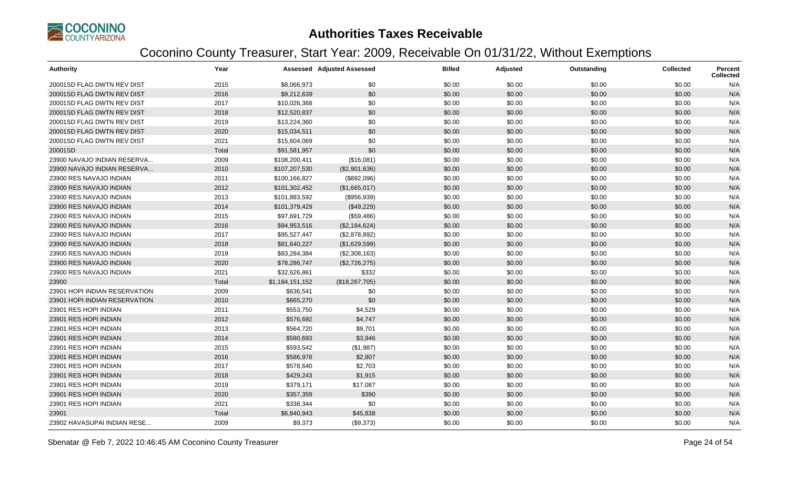

| <b>Authority</b>              | Year  |                 | <b>Assessed Adjusted Assessed</b> | <b>Billed</b> | Adjusted | Outstanding | <b>Collected</b> | <b>Percent</b><br><b>Collected</b> |
|-------------------------------|-------|-----------------|-----------------------------------|---------------|----------|-------------|------------------|------------------------------------|
| 20001SD FLAG DWTN REV DIST    | 2015  | \$8,066,973     | \$0                               | \$0.00        | \$0.00   | \$0.00      | \$0.00           | N/A                                |
| 20001SD FLAG DWTN REV DIST    | 2016  | \$9,212,639     | \$0                               | \$0.00        | \$0.00   | \$0.00      | \$0.00           | N/A                                |
| 20001SD FLAG DWTN REV DIST    | 2017  | \$10,026,368    | \$0                               | \$0.00        | \$0.00   | \$0.00      | \$0.00           | N/A                                |
| 20001SD FLAG DWTN REV DIST    | 2018  | \$12,520,837    | \$0                               | \$0.00        | \$0.00   | \$0.00      | \$0.00           | N/A                                |
| 20001SD FLAG DWTN REV DIST    | 2019  | \$13,224,360    | \$0                               | \$0.00        | \$0.00   | \$0.00      | \$0.00           | N/A                                |
| 20001SD FLAG DWTN REV DIST    | 2020  | \$15,034,511    | \$0                               | \$0.00        | \$0.00   | \$0.00      | \$0.00           | N/A                                |
| 20001SD FLAG DWTN REV DIST    | 2021  | \$15,604,069    | \$0                               | \$0.00        | \$0.00   | \$0.00      | \$0.00           | N/A                                |
| 20001SD                       | Total | \$91,581,957    | \$0                               | \$0.00        | \$0.00   | \$0.00      | \$0.00           | N/A                                |
| 23900 NAVAJO INDIAN RESERVA   | 2009  | \$108,200,411   | (\$16,081)                        | \$0.00        | \$0.00   | \$0.00      | \$0.00           | N/A                                |
| 23900 NAVAJO INDIAN RESERVA   | 2010  | \$107,207,530   | (\$2,901,636)                     | \$0.00        | \$0.00   | \$0.00      | \$0.00           | N/A                                |
| 23900 RES NAVAJO INDIAN       | 2011  | \$100,166,827   | (\$892,096)                       | \$0.00        | \$0.00   | \$0.00      | \$0.00           | N/A                                |
| 23900 RES NAVAJO INDIAN       | 2012  | \$101,302,452   | (\$1,665,017)                     | \$0.00        | \$0.00   | \$0.00      | \$0.00           | N/A                                |
| 23900 RES NAVAJO INDIAN       | 2013  | \$101,883,592   | (\$956,939)                       | \$0.00        | \$0.00   | \$0.00      | \$0.00           | N/A                                |
| 23900 RES NAVAJO INDIAN       | 2014  | \$101,379,429   | (\$49,229)                        | \$0.00        | \$0.00   | \$0.00      | \$0.00           | N/A                                |
| 23900 RES NAVAJO INDIAN       | 2015  | \$97,691,729    | (\$59,486)                        | \$0.00        | \$0.00   | \$0.00      | \$0.00           | N/A                                |
| 23900 RES NAVAJO INDIAN       | 2016  | \$94,953,516    | (\$2,184,624)                     | \$0.00        | \$0.00   | \$0.00      | \$0.00           | N/A                                |
| 23900 RES NAVAJO INDIAN       | 2017  | \$95,527,447    | (\$2,878,892)                     | \$0.00        | \$0.00   | \$0.00      | \$0.00           | N/A                                |
| 23900 RES NAVAJO INDIAN       | 2018  | \$81,640,227    | (\$1,629,599)                     | \$0.00        | \$0.00   | \$0.00      | \$0.00           | N/A                                |
| 23900 RES NAVAJO INDIAN       | 2019  | \$83,284,384    | (\$2,308,163)                     | \$0.00        | \$0.00   | \$0.00      | \$0.00           | N/A                                |
| 23900 RES NAVAJO INDIAN       | 2020  | \$78,286,747    | (\$2,726,275)                     | \$0.00        | \$0.00   | \$0.00      | \$0.00           | N/A                                |
| 23900 RES NAVAJO INDIAN       | 2021  | \$32,626,861    | \$332                             | \$0.00        | \$0.00   | \$0.00      | \$0.00           | N/A                                |
| 23900                         | Total | \$1,184,151,152 | (\$18,267,705)                    | \$0.00        | \$0.00   | \$0.00      | \$0.00           | N/A                                |
| 23901 HOPI INDIAN RESERVATION | 2009  | \$636,541       | \$0                               | \$0.00        | \$0.00   | \$0.00      | \$0.00           | N/A                                |
| 23901 HOPI INDIAN RESERVATION | 2010  | \$665,270       | \$0                               | \$0.00        | \$0.00   | \$0.00      | \$0.00           | N/A                                |
| 23901 RES HOPI INDIAN         | 2011  | \$553,750       | \$4,529                           | \$0.00        | \$0.00   | \$0.00      | \$0.00           | N/A                                |
| 23901 RES HOPI INDIAN         | 2012  | \$576,692       | \$4,747                           | \$0.00        | \$0.00   | \$0.00      | \$0.00           | N/A                                |
| 23901 RES HOPI INDIAN         | 2013  | \$564,720       | \$9,701                           | \$0.00        | \$0.00   | \$0.00      | \$0.00           | N/A                                |
| 23901 RES HOPI INDIAN         | 2014  | \$580,693       | \$3,946                           | \$0.00        | \$0.00   | \$0.00      | \$0.00           | N/A                                |
| 23901 RES HOPI INDIAN         | 2015  | \$593,542       | (\$1,987)                         | \$0.00        | \$0.00   | \$0.00      | \$0.00           | N/A                                |
| 23901 RES HOPI INDIAN         | 2016  | \$586,978       | \$2,807                           | \$0.00        | \$0.00   | \$0.00      | \$0.00           | N/A                                |
| 23901 RES HOPI INDIAN         | 2017  | \$578,640       | \$2,703                           | \$0.00        | \$0.00   | \$0.00      | \$0.00           | N/A                                |
| 23901 RES HOPI INDIAN         | 2018  | \$429,243       | \$1,915                           | \$0.00        | \$0.00   | \$0.00      | \$0.00           | N/A                                |
| 23901 RES HOPI INDIAN         | 2019  | \$379,171       | \$17,087                          | \$0.00        | \$0.00   | \$0.00      | \$0.00           | N/A                                |
| 23901 RES HOPI INDIAN         | 2020  | \$357,359       | \$390                             | \$0.00        | \$0.00   | \$0.00      | \$0.00           | N/A                                |
| 23901 RES HOPI INDIAN         | 2021  | \$338,344       | \$0                               | \$0.00        | \$0.00   | \$0.00      | \$0.00           | N/A                                |
| 23901                         | Total | \$6,840,943     | \$45,838                          | \$0.00        | \$0.00   | \$0.00      | \$0.00           | N/A                                |
| 23902 HAVASUPAI INDIAN RESE   | 2009  | \$9,373         | (\$9,373)                         | \$0.00        | \$0.00   | \$0.00      | \$0.00           | N/A                                |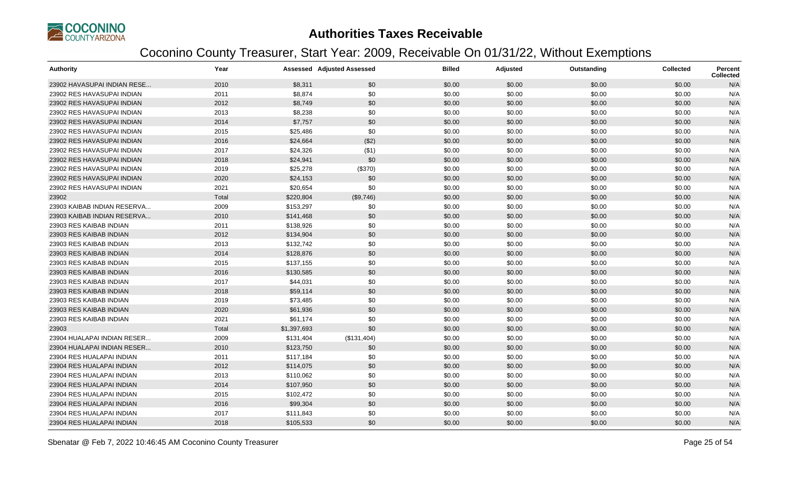

| <b>Authority</b>            | Year  |             | <b>Assessed Adjusted Assessed</b> | <b>Billed</b> | Adjusted | Outstanding | <b>Collected</b> | <b>Percent</b><br><b>Collected</b> |
|-----------------------------|-------|-------------|-----------------------------------|---------------|----------|-------------|------------------|------------------------------------|
| 23902 HAVASUPAI INDIAN RESE | 2010  | \$8,311     | \$0                               | \$0.00        | \$0.00   | \$0.00      | \$0.00           | N/A                                |
| 23902 RES HAVASUPAI INDIAN  | 2011  | \$8,874     | \$0                               | \$0.00        | \$0.00   | \$0.00      | \$0.00           | N/A                                |
| 23902 RES HAVASUPAI INDIAN  | 2012  | \$8,749     | \$0                               | \$0.00        | \$0.00   | \$0.00      | \$0.00           | N/A                                |
| 23902 RES HAVASUPAI INDIAN  | 2013  | \$8,238     | \$0                               | \$0.00        | \$0.00   | \$0.00      | \$0.00           | N/A                                |
| 23902 RES HAVASUPAI INDIAN  | 2014  | \$7,757     | \$0                               | \$0.00        | \$0.00   | \$0.00      | \$0.00           | N/A                                |
| 23902 RES HAVASUPAI INDIAN  | 2015  | \$25,486    | \$0                               | \$0.00        | \$0.00   | \$0.00      | \$0.00           | N/A                                |
| 23902 RES HAVASUPAI INDIAN  | 2016  | \$24,664    | (\$2)                             | \$0.00        | \$0.00   | \$0.00      | \$0.00           | N/A                                |
| 23902 RES HAVASUPAI INDIAN  | 2017  | \$24,326    | (\$1)                             | \$0.00        | \$0.00   | \$0.00      | \$0.00           | N/A                                |
| 23902 RES HAVASUPAI INDIAN  | 2018  | \$24,941    | \$0                               | \$0.00        | \$0.00   | \$0.00      | \$0.00           | N/A                                |
| 23902 RES HAVASUPAI INDIAN  | 2019  | \$25,278    | (\$370)                           | \$0.00        | \$0.00   | \$0.00      | \$0.00           | N/A                                |
| 23902 RES HAVASUPAI INDIAN  | 2020  | \$24,153    | \$0                               | \$0.00        | \$0.00   | \$0.00      | \$0.00           | N/A                                |
| 23902 RES HAVASUPAI INDIAN  | 2021  | \$20,654    | \$0                               | \$0.00        | \$0.00   | \$0.00      | \$0.00           | N/A                                |
| 23902                       | Total | \$220,804   | (\$9,746)                         | \$0.00        | \$0.00   | \$0.00      | \$0.00           | N/A                                |
| 23903 KAIBAB INDIAN RESERVA | 2009  | \$153,297   | \$0                               | \$0.00        | \$0.00   | \$0.00      | \$0.00           | N/A                                |
| 23903 KAIBAB INDIAN RESERVA | 2010  | \$141,468   | \$0                               | \$0.00        | \$0.00   | \$0.00      | \$0.00           | N/A                                |
| 23903 RES KAIBAB INDIAN     | 2011  | \$138,926   | \$0                               | \$0.00        | \$0.00   | \$0.00      | \$0.00           | N/A                                |
| 23903 RES KAIBAB INDIAN     | 2012  | \$134,904   | \$0                               | \$0.00        | \$0.00   | \$0.00      | \$0.00           | N/A                                |
| 23903 RES KAIBAB INDIAN     | 2013  | \$132,742   | \$0                               | \$0.00        | \$0.00   | \$0.00      | \$0.00           | N/A                                |
| 23903 RES KAIBAB INDIAN     | 2014  | \$128,876   | \$0                               | \$0.00        | \$0.00   | \$0.00      | \$0.00           | N/A                                |
| 23903 RES KAIBAB INDIAN     | 2015  | \$137,155   | \$0                               | \$0.00        | \$0.00   | \$0.00      | \$0.00           | N/A                                |
| 23903 RES KAIBAB INDIAN     | 2016  | \$130,585   | \$0                               | \$0.00        | \$0.00   | \$0.00      | \$0.00           | N/A                                |
| 23903 RES KAIBAB INDIAN     | 2017  | \$44,031    | \$0                               | \$0.00        | \$0.00   | \$0.00      | \$0.00           | N/A                                |
| 23903 RES KAIBAB INDIAN     | 2018  | \$59,114    | \$0                               | \$0.00        | \$0.00   | \$0.00      | \$0.00           | N/A                                |
| 23903 RES KAIBAB INDIAN     | 2019  | \$73,485    | \$0                               | \$0.00        | \$0.00   | \$0.00      | \$0.00           | N/A                                |
| 23903 RES KAIBAB INDIAN     | 2020  | \$61,936    | \$0                               | \$0.00        | \$0.00   | \$0.00      | \$0.00           | N/A                                |
| 23903 RES KAIBAB INDIAN     | 2021  | \$61,174    | \$0                               | \$0.00        | \$0.00   | \$0.00      | \$0.00           | N/A                                |
| 23903                       | Total | \$1,397,693 | \$0                               | \$0.00        | \$0.00   | \$0.00      | \$0.00           | N/A                                |
| 23904 HUALAPAI INDIAN RESER | 2009  | \$131,404   | (\$131,404)                       | \$0.00        | \$0.00   | \$0.00      | \$0.00           | N/A                                |
| 23904 HUALAPAI INDIAN RESER | 2010  | \$123,750   | \$0                               | \$0.00        | \$0.00   | \$0.00      | \$0.00           | N/A                                |
| 23904 RES HUALAPAI INDIAN   | 2011  | \$117,184   | \$0                               | \$0.00        | \$0.00   | \$0.00      | \$0.00           | N/A                                |
| 23904 RES HUALAPAI INDIAN   | 2012  | \$114,075   | \$0                               | \$0.00        | \$0.00   | \$0.00      | \$0.00           | N/A                                |
| 23904 RES HUALAPAI INDIAN   | 2013  | \$110,062   | \$0                               | \$0.00        | \$0.00   | \$0.00      | \$0.00           | N/A                                |
| 23904 RES HUALAPAI INDIAN   | 2014  | \$107,950   | \$0                               | \$0.00        | \$0.00   | \$0.00      | \$0.00           | N/A                                |
| 23904 RES HUALAPAI INDIAN   | 2015  | \$102,472   | \$0                               | \$0.00        | \$0.00   | \$0.00      | \$0.00           | N/A                                |
| 23904 RES HUALAPAI INDIAN   | 2016  | \$99,304    | \$0                               | \$0.00        | \$0.00   | \$0.00      | \$0.00           | N/A                                |
| 23904 RES HUALAPAI INDIAN   | 2017  | \$111,843   | \$0                               | \$0.00        | \$0.00   | \$0.00      | \$0.00           | N/A                                |
| 23904 RES HUALAPAI INDIAN   | 2018  | \$105,533   | \$0                               | \$0.00        | \$0.00   | \$0.00      | \$0.00           | N/A                                |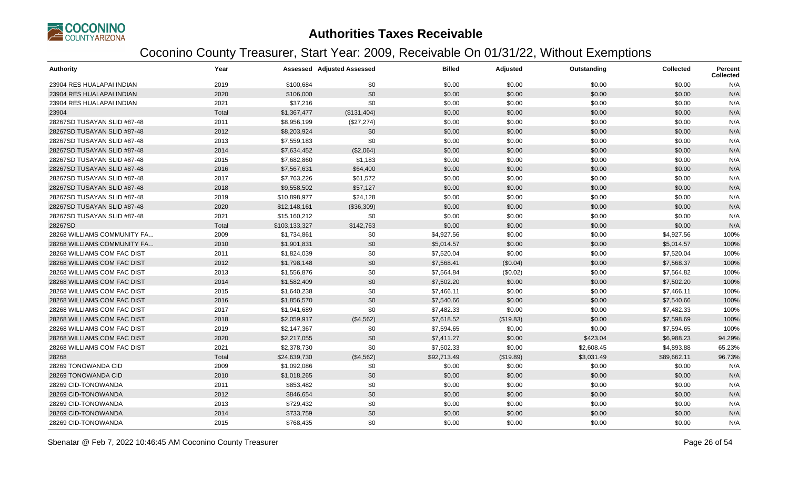

| <b>Authority</b>            | Year  |               | <b>Assessed Adjusted Assessed</b> | <b>Billed</b> | <b>Adjusted</b> | Outstanding | <b>Collected</b> | <b>Percent</b><br><b>Collected</b> |
|-----------------------------|-------|---------------|-----------------------------------|---------------|-----------------|-------------|------------------|------------------------------------|
| 23904 RES HUALAPAI INDIAN   | 2019  | \$100,684     | \$0                               | \$0.00        | \$0.00          | \$0.00      | \$0.00           | N/A                                |
| 23904 RES HUALAPAI INDIAN   | 2020  | \$106,000     | \$0                               | \$0.00        | \$0.00          | \$0.00      | \$0.00           | N/A                                |
| 23904 RES HUALAPAI INDIAN   | 2021  | \$37,216      | \$0                               | \$0.00        | \$0.00          | \$0.00      | \$0.00           | N/A                                |
| 23904                       | Total | \$1,367,477   | (\$131,404)                       | \$0.00        | \$0.00          | \$0.00      | \$0.00           | N/A                                |
| 28267SD TUSAYAN SLID #87-48 | 2011  | \$8,956,199   | (\$27,274)                        | \$0.00        | \$0.00          | \$0.00      | \$0.00           | N/A                                |
| 28267SD TUSAYAN SLID #87-48 | 2012  | \$8,203,924   | \$0                               | \$0.00        | \$0.00          | \$0.00      | \$0.00           | N/A                                |
| 28267SD TUSAYAN SLID #87-48 | 2013  | \$7,559,183   | \$0                               | \$0.00        | \$0.00          | \$0.00      | \$0.00           | N/A                                |
| 28267SD TUSAYAN SLID #87-48 | 2014  | \$7,634,452   | (\$2,064)                         | \$0.00        | \$0.00          | \$0.00      | \$0.00           | N/A                                |
| 28267SD TUSAYAN SLID #87-48 | 2015  | \$7,682,860   | \$1,183                           | \$0.00        | \$0.00          | \$0.00      | \$0.00           | N/A                                |
| 28267SD TUSAYAN SLID #87-48 | 2016  | \$7,567,631   | \$64,400                          | \$0.00        | \$0.00          | \$0.00      | \$0.00           | N/A                                |
| 28267SD TUSAYAN SLID #87-48 | 2017  | \$7,763,226   | \$61,572                          | \$0.00        | \$0.00          | \$0.00      | \$0.00           | N/A                                |
| 28267SD TUSAYAN SLID #87-48 | 2018  | \$9,558,502   | \$57,127                          | \$0.00        | \$0.00          | \$0.00      | \$0.00           | N/A                                |
| 28267SD TUSAYAN SLID #87-48 | 2019  | \$10,898,977  | \$24,128                          | \$0.00        | \$0.00          | \$0.00      | \$0.00           | N/A                                |
| 28267SD TUSAYAN SLID #87-48 | 2020  | \$12,148,161  | (\$36,309)                        | \$0.00        | \$0.00          | \$0.00      | \$0.00           | N/A                                |
| 28267SD TUSAYAN SLID #87-48 | 2021  | \$15,160,212  | \$0                               | \$0.00        | \$0.00          | \$0.00      | \$0.00           | N/A                                |
| 28267SD                     | Total | \$103,133,327 | \$142,763                         | \$0.00        | \$0.00          | \$0.00      | \$0.00           | N/A                                |
| 28268 WILLIAMS COMMUNITY FA | 2009  | \$1,734,861   | \$0                               | \$4,927.56    | \$0.00          | \$0.00      | \$4,927.56       | 100%                               |
| 28268 WILLIAMS COMMUNITY FA | 2010  | \$1,901,831   | \$0                               | \$5,014.57    | \$0.00          | \$0.00      | \$5,014.57       | 100%                               |
| 28268 WILLIAMS COM FAC DIST | 2011  | \$1,824,039   | \$0                               | \$7,520.04    | \$0.00          | \$0.00      | \$7,520.04       | 100%                               |
| 28268 WILLIAMS COM FAC DIST | 2012  | \$1,798,148   | \$0                               | \$7,568.41    | (\$0.04)        | \$0.00      | \$7,568.37       | 100%                               |
| 28268 WILLIAMS COM FAC DIST | 2013  | \$1,556,876   | \$0                               | \$7,564.84    | (\$0.02)        | \$0.00      | \$7,564.82       | 100%                               |
| 28268 WILLIAMS COM FAC DIST | 2014  | \$1,582,409   | \$0                               | \$7,502.20    | \$0.00          | \$0.00      | \$7,502.20       | 100%                               |
| 28268 WILLIAMS COM FAC DIST | 2015  | \$1,640,238   | \$0                               | \$7,466.11    | \$0.00          | \$0.00      | \$7,466.11       | 100%                               |
| 28268 WILLIAMS COM FAC DIST | 2016  | \$1,856,570   | \$0                               | \$7,540.66    | \$0.00          | \$0.00      | \$7,540.66       | 100%                               |
| 28268 WILLIAMS COM FAC DIST | 2017  | \$1,941,689   | \$0                               | \$7,482.33    | \$0.00          | \$0.00      | \$7,482.33       | 100%                               |
| 28268 WILLIAMS COM FAC DIST | 2018  | \$2,059,917   | (\$4,562)                         | \$7,618.52    | (\$19.83)       | \$0.00      | \$7,598.69       | 100%                               |
| 28268 WILLIAMS COM FAC DIST | 2019  | \$2,147,367   | \$0                               | \$7,594.65    | \$0.00          | \$0.00      | \$7,594.65       | 100%                               |
| 28268 WILLIAMS COM FAC DIST | 2020  | \$2,217,055   | \$0                               | \$7,411.27    | \$0.00          | \$423.04    | \$6,988.23       | 94.29%                             |
| 28268 WILLIAMS COM FAC DIST | 2021  | \$2,378,730   | \$0                               | \$7,502.33    | \$0.00          | \$2,608.45  | \$4,893.88       | 65.23%                             |
| 28268                       | Total | \$24,639,730  | (\$4,562)                         | \$92,713.49   | (\$19.89)       | \$3,031.49  | \$89,662.11      | 96.73%                             |
| 28269 TONOWANDA CID         | 2009  | \$1,092,086   | \$0                               | \$0.00        | \$0.00          | \$0.00      | \$0.00           | N/A                                |
| 28269 TONOWANDA CID         | 2010  | \$1,018,265   | \$0                               | \$0.00        | \$0.00          | \$0.00      | \$0.00           | N/A                                |
| 28269 CID-TONOWANDA         | 2011  | \$853,482     | \$0                               | \$0.00        | \$0.00          | \$0.00      | \$0.00           | N/A                                |
| 28269 CID-TONOWANDA         | 2012  | \$846,654     | \$0                               | \$0.00        | \$0.00          | \$0.00      | \$0.00           | N/A                                |
| 28269 CID-TONOWANDA         | 2013  | \$729,432     | \$0                               | \$0.00        | \$0.00          | \$0.00      | \$0.00           | N/A                                |
| 28269 CID-TONOWANDA         | 2014  | \$733,759     | \$0                               | \$0.00        | \$0.00          | \$0.00      | \$0.00           | N/A                                |
| 28269 CID-TONOWANDA         | 2015  | \$768,435     | \$0                               | \$0.00        | \$0.00          | \$0.00      | \$0.00           | N/A                                |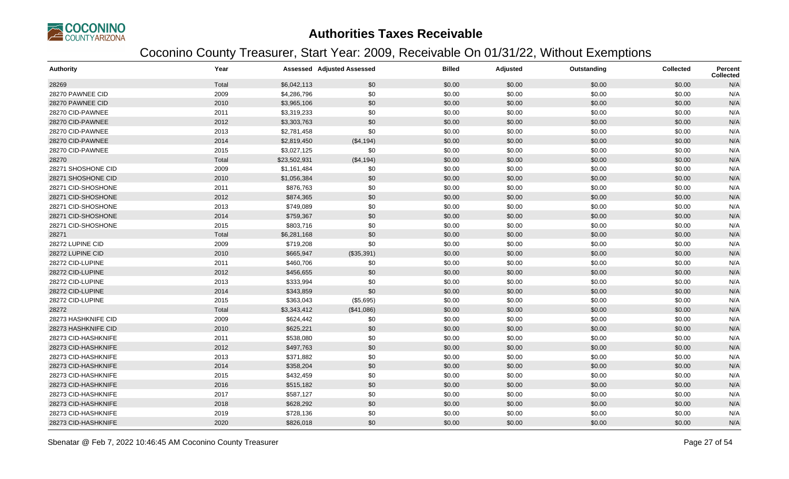

| <b>Authority</b>    | Year  |              | <b>Assessed Adjusted Assessed</b> | <b>Billed</b> | Adjusted | Outstanding | <b>Collected</b> | <b>Percent</b><br><b>Collected</b> |
|---------------------|-------|--------------|-----------------------------------|---------------|----------|-------------|------------------|------------------------------------|
| 28269               | Total | \$6,042,113  | \$0                               | \$0.00        | \$0.00   | \$0.00      | \$0.00           | N/A                                |
| 28270 PAWNEE CID    | 2009  | \$4,286,796  | \$0                               | \$0.00        | \$0.00   | \$0.00      | \$0.00           | N/A                                |
| 28270 PAWNEE CID    | 2010  | \$3,965,106  | \$0                               | \$0.00        | \$0.00   | \$0.00      | \$0.00           | N/A                                |
| 28270 CID-PAWNEE    | 2011  | \$3,319,233  | \$0                               | \$0.00        | \$0.00   | \$0.00      | \$0.00           | N/A                                |
| 28270 CID-PAWNEE    | 2012  | \$3,303,763  | \$0                               | \$0.00        | \$0.00   | \$0.00      | \$0.00           | N/A                                |
| 28270 CID-PAWNEE    | 2013  | \$2,781,458  | \$0                               | \$0.00        | \$0.00   | \$0.00      | \$0.00           | N/A                                |
| 28270 CID-PAWNEE    | 2014  | \$2,819,450  | (\$4,194)                         | \$0.00        | \$0.00   | \$0.00      | \$0.00           | N/A                                |
| 28270 CID-PAWNEE    | 2015  | \$3,027,125  | \$0                               | \$0.00        | \$0.00   | \$0.00      | \$0.00           | N/A                                |
| 28270               | Total | \$23,502,931 | (\$4,194)                         | \$0.00        | \$0.00   | \$0.00      | \$0.00           | N/A                                |
| 28271 SHOSHONE CID  | 2009  | \$1,161,484  | \$0                               | \$0.00        | \$0.00   | \$0.00      | \$0.00           | N/A                                |
| 28271 SHOSHONE CID  | 2010  | \$1,056,384  | \$0                               | \$0.00        | \$0.00   | \$0.00      | \$0.00           | N/A                                |
| 28271 CID-SHOSHONE  | 2011  | \$876,763    | \$0                               | \$0.00        | \$0.00   | \$0.00      | \$0.00           | N/A                                |
| 28271 CID-SHOSHONE  | 2012  | \$874,365    | \$0                               | \$0.00        | \$0.00   | \$0.00      | \$0.00           | N/A                                |
| 28271 CID-SHOSHONE  | 2013  | \$749,089    | \$0                               | \$0.00        | \$0.00   | \$0.00      | \$0.00           | N/A                                |
| 28271 CID-SHOSHONE  | 2014  | \$759,367    | \$0                               | \$0.00        | \$0.00   | \$0.00      | \$0.00           | N/A                                |
| 28271 CID-SHOSHONE  | 2015  | \$803,716    | \$0                               | \$0.00        | \$0.00   | \$0.00      | \$0.00           | N/A                                |
| 28271               | Total | \$6,281,168  | \$0                               | \$0.00        | \$0.00   | \$0.00      | \$0.00           | N/A                                |
| 28272 LUPINE CID    | 2009  | \$719,208    | \$0                               | \$0.00        | \$0.00   | \$0.00      | \$0.00           | N/A                                |
| 28272 LUPINE CID    | 2010  | \$665,947    | (\$35,391)                        | \$0.00        | \$0.00   | \$0.00      | \$0.00           | N/A                                |
| 28272 CID-LUPINE    | 2011  | \$460,706    | \$0                               | \$0.00        | \$0.00   | \$0.00      | \$0.00           | N/A                                |
| 28272 CID-LUPINE    | 2012  | \$456,655    | \$0                               | \$0.00        | \$0.00   | \$0.00      | \$0.00           | N/A                                |
| 28272 CID-LUPINE    | 2013  | \$333,994    | \$0                               | \$0.00        | \$0.00   | \$0.00      | \$0.00           | N/A                                |
| 28272 CID-LUPINE    | 2014  | \$343,859    | \$0                               | \$0.00        | \$0.00   | \$0.00      | \$0.00           | N/A                                |
| 28272 CID-LUPINE    | 2015  | \$363,043    | (\$5,695)                         | \$0.00        | \$0.00   | \$0.00      | \$0.00           | N/A                                |
| 28272               | Total | \$3,343,412  | (\$41,086)                        | \$0.00        | \$0.00   | \$0.00      | \$0.00           | N/A                                |
| 28273 HASHKNIFE CID | 2009  | \$624,442    | \$0                               | \$0.00        | \$0.00   | \$0.00      | \$0.00           | N/A                                |
| 28273 HASHKNIFE CID | 2010  | \$625,221    | \$0                               | \$0.00        | \$0.00   | \$0.00      | \$0.00           | N/A                                |
| 28273 CID-HASHKNIFE | 2011  | \$538,080    | \$0                               | \$0.00        | \$0.00   | \$0.00      | \$0.00           | N/A                                |
| 28273 CID-HASHKNIFE | 2012  | \$497,763    | \$0                               | \$0.00        | \$0.00   | \$0.00      | \$0.00           | N/A                                |
| 28273 CID-HASHKNIFE | 2013  | \$371,882    | \$0                               | \$0.00        | \$0.00   | \$0.00      | \$0.00           | N/A                                |
| 28273 CID-HASHKNIFE | 2014  | \$358,204    | \$0                               | \$0.00        | \$0.00   | \$0.00      | \$0.00           | N/A                                |
| 28273 CID-HASHKNIFE | 2015  | \$432,459    | \$0                               | \$0.00        | \$0.00   | \$0.00      | \$0.00           | N/A                                |
| 28273 CID-HASHKNIFE | 2016  | \$515,182    | \$0                               | \$0.00        | \$0.00   | \$0.00      | \$0.00           | N/A                                |
| 28273 CID-HASHKNIFE | 2017  | \$587,127    | \$0                               | \$0.00        | \$0.00   | \$0.00      | \$0.00           | N/A                                |
| 28273 CID-HASHKNIFE | 2018  | \$628,292    | \$0                               | \$0.00        | \$0.00   | \$0.00      | \$0.00           | N/A                                |
| 28273 CID-HASHKNIFE | 2019  | \$728,136    | \$0                               | \$0.00        | \$0.00   | \$0.00      | \$0.00           | N/A                                |
| 28273 CID-HASHKNIFE | 2020  | \$826,018    | \$0                               | \$0.00        | \$0.00   | \$0.00      | \$0.00           | N/A                                |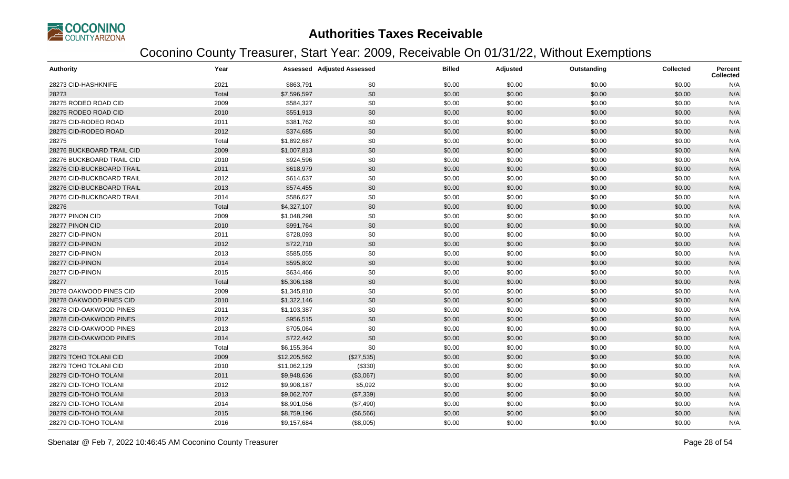

| <b>Authority</b>          | Year  |              | <b>Assessed Adjusted Assessed</b> | <b>Billed</b> | Adjusted | Outstanding | <b>Collected</b> | Percent<br><b>Collected</b> |
|---------------------------|-------|--------------|-----------------------------------|---------------|----------|-------------|------------------|-----------------------------|
| 28273 CID-HASHKNIFE       | 2021  | \$863,791    | \$0                               | \$0.00        | \$0.00   | \$0.00      | \$0.00           | N/A                         |
| 28273                     | Total | \$7,596,597  | \$0                               | \$0.00        | \$0.00   | \$0.00      | \$0.00           | N/A                         |
| 28275 RODEO ROAD CID      | 2009  | \$584,327    | \$0                               | \$0.00        | \$0.00   | \$0.00      | \$0.00           | N/A                         |
| 28275 RODEO ROAD CID      | 2010  | \$551,913    | \$0                               | \$0.00        | \$0.00   | \$0.00      | \$0.00           | N/A                         |
| 28275 CID-RODEO ROAD      | 2011  | \$381,762    | \$0                               | \$0.00        | \$0.00   | \$0.00      | \$0.00           | N/A                         |
| 28275 CID-RODEO ROAD      | 2012  | \$374,685    | \$0                               | \$0.00        | \$0.00   | \$0.00      | \$0.00           | N/A                         |
| 28275                     | Total | \$1,892,687  | \$0                               | \$0.00        | \$0.00   | \$0.00      | \$0.00           | N/A                         |
| 28276 BUCKBOARD TRAIL CID | 2009  | \$1,007,813  | \$0                               | \$0.00        | \$0.00   | \$0.00      | \$0.00           | N/A                         |
| 28276 BUCKBOARD TRAIL CID | 2010  | \$924,596    | \$0                               | \$0.00        | \$0.00   | \$0.00      | \$0.00           | N/A                         |
| 28276 CID-BUCKBOARD TRAIL | 2011  | \$618,979    | \$0                               | \$0.00        | \$0.00   | \$0.00      | \$0.00           | N/A                         |
| 28276 CID-BUCKBOARD TRAIL | 2012  | \$614,637    | \$0                               | \$0.00        | \$0.00   | \$0.00      | \$0.00           | N/A                         |
| 28276 CID-BUCKBOARD TRAIL | 2013  | \$574,455    | \$0                               | \$0.00        | \$0.00   | \$0.00      | \$0.00           | N/A                         |
| 28276 CID-BUCKBOARD TRAIL | 2014  | \$586,627    | \$0                               | \$0.00        | \$0.00   | \$0.00      | \$0.00           | N/A                         |
| 28276                     | Total | \$4,327,107  | \$0                               | \$0.00        | \$0.00   | \$0.00      | \$0.00           | N/A                         |
| 28277 PINON CID           | 2009  | \$1,048,298  | \$0                               | \$0.00        | \$0.00   | \$0.00      | \$0.00           | N/A                         |
| 28277 PINON CID           | 2010  | \$991,764    | \$0                               | \$0.00        | \$0.00   | \$0.00      | \$0.00           | N/A                         |
| 28277 CID-PINON           | 2011  | \$728,093    | \$0                               | \$0.00        | \$0.00   | \$0.00      | \$0.00           | N/A                         |
| 28277 CID-PINON           | 2012  | \$722,710    | \$0                               | \$0.00        | \$0.00   | \$0.00      | \$0.00           | N/A                         |
| 28277 CID-PINON           | 2013  | \$585,055    | \$0                               | \$0.00        | \$0.00   | \$0.00      | \$0.00           | N/A                         |
| 28277 CID-PINON           | 2014  | \$595,802    | \$0                               | \$0.00        | \$0.00   | \$0.00      | \$0.00           | N/A                         |
| 28277 CID-PINON           | 2015  | \$634,466    | \$0                               | \$0.00        | \$0.00   | \$0.00      | \$0.00           | N/A                         |
| 28277                     | Total | \$5,306,188  | \$0                               | \$0.00        | \$0.00   | \$0.00      | \$0.00           | N/A                         |
| 28278 OAKWOOD PINES CID   | 2009  | \$1,345,810  | \$0                               | \$0.00        | \$0.00   | \$0.00      | \$0.00           | N/A                         |
| 28278 OAKWOOD PINES CID   | 2010  | \$1,322,146  | \$0                               | \$0.00        | \$0.00   | \$0.00      | \$0.00           | N/A                         |
| 28278 CID-OAKWOOD PINES   | 2011  | \$1,103,387  | \$0                               | \$0.00        | \$0.00   | \$0.00      | \$0.00           | N/A                         |
| 28278 CID-OAKWOOD PINES   | 2012  | \$956,515    | \$0                               | \$0.00        | \$0.00   | \$0.00      | \$0.00           | N/A                         |
| 28278 CID-OAKWOOD PINES   | 2013  | \$705,064    | \$0                               | \$0.00        | \$0.00   | \$0.00      | \$0.00           | N/A                         |
| 28278 CID-OAKWOOD PINES   | 2014  | \$722,442    | \$0                               | \$0.00        | \$0.00   | \$0.00      | \$0.00           | N/A                         |
| 28278                     | Total | \$6,155,364  | \$0                               | \$0.00        | \$0.00   | \$0.00      | \$0.00           | N/A                         |
| 28279 TOHO TOLANI CID     | 2009  | \$12,205,562 | (\$27,535)                        | \$0.00        | \$0.00   | \$0.00      | \$0.00           | N/A                         |
| 28279 TOHO TOLANI CID     | 2010  | \$11,062,129 | (\$330)                           | \$0.00        | \$0.00   | \$0.00      | \$0.00           | N/A                         |
| 28279 CID-TOHO TOLANI     | 2011  | \$9,948,636  | (\$3,067)                         | \$0.00        | \$0.00   | \$0.00      | \$0.00           | N/A                         |
| 28279 CID-TOHO TOLANI     | 2012  | \$9,908,187  | \$5,092                           | \$0.00        | \$0.00   | \$0.00      | \$0.00           | N/A                         |
| 28279 CID-TOHO TOLANI     | 2013  | \$9,062,707  | (\$7,339)                         | \$0.00        | \$0.00   | \$0.00      | \$0.00           | N/A                         |
| 28279 CID-TOHO TOLANI     | 2014  | \$8,901,056  | (\$7,490)                         | \$0.00        | \$0.00   | \$0.00      | \$0.00           | N/A                         |
| 28279 CID-TOHO TOLANI     | 2015  | \$8,759,196  | (\$6,566)                         | \$0.00        | \$0.00   | \$0.00      | \$0.00           | N/A                         |
| 28279 CID-TOHO TOLANI     | 2016  | \$9,157,684  | (\$8,005)                         | \$0.00        | \$0.00   | \$0.00      | \$0.00           | N/A                         |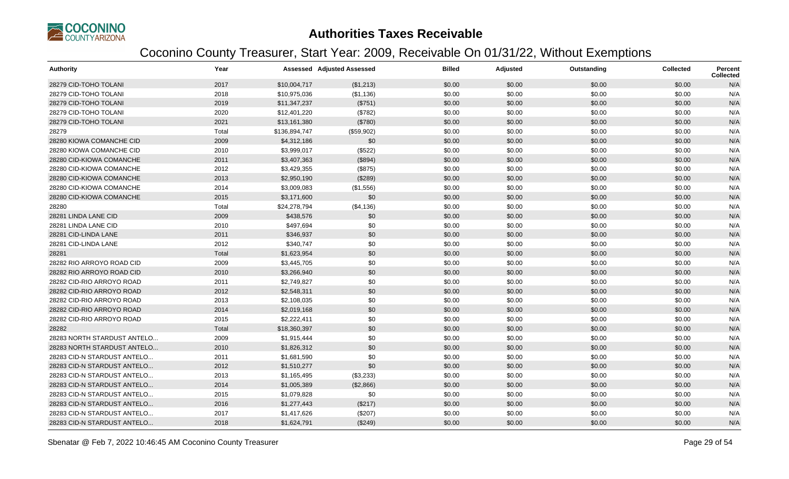

| <b>Authority</b>            | Year  |               | <b>Assessed Adjusted Assessed</b> | <b>Billed</b> | Adjusted | Outstanding | <b>Collected</b> | <b>Percent</b><br><b>Collected</b> |
|-----------------------------|-------|---------------|-----------------------------------|---------------|----------|-------------|------------------|------------------------------------|
| 28279 CID-TOHO TOLANI       | 2017  | \$10,004,717  | (\$1,213)                         | \$0.00        | \$0.00   | \$0.00      | \$0.00           | N/A                                |
| 28279 CID-TOHO TOLANI       | 2018  | \$10,975,036  | (\$1,136)                         | \$0.00        | \$0.00   | \$0.00      | \$0.00           | N/A                                |
| 28279 CID-TOHO TOLANI       | 2019  | \$11,347,237  | (\$751)                           | \$0.00        | \$0.00   | \$0.00      | \$0.00           | N/A                                |
| 28279 CID-TOHO TOLANI       | 2020  | \$12,401,220  | (\$782)                           | \$0.00        | \$0.00   | \$0.00      | \$0.00           | N/A                                |
| 28279 CID-TOHO TOLANI       | 2021  | \$13,161,380  | (\$780)                           | \$0.00        | \$0.00   | \$0.00      | \$0.00           | N/A                                |
| 28279                       | Total | \$136,894,747 | (\$59,902)                        | \$0.00        | \$0.00   | \$0.00      | \$0.00           | N/A                                |
| 28280 KIOWA COMANCHE CID    | 2009  | \$4,312,186   | \$0                               | \$0.00        | \$0.00   | \$0.00      | \$0.00           | N/A                                |
| 28280 KIOWA COMANCHE CID    | 2010  | \$3,999,017   | (\$522)                           | \$0.00        | \$0.00   | \$0.00      | \$0.00           | N/A                                |
| 28280 CID-KIOWA COMANCHE    | 2011  | \$3,407,363   | (\$894)                           | \$0.00        | \$0.00   | \$0.00      | \$0.00           | N/A                                |
| 28280 CID-KIOWA COMANCHE    | 2012  | \$3,429,355   | (\$875)                           | \$0.00        | \$0.00   | \$0.00      | \$0.00           | N/A                                |
| 28280 CID-KIOWA COMANCHE    | 2013  | \$2,950,190   | (\$289)                           | \$0.00        | \$0.00   | \$0.00      | \$0.00           | N/A                                |
| 28280 CID-KIOWA COMANCHE    | 2014  | \$3,009,083   | (\$1,556)                         | \$0.00        | \$0.00   | \$0.00      | \$0.00           | N/A                                |
| 28280 CID-KIOWA COMANCHE    | 2015  | \$3,171,600   | \$0                               | \$0.00        | \$0.00   | \$0.00      | \$0.00           | N/A                                |
| 28280                       | Total | \$24,278,794  | (\$4,136)                         | \$0.00        | \$0.00   | \$0.00      | \$0.00           | N/A                                |
| 28281 LINDA LANE CID        | 2009  | \$438,576     | \$0                               | \$0.00        | \$0.00   | \$0.00      | \$0.00           | N/A                                |
| 28281 LINDA LANE CID        | 2010  | \$497,694     | \$0                               | \$0.00        | \$0.00   | \$0.00      | \$0.00           | N/A                                |
| 28281 CID-LINDA LANE        | 2011  | \$346,937     | \$0                               | \$0.00        | \$0.00   | \$0.00      | \$0.00           | N/A                                |
| 28281 CID-LINDA LANE        | 2012  | \$340,747     | \$0                               | \$0.00        | \$0.00   | \$0.00      | \$0.00           | N/A                                |
| 28281                       | Total | \$1,623,954   | \$0                               | \$0.00        | \$0.00   | \$0.00      | \$0.00           | N/A                                |
| 28282 RIO ARROYO ROAD CID   | 2009  | \$3,445,705   | \$0                               | \$0.00        | \$0.00   | \$0.00      | \$0.00           | N/A                                |
| 28282 RIO ARROYO ROAD CID   | 2010  | \$3,266,940   | \$0                               | \$0.00        | \$0.00   | \$0.00      | \$0.00           | N/A                                |
| 28282 CID-RIO ARROYO ROAD   | 2011  | \$2,749,827   | \$0                               | \$0.00        | \$0.00   | \$0.00      | \$0.00           | N/A                                |
| 28282 CID-RIO ARROYO ROAD   | 2012  | \$2,548,311   | \$0                               | \$0.00        | \$0.00   | \$0.00      | \$0.00           | N/A                                |
| 28282 CID-RIO ARROYO ROAD   | 2013  | \$2,108,035   | \$0                               | \$0.00        | \$0.00   | \$0.00      | \$0.00           | N/A                                |
| 28282 CID-RIO ARROYO ROAD   | 2014  | \$2,019,168   | \$0                               | \$0.00        | \$0.00   | \$0.00      | \$0.00           | N/A                                |
| 28282 CID-RIO ARROYO ROAD   | 2015  | \$2,222,411   | \$0                               | \$0.00        | \$0.00   | \$0.00      | \$0.00           | N/A                                |
| 28282                       | Total | \$18,360,397  | \$0                               | \$0.00        | \$0.00   | \$0.00      | \$0.00           | N/A                                |
| 28283 NORTH STARDUST ANTELO | 2009  | \$1,915,444   | \$0                               | \$0.00        | \$0.00   | \$0.00      | \$0.00           | N/A                                |
| 28283 NORTH STARDUST ANTELO | 2010  | \$1,826,312   | \$0                               | \$0.00        | \$0.00   | \$0.00      | \$0.00           | N/A                                |
| 28283 CID-N STARDUST ANTELO | 2011  | \$1,681,590   | \$0                               | \$0.00        | \$0.00   | \$0.00      | \$0.00           | N/A                                |
| 28283 CID-N STARDUST ANTELO | 2012  | \$1,510,277   | \$0                               | \$0.00        | \$0.00   | \$0.00      | \$0.00           | N/A                                |
| 28283 CID-N STARDUST ANTELO | 2013  | \$1,165,495   | (\$3,233)                         | \$0.00        | \$0.00   | \$0.00      | \$0.00           | N/A                                |
| 28283 CID-N STARDUST ANTELO | 2014  | \$1,005,389   | (\$2,866)                         | \$0.00        | \$0.00   | \$0.00      | \$0.00           | N/A                                |
| 28283 CID-N STARDUST ANTELO | 2015  | \$1,079,828   | \$0                               | \$0.00        | \$0.00   | \$0.00      | \$0.00           | N/A                                |
| 28283 CID-N STARDUST ANTELO | 2016  | \$1,277,443   | (\$217)                           | \$0.00        | \$0.00   | \$0.00      | \$0.00           | N/A                                |
| 28283 CID-N STARDUST ANTELO | 2017  | \$1,417,626   | (\$207)                           | \$0.00        | \$0.00   | \$0.00      | \$0.00           | N/A                                |
| 28283 CID-N STARDUST ANTELO | 2018  | \$1,624,791   | (\$249)                           | \$0.00        | \$0.00   | \$0.00      | \$0.00           | N/A                                |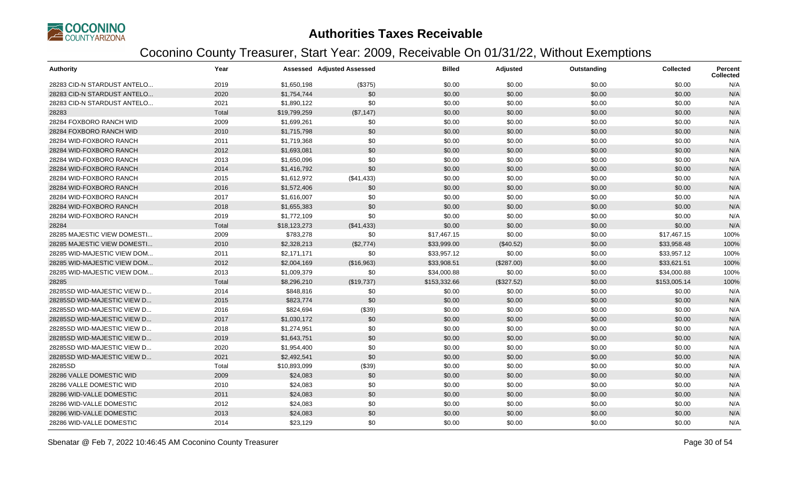

| <b>Authority</b>            | Year  |              | Assessed Adjusted Assessed | <b>Billed</b> | <b>Adjusted</b> | Outstanding | <b>Collected</b> | <b>Percent</b><br><b>Collected</b> |
|-----------------------------|-------|--------------|----------------------------|---------------|-----------------|-------------|------------------|------------------------------------|
| 28283 CID-N STARDUST ANTELO | 2019  | \$1,650,198  | (\$375)                    | \$0.00        | \$0.00          | \$0.00      | \$0.00           | N/A                                |
| 28283 CID-N STARDUST ANTELO | 2020  | \$1,754,744  | \$0                        | \$0.00        | \$0.00          | \$0.00      | \$0.00           | N/A                                |
| 28283 CID-N STARDUST ANTELO | 2021  | \$1,890,122  | \$0                        | \$0.00        | \$0.00          | \$0.00      | \$0.00           | N/A                                |
| 28283                       | Total | \$19,799,259 | (\$7,147)                  | \$0.00        | \$0.00          | \$0.00      | \$0.00           | N/A                                |
| 28284 FOXBORO RANCH WID     | 2009  | \$1,699,261  | \$0                        | \$0.00        | \$0.00          | \$0.00      | \$0.00           | N/A                                |
| 28284 FOXBORO RANCH WID     | 2010  | \$1,715,798  | \$0                        | \$0.00        | \$0.00          | \$0.00      | \$0.00           | N/A                                |
| 28284 WID-FOXBORO RANCH     | 2011  | \$1,719,368  | \$0                        | \$0.00        | \$0.00          | \$0.00      | \$0.00           | N/A                                |
| 28284 WID-FOXBORO RANCH     | 2012  | \$1,693,081  | \$0                        | \$0.00        | \$0.00          | \$0.00      | \$0.00           | N/A                                |
| 28284 WID-FOXBORO RANCH     | 2013  | \$1,650,096  | \$0                        | \$0.00        | \$0.00          | \$0.00      | \$0.00           | N/A                                |
| 28284 WID-FOXBORO RANCH     | 2014  | \$1,416,792  | \$0                        | \$0.00        | \$0.00          | \$0.00      | \$0.00           | N/A                                |
| 28284 WID-FOXBORO RANCH     | 2015  | \$1,612,972  | (\$41,433)                 | \$0.00        | \$0.00          | \$0.00      | \$0.00           | N/A                                |
| 28284 WID-FOXBORO RANCH     | 2016  | \$1,572,406  | \$0                        | \$0.00        | \$0.00          | \$0.00      | \$0.00           | N/A                                |
| 28284 WID-FOXBORO RANCH     | 2017  | \$1,616,007  | \$0                        | \$0.00        | \$0.00          | \$0.00      | \$0.00           | N/A                                |
| 28284 WID-FOXBORO RANCH     | 2018  | \$1,655,383  | \$0                        | \$0.00        | \$0.00          | \$0.00      | \$0.00           | N/A                                |
| 28284 WID-FOXBORO RANCH     | 2019  | \$1,772,109  | \$0                        | \$0.00        | \$0.00          | \$0.00      | \$0.00           | N/A                                |
| 28284                       | Total | \$18,123,273 | (\$41,433)                 | \$0.00        | \$0.00          | \$0.00      | \$0.00           | N/A                                |
| 28285 MAJESTIC VIEW DOMESTI | 2009  | \$783,278    | \$0                        | \$17,467.15   | \$0.00          | \$0.00      | \$17,467.15      | 100%                               |
| 28285 MAJESTIC VIEW DOMESTI | 2010  | \$2,328,213  | (\$2,774)                  | \$33,999.00   | (\$40.52)       | \$0.00      | \$33,958.48      | 100%                               |
| 28285 WID-MAJESTIC VIEW DOM | 2011  | \$2,171,171  | \$0                        | \$33,957.12   | \$0.00          | \$0.00      | \$33,957.12      | 100%                               |
| 28285 WID-MAJESTIC VIEW DOM | 2012  | \$2,004,169  | (\$16,963)                 | \$33,908.51   | (\$287.00)      | \$0.00      | \$33,621.51      | 100%                               |
| 28285 WID-MAJESTIC VIEW DOM | 2013  | \$1,009,379  | \$0                        | \$34,000.88   | \$0.00          | \$0.00      | \$34,000.88      | 100%                               |
| 28285                       | Total | \$8,296,210  | (\$19,737)                 | \$153,332.66  | (\$327.52)      | \$0.00      | \$153,005.14     | 100%                               |
| 28285SD WID-MAJESTIC VIEW D | 2014  | \$848,816    | \$0                        | \$0.00        | \$0.00          | \$0.00      | \$0.00           | N/A                                |
| 28285SD WID-MAJESTIC VIEW D | 2015  | \$823,774    | \$0                        | \$0.00        | \$0.00          | \$0.00      | \$0.00           | N/A                                |
| 28285SD WID-MAJESTIC VIEW D | 2016  | \$824,694    | (\$39)                     | \$0.00        | \$0.00          | \$0.00      | \$0.00           | N/A                                |
| 28285SD WID-MAJESTIC VIEW D | 2017  | \$1,030,172  | \$0                        | \$0.00        | \$0.00          | \$0.00      | \$0.00           | N/A                                |
| 28285SD WID-MAJESTIC VIEW D | 2018  | \$1,274,951  | \$0                        | \$0.00        | \$0.00          | \$0.00      | \$0.00           | N/A                                |
| 28285SD WID-MAJESTIC VIEW D | 2019  | \$1,643,751  | \$0                        | \$0.00        | \$0.00          | \$0.00      | \$0.00           | N/A                                |
| 28285SD WID-MAJESTIC VIEW D | 2020  | \$1,954,400  | \$0                        | \$0.00        | \$0.00          | \$0.00      | \$0.00           | N/A                                |
| 28285SD WID-MAJESTIC VIEW D | 2021  | \$2,492,541  | \$0                        | \$0.00        | \$0.00          | \$0.00      | \$0.00           | N/A                                |
| 28285SD                     | Total | \$10,893,099 | (\$39)                     | \$0.00        | \$0.00          | \$0.00      | \$0.00           | N/A                                |
| 28286 VALLE DOMESTIC WID    | 2009  | \$24,083     | \$0                        | \$0.00        | \$0.00          | \$0.00      | \$0.00           | N/A                                |
| 28286 VALLE DOMESTIC WID    | 2010  | \$24,083     | \$0                        | \$0.00        | \$0.00          | \$0.00      | \$0.00           | N/A                                |
| 28286 WID-VALLE DOMESTIC    | 2011  | \$24,083     | \$0                        | \$0.00        | \$0.00          | \$0.00      | \$0.00           | N/A                                |
| 28286 WID-VALLE DOMESTIC    | 2012  | \$24,083     | \$0                        | \$0.00        | \$0.00          | \$0.00      | \$0.00           | N/A                                |
| 28286 WID-VALLE DOMESTIC    | 2013  | \$24,083     | \$0                        | \$0.00        | \$0.00          | \$0.00      | \$0.00           | N/A                                |
| 28286 WID-VALLE DOMESTIC    | 2014  | \$23,129     | \$0                        | \$0.00        | \$0.00          | \$0.00      | \$0.00           | N/A                                |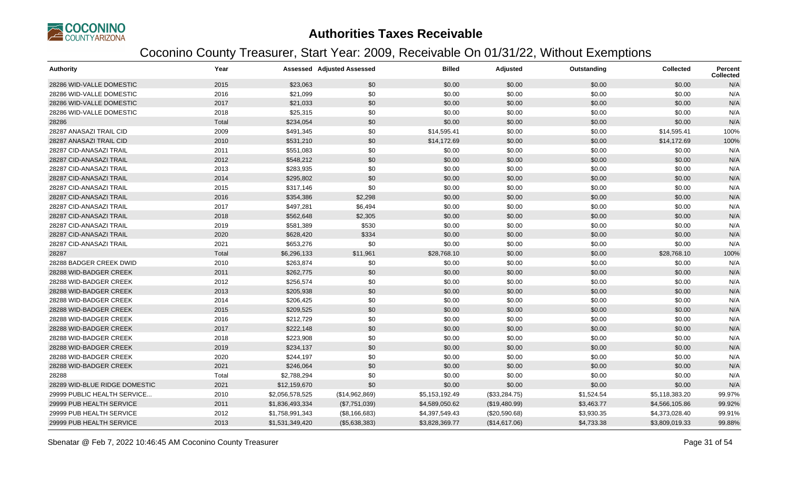

| <b>Authority</b>              | Year  |                 | <b>Assessed Adjusted Assessed</b> | <b>Billed</b>  | <b>Adjusted</b> | Outstanding | <b>Collected</b> | <b>Percent</b><br><b>Collected</b> |
|-------------------------------|-------|-----------------|-----------------------------------|----------------|-----------------|-------------|------------------|------------------------------------|
| 28286 WID-VALLE DOMESTIC      | 2015  | \$23,063        | \$0                               | \$0.00         | \$0.00          | \$0.00      | \$0.00           | N/A                                |
| 28286 WID-VALLE DOMESTIC      | 2016  | \$21,099        | \$0                               | \$0.00         | \$0.00          | \$0.00      | \$0.00           | N/A                                |
| 28286 WID-VALLE DOMESTIC      | 2017  | \$21,033        | \$0                               | \$0.00         | \$0.00          | \$0.00      | \$0.00           | N/A                                |
| 28286 WID-VALLE DOMESTIC      | 2018  | \$25,315        | \$0                               | \$0.00         | \$0.00          | \$0.00      | \$0.00           | N/A                                |
| 28286                         | Total | \$234,054       | \$0                               | \$0.00         | \$0.00          | \$0.00      | \$0.00           | N/A                                |
| 28287 ANASAZI TRAIL CID       | 2009  | \$491,345       | \$0                               | \$14,595.41    | \$0.00          | \$0.00      | \$14,595.41      | 100%                               |
| 28287 ANASAZI TRAIL CID       | 2010  | \$531,210       | \$0                               | \$14,172.69    | \$0.00          | \$0.00      | \$14,172.69      | 100%                               |
| 28287 CID-ANASAZI TRAIL       | 2011  | \$551,083       | \$0                               | \$0.00         | \$0.00          | \$0.00      | \$0.00           | N/A                                |
| 28287 CID-ANASAZI TRAIL       | 2012  | \$548,212       | \$0                               | \$0.00         | \$0.00          | \$0.00      | \$0.00           | N/A                                |
| 28287 CID-ANASAZI TRAIL       | 2013  | \$283,935       | \$0                               | \$0.00         | \$0.00          | \$0.00      | \$0.00           | N/A                                |
| 28287 CID-ANASAZI TRAIL       | 2014  | \$295,802       | \$0                               | \$0.00         | \$0.00          | \$0.00      | \$0.00           | N/A                                |
| 28287 CID-ANASAZI TRAIL       | 2015  | \$317,146       | \$0                               | \$0.00         | \$0.00          | \$0.00      | \$0.00           | N/A                                |
| 28287 CID-ANASAZI TRAIL       | 2016  | \$354,386       | \$2,298                           | \$0.00         | \$0.00          | \$0.00      | \$0.00           | N/A                                |
| 28287 CID-ANASAZI TRAIL       | 2017  | \$497,281       | \$6,494                           | \$0.00         | \$0.00          | \$0.00      | \$0.00           | N/A                                |
| 28287 CID-ANASAZI TRAIL       | 2018  | \$562,648       | \$2,305                           | \$0.00         | \$0.00          | \$0.00      | \$0.00           | N/A                                |
| 28287 CID-ANASAZI TRAIL       | 2019  | \$581,389       | \$530                             | \$0.00         | \$0.00          | \$0.00      | \$0.00           | N/A                                |
| 28287 CID-ANASAZI TRAIL       | 2020  | \$628,420       | \$334                             | \$0.00         | \$0.00          | \$0.00      | \$0.00           | N/A                                |
| 28287 CID-ANASAZI TRAIL       | 2021  | \$653,276       | \$0                               | \$0.00         | \$0.00          | \$0.00      | \$0.00           | N/A                                |
| 28287                         | Total | \$6,296,133     | \$11,961                          | \$28,768.10    | \$0.00          | \$0.00      | \$28,768.10      | 100%                               |
| 28288 BADGER CREEK DWID       | 2010  | \$263,874       | \$0                               | \$0.00         | \$0.00          | \$0.00      | \$0.00           | N/A                                |
| 28288 WID-BADGER CREEK        | 2011  | \$262,775       | \$0                               | \$0.00         | \$0.00          | \$0.00      | \$0.00           | N/A                                |
| 28288 WID-BADGER CREEK        | 2012  | \$256,574       | \$0                               | \$0.00         | \$0.00          | \$0.00      | \$0.00           | N/A                                |
| 28288 WID-BADGER CREEK        | 2013  | \$205,938       | \$0                               | \$0.00         | \$0.00          | \$0.00      | \$0.00           | N/A                                |
| 28288 WID-BADGER CREEK        | 2014  | \$206,425       | \$0                               | \$0.00         | \$0.00          | \$0.00      | \$0.00           | N/A                                |
| 28288 WID-BADGER CREEK        | 2015  | \$209,525       | \$0                               | \$0.00         | \$0.00          | \$0.00      | \$0.00           | N/A                                |
| 28288 WID-BADGER CREEK        | 2016  | \$212,729       | \$0                               | \$0.00         | \$0.00          | \$0.00      | \$0.00           | N/A                                |
| 28288 WID-BADGER CREEK        | 2017  | \$222,148       | \$0                               | \$0.00         | \$0.00          | \$0.00      | \$0.00           | N/A                                |
| 28288 WID-BADGER CREEK        | 2018  | \$223,908       | \$0                               | \$0.00         | \$0.00          | \$0.00      | \$0.00           | N/A                                |
| 28288 WID-BADGER CREEK        | 2019  | \$234,137       | \$0                               | \$0.00         | \$0.00          | \$0.00      | \$0.00           | N/A                                |
| 28288 WID-BADGER CREEK        | 2020  | \$244,197       | \$0                               | \$0.00         | \$0.00          | \$0.00      | \$0.00           | N/A                                |
| 28288 WID-BADGER CREEK        | 2021  | \$246,064       | \$0                               | \$0.00         | \$0.00          | \$0.00      | \$0.00           | N/A                                |
| 28288                         | Total | \$2,788,294     | \$0                               | \$0.00         | \$0.00          | \$0.00      | \$0.00           | N/A                                |
| 28289 WID-BLUE RIDGE DOMESTIC | 2021  | \$12,159,670    | \$0                               | \$0.00         | \$0.00          | \$0.00      | \$0.00           | N/A                                |
| 29999 PUBLIC HEALTH SERVICE   | 2010  | \$2,056,578,525 | (\$14,962,869)                    | \$5,153,192.49 | (\$33,284.75)   | \$1,524.54  | \$5,118,383.20   | 99.97%                             |
| 29999 PUB HEALTH SERVICE      | 2011  | \$1,836,493,334 | (\$7,751,039)                     | \$4,589,050.62 | (\$19,480.99)   | \$3,463.77  | \$4,566,105.86   | 99.92%                             |
| 29999 PUB HEALTH SERVICE      | 2012  | \$1,758,991,343 | (\$8,166,683)                     | \$4,397,549.43 | (\$20,590.68)   | \$3,930.35  | \$4,373,028.40   | 99.91%                             |
| 29999 PUB HEALTH SERVICE      | 2013  | \$1,531,349,420 | (\$5,638,383)                     | \$3,828,369.77 | (\$14,617.06)   | \$4,733.38  | \$3,809,019.33   | 99.88%                             |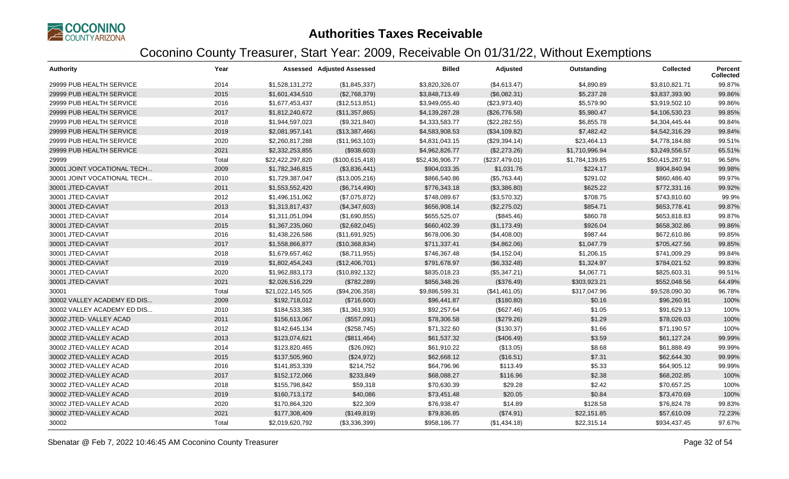

| <b>Authority</b>            | Year  |                  | <b>Assessed Adjusted Assessed</b> | <b>Billed</b>   | Adjusted       | Outstanding    | Collected       | Percent<br><b>Collected</b> |
|-----------------------------|-------|------------------|-----------------------------------|-----------------|----------------|----------------|-----------------|-----------------------------|
| 29999 PUB HEALTH SERVICE    | 2014  | \$1,528,131,272  | (\$1,845,337)                     | \$3,820,326.07  | (\$4,613.47)   | \$4,890.89     | \$3,810,821.71  | 99.87%                      |
| 29999 PUB HEALTH SERVICE    | 2015  | \$1,601,434,510  | (\$2,768,379)                     | \$3,848,713.49  | (\$6,082.31)   | \$5,237.28     | \$3,837,393.90  | 99.86%                      |
| 29999 PUB HEALTH SERVICE    | 2016  | \$1,677,453,437  | (\$12,513,851)                    | \$3,949,055.40  | (\$23,973.40)  | \$5,579.90     | \$3,919,502.10  | 99.86%                      |
| 29999 PUB HEALTH SERVICE    | 2017  | \$1,812,240,672  | (\$11,357,865)                    | \$4,139,287.28  | (\$26,776.58)  | \$5,980.47     | \$4,106,530.23  | 99.85%                      |
| 29999 PUB HEALTH SERVICE    | 2018  | \$1,944,597,023  | (\$9,321,840)                     | \$4,333,583.77  | (\$22, 282.55) | \$6,855.78     | \$4,304,445.44  | 99.84%                      |
| 29999 PUB HEALTH SERVICE    | 2019  | \$2,081,957,141  | (\$13,387,466)                    | \$4,583,908.53  | (\$34,109.82)  | \$7,482.42     | \$4,542,316.29  | 99.84%                      |
| 29999 PUB HEALTH SERVICE    | 2020  | \$2,260,817,288  | (\$11,963,103)                    | \$4,831,043.15  | (\$29,394.14)  | \$23,464.13    | \$4,778,184.88  | 99.51%                      |
| 29999 PUB HEALTH SERVICE    | 2021  | \$2,332,253,855  | (\$938,603)                       | \$4,962,826.77  | (\$2,273.26)   | \$1,710,996.94 | \$3,249,556.57  | 65.51%                      |
| 29999                       | Total | \$22,422,297,820 | (\$100,615,418)                   | \$52,436,906.77 | (\$237,479.01) | \$1,784,139.85 | \$50,415,287.91 | 96.58%                      |
| 30001 JOINT VOCATIONAL TECH | 2009  | \$1,782,346,815  | (\$3,836,441)                     | \$904,033.35    | \$1,031.76     | \$224.17       | \$904,840.94    | 99.98%                      |
| 30001 JOINT VOCATIONAL TECH | 2010  | \$1,729,387,047  | (\$13,005,216)                    | \$866,540.86    | (\$5,763.44)   | \$291.02       | \$860,486.40    | 99.97%                      |
| 30001 JTED-CAVIAT           | 2011  | \$1,553,552,420  | (\$6,714,490)                     | \$776,343.18    | (\$3,386.80)   | \$625.22       | \$772,331.16    | 99.92%                      |
| 30001 JTED-CAVIAT           | 2012  | \$1,496,151,062  | (\$7,075,872)                     | \$748,089.67    | (\$3,570.32)   | \$708.75       | \$743,810.60    | 99.9%                       |
| 30001 JTED-CAVIAT           | 2013  | \$1,313,817,437  | (\$4,347,603)                     | \$656,908.14    | (\$2,275.02)   | \$854.71       | \$653,778.41    | 99.87%                      |
| 30001 JTED-CAVIAT           | 2014  | \$1,311,051,094  | (\$1,690,855)                     | \$655,525.07    | (\$845.46)     | \$860.78       | \$653,818.83    | 99.87%                      |
| 30001 JTED-CAVIAT           | 2015  | \$1,367,235,060  | (\$2,682,045)                     | \$660,402.39    | (\$1,173.49)   | \$926.04       | \$658,302.86    | 99.86%                      |
| 30001 JTED-CAVIAT           | 2016  | \$1,438,226,586  | (\$11,691,925)                    | \$678,006.30    | (\$4,408.00)   | \$987.44       | \$672,610.86    | 99.85%                      |
| 30001 JTED-CAVIAT           | 2017  | \$1,558,866,877  | (\$10,368,834)                    | \$711,337.41    | (\$4,862.06)   | \$1,047.79     | \$705,427.56    | 99.85%                      |
| 30001 JTED-CAVIAT           | 2018  | \$1,679,657,462  | (\$8,711,955)                     | \$746,367.48    | (\$4,152.04)   | \$1,206.15     | \$741,009.29    | 99.84%                      |
| 30001 JTED-CAVIAT           | 2019  | \$1,802,454,243  | (\$12,406,701)                    | \$791,678.97    | (\$6,332.48)   | \$1,324.97     | \$784,021.52    | 99.83%                      |
| 30001 JTED-CAVIAT           | 2020  | \$1,962,883,173  | (\$10,892,132)                    | \$835,018.23    | (\$5,347.21)   | \$4,067.71     | \$825,603.31    | 99.51%                      |
| 30001 JTED-CAVIAT           | 2021  | \$2,026,516,229  | (\$782,289)                       | \$856,348.26    | (\$376.49)     | \$303,923.21   | \$552,048.56    | 64.49%                      |
| 30001                       | Total | \$21,022,145,505 | (\$94,206,358)                    | \$9,886,599.31  | (\$41,461.05)  | \$317,047.96   | \$9,528,090.30  | 96.78%                      |
| 30002 VALLEY ACADEMY ED DIS | 2009  | \$192,718,012    | (\$716,600)                       | \$96,441.87     | (\$180.80)     | \$0.16         | \$96,260.91     | 100%                        |
| 30002 VALLEY ACADEMY ED DIS | 2010  | \$184,533,385    | (\$1,361,930)                     | \$92,257.64     | (\$627.46)     | \$1.05         | \$91,629.13     | 100%                        |
| 30002 JTED- VALLEY ACAD     | 2011  | \$156,613,067    | (\$557,091)                       | \$78,306.58     | (\$279.26)     | \$1.29         | \$78,026.03     | 100%                        |
| 30002 JTED-VALLEY ACAD      | 2012  | \$142,645,134    | (\$258,745)                       | \$71,322.60     | (\$130.37)     | \$1.66         | \$71,190.57     | 100%                        |
| 30002 JTED-VALLEY ACAD      | 2013  | \$123,074,621    | (\$811,464)                       | \$61,537.32     | (\$406.49)     | \$3.59         | \$61,127.24     | 99.99%                      |
| 30002 JTED-VALLEY ACAD      | 2014  | \$123,820,465    | (\$26,092)                        | \$61,910.22     | (\$13.05)      | \$8.68         | \$61,888.49     | 99.99%                      |
| 30002 JTED-VALLEY ACAD      | 2015  | \$137,505,960    | (\$24,972)                        | \$62,668.12     | (\$16.51)      | \$7.31         | \$62,644.30     | 99.99%                      |
| 30002 JTED-VALLEY ACAD      | 2016  | \$141,853,339    | \$214,752                         | \$64,796.96     | \$113.49       | \$5.33         | \$64,905.12     | 99.99%                      |
| 30002 JTED-VALLEY ACAD      | 2017  | \$152,172,066    | \$233,849                         | \$68,088.27     | \$116.96       | \$2.38         | \$68,202.85     | 100%                        |
| 30002 JTED-VALLEY ACAD      | 2018  | \$155,798,842    | \$59,318                          | \$70,630.39     | \$29.28        | \$2.42         | \$70,657.25     | 100%                        |
| 30002 JTED-VALLEY ACAD      | 2019  | \$160,713,172    | \$40,086                          | \$73,451.48     | \$20.05        | \$0.84         | \$73,470.69     | 100%                        |
| 30002 JTED-VALLEY ACAD      | 2020  | \$170,864,320    | \$22,309                          | \$76,938.47     | \$14.89        | \$128.58       | \$76,824.78     | 99.83%                      |
| 30002 JTED-VALLEY ACAD      | 2021  | \$177,308,409    | (\$149, 819)                      | \$79,836.85     | (\$74.91)      | \$22,151.85    | \$57,610.09     | 72.23%                      |
| 30002                       | Total | \$2,019,620,792  | (\$3,336,399)                     | \$958,186.77    | (\$1,434.18)   | \$22,315.14    | \$934,437.45    | 97.67%                      |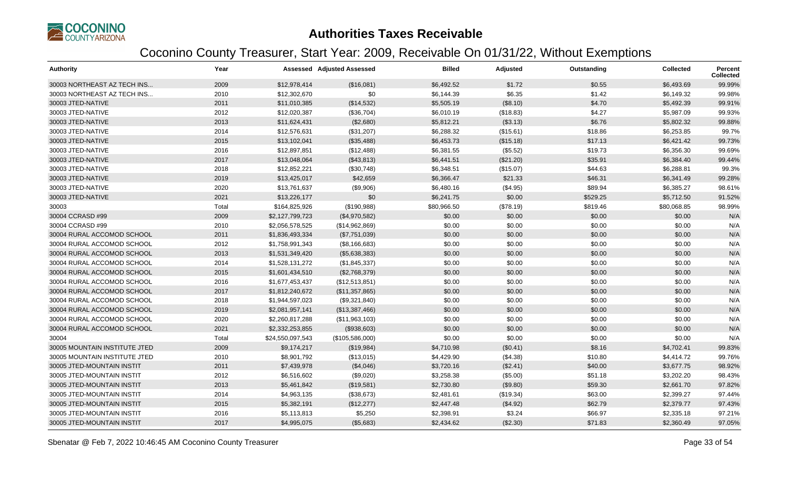

| <b>Authority</b>              | Year  |                  | <b>Assessed Adjusted Assessed</b> | <b>Billed</b> | Adjusted  | Outstanding | <b>Collected</b> | <b>Percent</b><br><b>Collected</b> |
|-------------------------------|-------|------------------|-----------------------------------|---------------|-----------|-------------|------------------|------------------------------------|
| 30003 NORTHEAST AZ TECH INS   | 2009  | \$12,978,414     | (\$16,081)                        | \$6,492.52    | \$1.72    | \$0.55      | \$6,493.69       | 99.99%                             |
| 30003 NORTHEAST AZ TECH INS   | 2010  | \$12,302,670     | \$0                               | \$6,144.39    | \$6.35    | \$1.42      | \$6,149.32       | 99.98%                             |
| 30003 JTED-NATIVE             | 2011  | \$11,010,385     | (\$14,532)                        | \$5,505.19    | (\$8.10)  | \$4.70      | \$5,492.39       | 99.91%                             |
| 30003 JTED-NATIVE             | 2012  | \$12,020,387     | (\$36,704)                        | \$6,010.19    | (\$18.83) | \$4.27      | \$5,987.09       | 99.93%                             |
| 30003 JTED-NATIVE             | 2013  | \$11,624,431     | (\$2,680)                         | \$5,812.21    | (\$3.13)  | \$6.76      | \$5,802.32       | 99.88%                             |
| 30003 JTED-NATIVE             | 2014  | \$12,576,631     | (\$31,207)                        | \$6,288.32    | (\$15.61) | \$18.86     | \$6,253.85       | 99.7%                              |
| 30003 JTED-NATIVE             | 2015  | \$13,102,041     | (\$35,488)                        | \$6,453.73    | (\$15.18) | \$17.13     | \$6,421.42       | 99.73%                             |
| 30003 JTED-NATIVE             | 2016  | \$12,897,851     | (\$12,488)                        | \$6,381.55    | (\$5.52)  | \$19.73     | \$6,356.30       | 99.69%                             |
| 30003 JTED-NATIVE             | 2017  | \$13,048,064     | (\$43,813)                        | \$6,441.51    | (\$21.20) | \$35.91     | \$6,384.40       | 99.44%                             |
| 30003 JTED-NATIVE             | 2018  | \$12,852,221     | (\$30,748)                        | \$6,348.51    | (\$15.07) | \$44.63     | \$6,288.81       | 99.3%                              |
| 30003 JTED-NATIVE             | 2019  | \$13,425,017     | \$42,659                          | \$6,366.47    | \$21.33   | \$46.31     | \$6,341.49       | 99.28%                             |
| 30003 JTED-NATIVE             | 2020  | \$13,761,637     | (\$9,906)                         | \$6,480.16    | (\$4.95)  | \$89.94     | \$6,385.27       | 98.61%                             |
| 30003 JTED-NATIVE             | 2021  | \$13,226,177     | \$0                               | \$6,241.75    | \$0.00    | \$529.25    | \$5,712.50       | 91.52%                             |
| 30003                         | Total | \$164,825,926    | (\$190,988)                       | \$80,966.50   | (\$78.19) | \$819.46    | \$80,068.85      | 98.99%                             |
| 30004 CCRASD #99              | 2009  | \$2,127,799,723  | (\$4,970,582)                     | \$0.00        | \$0.00    | \$0.00      | \$0.00           | N/A                                |
| 30004 CCRASD #99              | 2010  | \$2,056,578,525  | (\$14,962,869)                    | \$0.00        | \$0.00    | \$0.00      | \$0.00           | N/A                                |
| 30004 RURAL ACCOMOD SCHOOL    | 2011  | \$1,836,493,334  | (\$7,751,039)                     | \$0.00        | \$0.00    | \$0.00      | \$0.00           | N/A                                |
| 30004 RURAL ACCOMOD SCHOOL    | 2012  | \$1,758,991,343  | (\$8,166,683)                     | \$0.00        | \$0.00    | \$0.00      | \$0.00           | N/A                                |
| 30004 RURAL ACCOMOD SCHOOL    | 2013  | \$1,531,349,420  | (\$5,638,383)                     | \$0.00        | \$0.00    | \$0.00      | \$0.00           | N/A                                |
| 30004 RURAL ACCOMOD SCHOOL    | 2014  | \$1,528,131,272  | (\$1,845,337)                     | \$0.00        | \$0.00    | \$0.00      | \$0.00           | N/A                                |
| 30004 RURAL ACCOMOD SCHOOL    | 2015  | \$1,601,434,510  | (\$2,768,379)                     | \$0.00        | \$0.00    | \$0.00      | \$0.00           | N/A                                |
| 30004 RURAL ACCOMOD SCHOOL    | 2016  | \$1,677,453,437  | (\$12,513,851)                    | \$0.00        | \$0.00    | \$0.00      | \$0.00           | N/A                                |
| 30004 RURAL ACCOMOD SCHOOL    | 2017  | \$1,812,240,672  | (\$11,357,865)                    | \$0.00        | \$0.00    | \$0.00      | \$0.00           | N/A                                |
| 30004 RURAL ACCOMOD SCHOOL    | 2018  | \$1,944,597,023  | (\$9,321,840)                     | \$0.00        | \$0.00    | \$0.00      | \$0.00           | N/A                                |
| 30004 RURAL ACCOMOD SCHOOL    | 2019  | \$2,081,957,141  | (\$13,387,466)                    | \$0.00        | \$0.00    | \$0.00      | \$0.00           | N/A                                |
| 30004 RURAL ACCOMOD SCHOOL    | 2020  | \$2,260,817,288  | (\$11,963,103)                    | \$0.00        | \$0.00    | \$0.00      | \$0.00           | N/A                                |
| 30004 RURAL ACCOMOD SCHOOL    | 2021  | \$2,332,253,855  | (\$938,603)                       | \$0.00        | \$0.00    | \$0.00      | \$0.00           | N/A                                |
| 30004                         | Total | \$24,550,097,543 | (\$105,586,000)                   | \$0.00        | \$0.00    | \$0.00      | \$0.00           | N/A                                |
| 30005 MOUNTAIN INSTITUTE JTED | 2009  | \$9,174,217      | (\$19,984)                        | \$4,710.98    | (\$0.41)  | \$8.16      | \$4,702.41       | 99.83%                             |
| 30005 MOUNTAIN INSTITUTE JTED | 2010  | \$8,901,792      | (\$13,015)                        | \$4,429.90    | (\$4.38)  | \$10.80     | \$4,414.72       | 99.76%                             |
| 30005 JTED-MOUNTAIN INSTIT    | 2011  | \$7,439,978      | (\$4,046)                         | \$3,720.16    | (\$2.41)  | \$40.00     | \$3,677.75       | 98.92%                             |
| 30005 JTED-MOUNTAIN INSTIT    | 2012  | \$6,516,602      | (\$9,020)                         | \$3,258.38    | (\$5.00)  | \$51.18     | \$3,202.20       | 98.43%                             |
| 30005 JTED-MOUNTAIN INSTIT    | 2013  | \$5,461,842      | (\$19,581)                        | \$2,730.80    | (\$9.80)  | \$59.30     | \$2,661.70       | 97.82%                             |
| 30005 JTED-MOUNTAIN INSTIT    | 2014  | \$4,963,135      | (\$38,673)                        | \$2,481.61    | (\$19.34) | \$63.00     | \$2,399.27       | 97.44%                             |
| 30005 JTED-MOUNTAIN INSTIT    | 2015  | \$5,382,191      | (\$12,277)                        | \$2,447.48    | (\$4.92)  | \$62.79     | \$2,379.77       | 97.43%                             |
| 30005 JTED-MOUNTAIN INSTIT    | 2016  | \$5,113,813      | \$5,250                           | \$2,398.91    | \$3.24    | \$66.97     | \$2,335.18       | 97.21%                             |
| 30005 JTED-MOUNTAIN INSTIT    | 2017  | \$4,995,075      | (\$5,683)                         | \$2,434.62    | (\$2.30)  | \$71.83     | \$2,360.49       | 97.05%                             |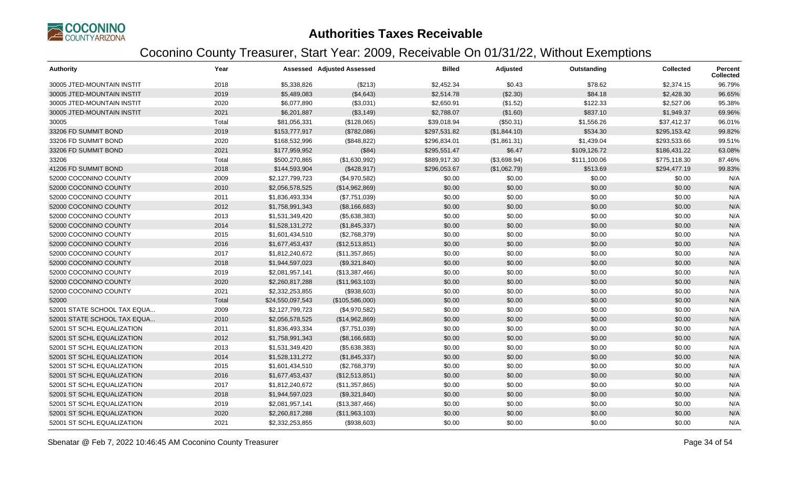

| <b>Authority</b>            | Year  |                  | <b>Assessed Adjusted Assessed</b> | <b>Billed</b> | Adjusted     | Outstanding  | <b>Collected</b> | Percent<br><b>Collected</b> |
|-----------------------------|-------|------------------|-----------------------------------|---------------|--------------|--------------|------------------|-----------------------------|
| 30005 JTED-MOUNTAIN INSTIT  | 2018  | \$5,338,826      | (\$213)                           | \$2,452.34    | \$0.43       | \$78.62      | \$2,374.15       | 96.79%                      |
| 30005 JTED-MOUNTAIN INSTIT  | 2019  | \$5,489,083      | (\$4,643)                         | \$2,514.78    | (\$2.30)     | \$84.18      | \$2,428.30       | 96.65%                      |
| 30005 JTED-MOUNTAIN INSTIT  | 2020  | \$6,077,890      | (\$3,031)                         | \$2,650.91    | (\$1.52)     | \$122.33     | \$2,527.06       | 95.38%                      |
| 30005 JTED-MOUNTAIN INSTIT  | 2021  | \$6,201,887      | (\$3,149)                         | \$2,788.07    | (\$1.60)     | \$837.10     | \$1,949.37       | 69.96%                      |
| 30005                       | Total | \$81,056,331     | (\$128,065)                       | \$39,018.94   | (\$50.31)    | \$1,556.26   | \$37,412.37      | 96.01%                      |
| 33206 FD SUMMIT BOND        | 2019  | \$153,777,917    | (\$782,086)                       | \$297,531.82  | (\$1,844.10) | \$534.30     | \$295,153.42     | 99.82%                      |
| 33206 FD SUMMIT BOND        | 2020  | \$168,532,996    | (\$848, 822)                      | \$296,834.01  | (\$1,861.31) | \$1,439.04   | \$293,533.66     | 99.51%                      |
| 33206 FD SUMMIT BOND        | 2021  | \$177,959,952    | (\$84)                            | \$295,551.47  | \$6.47       | \$109,126.72 | \$186,431.22     | 63.08%                      |
| 33206                       | Total | \$500,270,865    | (\$1,630,992)                     | \$889,917.30  | (\$3,698.94) | \$111,100.06 | \$775,118.30     | 87.46%                      |
| 41206 FD SUMMIT BOND        | 2018  | \$144,593,904    | (\$428,917)                       | \$296,053.67  | (\$1,062.79) | \$513.69     | \$294,477.19     | 99.83%                      |
| 52000 COCONINO COUNTY       | 2009  | \$2,127,799,723  | (\$4,970,582)                     | \$0.00        | \$0.00       | \$0.00       | \$0.00           | N/A                         |
| 52000 COCONINO COUNTY       | 2010  | \$2,056,578,525  | (\$14,962,869)                    | \$0.00        | \$0.00       | \$0.00       | \$0.00           | N/A                         |
| 52000 COCONINO COUNTY       | 2011  | \$1,836,493,334  | (\$7,751,039)                     | \$0.00        | \$0.00       | \$0.00       | \$0.00           | N/A                         |
| 52000 COCONINO COUNTY       | 2012  | \$1,758,991,343  | (\$8,166,683)                     | \$0.00        | \$0.00       | \$0.00       | \$0.00           | N/A                         |
| 52000 COCONINO COUNTY       | 2013  | \$1,531,349,420  | (\$5,638,383)                     | \$0.00        | \$0.00       | \$0.00       | \$0.00           | N/A                         |
| 52000 COCONINO COUNTY       | 2014  | \$1,528,131,272  | (\$1,845,337)                     | \$0.00        | \$0.00       | \$0.00       | \$0.00           | N/A                         |
| 52000 COCONINO COUNTY       | 2015  | \$1,601,434,510  | (\$2,768,379)                     | \$0.00        | \$0.00       | \$0.00       | \$0.00           | N/A                         |
| 52000 COCONINO COUNTY       | 2016  | \$1,677,453,437  | (\$12,513,851)                    | \$0.00        | \$0.00       | \$0.00       | \$0.00           | N/A                         |
| 52000 COCONINO COUNTY       | 2017  | \$1,812,240,672  | (\$11,357,865)                    | \$0.00        | \$0.00       | \$0.00       | \$0.00           | N/A                         |
| 52000 COCONINO COUNTY       | 2018  | \$1,944,597,023  | (\$9,321,840)                     | \$0.00        | \$0.00       | \$0.00       | \$0.00           | N/A                         |
| 52000 COCONINO COUNTY       | 2019  | \$2,081,957,141  | (\$13,387,466)                    | \$0.00        | \$0.00       | \$0.00       | \$0.00           | N/A                         |
| 52000 COCONINO COUNTY       | 2020  | \$2,260,817,288  | (\$11,963,103)                    | \$0.00        | \$0.00       | \$0.00       | \$0.00           | N/A                         |
| 52000 COCONINO COUNTY       | 2021  | \$2,332,253,855  | (\$938,603)                       | \$0.00        | \$0.00       | \$0.00       | \$0.00           | N/A                         |
| 52000                       | Total | \$24,550,097,543 | (\$105,586,000)                   | \$0.00        | \$0.00       | \$0.00       | \$0.00           | N/A                         |
| 52001 STATE SCHOOL TAX EQUA | 2009  | \$2,127,799,723  | (\$4,970,582)                     | \$0.00        | \$0.00       | \$0.00       | \$0.00           | N/A                         |
| 52001 STATE SCHOOL TAX EQUA | 2010  | \$2,056,578,525  | (\$14,962,869)                    | \$0.00        | \$0.00       | \$0.00       | \$0.00           | N/A                         |
| 52001 ST SCHL EQUALIZATION  | 2011  | \$1,836,493,334  | (\$7,751,039)                     | \$0.00        | \$0.00       | \$0.00       | \$0.00           | N/A                         |
| 52001 ST SCHL EQUALIZATION  | 2012  | \$1,758,991,343  | (\$8,166,683)                     | \$0.00        | \$0.00       | \$0.00       | \$0.00           | N/A                         |
| 52001 ST SCHL EQUALIZATION  | 2013  | \$1,531,349,420  | (\$5,638,383)                     | \$0.00        | \$0.00       | \$0.00       | \$0.00           | N/A                         |
| 52001 ST SCHL EQUALIZATION  | 2014  | \$1,528,131,272  | (\$1,845,337)                     | \$0.00        | \$0.00       | \$0.00       | \$0.00           | N/A                         |
| 52001 ST SCHL EQUALIZATION  | 2015  | \$1,601,434,510  | (\$2,768,379)                     | \$0.00        | \$0.00       | \$0.00       | \$0.00           | N/A                         |
| 52001 ST SCHL EQUALIZATION  | 2016  | \$1,677,453,437  | (\$12,513,851)                    | \$0.00        | \$0.00       | \$0.00       | \$0.00           | N/A                         |
| 52001 ST SCHL EQUALIZATION  | 2017  | \$1,812,240,672  | (\$11,357,865)                    | \$0.00        | \$0.00       | \$0.00       | \$0.00           | N/A                         |
| 52001 ST SCHL EQUALIZATION  | 2018  | \$1,944,597,023  | (\$9,321,840)                     | \$0.00        | \$0.00       | \$0.00       | \$0.00           | N/A                         |
| 52001 ST SCHL EQUALIZATION  | 2019  | \$2,081,957,141  | (\$13,387,466)                    | \$0.00        | \$0.00       | \$0.00       | \$0.00           | N/A                         |
| 52001 ST SCHL EQUALIZATION  | 2020  | \$2,260,817,288  | (\$11,963,103)                    | \$0.00        | \$0.00       | \$0.00       | \$0.00           | N/A                         |
| 52001 ST SCHL EQUALIZATION  | 2021  | \$2,332,253,855  | (\$938,603)                       | \$0.00        | \$0.00       | \$0.00       | \$0.00           | N/A                         |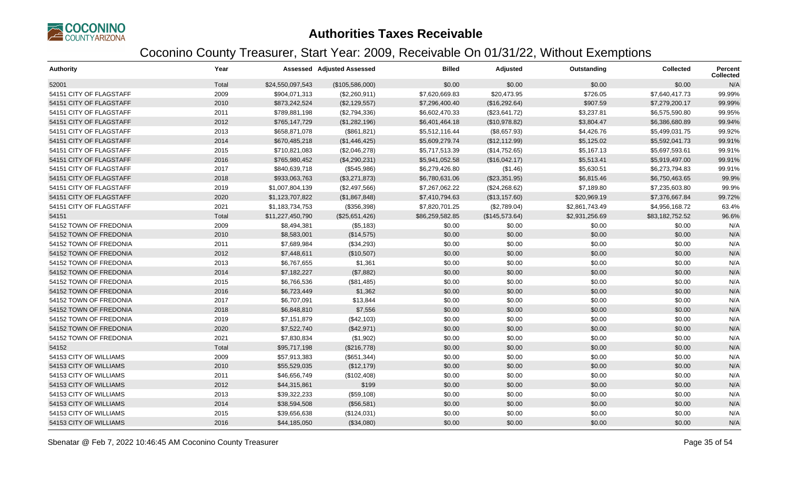

| <b>Authority</b>        | Year  |                  | Assessed Adjusted Assessed | <b>Billed</b>   | Adjusted       | Outstanding    | <b>Collected</b> | <b>Percent</b><br><b>Collected</b> |
|-------------------------|-------|------------------|----------------------------|-----------------|----------------|----------------|------------------|------------------------------------|
| 52001                   | Total | \$24,550,097,543 | (\$105,586,000)            | \$0.00          | \$0.00         | \$0.00         | \$0.00           | N/A                                |
| 54151 CITY OF FLAGSTAFF | 2009  | \$904,071,313    | (\$2,260,911)              | \$7,620,669.83  | \$20,473.95    | \$726.05       | \$7,640,417.73   | 99.99%                             |
| 54151 CITY OF FLAGSTAFF | 2010  | \$873,242,524    | (\$2,129,557)              | \$7,296,400.40  | (\$16,292.64)  | \$907.59       | \$7,279,200.17   | 99.99%                             |
| 54151 CITY OF FLAGSTAFF | 2011  | \$789,881,198    | (\$2,794,336)              | \$6,602,470.33  | (\$23,641.72)  | \$3,237.81     | \$6,575,590.80   | 99.95%                             |
| 54151 CITY OF FLAGSTAFF | 2012  | \$765,147,729    | (\$1,282,196)              | \$6,401,464.18  | (\$10,978.82)  | \$3,804.47     | \$6,386,680.89   | 99.94%                             |
| 54151 CITY OF FLAGSTAFF | 2013  | \$658,871,078    | (\$861, 821)               | \$5,512,116.44  | (\$8,657.93)   | \$4,426.76     | \$5,499,031.75   | 99.92%                             |
| 54151 CITY OF FLAGSTAFF | 2014  | \$670,485,218    | (\$1,446,425)              | \$5,609,279.74  | (\$12,112.99)  | \$5,125.02     | \$5,592,041.73   | 99.91%                             |
| 54151 CITY OF FLAGSTAFF | 2015  | \$710,821,083    | (\$2,046,278)              | \$5,717,513.39  | (\$14,752.65)  | \$5,167.13     | \$5,697,593.61   | 99.91%                             |
| 54151 CITY OF FLAGSTAFF | 2016  | \$765,980,452    | (\$4,290,231)              | \$5,941,052.58  | (\$16,042.17)  | \$5,513.41     | \$5,919,497.00   | 99.91%                             |
| 54151 CITY OF FLAGSTAFF | 2017  | \$840,639,718    | (\$545,986)                | \$6,279,426.80  | (\$1.46)       | \$5,630.51     | \$6,273,794.83   | 99.91%                             |
| 54151 CITY OF FLAGSTAFF | 2018  | \$933,063,763    | (\$3,271,873)              | \$6,780,631.06  | (\$23,351.95)  | \$6,815.46     | \$6,750,463.65   | 99.9%                              |
| 54151 CITY OF FLAGSTAFF | 2019  | \$1,007,804,139  | (\$2,497,566)              | \$7,267,062.22  | (\$24,268.62)  | \$7,189.80     | \$7,235,603.80   | 99.9%                              |
| 54151 CITY OF FLAGSTAFF | 2020  | \$1,123,707,822  | (\$1,867,848)              | \$7,410,794.63  | (\$13,157.60)  | \$20,969.19    | \$7,376,667.84   | 99.72%                             |
| 54151 CITY OF FLAGSTAFF | 2021  | \$1,183,734,753  | (\$356,398)                | \$7,820,701.25  | (\$2,789.04)   | \$2,861,743.49 | \$4,956,168.72   | 63.4%                              |
| 54151                   | Total | \$11,227,450,790 | (\$25,651,426)             | \$86,259,582.85 | (\$145,573.64) | \$2,931,256.69 | \$83,182,752.52  | 96.6%                              |
| 54152 TOWN OF FREDONIA  | 2009  | \$8,494,381      | (\$5,183)                  | \$0.00          | \$0.00         | \$0.00         | \$0.00           | N/A                                |
| 54152 TOWN OF FREDONIA  | 2010  | \$8,583,001      | (\$14,575)                 | \$0.00          | \$0.00         | \$0.00         | \$0.00           | N/A                                |
| 54152 TOWN OF FREDONIA  | 2011  | \$7,689,984      | (\$34,293)                 | \$0.00          | \$0.00         | \$0.00         | \$0.00           | N/A                                |
| 54152 TOWN OF FREDONIA  | 2012  | \$7,448,611      | (\$10,507)                 | \$0.00          | \$0.00         | \$0.00         | \$0.00           | N/A                                |
| 54152 TOWN OF FREDONIA  | 2013  | \$6,767,655      | \$1,361                    | \$0.00          | \$0.00         | \$0.00         | \$0.00           | N/A                                |
| 54152 TOWN OF FREDONIA  | 2014  | \$7,182,227      | (\$7,882)                  | \$0.00          | \$0.00         | \$0.00         | \$0.00           | N/A                                |
| 54152 TOWN OF FREDONIA  | 2015  | \$6,766,536      | (\$81,485)                 | \$0.00          | \$0.00         | \$0.00         | \$0.00           | N/A                                |
| 54152 TOWN OF FREDONIA  | 2016  | \$6,723,449      | \$1,362                    | \$0.00          | \$0.00         | \$0.00         | \$0.00           | N/A                                |
| 54152 TOWN OF FREDONIA  | 2017  | \$6,707,091      | \$13,844                   | \$0.00          | \$0.00         | \$0.00         | \$0.00           | N/A                                |
| 54152 TOWN OF FREDONIA  | 2018  | \$6,848,810      | \$7,556                    | \$0.00          | \$0.00         | \$0.00         | \$0.00           | N/A                                |
| 54152 TOWN OF FREDONIA  | 2019  | \$7,151,879      | (\$42,103)                 | \$0.00          | \$0.00         | \$0.00         | \$0.00           | N/A                                |
| 54152 TOWN OF FREDONIA  | 2020  | \$7,522,740      | (\$42,971)                 | \$0.00          | \$0.00         | \$0.00         | \$0.00           | N/A                                |
| 54152 TOWN OF FREDONIA  | 2021  | \$7,830,834      | (\$1,902)                  | \$0.00          | \$0.00         | \$0.00         | \$0.00           | N/A                                |
| 54152                   | Total | \$95,717,198     | (\$216,778)                | \$0.00          | \$0.00         | \$0.00         | \$0.00           | N/A                                |
| 54153 CITY OF WILLIAMS  | 2009  | \$57,913,383     | (\$651,344)                | \$0.00          | \$0.00         | \$0.00         | \$0.00           | N/A                                |
| 54153 CITY OF WILLIAMS  | 2010  | \$55,529,035     | (\$12,179)                 | \$0.00          | \$0.00         | \$0.00         | \$0.00           | N/A                                |
| 54153 CITY OF WILLIAMS  | 2011  | \$46,656,749     | (\$102,408)                | \$0.00          | \$0.00         | \$0.00         | \$0.00           | N/A                                |
| 54153 CITY OF WILLIAMS  | 2012  | \$44,315,861     | \$199                      | \$0.00          | \$0.00         | \$0.00         | \$0.00           | N/A                                |
| 54153 CITY OF WILLIAMS  | 2013  | \$39,322,233     | (\$59,108)                 | \$0.00          | \$0.00         | \$0.00         | \$0.00           | N/A                                |
| 54153 CITY OF WILLIAMS  | 2014  | \$38,594,508     | (\$56,581)                 | \$0.00          | \$0.00         | \$0.00         | \$0.00           | N/A                                |
| 54153 CITY OF WILLIAMS  | 2015  | \$39,656,638     | (\$124,031)                | \$0.00          | \$0.00         | \$0.00         | \$0.00           | N/A                                |
| 54153 CITY OF WILLIAMS  | 2016  | \$44,185,050     | (\$34,080)                 | \$0.00          | \$0.00         | \$0.00         | \$0.00           | N/A                                |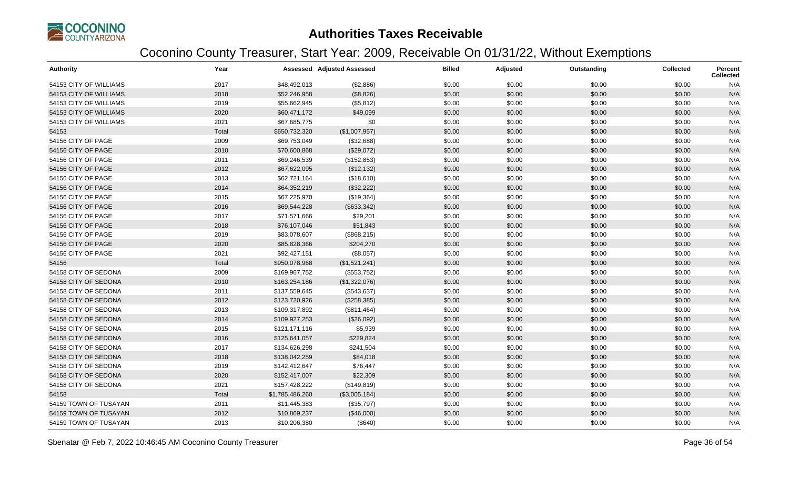

| <b>Authority</b>       | Year  |                 | <b>Assessed Adjusted Assessed</b> | <b>Billed</b> | Adjusted | Outstanding | <b>Collected</b> | Percent<br><b>Collected</b> |
|------------------------|-------|-----------------|-----------------------------------|---------------|----------|-------------|------------------|-----------------------------|
| 54153 CITY OF WILLIAMS | 2017  | \$48,492,013    | (\$2,886)                         | \$0.00        | \$0.00   | \$0.00      | \$0.00           | N/A                         |
| 54153 CITY OF WILLIAMS | 2018  | \$52,246,958    | (\$8,826)                         | \$0.00        | \$0.00   | \$0.00      | \$0.00           | N/A                         |
| 54153 CITY OF WILLIAMS | 2019  | \$55,662,945    | (\$5,812)                         | \$0.00        | \$0.00   | \$0.00      | \$0.00           | N/A                         |
| 54153 CITY OF WILLIAMS | 2020  | \$60,471,172    | \$49,099                          | \$0.00        | \$0.00   | \$0.00      | \$0.00           | N/A                         |
| 54153 CITY OF WILLIAMS | 2021  | \$67,685,775    | \$0                               | \$0.00        | \$0.00   | \$0.00      | \$0.00           | N/A                         |
| 54153                  | Total | \$650,732,320   | (\$1,007,957)                     | \$0.00        | \$0.00   | \$0.00      | \$0.00           | N/A                         |
| 54156 CITY OF PAGE     | 2009  | \$69,753,049    | (\$32,688)                        | \$0.00        | \$0.00   | \$0.00      | \$0.00           | N/A                         |
| 54156 CITY OF PAGE     | 2010  | \$70,600,868    | (\$29,072)                        | \$0.00        | \$0.00   | \$0.00      | \$0.00           | N/A                         |
| 54156 CITY OF PAGE     | 2011  | \$69,246,539    | (\$152,853)                       | \$0.00        | \$0.00   | \$0.00      | \$0.00           | N/A                         |
| 54156 CITY OF PAGE     | 2012  | \$67,622,095    | (\$12, 132)                       | \$0.00        | \$0.00   | \$0.00      | \$0.00           | N/A                         |
| 54156 CITY OF PAGE     | 2013  | \$62,721,164    | (\$18,610)                        | \$0.00        | \$0.00   | \$0.00      | \$0.00           | N/A                         |
| 54156 CITY OF PAGE     | 2014  | \$64,352,219    | (\$32,222)                        | \$0.00        | \$0.00   | \$0.00      | \$0.00           | N/A                         |
| 54156 CITY OF PAGE     | 2015  | \$67,225,970    | (\$19,364)                        | \$0.00        | \$0.00   | \$0.00      | \$0.00           | N/A                         |
| 54156 CITY OF PAGE     | 2016  | \$69,544,228    | (\$633,342)                       | \$0.00        | \$0.00   | \$0.00      | \$0.00           | N/A                         |
| 54156 CITY OF PAGE     | 2017  | \$71,571,666    | \$29,201                          | \$0.00        | \$0.00   | \$0.00      | \$0.00           | N/A                         |
| 54156 CITY OF PAGE     | 2018  | \$76,107,046    | \$51,843                          | \$0.00        | \$0.00   | \$0.00      | \$0.00           | N/A                         |
| 54156 CITY OF PAGE     | 2019  | \$83,078,607    | (\$868,215)                       | \$0.00        | \$0.00   | \$0.00      | \$0.00           | N/A                         |
| 54156 CITY OF PAGE     | 2020  | \$85,828,366    | \$204,270                         | \$0.00        | \$0.00   | \$0.00      | \$0.00           | N/A                         |
| 54156 CITY OF PAGE     | 2021  | \$92,427,151    | (\$8,057)                         | \$0.00        | \$0.00   | \$0.00      | \$0.00           | N/A                         |
| 54156                  | Total | \$950,078,968   | (\$1,521,241)                     | \$0.00        | \$0.00   | \$0.00      | \$0.00           | N/A                         |
| 54158 CITY OF SEDONA   | 2009  | \$169,967,752   | (\$553,752)                       | \$0.00        | \$0.00   | \$0.00      | \$0.00           | N/A                         |
| 54158 CITY OF SEDONA   | 2010  | \$163,254,186   | (\$1,322,076)                     | \$0.00        | \$0.00   | \$0.00      | \$0.00           | N/A                         |
| 54158 CITY OF SEDONA   | 2011  | \$137,559,645   | (\$543,637)                       | \$0.00        | \$0.00   | \$0.00      | \$0.00           | N/A                         |
| 54158 CITY OF SEDONA   | 2012  | \$123,720,926   | (\$258,385)                       | \$0.00        | \$0.00   | \$0.00      | \$0.00           | N/A                         |
| 54158 CITY OF SEDONA   | 2013  | \$109,317,892   | (\$811,464)                       | \$0.00        | \$0.00   | \$0.00      | \$0.00           | N/A                         |
| 54158 CITY OF SEDONA   | 2014  | \$109,927,253   | (\$26,092)                        | \$0.00        | \$0.00   | \$0.00      | \$0.00           | N/A                         |
| 54158 CITY OF SEDONA   | 2015  | \$121,171,116   | \$5,939                           | \$0.00        | \$0.00   | \$0.00      | \$0.00           | N/A                         |
| 54158 CITY OF SEDONA   | 2016  | \$125,641,057   | \$229,824                         | \$0.00        | \$0.00   | \$0.00      | \$0.00           | N/A                         |
| 54158 CITY OF SEDONA   | 2017  | \$134,626,298   | \$241,504                         | \$0.00        | \$0.00   | \$0.00      | \$0.00           | N/A                         |
| 54158 CITY OF SEDONA   | 2018  | \$138,042,259   | \$84,018                          | \$0.00        | \$0.00   | \$0.00      | \$0.00           | N/A                         |
| 54158 CITY OF SEDONA   | 2019  | \$142,412,647   | \$76,447                          | \$0.00        | \$0.00   | \$0.00      | \$0.00           | N/A                         |
| 54158 CITY OF SEDONA   | 2020  | \$152,417,007   | \$22,309                          | \$0.00        | \$0.00   | \$0.00      | \$0.00           | N/A                         |
| 54158 CITY OF SEDONA   | 2021  | \$157,428,222   | (\$149, 819)                      | \$0.00        | \$0.00   | \$0.00      | \$0.00           | N/A                         |
| 54158                  | Total | \$1,785,486,260 | (\$3,005,184)                     | \$0.00        | \$0.00   | \$0.00      | \$0.00           | N/A                         |
| 54159 TOWN OF TUSAYAN  | 2011  | \$11,445,383    | (\$35,797)                        | \$0.00        | \$0.00   | \$0.00      | \$0.00           | N/A                         |
| 54159 TOWN OF TUSAYAN  | 2012  | \$10,869,237    | (\$46,000)                        | \$0.00        | \$0.00   | \$0.00      | \$0.00           | N/A                         |
| 54159 TOWN OF TUSAYAN  | 2013  | \$10,206,380    | (\$640)                           | \$0.00        | \$0.00   | \$0.00      | \$0.00           | N/A                         |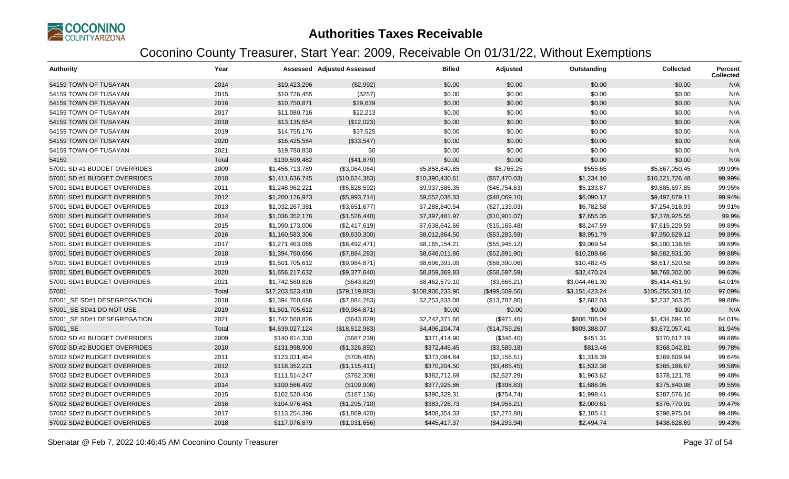

| <b>Authority</b>             | Year  |                  | <b>Assessed Adjusted Assessed</b> | <b>Billed</b>    | Adjusted       | Outstanding    | <b>Collected</b> | <b>Percent</b><br><b>Collected</b> |
|------------------------------|-------|------------------|-----------------------------------|------------------|----------------|----------------|------------------|------------------------------------|
| 54159 TOWN OF TUSAYAN        | 2014  | \$10,423,296     | (\$2,992)                         | \$0.00           | \$0.00         | \$0.00         | \$0.00           | N/A                                |
| 54159 TOWN OF TUSAYAN        | 2015  | \$10,726,455     | (\$257)                           | \$0.00           | \$0.00         | \$0.00         | \$0.00           | N/A                                |
| 54159 TOWN OF TUSAYAN        | 2016  | \$10,750,871     | \$29,639                          | \$0.00           | \$0.00         | \$0.00         | \$0.00           | N/A                                |
| 54159 TOWN OF TUSAYAN        | 2017  | \$11,080,716     | \$22,213                          | \$0.00           | \$0.00         | \$0.00         | \$0.00           | N/A                                |
| 54159 TOWN OF TUSAYAN        | 2018  | \$13,135,554     | (\$12,023)                        | \$0.00           | \$0.00         | \$0.00         | \$0.00           | N/A                                |
| 54159 TOWN OF TUSAYAN        | 2019  | \$14,755,176     | \$37,525                          | \$0.00           | \$0.00         | \$0.00         | \$0.00           | N/A                                |
| 54159 TOWN OF TUSAYAN        | 2020  | \$16,425,584     | (\$33,547)                        | \$0.00           | \$0.00         | \$0.00         | \$0.00           | N/A                                |
| 54159 TOWN OF TUSAYAN        | 2021  | \$19,780,830     | \$0                               | \$0.00           | \$0.00         | \$0.00         | \$0.00           | N/A                                |
| 54159                        | Total | \$139,599,482    | (\$41,879)                        | \$0.00           | \$0.00         | \$0.00         | \$0.00           | N/A                                |
| 57001 SD #1 BUDGET OVERRIDES | 2009  | \$1,456,713,789  | (\$3,064,064)                     | \$5,858,840.85   | \$8,765.25     | \$555.65       | \$5,867,050.45   | 99.99%                             |
| 57001 SD #1 BUDGET OVERRIDES | 2010  | \$1,411,636,745  | (\$10,624,383)                    | \$10,390,430.61  | (\$67,470.03)  | \$1,234.10     | \$10,321,726.48  | 99.99%                             |
| 57001 SD#1 BUDGET OVERRIDES  | 2011  | \$1,248,962,221  | (\$5,828,592)                     | \$9,937,586.35   | (\$46,754.63)  | \$5,133.87     | \$9,885,697.85   | 99.95%                             |
| 57001 SD#1 BUDGET OVERRIDES  | 2012  | \$1,200,126,973  | (\$5,993,714)                     | \$9,552,038.33   | (\$48,069.10)  | \$6,090.12     | \$9,497,879.11   | 99.94%                             |
| 57001 SD#1 BUDGET OVERRIDES  | 2013  | \$1,032,267,381  | (\$3,651,677)                     | \$7,288,840.54   | (\$27,139.03)  | \$6,782.58     | \$7,254,918.93   | 99.91%                             |
| 57001 SD#1 BUDGET OVERRIDES  | 2014  | \$1,036,352,176  | (\$1,526,440)                     | \$7,397,481.97   | (\$10,901.07)  | \$7,655.35     | \$7,378,925.55   | 99.9%                              |
| 57001 SD#1 BUDGET OVERRIDES  | 2015  | \$1,090,173,006  | (\$2,417,619)                     | \$7,638,642.66   | (\$15, 165.48) | \$8,247.59     | \$7,615,229.59   | 99.89%                             |
| 57001 SD#1 BUDGET OVERRIDES  | 2016  | \$1,160,583,306  | (\$9,630,300)                     | \$8,012,864.50   | (\$53,283.59)  | \$8,951.79     | \$7,950,629.12   | 99.89%                             |
| 57001 SD#1 BUDGET OVERRIDES  | 2017  | \$1,271,463,065  | (\$8,492,471)                     | \$8,165,154.21   | (\$55,946.12)  | \$9,069.54     | \$8,100,138.55   | 99.89%                             |
| 57001 SD#1 BUDGET OVERRIDES  | 2018  | \$1,394,760,686  | (\$7,884,283)                     | \$8,646,011.86   | (\$52,891.90)  | \$10,288.66    | \$8,582,831.30   | 99.88%                             |
| 57001 SD#1 BUDGET OVERRIDES  | 2019  | \$1,501,705,612  | (\$9,984,871)                     | \$8,696,393.09   | (\$68,390.06)  | \$10,482.45    | \$8,617,520.58   | 99.88%                             |
| 57001 SD#1 BUDGET OVERRIDES  | 2020  | \$1,656,217,632  | (\$9,377,640)                     | \$8,859,369.83   | (\$58,597.59)  | \$32,470.24    | \$8,768,302.00   | 99.63%                             |
| 57001 SD#1 BUDGET OVERRIDES  | 2021  | \$1,742,560,826  | (\$643,829)                       | \$8,462,579.10   | (\$3,666.21)   | \$3,044,461.30 | \$5,414,451.59   | 64.01%                             |
| 57001                        | Total | \$17,203,523,418 | (\$79,119,883)                    | \$108,906,233.90 | (\$499,509.56) | \$3,151,423.24 | \$105,255,301.10 | 97.09%                             |
| 57001_SE SD#1 DESEGREGATION  | 2018  | \$1,394,760,686  | (\$7,884,283)                     | \$2,253,833.08   | (\$13,787.80)  | \$2,682.03     | \$2,237,363.25   | 99.88%                             |
| 57001 SE SD#1 DO NOT USE     | 2019  | \$1,501,705,612  | (\$9,984,871)                     | \$0.00           | \$0.00         | \$0.00         | \$0.00           | N/A                                |
| 57001_SE SD#1 DESEGREGATION  | 2021  | \$1,742,560,826  | (\$643,829)                       | \$2,242,371.66   | (\$971.46)     | \$806,706.04   | \$1,434,694.16   | 64.01%                             |
| 57001 SE                     | Total | \$4,639,027,124  | (\$18,512,983)                    | \$4,496,204.74   | (\$14,759.26)  | \$809,388.07   | \$3,672,057.41   | 81.94%                             |
| 57002 SD #2 BUDGET OVERRIDES | 2009  | \$140,814,330    | (\$687,239)                       | \$371,414.90     | (\$346.40)     | \$451.31       | \$370,617.19     | 99.88%                             |
| 57002 SD #2 BUDGET OVERRIDES | 2010  | \$131,998,900    | (\$1,326,892)                     | \$372,445.45     | (\$3,589.18)   | \$813.46       | \$368,042.81     | 99.78%                             |
| 57002 SD#2 BUDGET OVERRIDES  | 2011  | \$123,031,464    | (\$706,465)                       | \$373,084.84     | (\$2,156.51)   | \$1,318.39     | \$369,609.94     | 99.64%                             |
| 57002 SD#2 BUDGET OVERRIDES  | 2012  | \$118,352,221    | (\$1,115,411)                     | \$370,204.50     | (\$3,485.45)   | \$1,532.38     | \$365,186.67     | 99.58%                             |
| 57002 SD#2 BUDGET OVERRIDES  | 2013  | \$111,514,247    | (\$762,308)                       | \$382,712.69     | (\$2,627.29)   | \$1,963.62     | \$378,121.78     | 99.48%                             |
| 57002 SD#2 BUDGET OVERRIDES  | 2014  | \$100,566,492    | (\$109,908)                       | \$377,925.86     | (\$398.83)     | \$1,686.05     | \$375,840.98     | 99.55%                             |
| 57002 SD#2 BUDGET OVERRIDES  | 2015  | \$102,520,436    | (\$187, 136)                      | \$390,329.31     | (\$754.74)     | \$1,998.41     | \$387,576.16     | 99.49%                             |
| 57002 SD#2 BUDGET OVERRIDES  | 2016  | \$104,976,451    | (\$1,295,710)                     | \$383,726.73     | (\$4,955.21)   | \$2,000.61     | \$376,770.91     | 99.47%                             |
| 57002 SD#2 BUDGET OVERRIDES  | 2017  | \$113,254,396    | (\$1,869,420)                     | \$408,354.33     | (\$7,273.88)   | \$2,105.41     | \$398,975.04     | 99.48%                             |
| 57002 SD#2 BUDGET OVERRIDES  | 2018  | \$117,076,879    | (\$1,031,656)                     | \$445,417.37     | (\$4,293.94)   | \$2,494.74     | \$438,628.69     | 99.43%                             |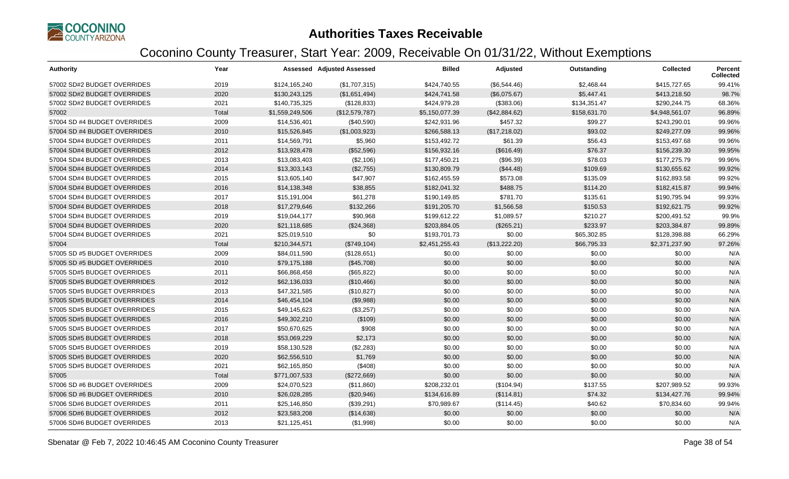

| <b>Authority</b>             | Year  |                 | <b>Assessed Adjusted Assessed</b> | <b>Billed</b>  | Adjusted      | Outstanding  | <b>Collected</b> | Percent<br><b>Collected</b> |
|------------------------------|-------|-----------------|-----------------------------------|----------------|---------------|--------------|------------------|-----------------------------|
| 57002 SD#2 BUDGET OVERRIDES  | 2019  | \$124,165,240   | (\$1,707,315)                     | \$424,740.55   | (\$6,544.46)  | \$2,468.44   | \$415,727.65     | 99.41%                      |
| 57002 SD#2 BUDGET OVERRIDES  | 2020  | \$130,243,125   | (\$1,651,494)                     | \$424,741.58   | (\$6,075.67)  | \$5,447.41   | \$413,218.50     | 98.7%                       |
| 57002 SD#2 BUDGET OVERRIDES  | 2021  | \$140,735,325   | (\$128,833)                       | \$424,979.28   | (\$383.06)    | \$134,351.47 | \$290,244.75     | 68.36%                      |
| 57002                        | Total | \$1,559,249,506 | (\$12,579,787)                    | \$5,150,077.39 | (\$42,884.62) | \$158,631.70 | \$4,948,561.07   | 96.89%                      |
| 57004 SD #4 BUDGET OVERRIDES | 2009  | \$14,536,401    | (\$40,590)                        | \$242,931.96   | \$457.32      | \$99.27      | \$243,290.01     | 99.96%                      |
| 57004 SD #4 BUDGET OVERRIDES | 2010  | \$15,526,845    | (\$1,003,923)                     | \$266,588.13   | (\$17,218.02) | \$93.02      | \$249,277.09     | 99.96%                      |
| 57004 SD#4 BUDGET OVERRIDES  | 2011  | \$14,569,791    | \$5,960                           | \$153,492.72   | \$61.39       | \$56.43      | \$153,497.68     | 99.96%                      |
| 57004 SD#4 BUDGET OVERRIDES  | 2012  | \$13,928,478    | (\$52,596)                        | \$156,932.16   | (\$616.49)    | \$76.37      | \$156,239.30     | 99.95%                      |
| 57004 SD#4 BUDGET OVERRIDES  | 2013  | \$13,083,403    | (\$2,106)                         | \$177,450.21   | (\$96.39)     | \$78.03      | \$177,275.79     | 99.96%                      |
| 57004 SD#4 BUDGET OVERRIDES  | 2014  | \$13,303,143    | (\$2,755)                         | \$130,809.79   | (\$44.48)     | \$109.69     | \$130,655.62     | 99.92%                      |
| 57004 SD#4 BUDGET OVERRIDES  | 2015  | \$13,605,140    | \$47,907                          | \$162,455.59   | \$573.08      | \$135.09     | \$162,893.58     | 99.92%                      |
| 57004 SD#4 BUDGET OVERRIDES  | 2016  | \$14,138,348    | \$38,855                          | \$182,041.32   | \$488.75      | \$114.20     | \$182,415.87     | 99.94%                      |
| 57004 SD#4 BUDGET OVERRIDES  | 2017  | \$15,191,004    | \$61,278                          | \$190,149.85   | \$781.70      | \$135.61     | \$190,795.94     | 99.93%                      |
| 57004 SD#4 BUDGET OVERRIDES  | 2018  | \$17,279,646    | \$132,266                         | \$191,205.70   | \$1,566.58    | \$150.53     | \$192,621.75     | 99.92%                      |
| 57004 SD#4 BUDGET OVERRIDES  | 2019  | \$19,044,177    | \$90,968                          | \$199,612.22   | \$1,089.57    | \$210.27     | \$200,491.52     | 99.9%                       |
| 57004 SD#4 BUDGET OVERRIDES  | 2020  | \$21,118,685    | (\$24,368)                        | \$203,884.05   | (\$265.21)    | \$233.97     | \$203,384.87     | 99.89%                      |
| 57004 SD#4 BUDGET OVERRIDES  | 2021  | \$25,019,510    | \$0                               | \$193,701.73   | \$0.00        | \$65,302.85  | \$128,398.88     | 66.29%                      |
| 57004                        | Total | \$210,344,571   | (\$749,104)                       | \$2,451,255.43 | (\$13,222.20) | \$66,795.33  | \$2,371,237.90   | 97.26%                      |
| 57005 SD #5 BUDGET OVERRIDES | 2009  | \$84,011,590    | (\$128,651)                       | \$0.00         | \$0.00        | \$0.00       | \$0.00           | N/A                         |
| 57005 SD #5 BUDGET OVERRIDES | 2010  | \$79,175,188    | (\$45,708)                        | \$0.00         | \$0.00        | \$0.00       | \$0.00           | N/A                         |
| 57005 SD#5 BUDGET OVERRIDES  | 2011  | \$66,868,458    | (\$65,822)                        | \$0.00         | \$0.00        | \$0.00       | \$0.00           | N/A                         |
| 57005 SD#5 BUDGET OVERRRIDES | 2012  | \$62,136,033    | (\$10,466)                        | \$0.00         | \$0.00        | \$0.00       | \$0.00           | N/A                         |
| 57005 SD#5 BUDGET OVERRRIDES | 2013  | \$47,321,585    | (\$10,827)                        | \$0.00         | \$0.00        | \$0.00       | \$0.00           | N/A                         |
| 57005 SD#5 BUDGET OVERRRIDES | 2014  | \$46,454,104    | (\$9,988)                         | \$0.00         | \$0.00        | \$0.00       | \$0.00           | N/A                         |
| 57005 SD#5 BUDGET OVERRRIDES | 2015  | \$49,145,623    | (\$3,257)                         | \$0.00         | \$0.00        | \$0.00       | \$0.00           | N/A                         |
| 57005 SD#5 BUDGET OVERRIDES  | 2016  | \$49,302,210    | (\$109)                           | \$0.00         | \$0.00        | \$0.00       | \$0.00           | N/A                         |
| 57005 SD#5 BUDGET OVERRIDES  | 2017  | \$50,670,625    | \$908                             | \$0.00         | \$0.00        | \$0.00       | \$0.00           | N/A                         |
| 57005 SD#5 BUDGET OVERRIDES  | 2018  | \$53,069,229    | \$2,173                           | \$0.00         | \$0.00        | \$0.00       | \$0.00           | N/A                         |
| 57005 SD#5 BUDGET OVERRIDES  | 2019  | \$58,130,528    | (\$2,283)                         | \$0.00         | \$0.00        | \$0.00       | \$0.00           | N/A                         |
| 57005 SD#5 BUDGET OVERRIDES  | 2020  | \$62,556,510    | \$1,769                           | \$0.00         | \$0.00        | \$0.00       | \$0.00           | N/A                         |
| 57005 SD#5 BUDGET OVERRIDES  | 2021  | \$62,165,850    | (\$408)                           | \$0.00         | \$0.00        | \$0.00       | \$0.00           | N/A                         |
| 57005                        | Total | \$771,007,533   | (\$272,669)                       | \$0.00         | \$0.00        | \$0.00       | \$0.00           | N/A                         |
| 57006 SD #6 BUDGET OVERRIDES | 2009  | \$24,070,523    | (\$11,860)                        | \$208,232.01   | (\$104.94)    | \$137.55     | \$207,989.52     | 99.93%                      |
| 57006 SD #6 BUDGET OVERRIDES | 2010  | \$26,028,285    | (\$20,946)                        | \$134,616.89   | (\$114.81)    | \$74.32      | \$134,427.76     | 99.94%                      |
| 57006 SD#6 BUDGET OVERRIDES  | 2011  | \$25,146,850    | (\$39,291)                        | \$70,989.67    | (\$114.45)    | \$40.62      | \$70,834.60      | 99.94%                      |
| 57006 SD#6 BUDGET OVERRIDES  | 2012  | \$23,583,208    | (\$14,638)                        | \$0.00         | \$0.00        | \$0.00       | \$0.00           | N/A                         |
| 57006 SD#6 BUDGET OVERRIDES  | 2013  | \$21,125,451    | (\$1,998)                         | \$0.00         | \$0.00        | \$0.00       | \$0.00           | N/A                         |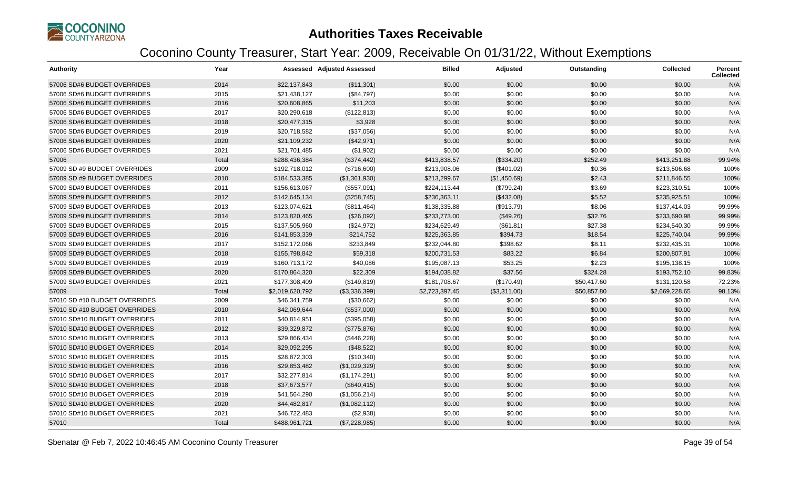

| <b>Authority</b>              | Year  |                 | <b>Assessed Adjusted Assessed</b> | <b>Billed</b>  | Adjusted     | Outstanding | <b>Collected</b> | <b>Percent</b><br><b>Collected</b> |
|-------------------------------|-------|-----------------|-----------------------------------|----------------|--------------|-------------|------------------|------------------------------------|
| 57006 SD#6 BUDGET OVERRIDES   | 2014  | \$22,137,843    | (\$11,301)                        | \$0.00         | \$0.00       | \$0.00      | \$0.00           | N/A                                |
| 57006 SD#6 BUDGET OVERRIDES   | 2015  | \$21,438,127    | (\$84,797)                        | \$0.00         | \$0.00       | \$0.00      | \$0.00           | N/A                                |
| 57006 SD#6 BUDGET OVERRIDES   | 2016  | \$20,608,865    | \$11,203                          | \$0.00         | \$0.00       | \$0.00      | \$0.00           | N/A                                |
| 57006 SD#6 BUDGET OVERRIDES   | 2017  | \$20,290,618    | (\$122,813)                       | \$0.00         | \$0.00       | \$0.00      | \$0.00           | N/A                                |
| 57006 SD#6 BUDGET OVERRIDES   | 2018  | \$20,477,315    | \$3,928                           | \$0.00         | \$0.00       | \$0.00      | \$0.00           | N/A                                |
| 57006 SD#6 BUDGET OVERRIDES   | 2019  | \$20,718,582    | (\$37,056)                        | \$0.00         | \$0.00       | \$0.00      | \$0.00           | N/A                                |
| 57006 SD#6 BUDGET OVERRIDES   | 2020  | \$21,109,232    | (\$42,971)                        | \$0.00         | \$0.00       | \$0.00      | \$0.00           | N/A                                |
| 57006 SD#6 BUDGET OVERRIDES   | 2021  | \$21,701,485    | (\$1,902)                         | \$0.00         | \$0.00       | \$0.00      | \$0.00           | N/A                                |
| 57006                         | Total | \$288,436,384   | (\$374,442)                       | \$413,838.57   | (\$334.20)   | \$252.49    | \$413,251.88     | 99.94%                             |
| 57009 SD #9 BUDGET OVERRIDES  | 2009  | \$192,718,012   | (\$716,600)                       | \$213,908.06   | (\$401.02)   | \$0.36      | \$213,506.68     | 100%                               |
| 57009 SD #9 BUDGET OVERRIDES  | 2010  | \$184,533,385   | (\$1,361,930)                     | \$213,299.67   | (\$1,450.69) | \$2.43      | \$211,846.55     | 100%                               |
| 57009 SD#9 BUDGET OVERRIDES   | 2011  | \$156,613,067   | (\$557,091)                       | \$224,113.44   | (\$799.24)   | \$3.69      | \$223,310.51     | 100%                               |
| 57009 SD#9 BUDGET OVERRIDES   | 2012  | \$142,645,134   | (\$258,745)                       | \$236,363.11   | (\$432.08)   | \$5.52      | \$235,925.51     | 100%                               |
| 57009 SD#9 BUDGET OVERRIDES   | 2013  | \$123,074,621   | (\$811,464)                       | \$138,335.88   | (\$913.79)   | \$8.06      | \$137,414.03     | 99.99%                             |
| 57009 SD#9 BUDGET OVERRIDES   | 2014  | \$123,820,465   | (\$26,092)                        | \$233,773.00   | (\$49.26)    | \$32.76     | \$233,690.98     | 99.99%                             |
| 57009 SD#9 BUDGET OVERRIDES   | 2015  | \$137,505,960   | (\$24,972)                        | \$234,629.49   | (\$61.81)    | \$27.38     | \$234,540.30     | 99.99%                             |
| 57009 SD#9 BUDGET OVERRIDES   | 2016  | \$141,853,339   | \$214,752                         | \$225,363.85   | \$394.73     | \$18.54     | \$225,740.04     | 99.99%                             |
| 57009 SD#9 BUDGET OVERRIDES   | 2017  | \$152,172,066   | \$233,849                         | \$232,044.80   | \$398.62     | \$8.11      | \$232,435.31     | 100%                               |
| 57009 SD#9 BUDGET OVERRIDES   | 2018  | \$155,798,842   | \$59,318                          | \$200,731.53   | \$83.22      | \$6.84      | \$200,807.91     | 100%                               |
| 57009 SD#9 BUDGET OVERRIDES   | 2019  | \$160,713,172   | \$40,086                          | \$195,087.13   | \$53.25      | \$2.23      | \$195,138.15     | 100%                               |
| 57009 SD#9 BUDGET OVERRIDES   | 2020  | \$170,864,320   | \$22,309                          | \$194,038.82   | \$37.56      | \$324.28    | \$193,752.10     | 99.83%                             |
| 57009 SD#9 BUDGET OVERRIDES   | 2021  | \$177,308,409   | (\$149, 819)                      | \$181,708.67   | (\$170.49)   | \$50,417.60 | \$131,120.58     | 72.23%                             |
| 57009                         | Total | \$2,019,620,792 | (\$3,336,399)                     | \$2,723,397.45 | (\$3,311.00) | \$50,857.80 | \$2,669,228.65   | 98.13%                             |
| 57010 SD #10 BUDGET OVERRIDES | 2009  | \$46,341,759    | (\$30,662)                        | \$0.00         | \$0.00       | \$0.00      | \$0.00           | N/A                                |
| 57010 SD #10 BUDGET OVERRIDES | 2010  | \$42,069,644    | (\$537,000)                       | \$0.00         | \$0.00       | \$0.00      | \$0.00           | N/A                                |
| 57010 SD#10 BUDGET OVERRIDES  | 2011  | \$40,814,951    | (\$395,058)                       | \$0.00         | \$0.00       | \$0.00      | \$0.00           | N/A                                |
| 57010 SD#10 BUDGET OVERRIDES  | 2012  | \$39,329,872    | (\$775,876)                       | \$0.00         | \$0.00       | \$0.00      | \$0.00           | N/A                                |
| 57010 SD#10 BUDGET OVERRIDES  | 2013  | \$29,866,434    | (\$446,228)                       | \$0.00         | \$0.00       | \$0.00      | \$0.00           | N/A                                |
| 57010 SD#10 BUDGET OVERRIDES  | 2014  | \$29,092,295    | (\$48,522)                        | \$0.00         | \$0.00       | \$0.00      | \$0.00           | N/A                                |
| 57010 SD#10 BUDGET OVERRIDES  | 2015  | \$28,872,303    | (\$10,340)                        | \$0.00         | \$0.00       | \$0.00      | \$0.00           | N/A                                |
| 57010 SD#10 BUDGET OVERRIDES  | 2016  | \$29,853,482    | (\$1,029,329)                     | \$0.00         | \$0.00       | \$0.00      | \$0.00           | N/A                                |
| 57010 SD#10 BUDGET OVERRIDES  | 2017  | \$32,277,814    | (\$1,174,291)                     | \$0.00         | \$0.00       | \$0.00      | \$0.00           | N/A                                |
| 57010 SD#10 BUDGET OVERRIDES  | 2018  | \$37,673,577    | (\$640, 415)                      | \$0.00         | \$0.00       | \$0.00      | \$0.00           | N/A                                |
| 57010 SD#10 BUDGET OVERRIDES  | 2019  | \$41,564,290    | (\$1,056,214)                     | \$0.00         | \$0.00       | \$0.00      | \$0.00           | N/A                                |
| 57010 SD#10 BUDGET OVERRIDES  | 2020  | \$44,482,817    | (\$1,082,112)                     | \$0.00         | \$0.00       | \$0.00      | \$0.00           | N/A                                |
| 57010 SD#10 BUDGET OVERRIDES  | 2021  | \$46,722,483    | (\$2,938)                         | \$0.00         | \$0.00       | \$0.00      | \$0.00           | N/A                                |
| 57010                         | Total | \$488,961,721   | (\$7,228,985)                     | \$0.00         | \$0.00       | \$0.00      | \$0.00           | N/A                                |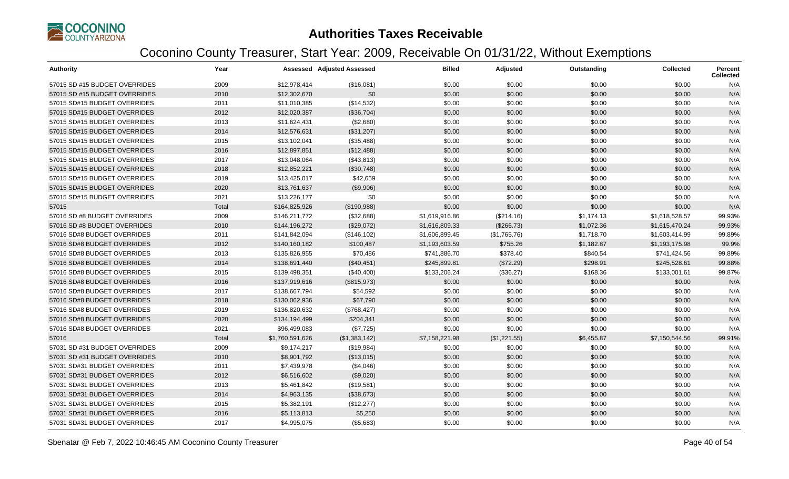

| <b>Authority</b>              | Year  |                 | Assessed Adjusted Assessed | <b>Billed</b>  | Adjusted     | Outstanding | <b>Collected</b> | <b>Percent</b><br><b>Collected</b> |
|-------------------------------|-------|-----------------|----------------------------|----------------|--------------|-------------|------------------|------------------------------------|
| 57015 SD #15 BUDGET OVERRIDES | 2009  | \$12,978,414    | (\$16,081)                 | \$0.00         | \$0.00       | \$0.00      | \$0.00           | N/A                                |
| 57015 SD #15 BUDGET OVERRIDES | 2010  | \$12,302,670    | \$0                        | \$0.00         | \$0.00       | \$0.00      | \$0.00           | N/A                                |
| 57015 SD#15 BUDGET OVERRIDES  | 2011  | \$11,010,385    | (\$14,532)                 | \$0.00         | \$0.00       | \$0.00      | \$0.00           | N/A                                |
| 57015 SD#15 BUDGET OVERRIDES  | 2012  | \$12,020,387    | (\$36,704)                 | \$0.00         | \$0.00       | \$0.00      | \$0.00           | N/A                                |
| 57015 SD#15 BUDGET OVERRIDES  | 2013  | \$11,624,431    | (\$2,680)                  | \$0.00         | \$0.00       | \$0.00      | \$0.00           | N/A                                |
| 57015 SD#15 BUDGET OVERRIDES  | 2014  | \$12,576,631    | (\$31,207)                 | \$0.00         | \$0.00       | \$0.00      | \$0.00           | N/A                                |
| 57015 SD#15 BUDGET OVERRIDES  | 2015  | \$13,102,041    | (\$35,488)                 | \$0.00         | \$0.00       | \$0.00      | \$0.00           | N/A                                |
| 57015 SD#15 BUDGET OVERRIDES  | 2016  | \$12,897,851    | (\$12,488)                 | \$0.00         | \$0.00       | \$0.00      | \$0.00           | N/A                                |
| 57015 SD#15 BUDGET OVERRIDES  | 2017  | \$13,048,064    | (\$43,813)                 | \$0.00         | \$0.00       | \$0.00      | \$0.00           | N/A                                |
| 57015 SD#15 BUDGET OVERRIDES  | 2018  | \$12,852,221    | (\$30,748)                 | \$0.00         | \$0.00       | \$0.00      | \$0.00           | N/A                                |
| 57015 SD#15 BUDGET OVERRIDES  | 2019  | \$13,425,017    | \$42,659                   | \$0.00         | \$0.00       | \$0.00      | \$0.00           | N/A                                |
| 57015 SD#15 BUDGET OVERRIDES  | 2020  | \$13,761,637    | (\$9,906)                  | \$0.00         | \$0.00       | \$0.00      | \$0.00           | N/A                                |
| 57015 SD#15 BUDGET OVERRIDES  | 2021  | \$13,226,177    | \$0                        | \$0.00         | \$0.00       | \$0.00      | \$0.00           | N/A                                |
| 57015                         | Total | \$164,825,926   | (\$190,988)                | \$0.00         | \$0.00       | \$0.00      | \$0.00           | N/A                                |
| 57016 SD #8 BUDGET OVERRIDES  | 2009  | \$146,211,772   | (\$32,688)                 | \$1,619,916.86 | (\$214.16)   | \$1,174.13  | \$1,618,528.57   | 99.93%                             |
| 57016 SD #8 BUDGET OVERRIDES  | 2010  | \$144,196,272   | (\$29,072)                 | \$1,616,809.33 | (\$266.73)   | \$1,072.36  | \$1,615,470.24   | 99.93%                             |
| 57016 SD#8 BUDGET OVERRIDES   | 2011  | \$141,842,094   | (\$146, 102)               | \$1,606,899.45 | (\$1,765.76) | \$1,718.70  | \$1,603,414.99   | 99.89%                             |
| 57016 SD#8 BUDGET OVERRIDES   | 2012  | \$140,160,182   | \$100,487                  | \$1,193,603.59 | \$755.26     | \$1,182.87  | \$1,193,175.98   | 99.9%                              |
| 57016 SD#8 BUDGET OVERRIDES   | 2013  | \$135,826,955   | \$70,486                   | \$741,886.70   | \$378.40     | \$840.54    | \$741,424.56     | 99.89%                             |
| 57016 SD#8 BUDGET OVERRIDES   | 2014  | \$138,691,440   | (\$40,451)                 | \$245,899.81   | (\$72.29)    | \$298.91    | \$245,528.61     | 99.88%                             |
| 57016 SD#8 BUDGET OVERRIDES   | 2015  | \$139,498,351   | (\$40,400)                 | \$133,206.24   | (\$36.27)    | \$168.36    | \$133,001.61     | 99.87%                             |
| 57016 SD#8 BUDGET OVERRIDES   | 2016  | \$137,919,616   | (\$815,973)                | \$0.00         | \$0.00       | \$0.00      | \$0.00           | N/A                                |
| 57016 SD#8 BUDGET OVERRIDES   | 2017  | \$138,667,794   | \$54,592                   | \$0.00         | \$0.00       | \$0.00      | \$0.00           | N/A                                |
| 57016 SD#8 BUDGET OVERRIDES   | 2018  | \$130,062,936   | \$67,790                   | \$0.00         | \$0.00       | \$0.00      | \$0.00           | N/A                                |
| 57016 SD#8 BUDGET OVERRIDES   | 2019  | \$136,820,632   | (\$768,427)                | \$0.00         | \$0.00       | \$0.00      | \$0.00           | N/A                                |
| 57016 SD#8 BUDGET OVERRIDES   | 2020  | \$134,194,499   | \$204,341                  | \$0.00         | \$0.00       | \$0.00      | \$0.00           | N/A                                |
| 57016 SD#8 BUDGET OVERRIDES   | 2021  | \$96,499,083    | (\$7,725)                  | \$0.00         | \$0.00       | \$0.00      | \$0.00           | N/A                                |
| 57016                         | Total | \$1,760,591,626 | (\$1,383,142)              | \$7,158,221.98 | (\$1,221.55) | \$6,455.87  | \$7,150,544.56   | 99.91%                             |
| 57031 SD #31 BUDGET OVERRIDES | 2009  | \$9,174,217     | (\$19,984)                 | \$0.00         | \$0.00       | \$0.00      | \$0.00           | N/A                                |
| 57031 SD #31 BUDGET OVERRIDES | 2010  | \$8,901,792     | (\$13,015)                 | \$0.00         | \$0.00       | \$0.00      | \$0.00           | N/A                                |
| 57031 SD#31 BUDGET OVERRIDES  | 2011  | \$7,439,978     | (\$4,046)                  | \$0.00         | \$0.00       | \$0.00      | \$0.00           | N/A                                |
| 57031 SD#31 BUDGET OVERRIDES  | 2012  | \$6,516,602     | (\$9,020)                  | \$0.00         | \$0.00       | \$0.00      | \$0.00           | N/A                                |
| 57031 SD#31 BUDGET OVERRIDES  | 2013  | \$5,461,842     | (\$19,581)                 | \$0.00         | \$0.00       | \$0.00      | \$0.00           | N/A                                |
| 57031 SD#31 BUDGET OVERRIDES  | 2014  | \$4,963,135     | (\$38,673)                 | \$0.00         | \$0.00       | \$0.00      | \$0.00           | N/A                                |
| 57031 SD#31 BUDGET OVERRIDES  | 2015  | \$5,382,191     | (\$12,277)                 | \$0.00         | \$0.00       | \$0.00      | \$0.00           | N/A                                |
| 57031 SD#31 BUDGET OVERRIDES  | 2016  | \$5,113,813     | \$5,250                    | \$0.00         | \$0.00       | \$0.00      | \$0.00           | N/A                                |
| 57031 SD#31 BUDGET OVERRIDES  | 2017  | \$4,995,075     | (\$5,683)                  | \$0.00         | \$0.00       | \$0.00      | \$0.00           | N/A                                |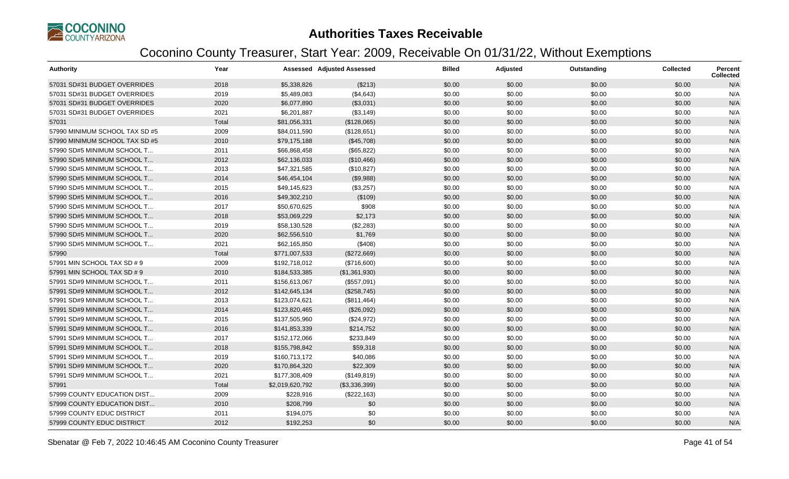

| Authority                      | Year  |                 | <b>Assessed Adjusted Assessed</b> | <b>Billed</b> | Adjusted | Outstanding | Collected | <b>Percent</b><br><b>Collected</b> |
|--------------------------------|-------|-----------------|-----------------------------------|---------------|----------|-------------|-----------|------------------------------------|
| 57031 SD#31 BUDGET OVERRIDES   | 2018  | \$5,338,826     | (\$213)                           | \$0.00        | \$0.00   | \$0.00      | \$0.00    | N/A                                |
| 57031 SD#31 BUDGET OVERRIDES   | 2019  | \$5,489,083     | (\$4,643)                         | \$0.00        | \$0.00   | \$0.00      | \$0.00    | N/A                                |
| 57031 SD#31 BUDGET OVERRIDES   | 2020  | \$6,077,890     | (\$3,031)                         | \$0.00        | \$0.00   | \$0.00      | \$0.00    | N/A                                |
| 57031 SD#31 BUDGET OVERRIDES   | 2021  | \$6,201,887     | (\$3,149)                         | \$0.00        | \$0.00   | \$0.00      | \$0.00    | N/A                                |
| 57031                          | Total | \$81,056,331    | (\$128,065)                       | \$0.00        | \$0.00   | \$0.00      | \$0.00    | N/A                                |
| 57990 MINIMUM SCHOOL TAX SD #5 | 2009  | \$84,011,590    | (\$128,651)                       | \$0.00        | \$0.00   | \$0.00      | \$0.00    | N/A                                |
| 57990 MINIMUM SCHOOL TAX SD #5 | 2010  | \$79,175,188    | (\$45,708)                        | \$0.00        | \$0.00   | \$0.00      | \$0.00    | N/A                                |
| 57990 SD#5 MINIMUM SCHOOL T    | 2011  | \$66,868,458    | (\$65,822)                        | \$0.00        | \$0.00   | \$0.00      | \$0.00    | N/A                                |
| 57990 SD#5 MINIMUM SCHOOL T    | 2012  | \$62,136,033    | (\$10,466)                        | \$0.00        | \$0.00   | \$0.00      | \$0.00    | N/A                                |
| 57990 SD#5 MINIMUM SCHOOL T    | 2013  | \$47,321,585    | (\$10,827)                        | \$0.00        | \$0.00   | \$0.00      | \$0.00    | N/A                                |
| 57990 SD#5 MINIMUM SCHOOL T    | 2014  | \$46,454,104    | (\$9,988)                         | \$0.00        | \$0.00   | \$0.00      | \$0.00    | N/A                                |
| 57990 SD#5 MINIMUM SCHOOL T    | 2015  | \$49,145,623    | (\$3,257)                         | \$0.00        | \$0.00   | \$0.00      | \$0.00    | N/A                                |
| 57990 SD#5 MINIMUM SCHOOL T    | 2016  | \$49,302,210    | (\$109)                           | \$0.00        | \$0.00   | \$0.00      | \$0.00    | N/A                                |
| 57990 SD#5 MINIMUM SCHOOL T    | 2017  | \$50,670,625    | \$908                             | \$0.00        | \$0.00   | \$0.00      | \$0.00    | N/A                                |
| 57990 SD#5 MINIMUM SCHOOL T    | 2018  | \$53,069,229    | \$2,173                           | \$0.00        | \$0.00   | \$0.00      | \$0.00    | N/A                                |
| 57990 SD#5 MINIMUM SCHOOL T    | 2019  | \$58,130,528    | (\$2,283)                         | \$0.00        | \$0.00   | \$0.00      | \$0.00    | N/A                                |
| 57990 SD#5 MINIMUM SCHOOL T    | 2020  | \$62,556,510    | \$1,769                           | \$0.00        | \$0.00   | \$0.00      | \$0.00    | N/A                                |
| 57990 SD#5 MINIMUM SCHOOL T    | 2021  | \$62,165,850    | (\$408)                           | \$0.00        | \$0.00   | \$0.00      | \$0.00    | N/A                                |
| 57990                          | Total | \$771,007,533   | (\$272,669)                       | \$0.00        | \$0.00   | \$0.00      | \$0.00    | N/A                                |
| 57991 MIN SCHOOL TAX SD # 9    | 2009  | \$192,718,012   | (\$716,600)                       | \$0.00        | \$0.00   | \$0.00      | \$0.00    | N/A                                |
| 57991 MIN SCHOOL TAX SD # 9    | 2010  | \$184,533,385   | (\$1,361,930)                     | \$0.00        | \$0.00   | \$0.00      | \$0.00    | N/A                                |
| 57991 SD#9 MINIMUM SCHOOL T    | 2011  | \$156,613,067   | (\$557,091)                       | \$0.00        | \$0.00   | \$0.00      | \$0.00    | N/A                                |
| 57991 SD#9 MINIMUM SCHOOL T    | 2012  | \$142,645,134   | (\$258,745)                       | \$0.00        | \$0.00   | \$0.00      | \$0.00    | N/A                                |
| 57991 SD#9 MINIMUM SCHOOL T    | 2013  | \$123,074,621   | (\$811,464)                       | \$0.00        | \$0.00   | \$0.00      | \$0.00    | N/A                                |
| 57991 SD#9 MINIMUM SCHOOL T    | 2014  | \$123,820,465   | (\$26,092)                        | \$0.00        | \$0.00   | \$0.00      | \$0.00    | N/A                                |
| 57991 SD#9 MINIMUM SCHOOL T    | 2015  | \$137,505,960   | (\$24,972)                        | \$0.00        | \$0.00   | \$0.00      | \$0.00    | N/A                                |
| 57991 SD#9 MINIMUM SCHOOL T    | 2016  | \$141,853,339   | \$214,752                         | \$0.00        | \$0.00   | \$0.00      | \$0.00    | N/A                                |
| 57991 SD#9 MINIMUM SCHOOL T    | 2017  | \$152,172,066   | \$233,849                         | \$0.00        | \$0.00   | \$0.00      | \$0.00    | N/A                                |
| 57991 SD#9 MINIMUM SCHOOL T    | 2018  | \$155,798,842   | \$59,318                          | \$0.00        | \$0.00   | \$0.00      | \$0.00    | N/A                                |
| 57991 SD#9 MINIMUM SCHOOL T    | 2019  | \$160,713,172   | \$40,086                          | \$0.00        | \$0.00   | \$0.00      | \$0.00    | N/A                                |
| 57991 SD#9 MINIMUM SCHOOL T    | 2020  | \$170,864,320   | \$22,309                          | \$0.00        | \$0.00   | \$0.00      | \$0.00    | N/A                                |
| 57991 SD#9 MINIMUM SCHOOL T    | 2021  | \$177,308,409   | (\$149, 819)                      | \$0.00        | \$0.00   | \$0.00      | \$0.00    | N/A                                |
| 57991                          | Total | \$2,019,620,792 | (\$3,336,399)                     | \$0.00        | \$0.00   | \$0.00      | \$0.00    | N/A                                |
| 57999 COUNTY EDUCATION DIST    | 2009  | \$228,916       | (\$222,163)                       | \$0.00        | \$0.00   | \$0.00      | \$0.00    | N/A                                |
| 57999 COUNTY EDUCATION DIST    | 2010  | \$208,799       | \$0                               | \$0.00        | \$0.00   | \$0.00      | \$0.00    | N/A                                |
| 57999 COUNTY EDUC DISTRICT     | 2011  | \$194,075       | \$0                               | \$0.00        | \$0.00   | \$0.00      | \$0.00    | N/A                                |
| 57999 COUNTY EDUC DISTRICT     | 2012  | \$192,253       | \$0                               | \$0.00        | \$0.00   | \$0.00      | \$0.00    | N/A                                |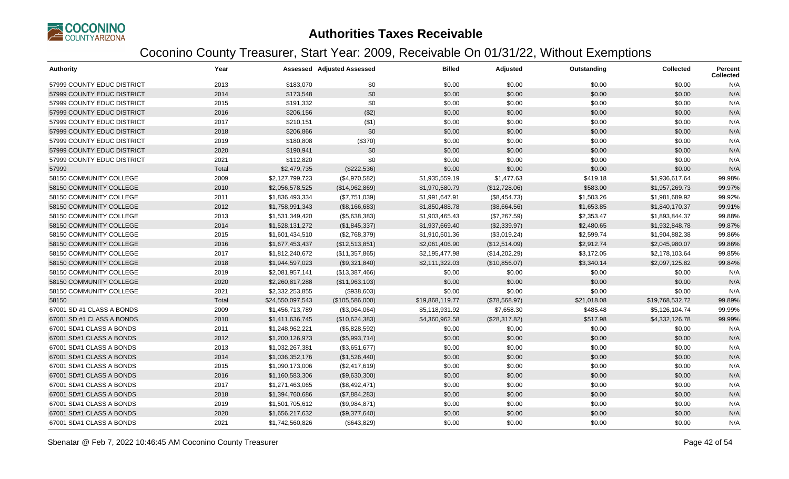

| <b>Authority</b>           | Year  |                  | <b>Assessed Adjusted Assessed</b> | <b>Billed</b>   | Adjusted      | Outstanding | <b>Collected</b> | Percent<br><b>Collected</b> |
|----------------------------|-------|------------------|-----------------------------------|-----------------|---------------|-------------|------------------|-----------------------------|
| 57999 COUNTY EDUC DISTRICT | 2013  | \$183,070        | \$0                               | \$0.00          | \$0.00        | \$0.00      | \$0.00           | N/A                         |
| 57999 COUNTY EDUC DISTRICT | 2014  | \$173,548        | \$0                               | \$0.00          | \$0.00        | \$0.00      | \$0.00           | N/A                         |
| 57999 COUNTY EDUC DISTRICT | 2015  | \$191,332        | \$0                               | \$0.00          | \$0.00        | \$0.00      | \$0.00           | N/A                         |
| 57999 COUNTY EDUC DISTRICT | 2016  | \$206,156        | (\$2)                             | \$0.00          | \$0.00        | \$0.00      | \$0.00           | N/A                         |
| 57999 COUNTY EDUC DISTRICT | 2017  | \$210,151        | (\$1)                             | \$0.00          | \$0.00        | \$0.00      | \$0.00           | N/A                         |
| 57999 COUNTY EDUC DISTRICT | 2018  | \$206,866        | \$0                               | \$0.00          | \$0.00        | \$0.00      | \$0.00           | N/A                         |
| 57999 COUNTY EDUC DISTRICT | 2019  | \$180,808        | (\$370)                           | \$0.00          | \$0.00        | \$0.00      | \$0.00           | N/A                         |
| 57999 COUNTY EDUC DISTRICT | 2020  | \$190,941        | \$0                               | \$0.00          | \$0.00        | \$0.00      | \$0.00           | N/A                         |
| 57999 COUNTY EDUC DISTRICT | 2021  | \$112,820        | \$0                               | \$0.00          | \$0.00        | \$0.00      | \$0.00           | N/A                         |
| 57999                      | Total | \$2,479,735      | (\$222,536)                       | \$0.00          | \$0.00        | \$0.00      | \$0.00           | N/A                         |
| 58150 COMMUNITY COLLEGE    | 2009  | \$2,127,799,723  | (\$4,970,582)                     | \$1,935,559.19  | \$1,477.63    | \$419.18    | \$1,936,617.64   | 99.98%                      |
| 58150 COMMUNITY COLLEGE    | 2010  | \$2,056,578,525  | (\$14,962,869)                    | \$1,970,580.79  | (\$12,728.06) | \$583.00    | \$1,957,269.73   | 99.97%                      |
| 58150 COMMUNITY COLLEGE    | 2011  | \$1,836,493,334  | (\$7,751,039)                     | \$1,991,647.91  | (\$8,454.73)  | \$1,503.26  | \$1,981,689.92   | 99.92%                      |
| 58150 COMMUNITY COLLEGE    | 2012  | \$1,758,991,343  | (\$8,166,683)                     | \$1,850,488.78  | (\$8,664.56)  | \$1,653.85  | \$1,840,170.37   | 99.91%                      |
| 58150 COMMUNITY COLLEGE    | 2013  | \$1,531,349,420  | (\$5,638,383)                     | \$1,903,465.43  | (\$7,267.59)  | \$2,353.47  | \$1,893,844.37   | 99.88%                      |
| 58150 COMMUNITY COLLEGE    | 2014  | \$1,528,131,272  | (\$1,845,337)                     | \$1,937,669.40  | (\$2,339.97)  | \$2,480.65  | \$1,932,848.78   | 99.87%                      |
| 58150 COMMUNITY COLLEGE    | 2015  | \$1,601,434,510  | (\$2,768,379)                     | \$1,910,501.36  | (\$3,019.24)  | \$2,599.74  | \$1,904,882.38   | 99.86%                      |
| 58150 COMMUNITY COLLEGE    | 2016  | \$1,677,453,437  | (\$12,513,851)                    | \$2,061,406.90  | (\$12,514.09) | \$2,912.74  | \$2,045,980.07   | 99.86%                      |
| 58150 COMMUNITY COLLEGE    | 2017  | \$1,812,240,672  | (\$11,357,865)                    | \$2,195,477.98  | (\$14,202.29) | \$3,172.05  | \$2,178,103.64   | 99.85%                      |
| 58150 COMMUNITY COLLEGE    | 2018  | \$1,944,597,023  | (\$9,321,840)                     | \$2,111,322.03  | (\$10,856.07) | \$3,340.14  | \$2,097,125.82   | 99.84%                      |
| 58150 COMMUNITY COLLEGE    | 2019  | \$2,081,957,141  | (\$13,387,466)                    | \$0.00          | \$0.00        | \$0.00      | \$0.00           | N/A                         |
| 58150 COMMUNITY COLLEGE    | 2020  | \$2,260,817,288  | (\$11,963,103)                    | \$0.00          | \$0.00        | \$0.00      | \$0.00           | N/A                         |
| 58150 COMMUNITY COLLEGE    | 2021  | \$2,332,253,855  | (\$938,603)                       | \$0.00          | \$0.00        | \$0.00      | \$0.00           | N/A                         |
| 58150                      | Total | \$24,550,097,543 | (\$105,586,000)                   | \$19,868,119.77 | (\$78,568.97) | \$21,018.08 | \$19,768,532.72  | 99.89%                      |
| 67001 SD #1 CLASS A BONDS  | 2009  | \$1,456,713,789  | (\$3,064,064)                     | \$5,118,931.92  | \$7,658.30    | \$485.48    | \$5,126,104.74   | 99.99%                      |
| 67001 SD #1 CLASS A BONDS  | 2010  | \$1,411,636,745  | (\$10,624,383)                    | \$4,360,962.58  | (\$28,317.82) | \$517.98    | \$4,332,126.78   | 99.99%                      |
| 67001 SD#1 CLASS A BONDS   | 2011  | \$1,248,962,221  | (\$5,828,592)                     | \$0.00          | \$0.00        | \$0.00      | \$0.00           | N/A                         |
| 67001 SD#1 CLASS A BONDS   | 2012  | \$1,200,126,973  | (\$5,993,714)                     | \$0.00          | \$0.00        | \$0.00      | \$0.00           | N/A                         |
| 67001 SD#1 CLASS A BONDS   | 2013  | \$1,032,267,381  | (\$3,651,677)                     | \$0.00          | \$0.00        | \$0.00      | \$0.00           | N/A                         |
| 67001 SD#1 CLASS A BONDS   | 2014  | \$1,036,352,176  | (\$1,526,440)                     | \$0.00          | \$0.00        | \$0.00      | \$0.00           | N/A                         |
| 67001 SD#1 CLASS A BONDS   | 2015  | \$1,090,173,006  | (\$2,417,619)                     | \$0.00          | \$0.00        | \$0.00      | \$0.00           | N/A                         |
| 67001 SD#1 CLASS A BONDS   | 2016  | \$1,160,583,306  | (\$9,630,300)                     | \$0.00          | \$0.00        | \$0.00      | \$0.00           | N/A                         |
| 67001 SD#1 CLASS A BONDS   | 2017  | \$1,271,463,065  | (\$8,492,471)                     | \$0.00          | \$0.00        | \$0.00      | \$0.00           | N/A                         |
| 67001 SD#1 CLASS A BONDS   | 2018  | \$1,394,760,686  | (\$7,884,283)                     | \$0.00          | \$0.00        | \$0.00      | \$0.00           | N/A                         |
| 67001 SD#1 CLASS A BONDS   | 2019  | \$1,501,705,612  | (\$9,984,871)                     | \$0.00          | \$0.00        | \$0.00      | \$0.00           | N/A                         |
| 67001 SD#1 CLASS A BONDS   | 2020  | \$1,656,217,632  | (\$9,377,640)                     | \$0.00          | \$0.00        | \$0.00      | \$0.00           | N/A                         |
| 67001 SD#1 CLASS A BONDS   | 2021  | \$1,742,560,826  | (\$643,829)                       | \$0.00          | \$0.00        | \$0.00      | \$0.00           | N/A                         |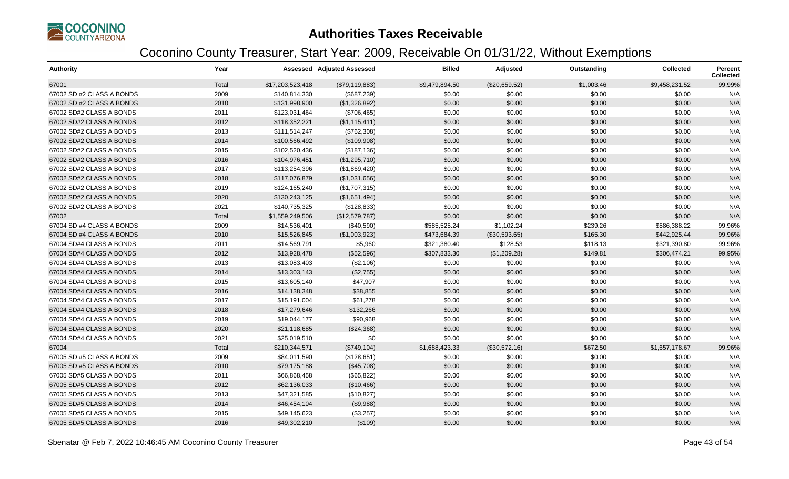

| <b>Authority</b>          | Year  |                  | Assessed Adjusted Assessed | <b>Billed</b>  | Adjusted      | Outstanding | <b>Collected</b> | Percent<br><b>Collected</b> |
|---------------------------|-------|------------------|----------------------------|----------------|---------------|-------------|------------------|-----------------------------|
| 67001                     | Total | \$17,203,523,418 | (\$79,119,883)             | \$9,479,894.50 | (\$20,659.52) | \$1,003.46  | \$9,458,231.52   | 99.99%                      |
| 67002 SD #2 CLASS A BONDS | 2009  | \$140,814,330    | (\$687,239)                | \$0.00         | \$0.00        | \$0.00      | \$0.00           | N/A                         |
| 67002 SD #2 CLASS A BONDS | 2010  | \$131,998,900    | (\$1,326,892)              | \$0.00         | \$0.00        | \$0.00      | \$0.00           | N/A                         |
| 67002 SD#2 CLASS A BONDS  | 2011  | \$123,031,464    | (\$706,465)                | \$0.00         | \$0.00        | \$0.00      | \$0.00           | N/A                         |
| 67002 SD#2 CLASS A BONDS  | 2012  | \$118,352,221    | (\$1,115,411)              | \$0.00         | \$0.00        | \$0.00      | \$0.00           | N/A                         |
| 67002 SD#2 CLASS A BONDS  | 2013  | \$111,514,247    | (\$762,308)                | \$0.00         | \$0.00        | \$0.00      | \$0.00           | N/A                         |
| 67002 SD#2 CLASS A BONDS  | 2014  | \$100,566,492    | (\$109,908)                | \$0.00         | \$0.00        | \$0.00      | \$0.00           | N/A                         |
| 67002 SD#2 CLASS A BONDS  | 2015  | \$102,520,436    | (\$187, 136)               | \$0.00         | \$0.00        | \$0.00      | \$0.00           | N/A                         |
| 67002 SD#2 CLASS A BONDS  | 2016  | \$104,976,451    | (\$1,295,710)              | \$0.00         | \$0.00        | \$0.00      | \$0.00           | N/A                         |
| 67002 SD#2 CLASS A BONDS  | 2017  | \$113,254,396    | (\$1,869,420)              | \$0.00         | \$0.00        | \$0.00      | \$0.00           | N/A                         |
| 67002 SD#2 CLASS A BONDS  | 2018  | \$117,076,879    | (\$1,031,656)              | \$0.00         | \$0.00        | \$0.00      | \$0.00           | N/A                         |
| 67002 SD#2 CLASS A BONDS  | 2019  | \$124,165,240    | (\$1,707,315)              | \$0.00         | \$0.00        | \$0.00      | \$0.00           | N/A                         |
| 67002 SD#2 CLASS A BONDS  | 2020  | \$130,243,125    | (\$1,651,494)              | \$0.00         | \$0.00        | \$0.00      | \$0.00           | N/A                         |
| 67002 SD#2 CLASS A BONDS  | 2021  | \$140,735,325    | (\$128,833)                | \$0.00         | \$0.00        | \$0.00      | \$0.00           | N/A                         |
| 67002                     | Total | \$1,559,249,506  | (\$12,579,787)             | \$0.00         | \$0.00        | \$0.00      | \$0.00           | N/A                         |
| 67004 SD #4 CLASS A BONDS | 2009  | \$14,536,401     | (\$40,590)                 | \$585,525.24   | \$1,102.24    | \$239.26    | \$586,388.22     | 99.96%                      |
| 67004 SD #4 CLASS A BONDS | 2010  | \$15,526,845     | (\$1,003,923)              | \$473,684.39   | (\$30,593.65) | \$165.30    | \$442,925.44     | 99.96%                      |
| 67004 SD#4 CLASS A BONDS  | 2011  | \$14,569,791     | \$5,960                    | \$321,380.40   | \$128.53      | \$118.13    | \$321,390.80     | 99.96%                      |
| 67004 SD#4 CLASS A BONDS  | 2012  | \$13,928,478     | (\$52,596)                 | \$307,833.30   | (\$1,209.28)  | \$149.81    | \$306,474.21     | 99.95%                      |
| 67004 SD#4 CLASS A BONDS  | 2013  | \$13,083,403     | (\$2,106)                  | \$0.00         | \$0.00        | \$0.00      | \$0.00           | N/A                         |
| 67004 SD#4 CLASS A BONDS  | 2014  | \$13,303,143     | (\$2,755)                  | \$0.00         | \$0.00        | \$0.00      | \$0.00           | N/A                         |
| 67004 SD#4 CLASS A BONDS  | 2015  | \$13,605,140     | \$47,907                   | \$0.00         | \$0.00        | \$0.00      | \$0.00           | N/A                         |
| 67004 SD#4 CLASS A BONDS  | 2016  | \$14,138,348     | \$38,855                   | \$0.00         | \$0.00        | \$0.00      | \$0.00           | N/A                         |
| 67004 SD#4 CLASS A BONDS  | 2017  | \$15,191,004     | \$61,278                   | \$0.00         | \$0.00        | \$0.00      | \$0.00           | N/A                         |
| 67004 SD#4 CLASS A BONDS  | 2018  | \$17,279,646     | \$132,266                  | \$0.00         | \$0.00        | \$0.00      | \$0.00           | N/A                         |
| 67004 SD#4 CLASS A BONDS  | 2019  | \$19,044,177     | \$90,968                   | \$0.00         | \$0.00        | \$0.00      | \$0.00           | N/A                         |
| 67004 SD#4 CLASS A BONDS  | 2020  | \$21,118,685     | (\$24,368)                 | \$0.00         | \$0.00        | \$0.00      | \$0.00           | N/A                         |
| 67004 SD#4 CLASS A BONDS  | 2021  | \$25,019,510     | \$0                        | \$0.00         | \$0.00        | \$0.00      | \$0.00           | N/A                         |
| 67004                     | Total | \$210,344,571    | (\$749,104)                | \$1,688,423.33 | (\$30,572.16) | \$672.50    | \$1,657,178.67   | 99.96%                      |
| 67005 SD #5 CLASS A BONDS | 2009  | \$84,011,590     | (\$128,651)                | \$0.00         | \$0.00        | \$0.00      | \$0.00           | N/A                         |
| 67005 SD #5 CLASS A BONDS | 2010  | \$79,175,188     | (\$45,708)                 | \$0.00         | \$0.00        | \$0.00      | \$0.00           | N/A                         |
| 67005 SD#5 CLASS A BONDS  | 2011  | \$66,868,458     | (\$65,822)                 | \$0.00         | \$0.00        | \$0.00      | \$0.00           | N/A                         |
| 67005 SD#5 CLASS A BONDS  | 2012  | \$62,136,033     | (\$10,466)                 | \$0.00         | \$0.00        | \$0.00      | \$0.00           | N/A                         |
| 67005 SD#5 CLASS A BONDS  | 2013  | \$47,321,585     | (\$10,827)                 | \$0.00         | \$0.00        | \$0.00      | \$0.00           | N/A                         |
| 67005 SD#5 CLASS A BONDS  | 2014  | \$46,454,104     | (\$9,988)                  | \$0.00         | \$0.00        | \$0.00      | \$0.00           | N/A                         |
| 67005 SD#5 CLASS A BONDS  | 2015  | \$49,145,623     | (\$3,257)                  | \$0.00         | \$0.00        | \$0.00      | \$0.00           | N/A                         |
| 67005 SD#5 CLASS A BONDS  | 2016  | \$49,302,210     | (\$109)                    | \$0.00         | \$0.00        | \$0.00      | \$0.00           | N/A                         |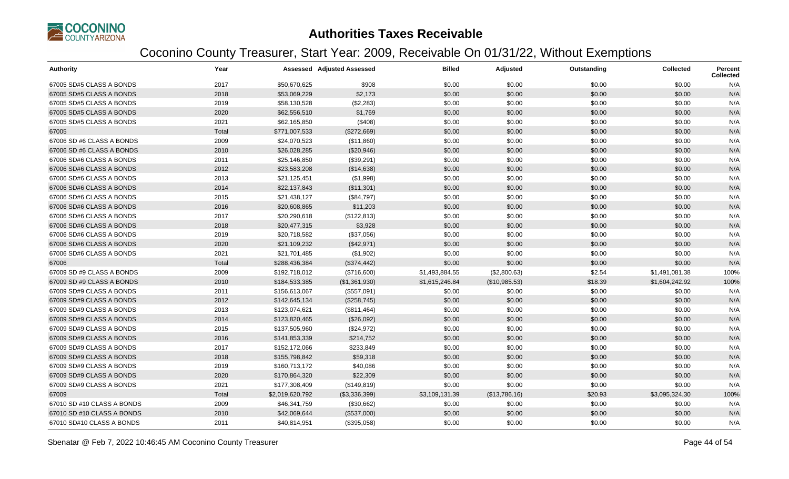

| <b>Authority</b>           | Year  |                 | <b>Assessed Adjusted Assessed</b> | <b>Billed</b>  | Adjusted      | Outstanding | <b>Collected</b> | Percent<br><b>Collected</b> |
|----------------------------|-------|-----------------|-----------------------------------|----------------|---------------|-------------|------------------|-----------------------------|
| 67005 SD#5 CLASS A BONDS   | 2017  | \$50,670,625    | \$908                             | \$0.00         | \$0.00        | \$0.00      | \$0.00           | N/A                         |
| 67005 SD#5 CLASS A BONDS   | 2018  | \$53,069,229    | \$2,173                           | \$0.00         | \$0.00        | \$0.00      | \$0.00           | N/A                         |
| 67005 SD#5 CLASS A BONDS   | 2019  | \$58,130,528    | (\$2,283)                         | \$0.00         | \$0.00        | \$0.00      | \$0.00           | N/A                         |
| 67005 SD#5 CLASS A BONDS   | 2020  | \$62,556,510    | \$1,769                           | \$0.00         | \$0.00        | \$0.00      | \$0.00           | N/A                         |
| 67005 SD#5 CLASS A BONDS   | 2021  | \$62,165,850    | (\$408)                           | \$0.00         | \$0.00        | \$0.00      | \$0.00           | N/A                         |
| 67005                      | Total | \$771,007,533   | (\$272,669)                       | \$0.00         | \$0.00        | \$0.00      | \$0.00           | N/A                         |
| 67006 SD #6 CLASS A BONDS  | 2009  | \$24,070,523    | (\$11,860)                        | \$0.00         | \$0.00        | \$0.00      | \$0.00           | N/A                         |
| 67006 SD #6 CLASS A BONDS  | 2010  | \$26,028,285    | (\$20,946)                        | \$0.00         | \$0.00        | \$0.00      | \$0.00           | N/A                         |
| 67006 SD#6 CLASS A BONDS   | 2011  | \$25,146,850    | (\$39,291)                        | \$0.00         | \$0.00        | \$0.00      | \$0.00           | N/A                         |
| 67006 SD#6 CLASS A BONDS   | 2012  | \$23,583,208    | (\$14,638)                        | \$0.00         | \$0.00        | \$0.00      | \$0.00           | N/A                         |
| 67006 SD#6 CLASS A BONDS   | 2013  | \$21,125,451    | (\$1,998)                         | \$0.00         | \$0.00        | \$0.00      | \$0.00           | N/A                         |
| 67006 SD#6 CLASS A BONDS   | 2014  | \$22,137,843    | (\$11,301)                        | \$0.00         | \$0.00        | \$0.00      | \$0.00           | N/A                         |
| 67006 SD#6 CLASS A BONDS   | 2015  | \$21,438,127    | (\$84,797)                        | \$0.00         | \$0.00        | \$0.00      | \$0.00           | N/A                         |
| 67006 SD#6 CLASS A BONDS   | 2016  | \$20,608,865    | \$11,203                          | \$0.00         | \$0.00        | \$0.00      | \$0.00           | N/A                         |
| 67006 SD#6 CLASS A BONDS   | 2017  | \$20,290,618    | (\$122,813)                       | \$0.00         | \$0.00        | \$0.00      | \$0.00           | N/A                         |
| 67006 SD#6 CLASS A BONDS   | 2018  | \$20,477,315    | \$3,928                           | \$0.00         | \$0.00        | \$0.00      | \$0.00           | N/A                         |
| 67006 SD#6 CLASS A BONDS   | 2019  | \$20,718,582    | (\$37,056)                        | \$0.00         | \$0.00        | \$0.00      | \$0.00           | N/A                         |
| 67006 SD#6 CLASS A BONDS   | 2020  | \$21,109,232    | (\$42,971)                        | \$0.00         | \$0.00        | \$0.00      | \$0.00           | N/A                         |
| 67006 SD#6 CLASS A BONDS   | 2021  | \$21,701,485    | (\$1,902)                         | \$0.00         | \$0.00        | \$0.00      | \$0.00           | N/A                         |
| 67006                      | Total | \$288,436,384   | (\$374,442)                       | \$0.00         | \$0.00        | \$0.00      | \$0.00           | N/A                         |
| 67009 SD #9 CLASS A BONDS  | 2009  | \$192,718,012   | (\$716,600)                       | \$1,493,884.55 | (\$2,800.63)  | \$2.54      | \$1,491,081.38   | 100%                        |
| 67009 SD #9 CLASS A BONDS  | 2010  | \$184,533,385   | (\$1,361,930)                     | \$1,615,246.84 | (\$10,985.53) | \$18.39     | \$1,604,242.92   | 100%                        |
| 67009 SD#9 CLASS A BONDS   | 2011  | \$156,613,067   | (\$557,091)                       | \$0.00         | \$0.00        | \$0.00      | \$0.00           | N/A                         |
| 67009 SD#9 CLASS A BONDS   | 2012  | \$142,645,134   | (\$258,745)                       | \$0.00         | \$0.00        | \$0.00      | \$0.00           | N/A                         |
| 67009 SD#9 CLASS A BONDS   | 2013  | \$123,074,621   | (\$811,464)                       | \$0.00         | \$0.00        | \$0.00      | \$0.00           | N/A                         |
| 67009 SD#9 CLASS A BONDS   | 2014  | \$123,820,465   | (\$26,092)                        | \$0.00         | \$0.00        | \$0.00      | \$0.00           | N/A                         |
| 67009 SD#9 CLASS A BONDS   | 2015  | \$137,505,960   | (\$24,972)                        | \$0.00         | \$0.00        | \$0.00      | \$0.00           | N/A                         |
| 67009 SD#9 CLASS A BONDS   | 2016  | \$141,853,339   | \$214,752                         | \$0.00         | \$0.00        | \$0.00      | \$0.00           | N/A                         |
| 67009 SD#9 CLASS A BONDS   | 2017  | \$152,172,066   | \$233,849                         | \$0.00         | \$0.00        | \$0.00      | \$0.00           | N/A                         |
| 67009 SD#9 CLASS A BONDS   | 2018  | \$155,798,842   | \$59,318                          | \$0.00         | \$0.00        | \$0.00      | \$0.00           | N/A                         |
| 67009 SD#9 CLASS A BONDS   | 2019  | \$160,713,172   | \$40,086                          | \$0.00         | \$0.00        | \$0.00      | \$0.00           | N/A                         |
| 67009 SD#9 CLASS A BONDS   | 2020  | \$170,864,320   | \$22,309                          | \$0.00         | \$0.00        | \$0.00      | \$0.00           | N/A                         |
| 67009 SD#9 CLASS A BONDS   | 2021  | \$177,308,409   | (\$149, 819)                      | \$0.00         | \$0.00        | \$0.00      | \$0.00           | N/A                         |
| 67009                      | Total | \$2,019,620,792 | (\$3,336,399)                     | \$3,109,131.39 | (\$13,786.16) | \$20.93     | \$3,095,324.30   | 100%                        |
| 67010 SD #10 CLASS A BONDS | 2009  | \$46,341,759    | (\$30,662)                        | \$0.00         | \$0.00        | \$0.00      | \$0.00           | N/A                         |
| 67010 SD #10 CLASS A BONDS | 2010  | \$42,069,644    | (\$537,000)                       | \$0.00         | \$0.00        | \$0.00      | \$0.00           | N/A                         |
| 67010 SD#10 CLASS A BONDS  | 2011  | \$40,814,951    | (\$395,058)                       | \$0.00         | \$0.00        | \$0.00      | \$0.00           | N/A                         |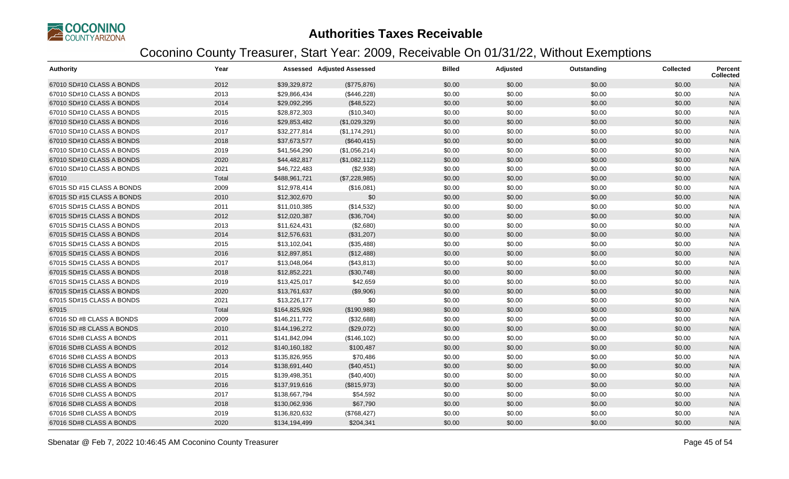

| <b>Authority</b>           | Year  |               | <b>Assessed Adjusted Assessed</b> | <b>Billed</b> | Adjusted | Outstanding | <b>Collected</b> | <b>Percent</b><br><b>Collected</b> |
|----------------------------|-------|---------------|-----------------------------------|---------------|----------|-------------|------------------|------------------------------------|
| 67010 SD#10 CLASS A BONDS  | 2012  | \$39,329,872  | (\$775,876)                       | \$0.00        | \$0.00   | \$0.00      | \$0.00           | N/A                                |
| 67010 SD#10 CLASS A BONDS  | 2013  | \$29,866,434  | (\$446,228)                       | \$0.00        | \$0.00   | \$0.00      | \$0.00           | N/A                                |
| 67010 SD#10 CLASS A BONDS  | 2014  | \$29,092,295  | (\$48,522)                        | \$0.00        | \$0.00   | \$0.00      | \$0.00           | N/A                                |
| 67010 SD#10 CLASS A BONDS  | 2015  | \$28,872,303  | (\$10,340)                        | \$0.00        | \$0.00   | \$0.00      | \$0.00           | N/A                                |
| 67010 SD#10 CLASS A BONDS  | 2016  | \$29,853,482  | (\$1,029,329)                     | \$0.00        | \$0.00   | \$0.00      | \$0.00           | N/A                                |
| 67010 SD#10 CLASS A BONDS  | 2017  | \$32,277,814  | (\$1,174,291)                     | \$0.00        | \$0.00   | \$0.00      | \$0.00           | N/A                                |
| 67010 SD#10 CLASS A BONDS  | 2018  | \$37,673,577  | (\$640, 415)                      | \$0.00        | \$0.00   | \$0.00      | \$0.00           | N/A                                |
| 67010 SD#10 CLASS A BONDS  | 2019  | \$41,564,290  | (\$1,056,214)                     | \$0.00        | \$0.00   | \$0.00      | \$0.00           | N/A                                |
| 67010 SD#10 CLASS A BONDS  | 2020  | \$44,482,817  | (\$1,082,112)                     | \$0.00        | \$0.00   | \$0.00      | \$0.00           | N/A                                |
| 67010 SD#10 CLASS A BONDS  | 2021  | \$46,722,483  | (\$2,938)                         | \$0.00        | \$0.00   | \$0.00      | \$0.00           | N/A                                |
| 67010                      | Total | \$488,961,721 | (\$7,228,985)                     | \$0.00        | \$0.00   | \$0.00      | \$0.00           | N/A                                |
| 67015 SD #15 CLASS A BONDS | 2009  | \$12,978,414  | (\$16,081)                        | \$0.00        | \$0.00   | \$0.00      | \$0.00           | N/A                                |
| 67015 SD #15 CLASS A BONDS | 2010  | \$12,302,670  | \$0                               | \$0.00        | \$0.00   | \$0.00      | \$0.00           | N/A                                |
| 67015 SD#15 CLASS A BONDS  | 2011  | \$11,010,385  | (\$14,532)                        | \$0.00        | \$0.00   | \$0.00      | \$0.00           | N/A                                |
| 67015 SD#15 CLASS A BONDS  | 2012  | \$12,020,387  | (\$36,704)                        | \$0.00        | \$0.00   | \$0.00      | \$0.00           | N/A                                |
| 67015 SD#15 CLASS A BONDS  | 2013  | \$11,624,431  | (\$2,680)                         | \$0.00        | \$0.00   | \$0.00      | \$0.00           | N/A                                |
| 67015 SD#15 CLASS A BONDS  | 2014  | \$12,576,631  | (\$31,207)                        | \$0.00        | \$0.00   | \$0.00      | \$0.00           | N/A                                |
| 67015 SD#15 CLASS A BONDS  | 2015  | \$13,102,041  | (\$35,488)                        | \$0.00        | \$0.00   | \$0.00      | \$0.00           | N/A                                |
| 67015 SD#15 CLASS A BONDS  | 2016  | \$12,897,851  | (\$12,488)                        | \$0.00        | \$0.00   | \$0.00      | \$0.00           | N/A                                |
| 67015 SD#15 CLASS A BONDS  | 2017  | \$13,048,064  | (\$43,813)                        | \$0.00        | \$0.00   | \$0.00      | \$0.00           | N/A                                |
| 67015 SD#15 CLASS A BONDS  | 2018  | \$12,852,221  | (\$30,748)                        | \$0.00        | \$0.00   | \$0.00      | \$0.00           | N/A                                |
| 67015 SD#15 CLASS A BONDS  | 2019  | \$13,425,017  | \$42,659                          | \$0.00        | \$0.00   | \$0.00      | \$0.00           | N/A                                |
| 67015 SD#15 CLASS A BONDS  | 2020  | \$13,761,637  | (\$9,906)                         | \$0.00        | \$0.00   | \$0.00      | \$0.00           | N/A                                |
| 67015 SD#15 CLASS A BONDS  | 2021  | \$13,226,177  | \$0                               | \$0.00        | \$0.00   | \$0.00      | \$0.00           | N/A                                |
| 67015                      | Total | \$164,825,926 | (\$190,988)                       | \$0.00        | \$0.00   | \$0.00      | \$0.00           | N/A                                |
| 67016 SD #8 CLASS A BONDS  | 2009  | \$146,211,772 | (\$32,688)                        | \$0.00        | \$0.00   | \$0.00      | \$0.00           | N/A                                |
| 67016 SD #8 CLASS A BONDS  | 2010  | \$144,196,272 | (\$29,072)                        | \$0.00        | \$0.00   | \$0.00      | \$0.00           | N/A                                |
| 67016 SD#8 CLASS A BONDS   | 2011  | \$141,842,094 | (\$146, 102)                      | \$0.00        | \$0.00   | \$0.00      | \$0.00           | N/A                                |
| 67016 SD#8 CLASS A BONDS   | 2012  | \$140,160,182 | \$100,487                         | \$0.00        | \$0.00   | \$0.00      | \$0.00           | N/A                                |
| 67016 SD#8 CLASS A BONDS   | 2013  | \$135,826,955 | \$70,486                          | \$0.00        | \$0.00   | \$0.00      | \$0.00           | N/A                                |
| 67016 SD#8 CLASS A BONDS   | 2014  | \$138,691,440 | (\$40,451)                        | \$0.00        | \$0.00   | \$0.00      | \$0.00           | N/A                                |
| 67016 SD#8 CLASS A BONDS   | 2015  | \$139,498,351 | (\$40,400)                        | \$0.00        | \$0.00   | \$0.00      | \$0.00           | N/A                                |
| 67016 SD#8 CLASS A BONDS   | 2016  | \$137,919,616 | (\$815,973)                       | \$0.00        | \$0.00   | \$0.00      | \$0.00           | N/A                                |
| 67016 SD#8 CLASS A BONDS   | 2017  | \$138,667,794 | \$54,592                          | \$0.00        | \$0.00   | \$0.00      | \$0.00           | N/A                                |
| 67016 SD#8 CLASS A BONDS   | 2018  | \$130,062,936 | \$67,790                          | \$0.00        | \$0.00   | \$0.00      | \$0.00           | N/A                                |
| 67016 SD#8 CLASS A BONDS   | 2019  | \$136,820,632 | (\$768,427)                       | \$0.00        | \$0.00   | \$0.00      | \$0.00           | N/A                                |
| 67016 SD#8 CLASS A BONDS   | 2020  | \$134,194,499 | \$204,341                         | \$0.00        | \$0.00   | \$0.00      | \$0.00           | N/A                                |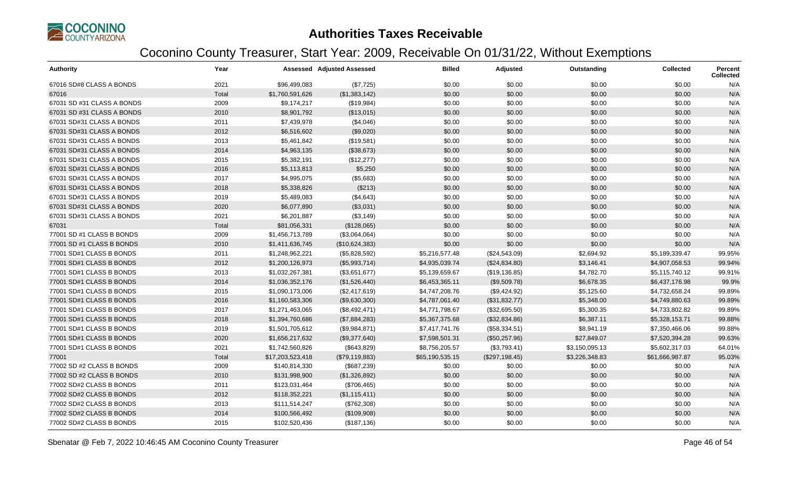

| <b>Authority</b>           | Year  |                  | <b>Assessed Adjusted Assessed</b> | <b>Billed</b>   | Adjusted       | Outstanding    | <b>Collected</b> | Percent<br><b>Collected</b> |
|----------------------------|-------|------------------|-----------------------------------|-----------------|----------------|----------------|------------------|-----------------------------|
| 67016 SD#8 CLASS A BONDS   | 2021  | \$96,499,083     | (\$7,725)                         | \$0.00          | \$0.00         | \$0.00         | \$0.00           | N/A                         |
| 67016                      | Total | \$1,760,591,626  | (\$1,383,142)                     | \$0.00          | \$0.00         | \$0.00         | \$0.00           | N/A                         |
| 67031 SD #31 CLASS A BONDS | 2009  | \$9,174,217      | (\$19,984)                        | \$0.00          | \$0.00         | \$0.00         | \$0.00           | N/A                         |
| 67031 SD #31 CLASS A BONDS | 2010  | \$8,901,792      | (\$13,015)                        | \$0.00          | \$0.00         | \$0.00         | \$0.00           | N/A                         |
| 67031 SD#31 CLASS A BONDS  | 2011  | \$7,439,978      | (\$4,046)                         | \$0.00          | \$0.00         | \$0.00         | \$0.00           | N/A                         |
| 67031 SD#31 CLASS A BONDS  | 2012  | \$6,516,602      | (\$9,020)                         | \$0.00          | \$0.00         | \$0.00         | \$0.00           | N/A                         |
| 67031 SD#31 CLASS A BONDS  | 2013  | \$5,461,842      | (\$19,581)                        | \$0.00          | \$0.00         | \$0.00         | \$0.00           | N/A                         |
| 67031 SD#31 CLASS A BONDS  | 2014  | \$4,963,135      | (\$38,673)                        | \$0.00          | \$0.00         | \$0.00         | \$0.00           | N/A                         |
| 67031 SD#31 CLASS A BONDS  | 2015  | \$5,382,191      | (\$12,277)                        | \$0.00          | \$0.00         | \$0.00         | \$0.00           | N/A                         |
| 67031 SD#31 CLASS A BONDS  | 2016  | \$5,113,813      | \$5,250                           | \$0.00          | \$0.00         | \$0.00         | \$0.00           | N/A                         |
| 67031 SD#31 CLASS A BONDS  | 2017  | \$4,995,075      | (\$5,683)                         | \$0.00          | \$0.00         | \$0.00         | \$0.00           | N/A                         |
| 67031 SD#31 CLASS A BONDS  | 2018  | \$5,338,826      | (\$213)                           | \$0.00          | \$0.00         | \$0.00         | \$0.00           | N/A                         |
| 67031 SD#31 CLASS A BONDS  | 2019  | \$5,489,083      | (\$4,643)                         | \$0.00          | \$0.00         | \$0.00         | \$0.00           | N/A                         |
| 67031 SD#31 CLASS A BONDS  | 2020  | \$6,077,890      | (\$3,031)                         | \$0.00          | \$0.00         | \$0.00         | \$0.00           | N/A                         |
| 67031 SD#31 CLASS A BONDS  | 2021  | \$6,201,887      | (\$3,149)                         | \$0.00          | \$0.00         | \$0.00         | \$0.00           | N/A                         |
| 67031                      | Total | \$81,056,331     | (\$128,065)                       | \$0.00          | \$0.00         | \$0.00         | \$0.00           | N/A                         |
| 77001 SD #1 CLASS B BONDS  | 2009  | \$1,456,713,789  | (\$3,064,064)                     | \$0.00          | \$0.00         | \$0.00         | \$0.00           | N/A                         |
| 77001 SD #1 CLASS B BONDS  | 2010  | \$1,411,636,745  | (\$10,624,383)                    | \$0.00          | \$0.00         | \$0.00         | \$0.00           | N/A                         |
| 77001 SD#1 CLASS B BONDS   | 2011  | \$1,248,962,221  | (\$5,828,592)                     | \$5,216,577.48  | (\$24,543.09)  | \$2,694.92     | \$5,189,339.47   | 99.95%                      |
| 77001 SD#1 CLASS B BONDS   | 2012  | \$1,200,126,973  | (\$5,993,714)                     | \$4,935,039.74  | (\$24,834.80)  | \$3,146.41     | \$4,907,058.53   | 99.94%                      |
| 77001 SD#1 CLASS B BONDS   | 2013  | \$1,032,267,381  | (\$3,651,677)                     | \$5,139,659.67  | (\$19,136.85)  | \$4,782.70     | \$5,115,740.12   | 99.91%                      |
| 77001 SD#1 CLASS B BONDS   | 2014  | \$1,036,352,176  | (\$1,526,440)                     | \$6,453,365.11  | (\$9,509.78)   | \$6,678.35     | \$6,437,176.98   | 99.9%                       |
| 77001 SD#1 CLASS B BONDS   | 2015  | \$1,090,173,006  | (\$2,417,619)                     | \$4,747,208.76  | (\$9,424.92)   | \$5,125.60     | \$4,732,658.24   | 99.89%                      |
| 77001 SD#1 CLASS B BONDS   | 2016  | \$1,160,583,306  | (\$9,630,300)                     | \$4,787,061.40  | (\$31,832.77)  | \$5,348.00     | \$4,749,880.63   | 99.89%                      |
| 77001 SD#1 CLASS B BONDS   | 2017  | \$1,271,463,065  | (\$8,492,471)                     | \$4,771,798.67  | (\$32,695.50)  | \$5,300.35     | \$4,733,802.82   | 99.89%                      |
| 77001 SD#1 CLASS B BONDS   | 2018  | \$1,394,760,686  | (\$7,884,283)                     | \$5,367,375.68  | (\$32,834.86)  | \$6,387.11     | \$5,328,153.71   | 99.88%                      |
| 77001 SD#1 CLASS B BONDS   | 2019  | \$1,501,705,612  | (\$9,984,871)                     | \$7,417,741.76  | (\$58,334.51)  | \$8,941.19     | \$7,350,466.06   | 99.88%                      |
| 77001 SD#1 CLASS B BONDS   | 2020  | \$1,656,217,632  | (\$9,377,640)                     | \$7,598,501.31  | (\$50,257.96)  | \$27,849.07    | \$7,520,394.28   | 99.63%                      |
| 77001 SD#1 CLASS B BONDS   | 2021  | \$1,742,560,826  | (\$643,829)                       | \$8,756,205.57  | (\$3,793.41)   | \$3,150,095.13 | \$5,602,317.03   | 64.01%                      |
| 77001                      | Total | \$17,203,523,418 | (\$79,119,883)                    | \$65,190,535.15 | (\$297,198.45) | \$3,226,348.83 | \$61,666,987.87  | 95.03%                      |
| 77002 SD #2 CLASS B BONDS  | 2009  | \$140,814,330    | (\$687,239)                       | \$0.00          | \$0.00         | \$0.00         | \$0.00           | N/A                         |
| 77002 SD #2 CLASS B BONDS  | 2010  | \$131,998,900    | (\$1,326,892)                     | \$0.00          | \$0.00         | \$0.00         | \$0.00           | N/A                         |
| 77002 SD#2 CLASS B BONDS   | 2011  | \$123,031,464    | (\$706,465)                       | \$0.00          | \$0.00         | \$0.00         | \$0.00           | N/A                         |
| 77002 SD#2 CLASS B BONDS   | 2012  | \$118,352,221    | (\$1,115,411)                     | \$0.00          | \$0.00         | \$0.00         | \$0.00           | N/A                         |
| 77002 SD#2 CLASS B BONDS   | 2013  | \$111,514,247    | (\$762,308)                       | \$0.00          | \$0.00         | \$0.00         | \$0.00           | N/A                         |
| 77002 SD#2 CLASS B BONDS   | 2014  | \$100,566,492    | (\$109,908)                       | \$0.00          | \$0.00         | \$0.00         | \$0.00           | N/A                         |
| 77002 SD#2 CLASS B BONDS   | 2015  | \$102,520,436    | (\$187, 136)                      | \$0.00          | \$0.00         | \$0.00         | \$0.00           | N/A                         |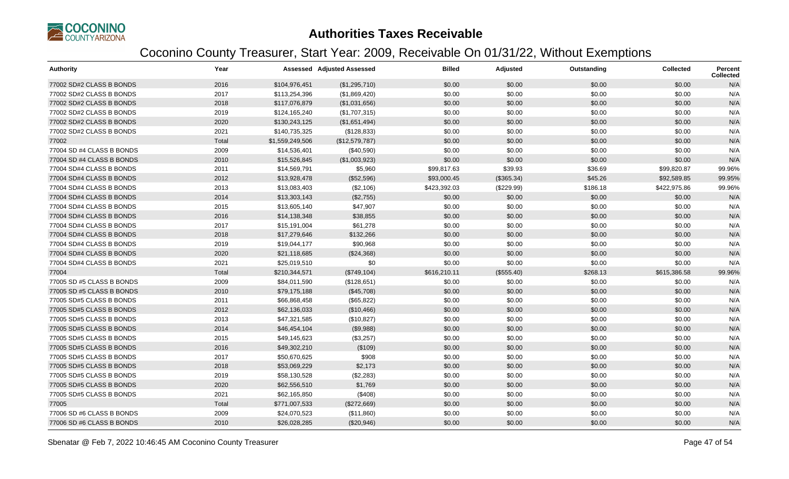

| <b>Authority</b>          | Year  |                 | <b>Assessed Adjusted Assessed</b> | <b>Billed</b> | Adjusted   | Outstanding | <b>Collected</b> | <b>Percent</b><br><b>Collected</b> |
|---------------------------|-------|-----------------|-----------------------------------|---------------|------------|-------------|------------------|------------------------------------|
| 77002 SD#2 CLASS B BONDS  | 2016  | \$104,976,451   | (\$1,295,710)                     | \$0.00        | \$0.00     | \$0.00      | \$0.00           | N/A                                |
| 77002 SD#2 CLASS B BONDS  | 2017  | \$113,254,396   | (\$1,869,420)                     | \$0.00        | \$0.00     | \$0.00      | \$0.00           | N/A                                |
| 77002 SD#2 CLASS B BONDS  | 2018  | \$117,076,879   | (\$1,031,656)                     | \$0.00        | \$0.00     | \$0.00      | \$0.00           | N/A                                |
| 77002 SD#2 CLASS B BONDS  | 2019  | \$124,165,240   | (\$1,707,315)                     | \$0.00        | \$0.00     | \$0.00      | \$0.00           | N/A                                |
| 77002 SD#2 CLASS B BONDS  | 2020  | \$130,243,125   | (\$1,651,494)                     | \$0.00        | \$0.00     | \$0.00      | \$0.00           | N/A                                |
| 77002 SD#2 CLASS B BONDS  | 2021  | \$140,735,325   | (\$128,833)                       | \$0.00        | \$0.00     | \$0.00      | \$0.00           | N/A                                |
| 77002                     | Total | \$1,559,249,506 | (\$12,579,787)                    | \$0.00        | \$0.00     | \$0.00      | \$0.00           | N/A                                |
| 77004 SD #4 CLASS B BONDS | 2009  | \$14,536,401    | (\$40,590)                        | \$0.00        | \$0.00     | \$0.00      | \$0.00           | N/A                                |
| 77004 SD #4 CLASS B BONDS | 2010  | \$15,526,845    | (\$1,003,923)                     | \$0.00        | \$0.00     | \$0.00      | \$0.00           | N/A                                |
| 77004 SD#4 CLASS B BONDS  | 2011  | \$14,569,791    | \$5,960                           | \$99,817.63   | \$39.93    | \$36.69     | \$99,820.87      | 99.96%                             |
| 77004 SD#4 CLASS B BONDS  | 2012  | \$13,928,478    | (\$52,596)                        | \$93,000.45   | (\$365.34) | \$45.26     | \$92,589.85      | 99.95%                             |
| 77004 SD#4 CLASS B BONDS  | 2013  | \$13,083,403    | (\$2,106)                         | \$423,392.03  | (\$229.99) | \$186.18    | \$422,975.86     | 99.96%                             |
| 77004 SD#4 CLASS B BONDS  | 2014  | \$13,303,143    | (\$2,755)                         | \$0.00        | \$0.00     | \$0.00      | \$0.00           | N/A                                |
| 77004 SD#4 CLASS B BONDS  | 2015  | \$13,605,140    | \$47,907                          | \$0.00        | \$0.00     | \$0.00      | \$0.00           | N/A                                |
| 77004 SD#4 CLASS B BONDS  | 2016  | \$14,138,348    | \$38,855                          | \$0.00        | \$0.00     | \$0.00      | \$0.00           | N/A                                |
| 77004 SD#4 CLASS B BONDS  | 2017  | \$15,191,004    | \$61,278                          | \$0.00        | \$0.00     | \$0.00      | \$0.00           | N/A                                |
| 77004 SD#4 CLASS B BONDS  | 2018  | \$17,279,646    | \$132,266                         | \$0.00        | \$0.00     | \$0.00      | \$0.00           | N/A                                |
| 77004 SD#4 CLASS B BONDS  | 2019  | \$19,044,177    | \$90,968                          | \$0.00        | \$0.00     | \$0.00      | \$0.00           | N/A                                |
| 77004 SD#4 CLASS B BONDS  | 2020  | \$21,118,685    | (\$24,368)                        | \$0.00        | \$0.00     | \$0.00      | \$0.00           | N/A                                |
| 77004 SD#4 CLASS B BONDS  | 2021  | \$25,019,510    | \$0                               | \$0.00        | \$0.00     | \$0.00      | \$0.00           | N/A                                |
| 77004                     | Total | \$210,344,571   | (\$749, 104)                      | \$616,210.11  | (\$555.40) | \$268.13    | \$615,386.58     | 99.96%                             |
| 77005 SD #5 CLASS B BONDS | 2009  | \$84,011,590    | (\$128,651)                       | \$0.00        | \$0.00     | \$0.00      | \$0.00           | N/A                                |
| 77005 SD #5 CLASS B BONDS | 2010  | \$79,175,188    | (\$45,708)                        | \$0.00        | \$0.00     | \$0.00      | \$0.00           | N/A                                |
| 77005 SD#5 CLASS B BONDS  | 2011  | \$66,868,458    | (\$65, 822)                       | \$0.00        | \$0.00     | \$0.00      | \$0.00           | N/A                                |
| 77005 SD#5 CLASS B BONDS  | 2012  | \$62,136,033    | (\$10,466)                        | \$0.00        | \$0.00     | \$0.00      | \$0.00           | N/A                                |
| 77005 SD#5 CLASS B BONDS  | 2013  | \$47,321,585    | (\$10,827)                        | \$0.00        | \$0.00     | \$0.00      | \$0.00           | N/A                                |
| 77005 SD#5 CLASS B BONDS  | 2014  | \$46,454,104    | (\$9,988)                         | \$0.00        | \$0.00     | \$0.00      | \$0.00           | N/A                                |
| 77005 SD#5 CLASS B BONDS  | 2015  | \$49,145,623    | (\$3,257)                         | \$0.00        | \$0.00     | \$0.00      | \$0.00           | N/A                                |
| 77005 SD#5 CLASS B BONDS  | 2016  | \$49,302,210    | (\$109)                           | \$0.00        | \$0.00     | \$0.00      | \$0.00           | N/A                                |
| 77005 SD#5 CLASS B BONDS  | 2017  | \$50,670,625    | \$908                             | \$0.00        | \$0.00     | \$0.00      | \$0.00           | N/A                                |
| 77005 SD#5 CLASS B BONDS  | 2018  | \$53,069,229    | \$2,173                           | \$0.00        | \$0.00     | \$0.00      | \$0.00           | N/A                                |
| 77005 SD#5 CLASS B BONDS  | 2019  | \$58,130,528    | (\$2,283)                         | \$0.00        | \$0.00     | \$0.00      | \$0.00           | N/A                                |
| 77005 SD#5 CLASS B BONDS  | 2020  | \$62,556,510    | \$1,769                           | \$0.00        | \$0.00     | \$0.00      | \$0.00           | N/A                                |
| 77005 SD#5 CLASS B BONDS  | 2021  | \$62,165,850    | (\$408)                           | \$0.00        | \$0.00     | \$0.00      | \$0.00           | N/A                                |
| 77005                     | Total | \$771,007,533   | (\$272,669)                       | \$0.00        | \$0.00     | \$0.00      | \$0.00           | N/A                                |
| 77006 SD #6 CLASS B BONDS | 2009  | \$24,070,523    | (\$11,860)                        | \$0.00        | \$0.00     | \$0.00      | \$0.00           | N/A                                |
| 77006 SD #6 CLASS B BONDS | 2010  | \$26,028,285    | (\$20,946)                        | \$0.00        | \$0.00     | \$0.00      | \$0.00           | N/A                                |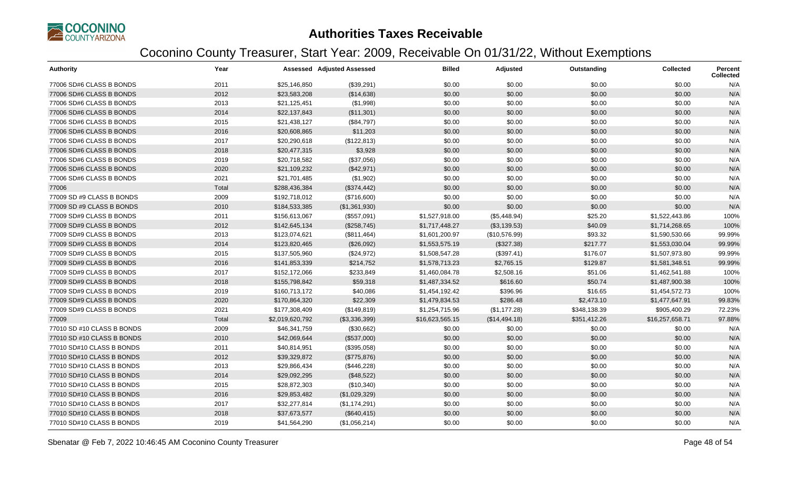

| <b>Authority</b>           | Year  |                 | <b>Assessed Adjusted Assessed</b> | <b>Billed</b>   | Adjusted      | Outstanding  | <b>Collected</b> | <b>Percent</b><br><b>Collected</b> |
|----------------------------|-------|-----------------|-----------------------------------|-----------------|---------------|--------------|------------------|------------------------------------|
| 77006 SD#6 CLASS B BONDS   | 2011  | \$25,146,850    | (\$39,291)                        | \$0.00          | \$0.00        | \$0.00       | \$0.00           | N/A                                |
| 77006 SD#6 CLASS B BONDS   | 2012  | \$23,583,208    | (\$14,638)                        | \$0.00          | \$0.00        | \$0.00       | \$0.00           | N/A                                |
| 77006 SD#6 CLASS B BONDS   | 2013  | \$21,125,451    | (\$1,998)                         | \$0.00          | \$0.00        | \$0.00       | \$0.00           | N/A                                |
| 77006 SD#6 CLASS B BONDS   | 2014  | \$22,137,843    | (\$11,301)                        | \$0.00          | \$0.00        | \$0.00       | \$0.00           | N/A                                |
| 77006 SD#6 CLASS B BONDS   | 2015  | \$21,438,127    | (\$84,797)                        | \$0.00          | \$0.00        | \$0.00       | \$0.00           | N/A                                |
| 77006 SD#6 CLASS B BONDS   | 2016  | \$20,608,865    | \$11,203                          | \$0.00          | \$0.00        | \$0.00       | \$0.00           | N/A                                |
| 77006 SD#6 CLASS B BONDS   | 2017  | \$20,290,618    | (\$122,813)                       | \$0.00          | \$0.00        | \$0.00       | \$0.00           | N/A                                |
| 77006 SD#6 CLASS B BONDS   | 2018  | \$20,477,315    | \$3,928                           | \$0.00          | \$0.00        | \$0.00       | \$0.00           | N/A                                |
| 77006 SD#6 CLASS B BONDS   | 2019  | \$20,718,582    | (\$37,056)                        | \$0.00          | \$0.00        | \$0.00       | \$0.00           | N/A                                |
| 77006 SD#6 CLASS B BONDS   | 2020  | \$21,109,232    | (\$42,971)                        | \$0.00          | \$0.00        | \$0.00       | \$0.00           | N/A                                |
| 77006 SD#6 CLASS B BONDS   | 2021  | \$21,701,485    | (\$1,902)                         | \$0.00          | \$0.00        | \$0.00       | \$0.00           | N/A                                |
| 77006                      | Total | \$288,436,384   | (\$374,442)                       | \$0.00          | \$0.00        | \$0.00       | \$0.00           | N/A                                |
| 77009 SD #9 CLASS B BONDS  | 2009  | \$192,718,012   | (\$716,600)                       | \$0.00          | \$0.00        | \$0.00       | \$0.00           | N/A                                |
| 77009 SD #9 CLASS B BONDS  | 2010  | \$184,533,385   | (\$1,361,930)                     | \$0.00          | \$0.00        | \$0.00       | \$0.00           | N/A                                |
| 77009 SD#9 CLASS B BONDS   | 2011  | \$156,613,067   | (\$557,091)                       | \$1,527,918.00  | (\$5,448.94)  | \$25.20      | \$1,522,443.86   | 100%                               |
| 77009 SD#9 CLASS B BONDS   | 2012  | \$142,645,134   | (\$258,745)                       | \$1,717,448.27  | (\$3,139.53)  | \$40.09      | \$1,714,268.65   | 100%                               |
| 77009 SD#9 CLASS B BONDS   | 2013  | \$123,074,621   | (\$811,464)                       | \$1,601,200.97  | (\$10,576.99) | \$93.32      | \$1,590,530.66   | 99.99%                             |
| 77009 SD#9 CLASS B BONDS   | 2014  | \$123,820,465   | (\$26,092)                        | \$1,553,575.19  | (\$327.38)    | \$217.77     | \$1,553,030.04   | 99.99%                             |
| 77009 SD#9 CLASS B BONDS   | 2015  | \$137,505,960   | (\$24,972)                        | \$1,508,547.28  | (\$397.41)    | \$176.07     | \$1,507,973.80   | 99.99%                             |
| 77009 SD#9 CLASS B BONDS   | 2016  | \$141,853,339   | \$214,752                         | \$1,578,713.23  | \$2,765.15    | \$129.87     | \$1,581,348.51   | 99.99%                             |
| 77009 SD#9 CLASS B BONDS   | 2017  | \$152,172,066   | \$233,849                         | \$1,460,084.78  | \$2,508.16    | \$51.06      | \$1,462,541.88   | 100%                               |
| 77009 SD#9 CLASS B BONDS   | 2018  | \$155,798,842   | \$59,318                          | \$1,487,334.52  | \$616.60      | \$50.74      | \$1,487,900.38   | 100%                               |
| 77009 SD#9 CLASS B BONDS   | 2019  | \$160,713,172   | \$40,086                          | \$1,454,192.42  | \$396.96      | \$16.65      | \$1,454,572.73   | 100%                               |
| 77009 SD#9 CLASS B BONDS   | 2020  | \$170,864,320   | \$22,309                          | \$1,479,834.53  | \$286.48      | \$2,473.10   | \$1,477,647.91   | 99.83%                             |
| 77009 SD#9 CLASS B BONDS   | 2021  | \$177,308,409   | (\$149,819)                       | \$1,254,715.96  | (\$1,177.28)  | \$348,138.39 | \$905,400.29     | 72.23%                             |
| 77009                      | Total | \$2,019,620,792 | (\$3,336,399)                     | \$16,623,565.15 | (\$14,494.18) | \$351,412.26 | \$16,257,658.71  | 97.88%                             |
| 77010 SD #10 CLASS B BONDS | 2009  | \$46,341,759    | (\$30,662)                        | \$0.00          | \$0.00        | \$0.00       | \$0.00           | N/A                                |
| 77010 SD #10 CLASS B BONDS | 2010  | \$42,069,644    | (\$537,000)                       | \$0.00          | \$0.00        | \$0.00       | \$0.00           | N/A                                |
| 77010 SD#10 CLASS B BONDS  | 2011  | \$40,814,951    | (\$395,058)                       | \$0.00          | \$0.00        | \$0.00       | \$0.00           | N/A                                |
| 77010 SD#10 CLASS B BONDS  | 2012  | \$39,329,872    | (\$775,876)                       | \$0.00          | \$0.00        | \$0.00       | \$0.00           | N/A                                |
| 77010 SD#10 CLASS B BONDS  | 2013  | \$29,866,434    | (\$446,228)                       | \$0.00          | \$0.00        | \$0.00       | \$0.00           | N/A                                |
| 77010 SD#10 CLASS B BONDS  | 2014  | \$29,092,295    | (\$48,522)                        | \$0.00          | \$0.00        | \$0.00       | \$0.00           | N/A                                |
| 77010 SD#10 CLASS B BONDS  | 2015  | \$28,872,303    | (\$10,340)                        | \$0.00          | \$0.00        | \$0.00       | \$0.00           | N/A                                |
| 77010 SD#10 CLASS B BONDS  | 2016  | \$29,853,482    | (\$1,029,329)                     | \$0.00          | \$0.00        | \$0.00       | \$0.00           | N/A                                |
| 77010 SD#10 CLASS B BONDS  | 2017  | \$32,277,814    | (\$1,174,291)                     | \$0.00          | \$0.00        | \$0.00       | \$0.00           | N/A                                |
| 77010 SD#10 CLASS B BONDS  | 2018  | \$37,673,577    | (\$640, 415)                      | \$0.00          | \$0.00        | \$0.00       | \$0.00           | N/A                                |
| 77010 SD#10 CLASS B BONDS  | 2019  | \$41,564,290    | (\$1,056,214)                     | \$0.00          | \$0.00        | \$0.00       | \$0.00           | N/A                                |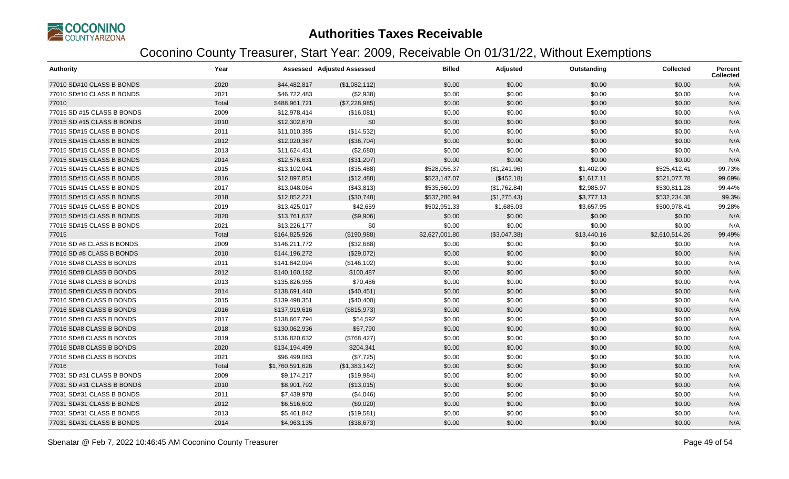

| <b>Authority</b>           | Year  |                 | <b>Assessed Adjusted Assessed</b> | <b>Billed</b>  | Adjusted     | Outstanding | <b>Collected</b> | <b>Percent</b><br><b>Collected</b> |
|----------------------------|-------|-----------------|-----------------------------------|----------------|--------------|-------------|------------------|------------------------------------|
| 77010 SD#10 CLASS B BONDS  | 2020  | \$44,482,817    | (\$1,082,112)                     | \$0.00         | \$0.00       | \$0.00      | \$0.00           | N/A                                |
| 77010 SD#10 CLASS B BONDS  | 2021  | \$46,722,483    | (\$2,938)                         | \$0.00         | \$0.00       | \$0.00      | \$0.00           | N/A                                |
| 77010                      | Total | \$488,961,721   | (\$7,228,985)                     | \$0.00         | \$0.00       | \$0.00      | \$0.00           | N/A                                |
| 77015 SD #15 CLASS B BONDS | 2009  | \$12,978,414    | (\$16,081)                        | \$0.00         | \$0.00       | \$0.00      | \$0.00           | N/A                                |
| 77015 SD #15 CLASS B BONDS | 2010  | \$12,302,670    | \$0                               | \$0.00         | \$0.00       | \$0.00      | \$0.00           | N/A                                |
| 77015 SD#15 CLASS B BONDS  | 2011  | \$11,010,385    | (\$14,532)                        | \$0.00         | \$0.00       | \$0.00      | \$0.00           | N/A                                |
| 77015 SD#15 CLASS B BONDS  | 2012  | \$12,020,387    | (\$36,704)                        | \$0.00         | \$0.00       | \$0.00      | \$0.00           | N/A                                |
| 77015 SD#15 CLASS B BONDS  | 2013  | \$11,624,431    | (\$2,680)                         | \$0.00         | \$0.00       | \$0.00      | \$0.00           | N/A                                |
| 77015 SD#15 CLASS B BONDS  | 2014  | \$12,576,631    | (\$31,207)                        | \$0.00         | \$0.00       | \$0.00      | \$0.00           | N/A                                |
| 77015 SD#15 CLASS B BONDS  | 2015  | \$13,102,041    | (\$35,488)                        | \$528,056.37   | (\$1,241.96) | \$1,402.00  | \$525,412.41     | 99.73%                             |
| 77015 SD#15 CLASS B BONDS  | 2016  | \$12,897,851    | (\$12,488)                        | \$523,147.07   | (\$452.18)   | \$1,617.11  | \$521,077.78     | 99.69%                             |
| 77015 SD#15 CLASS B BONDS  | 2017  | \$13,048,064    | (\$43,813)                        | \$535,560.09   | (\$1,762.84) | \$2,985.97  | \$530,811.28     | 99.44%                             |
| 77015 SD#15 CLASS B BONDS  | 2018  | \$12,852,221    | (\$30,748)                        | \$537,286.94   | (\$1,275.43) | \$3,777.13  | \$532,234.38     | 99.3%                              |
| 77015 SD#15 CLASS B BONDS  | 2019  | \$13,425,017    | \$42,659                          | \$502,951.33   | \$1,685.03   | \$3,657.95  | \$500,978.41     | 99.28%                             |
| 77015 SD#15 CLASS B BONDS  | 2020  | \$13,761,637    | (\$9,906)                         | \$0.00         | \$0.00       | \$0.00      | \$0.00           | N/A                                |
| 77015 SD#15 CLASS B BONDS  | 2021  | \$13,226,177    | \$0                               | \$0.00         | \$0.00       | \$0.00      | \$0.00           | N/A                                |
| 77015                      | Total | \$164,825,926   | (\$190,988)                       | \$2,627,001.80 | (\$3,047.38) | \$13,440.16 | \$2,610,514.26   | 99.49%                             |
| 77016 SD #8 CLASS B BONDS  | 2009  | \$146,211,772   | (\$32,688)                        | \$0.00         | \$0.00       | \$0.00      | \$0.00           | N/A                                |
| 77016 SD #8 CLASS B BONDS  | 2010  | \$144,196,272   | (\$29,072)                        | \$0.00         | \$0.00       | \$0.00      | \$0.00           | N/A                                |
| 77016 SD#8 CLASS B BONDS   | 2011  | \$141,842,094   | (\$146, 102)                      | \$0.00         | \$0.00       | \$0.00      | \$0.00           | N/A                                |
| 77016 SD#8 CLASS B BONDS   | 2012  | \$140,160,182   | \$100,487                         | \$0.00         | \$0.00       | \$0.00      | \$0.00           | N/A                                |
| 77016 SD#8 CLASS B BONDS   | 2013  | \$135,826,955   | \$70,486                          | \$0.00         | \$0.00       | \$0.00      | \$0.00           | N/A                                |
| 77016 SD#8 CLASS B BONDS   | 2014  | \$138,691,440   | (\$40,451)                        | \$0.00         | \$0.00       | \$0.00      | \$0.00           | N/A                                |
| 77016 SD#8 CLASS B BONDS   | 2015  | \$139,498,351   | (\$40,400)                        | \$0.00         | \$0.00       | \$0.00      | \$0.00           | N/A                                |
| 77016 SD#8 CLASS B BONDS   | 2016  | \$137,919,616   | (\$815,973)                       | \$0.00         | \$0.00       | \$0.00      | \$0.00           | N/A                                |
| 77016 SD#8 CLASS B BONDS   | 2017  | \$138,667,794   | \$54,592                          | \$0.00         | \$0.00       | \$0.00      | \$0.00           | N/A                                |
| 77016 SD#8 CLASS B BONDS   | 2018  | \$130,062,936   | \$67,790                          | \$0.00         | \$0.00       | \$0.00      | \$0.00           | N/A                                |
| 77016 SD#8 CLASS B BONDS   | 2019  | \$136,820,632   | (\$768,427)                       | \$0.00         | \$0.00       | \$0.00      | \$0.00           | N/A                                |
| 77016 SD#8 CLASS B BONDS   | 2020  | \$134,194,499   | \$204,341                         | \$0.00         | \$0.00       | \$0.00      | \$0.00           | N/A                                |
| 77016 SD#8 CLASS B BONDS   | 2021  | \$96,499,083    | (\$7,725)                         | \$0.00         | \$0.00       | \$0.00      | \$0.00           | N/A                                |
| 77016                      | Total | \$1,760,591,626 | (\$1,383,142)                     | \$0.00         | \$0.00       | \$0.00      | \$0.00           | N/A                                |
| 77031 SD #31 CLASS B BONDS | 2009  | \$9,174,217     | (\$19,984)                        | \$0.00         | \$0.00       | \$0.00      | \$0.00           | N/A                                |
| 77031 SD #31 CLASS B BONDS | 2010  | \$8,901,792     | (\$13,015)                        | \$0.00         | \$0.00       | \$0.00      | \$0.00           | N/A                                |
| 77031 SD#31 CLASS B BONDS  | 2011  | \$7,439,978     | (\$4,046)                         | \$0.00         | \$0.00       | \$0.00      | \$0.00           | N/A                                |
| 77031 SD#31 CLASS B BONDS  | 2012  | \$6,516,602     | (\$9,020)                         | \$0.00         | \$0.00       | \$0.00      | \$0.00           | N/A                                |
| 77031 SD#31 CLASS B BONDS  | 2013  | \$5,461,842     | (\$19,581)                        | \$0.00         | \$0.00       | \$0.00      | \$0.00           | N/A                                |
| 77031 SD#31 CLASS B BONDS  | 2014  | \$4,963,135     | (\$38,673)                        | \$0.00         | \$0.00       | \$0.00      | \$0.00           | N/A                                |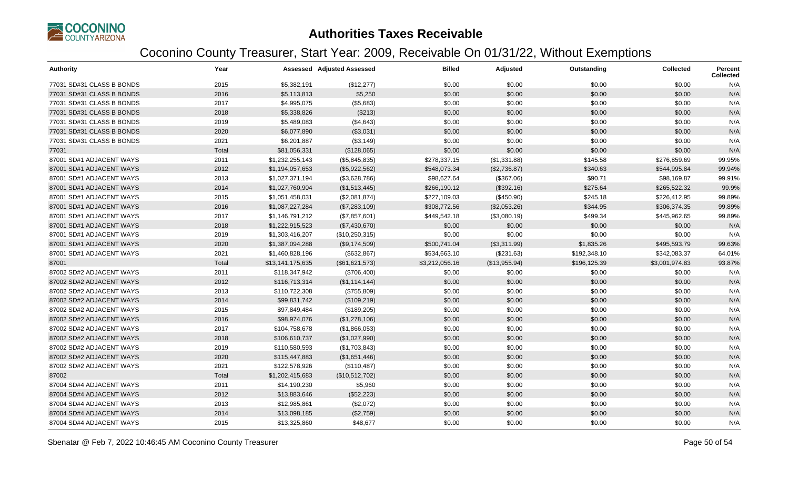

| <b>Authority</b>          | Year  |                  | <b>Assessed Adjusted Assessed</b> | <b>Billed</b>  | Adjusted      | Outstanding  | <b>Collected</b> | <b>Percent</b><br><b>Collected</b> |
|---------------------------|-------|------------------|-----------------------------------|----------------|---------------|--------------|------------------|------------------------------------|
| 77031 SD#31 CLASS B BONDS | 2015  | \$5,382,191      | (\$12,277)                        | \$0.00         | \$0.00        | \$0.00       | \$0.00           | N/A                                |
| 77031 SD#31 CLASS B BONDS | 2016  | \$5,113,813      | \$5,250                           | \$0.00         | \$0.00        | \$0.00       | \$0.00           | N/A                                |
| 77031 SD#31 CLASS B BONDS | 2017  | \$4,995,075      | (\$5,683)                         | \$0.00         | \$0.00        | \$0.00       | \$0.00           | N/A                                |
| 77031 SD#31 CLASS B BONDS | 2018  | \$5,338,826      | (\$213)                           | \$0.00         | \$0.00        | \$0.00       | \$0.00           | N/A                                |
| 77031 SD#31 CLASS B BONDS | 2019  | \$5,489,083      | (\$4,643)                         | \$0.00         | \$0.00        | \$0.00       | \$0.00           | N/A                                |
| 77031 SD#31 CLASS B BONDS | 2020  | \$6,077,890      | (\$3,031)                         | \$0.00         | \$0.00        | \$0.00       | \$0.00           | N/A                                |
| 77031 SD#31 CLASS B BONDS | 2021  | \$6,201,887      | (\$3,149)                         | \$0.00         | \$0.00        | \$0.00       | \$0.00           | N/A                                |
| 77031                     | Total | \$81,056,331     | (\$128,065)                       | \$0.00         | \$0.00        | \$0.00       | \$0.00           | N/A                                |
| 87001 SD#1 ADJACENT WAYS  | 2011  | \$1,232,255,143  | (\$5,845,835)                     | \$278,337.15   | (\$1,331.88)  | \$145.58     | \$276,859.69     | 99.95%                             |
| 87001 SD#1 ADJACENT WAYS  | 2012  | \$1,194,057,653  | (\$5,922,562)                     | \$548,073.34   | (\$2,736.87)  | \$340.63     | \$544,995.84     | 99.94%                             |
| 87001 SD#1 ADJACENT WAYS  | 2013  | \$1,027,371,194  | (\$3,628,786)                     | \$98,627.64    | (\$367.06)    | \$90.71      | \$98,169.87      | 99.91%                             |
| 87001 SD#1 ADJACENT WAYS  | 2014  | \$1,027,760,904  | (\$1,513,445)                     | \$266,190.12   | (\$392.16)    | \$275.64     | \$265.522.32     | 99.9%                              |
| 87001 SD#1 ADJACENT WAYS  | 2015  | \$1,051,458,031  | (\$2,081,874)                     | \$227,109.03   | (\$450.90)    | \$245.18     | \$226,412.95     | 99.89%                             |
| 87001 SD#1 ADJACENT WAYS  | 2016  | \$1,087,227,284  | (\$7,283,109)                     | \$308,772.56   | (\$2,053.26)  | \$344.95     | \$306,374.35     | 99.89%                             |
| 87001 SD#1 ADJACENT WAYS  | 2017  | \$1,146,791,212  | (\$7,857,601)                     | \$449,542.18   | (\$3,080.19)  | \$499.34     | \$445,962.65     | 99.89%                             |
| 87001 SD#1 ADJACENT WAYS  | 2018  | \$1,222,915,523  | (\$7,430,670)                     | \$0.00         | \$0.00        | \$0.00       | \$0.00           | N/A                                |
| 87001 SD#1 ADJACENT WAYS  | 2019  | \$1,303,416,207  | (\$10,250,315)                    | \$0.00         | \$0.00        | \$0.00       | \$0.00           | N/A                                |
| 87001 SD#1 ADJACENT WAYS  | 2020  | \$1,387,094,288  | (\$9,174,509)                     | \$500,741.04   | (\$3,311.99)  | \$1,835.26   | \$495,593.79     | 99.63%                             |
| 87001 SD#1 ADJACENT WAYS  | 2021  | \$1,460,828,196  | (\$632, 867)                      | \$534,663.10   | (\$231.63)    | \$192,348.10 | \$342,083.37     | 64.01%                             |
| 87001                     | Total | \$13,141,175,635 | (\$61,621,573)                    | \$3,212,056.16 | (\$13,955.94) | \$196,125.39 | \$3,001,974.83   | 93.87%                             |
| 87002 SD#2 ADJACENT WAYS  | 2011  | \$118,347,942    | (\$706,400)                       | \$0.00         | \$0.00        | \$0.00       | \$0.00           | N/A                                |
| 87002 SD#2 ADJACENT WAYS  | 2012  | \$116,713,314    | (\$1,114,144)                     | \$0.00         | \$0.00        | \$0.00       | \$0.00           | N/A                                |
| 87002 SD#2 ADJACENT WAYS  | 2013  | \$110,722,308    | (\$755,809)                       | \$0.00         | \$0.00        | \$0.00       | \$0.00           | N/A                                |
| 87002 SD#2 ADJACENT WAYS  | 2014  | \$99,831,742     | (\$109,219)                       | \$0.00         | \$0.00        | \$0.00       | \$0.00           | N/A                                |
| 87002 SD#2 ADJACENT WAYS  | 2015  | \$97,849,484     | (\$189,205)                       | \$0.00         | \$0.00        | \$0.00       | \$0.00           | N/A                                |
| 87002 SD#2 ADJACENT WAYS  | 2016  | \$98,974,076     | (\$1,278,106)                     | \$0.00         | \$0.00        | \$0.00       | \$0.00           | N/A                                |
| 87002 SD#2 ADJACENT WAYS  | 2017  | \$104,758,678    | (\$1,866,053)                     | \$0.00         | \$0.00        | \$0.00       | \$0.00           | N/A                                |
| 87002 SD#2 ADJACENT WAYS  | 2018  | \$106,610,737    | (\$1,027,990)                     | \$0.00         | \$0.00        | \$0.00       | \$0.00           | N/A                                |
| 87002 SD#2 ADJACENT WAYS  | 2019  | \$110,580,593    | (\$1,703,843)                     | \$0.00         | \$0.00        | \$0.00       | \$0.00           | N/A                                |
| 87002 SD#2 ADJACENT WAYS  | 2020  | \$115,447,883    | (\$1,651,446)                     | \$0.00         | \$0.00        | \$0.00       | \$0.00           | N/A                                |
| 87002 SD#2 ADJACENT WAYS  | 2021  | \$122,578,926    | (\$110,487)                       | \$0.00         | \$0.00        | \$0.00       | \$0.00           | N/A                                |
| 87002                     | Total | \$1,202,415,683  | (\$10,512,702)                    | \$0.00         | \$0.00        | \$0.00       | \$0.00           | N/A                                |
| 87004 SD#4 ADJACENT WAYS  | 2011  | \$14,190,230     | \$5,960                           | \$0.00         | \$0.00        | \$0.00       | \$0.00           | N/A                                |
| 87004 SD#4 ADJACENT WAYS  | 2012  | \$13,883,646     | (\$52,223)                        | \$0.00         | \$0.00        | \$0.00       | \$0.00           | N/A                                |
| 87004 SD#4 ADJACENT WAYS  | 2013  | \$12,985,861     | (\$2,072)                         | \$0.00         | \$0.00        | \$0.00       | \$0.00           | N/A                                |
| 87004 SD#4 ADJACENT WAYS  | 2014  | \$13,098,185     | (\$2,759)                         | \$0.00         | \$0.00        | \$0.00       | \$0.00           | N/A                                |
| 87004 SD#4 ADJACENT WAYS  | 2015  | \$13,325,860     | \$48,677                          | \$0.00         | \$0.00        | \$0.00       | \$0.00           | N/A                                |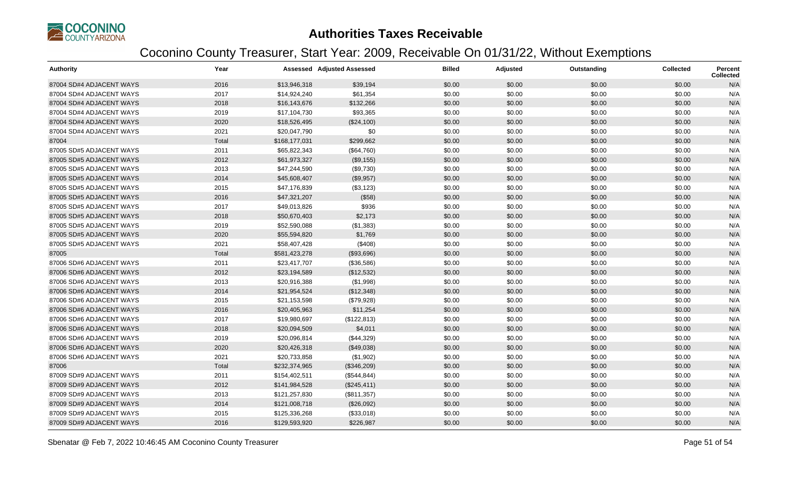

| <b>Authority</b>         | Year  |               | <b>Assessed Adjusted Assessed</b> | <b>Billed</b> | Adjusted | Outstanding | <b>Collected</b> | Percent<br><b>Collected</b> |
|--------------------------|-------|---------------|-----------------------------------|---------------|----------|-------------|------------------|-----------------------------|
| 87004 SD#4 ADJACENT WAYS | 2016  | \$13,946,318  | \$39,194                          | \$0.00        | \$0.00   | \$0.00      | \$0.00           | N/A                         |
| 87004 SD#4 ADJACENT WAYS | 2017  | \$14,924,240  | \$61,354                          | \$0.00        | \$0.00   | \$0.00      | \$0.00           | N/A                         |
| 87004 SD#4 ADJACENT WAYS | 2018  | \$16,143,676  | \$132,266                         | \$0.00        | \$0.00   | \$0.00      | \$0.00           | N/A                         |
| 87004 SD#4 ADJACENT WAYS | 2019  | \$17,104,730  | \$93,365                          | \$0.00        | \$0.00   | \$0.00      | \$0.00           | N/A                         |
| 87004 SD#4 ADJACENT WAYS | 2020  | \$18,526,495  | (\$24,100)                        | \$0.00        | \$0.00   | \$0.00      | \$0.00           | N/A                         |
| 87004 SD#4 ADJACENT WAYS | 2021  | \$20,047,790  | \$0                               | \$0.00        | \$0.00   | \$0.00      | \$0.00           | N/A                         |
| 87004                    | Total | \$168,177,031 | \$299,662                         | \$0.00        | \$0.00   | \$0.00      | \$0.00           | N/A                         |
| 87005 SD#5 ADJACENT WAYS | 2011  | \$65,822,343  | (\$64,760)                        | \$0.00        | \$0.00   | \$0.00      | \$0.00           | N/A                         |
| 87005 SD#5 ADJACENT WAYS | 2012  | \$61,973,327  | (\$9,155)                         | \$0.00        | \$0.00   | \$0.00      | \$0.00           | N/A                         |
| 87005 SD#5 ADJACENT WAYS | 2013  | \$47,244,590  | (\$9,730)                         | \$0.00        | \$0.00   | \$0.00      | \$0.00           | N/A                         |
| 87005 SD#5 ADJACENT WAYS | 2014  | \$45,608,407  | (\$9,957)                         | \$0.00        | \$0.00   | \$0.00      | \$0.00           | N/A                         |
| 87005 SD#5 ADJACENT WAYS | 2015  | \$47,176,839  | (\$3,123)                         | \$0.00        | \$0.00   | \$0.00      | \$0.00           | N/A                         |
| 87005 SD#5 ADJACENT WAYS | 2016  | \$47,321,207  | (\$58)                            | \$0.00        | \$0.00   | \$0.00      | \$0.00           | N/A                         |
| 87005 SD#5 ADJACENT WAYS | 2017  | \$49,013,826  | \$936                             | \$0.00        | \$0.00   | \$0.00      | \$0.00           | N/A                         |
| 87005 SD#5 ADJACENT WAYS | 2018  | \$50,670,403  | \$2,173                           | \$0.00        | \$0.00   | \$0.00      | \$0.00           | N/A                         |
| 87005 SD#5 ADJACENT WAYS | 2019  | \$52,590,088  | (\$1,383)                         | \$0.00        | \$0.00   | \$0.00      | \$0.00           | N/A                         |
| 87005 SD#5 ADJACENT WAYS | 2020  | \$55,594,820  | \$1,769                           | \$0.00        | \$0.00   | \$0.00      | \$0.00           | N/A                         |
| 87005 SD#5 ADJACENT WAYS | 2021  | \$58,407,428  | (\$408)                           | \$0.00        | \$0.00   | \$0.00      | \$0.00           | N/A                         |
| 87005                    | Total | \$581,423,278 | (\$93,696)                        | \$0.00        | \$0.00   | \$0.00      | \$0.00           | N/A                         |
| 87006 SD#6 ADJACENT WAYS | 2011  | \$23,417,707  | (\$36,586)                        | \$0.00        | \$0.00   | \$0.00      | \$0.00           | N/A                         |
| 87006 SD#6 ADJACENT WAYS | 2012  | \$23,194,589  | (\$12,532)                        | \$0.00        | \$0.00   | \$0.00      | \$0.00           | N/A                         |
| 87006 SD#6 ADJACENT WAYS | 2013  | \$20,916,388  | (\$1,998)                         | \$0.00        | \$0.00   | \$0.00      | \$0.00           | N/A                         |
| 87006 SD#6 ADJACENT WAYS | 2014  | \$21,954,524  | (\$12,348)                        | \$0.00        | \$0.00   | \$0.00      | \$0.00           | N/A                         |
| 87006 SD#6 ADJACENT WAYS | 2015  | \$21,153,598  | (\$79,928)                        | \$0.00        | \$0.00   | \$0.00      | \$0.00           | N/A                         |
| 87006 SD#6 ADJACENT WAYS | 2016  | \$20,405,963  | \$11,254                          | \$0.00        | \$0.00   | \$0.00      | \$0.00           | N/A                         |
| 87006 SD#6 ADJACENT WAYS | 2017  | \$19,980,697  | (\$122,813)                       | \$0.00        | \$0.00   | \$0.00      | \$0.00           | N/A                         |
| 87006 SD#6 ADJACENT WAYS | 2018  | \$20,094,509  | \$4,011                           | \$0.00        | \$0.00   | \$0.00      | \$0.00           | N/A                         |
| 87006 SD#6 ADJACENT WAYS | 2019  | \$20,096,814  | (\$44,329)                        | \$0.00        | \$0.00   | \$0.00      | \$0.00           | N/A                         |
| 87006 SD#6 ADJACENT WAYS | 2020  | \$20,426,318  | (\$49,038)                        | \$0.00        | \$0.00   | \$0.00      | \$0.00           | N/A                         |
| 87006 SD#6 ADJACENT WAYS | 2021  | \$20,733,858  | (\$1,902)                         | \$0.00        | \$0.00   | \$0.00      | \$0.00           | N/A                         |
| 87006                    | Total | \$232,374,965 | (\$346,209)                       | \$0.00        | \$0.00   | \$0.00      | \$0.00           | N/A                         |
| 87009 SD#9 ADJACENT WAYS | 2011  | \$154,402,511 | (\$544, 844)                      | \$0.00        | \$0.00   | \$0.00      | \$0.00           | N/A                         |
| 87009 SD#9 ADJACENT WAYS | 2012  | \$141,984,528 | (\$245,411)                       | \$0.00        | \$0.00   | \$0.00      | \$0.00           | N/A                         |
| 87009 SD#9 ADJACENT WAYS | 2013  | \$121,257,830 | (\$811,357)                       | \$0.00        | \$0.00   | \$0.00      | \$0.00           | N/A                         |
| 87009 SD#9 ADJACENT WAYS | 2014  | \$121,008,718 | (\$26,092)                        | \$0.00        | \$0.00   | \$0.00      | \$0.00           | N/A                         |
| 87009 SD#9 ADJACENT WAYS | 2015  | \$125,336,268 | (\$33,018)                        | \$0.00        | \$0.00   | \$0.00      | \$0.00           | N/A                         |
| 87009 SD#9 ADJACENT WAYS | 2016  | \$129,593,920 | \$226,987                         | \$0.00        | \$0.00   | \$0.00      | \$0.00           | N/A                         |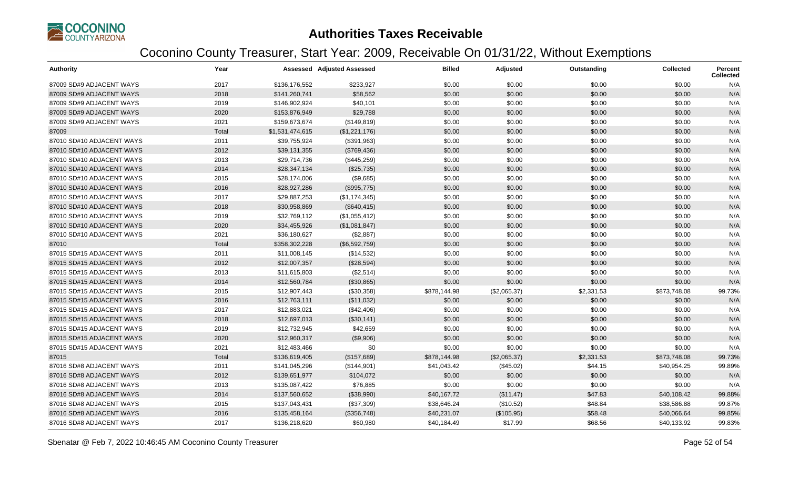

| <b>Authority</b>          | Year  |                 | <b>Assessed Adjusted Assessed</b> | <b>Billed</b> | Adjusted     | Outstanding | <b>Collected</b> | Percent<br><b>Collected</b> |
|---------------------------|-------|-----------------|-----------------------------------|---------------|--------------|-------------|------------------|-----------------------------|
| 87009 SD#9 ADJACENT WAYS  | 2017  | \$136,176,552   | \$233,927                         | \$0.00        | \$0.00       | \$0.00      | \$0.00           | N/A                         |
| 87009 SD#9 ADJACENT WAYS  | 2018  | \$141,260,741   | \$58,562                          | \$0.00        | \$0.00       | \$0.00      | \$0.00           | N/A                         |
| 87009 SD#9 ADJACENT WAYS  | 2019  | \$146,902,924   | \$40,101                          | \$0.00        | \$0.00       | \$0.00      | \$0.00           | N/A                         |
| 87009 SD#9 ADJACENT WAYS  | 2020  | \$153,876,949   | \$29,788                          | \$0.00        | \$0.00       | \$0.00      | \$0.00           | N/A                         |
| 87009 SD#9 ADJACENT WAYS  | 2021  | \$159,673,674   | (\$149, 819)                      | \$0.00        | \$0.00       | \$0.00      | \$0.00           | N/A                         |
| 87009                     | Total | \$1,531,474,615 | (\$1,221,176)                     | \$0.00        | \$0.00       | \$0.00      | \$0.00           | N/A                         |
| 87010 SD#10 ADJACENT WAYS | 2011  | \$39,755,924    | (\$391,963)                       | \$0.00        | \$0.00       | \$0.00      | \$0.00           | N/A                         |
| 87010 SD#10 ADJACENT WAYS | 2012  | \$39,131,355    | (\$769,436)                       | \$0.00        | \$0.00       | \$0.00      | \$0.00           | N/A                         |
| 87010 SD#10 ADJACENT WAYS | 2013  | \$29,714,736    | (\$445,259)                       | \$0.00        | \$0.00       | \$0.00      | \$0.00           | N/A                         |
| 87010 SD#10 ADJACENT WAYS | 2014  | \$28,347,134    | (\$25,735)                        | \$0.00        | \$0.00       | \$0.00      | \$0.00           | N/A                         |
| 87010 SD#10 ADJACENT WAYS | 2015  | \$28,174,006    | (\$9,685)                         | \$0.00        | \$0.00       | \$0.00      | \$0.00           | N/A                         |
| 87010 SD#10 ADJACENT WAYS | 2016  | \$28,927,286    | (\$995,775)                       | \$0.00        | \$0.00       | \$0.00      | \$0.00           | N/A                         |
| 87010 SD#10 ADJACENT WAYS | 2017  | \$29,887,253    | (\$1,174,345)                     | \$0.00        | \$0.00       | \$0.00      | \$0.00           | N/A                         |
| 87010 SD#10 ADJACENT WAYS | 2018  | \$30,958,869    | (\$640, 415)                      | \$0.00        | \$0.00       | \$0.00      | \$0.00           | N/A                         |
| 87010 SD#10 ADJACENT WAYS | 2019  | \$32,769,112    | (\$1,055,412)                     | \$0.00        | \$0.00       | \$0.00      | \$0.00           | N/A                         |
| 87010 SD#10 ADJACENT WAYS | 2020  | \$34,455,926    | (\$1,081,847)                     | \$0.00        | \$0.00       | \$0.00      | \$0.00           | N/A                         |
| 87010 SD#10 ADJACENT WAYS | 2021  | \$36,180,627    | (\$2,887)                         | \$0.00        | \$0.00       | \$0.00      | \$0.00           | N/A                         |
| 87010                     | Total | \$358,302,228   | (\$6,592,759)                     | \$0.00        | \$0.00       | \$0.00      | \$0.00           | N/A                         |
| 87015 SD#15 ADJACENT WAYS | 2011  | \$11,008,145    | (\$14,532)                        | \$0.00        | \$0.00       | \$0.00      | \$0.00           | N/A                         |
| 87015 SD#15 ADJACENT WAYS | 2012  | \$12,007,357    | (\$28,594)                        | \$0.00        | \$0.00       | \$0.00      | \$0.00           | N/A                         |
| 87015 SD#15 ADJACENT WAYS | 2013  | \$11,615,803    | (\$2,514)                         | \$0.00        | \$0.00       | \$0.00      | \$0.00           | N/A                         |
| 87015 SD#15 ADJACENT WAYS | 2014  | \$12,560,784    | (\$30,865)                        | \$0.00        | \$0.00       | \$0.00      | \$0.00           | N/A                         |
| 87015 SD#15 ADJACENT WAYS | 2015  | \$12,907,443    | (\$30,358)                        | \$878,144.98  | (\$2,065.37) | \$2,331.53  | \$873,748.08     | 99.73%                      |
| 87015 SD#15 ADJACENT WAYS | 2016  | \$12,763,111    | (\$11,032)                        | \$0.00        | \$0.00       | \$0.00      | \$0.00           | N/A                         |
| 87015 SD#15 ADJACENT WAYS | 2017  | \$12,883,021    | (\$42,406)                        | \$0.00        | \$0.00       | \$0.00      | \$0.00           | N/A                         |
| 87015 SD#15 ADJACENT WAYS | 2018  | \$12,697,013    | (\$30,141)                        | \$0.00        | \$0.00       | \$0.00      | \$0.00           | N/A                         |
| 87015 SD#15 ADJACENT WAYS | 2019  | \$12,732,945    | \$42,659                          | \$0.00        | \$0.00       | \$0.00      | \$0.00           | N/A                         |
| 87015 SD#15 ADJACENT WAYS | 2020  | \$12,960,317    | (\$9,906)                         | \$0.00        | \$0.00       | \$0.00      | \$0.00           | N/A                         |
| 87015 SD#15 ADJACENT WAYS | 2021  | \$12,483,466    | \$0                               | \$0.00        | \$0.00       | \$0.00      | \$0.00           | N/A                         |
| 87015                     | Total | \$136,619,405   | (\$157,689)                       | \$878,144.98  | (\$2,065.37) | \$2,331.53  | \$873,748.08     | 99.73%                      |
| 87016 SD#8 ADJACENT WAYS  | 2011  | \$141,045,296   | (\$144,901)                       | \$41,043.42   | (\$45.02)    | \$44.15     | \$40,954.25      | 99.89%                      |
| 87016 SD#8 ADJACENT WAYS  | 2012  | \$139,651,977   | \$104,072                         | \$0.00        | \$0.00       | \$0.00      | \$0.00           | N/A                         |
| 87016 SD#8 ADJACENT WAYS  | 2013  | \$135,087,422   | \$76,885                          | \$0.00        | \$0.00       | \$0.00      | \$0.00           | N/A                         |
| 87016 SD#8 ADJACENT WAYS  | 2014  | \$137,560,652   | (\$38,990)                        | \$40,167.72   | (\$11.47)    | \$47.83     | \$40,108.42      | 99.88%                      |
| 87016 SD#8 ADJACENT WAYS  | 2015  | \$137,043,431   | (\$37,309)                        | \$38,646.24   | (\$10.52)    | \$48.84     | \$38,586.88      | 99.87%                      |
| 87016 SD#8 ADJACENT WAYS  | 2016  | \$135,458,164   | (\$356,748)                       | \$40,231.07   | (\$105.95)   | \$58.48     | \$40,066.64      | 99.85%                      |
| 87016 SD#8 ADJACENT WAYS  | 2017  | \$136,218,620   | \$60,980                          | \$40,184.49   | \$17.99      | \$68.56     | \$40,133.92      | 99.83%                      |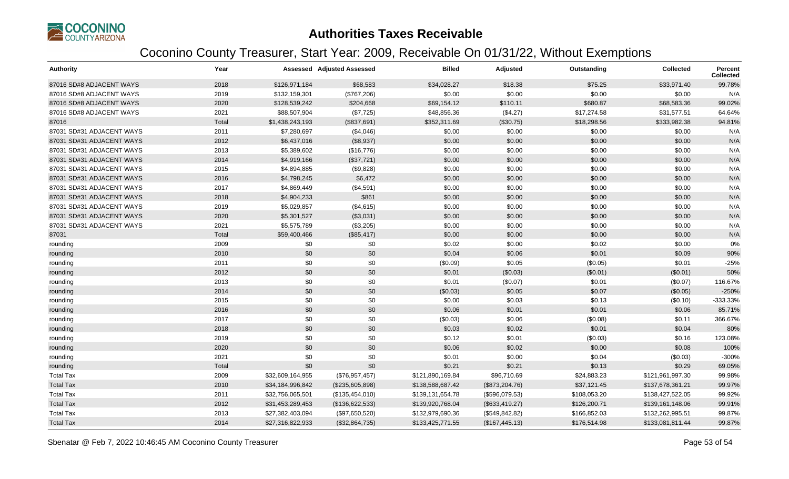

| <b>Authority</b>          | Year  |                  | <b>Assessed Adjusted Assessed</b> | <b>Billed</b>    | Adjusted        | Outstanding  | <b>Collected</b> | Percent<br><b>Collected</b> |
|---------------------------|-------|------------------|-----------------------------------|------------------|-----------------|--------------|------------------|-----------------------------|
| 87016 SD#8 ADJACENT WAYS  | 2018  | \$126,971,184    | \$68,583                          | \$34,028.27      | \$18.38         | \$75.25      | \$33,971.40      | 99.78%                      |
| 87016 SD#8 ADJACENT WAYS  | 2019  | \$132,159,301    | (\$767,206)                       | \$0.00           | \$0.00          | \$0.00       | \$0.00           | N/A                         |
| 87016 SD#8 ADJACENT WAYS  | 2020  | \$128,539,242    | \$204,668                         | \$69,154.12      | \$110.11        | \$680.87     | \$68,583.36      | 99.02%                      |
| 87016 SD#8 ADJACENT WAYS  | 2021  | \$88,507,904     | (\$7,725)                         | \$48,856.36      | (\$4.27)        | \$17,274.58  | \$31,577.51      | 64.64%                      |
| 87016                     | Total | \$1,438,243,193  | (\$837,691)                       | \$352,311.69     | (\$30.75)       | \$18,298.56  | \$333,982.38     | 94.81%                      |
| 87031 SD#31 ADJACENT WAYS | 2011  | \$7,280,697      | (\$4,046)                         | \$0.00           | \$0.00          | \$0.00       | \$0.00           | N/A                         |
| 87031 SD#31 ADJACENT WAYS | 2012  | \$6,437,016      | (\$8,937)                         | \$0.00           | \$0.00          | \$0.00       | \$0.00           | N/A                         |
| 87031 SD#31 ADJACENT WAYS | 2013  | \$5,389,602      | (\$16,776)                        | \$0.00           | \$0.00          | \$0.00       | \$0.00           | N/A                         |
| 87031 SD#31 ADJACENT WAYS | 2014  | \$4,919,166      | (\$37,721)                        | \$0.00           | \$0.00          | \$0.00       | \$0.00           | N/A                         |
| 87031 SD#31 ADJACENT WAYS | 2015  | \$4,894,885      | (\$9,828)                         | \$0.00           | \$0.00          | \$0.00       | \$0.00           | N/A                         |
| 87031 SD#31 ADJACENT WAYS | 2016  | \$4,798,245      | \$6,472                           | \$0.00           | \$0.00          | \$0.00       | \$0.00           | N/A                         |
| 87031 SD#31 ADJACENT WAYS | 2017  | \$4,869,449      | (\$4,591)                         | \$0.00           | \$0.00          | \$0.00       | \$0.00           | N/A                         |
| 87031 SD#31 ADJACENT WAYS | 2018  | \$4,904,233      | \$861                             | \$0.00           | \$0.00          | \$0.00       | \$0.00           | N/A                         |
| 87031 SD#31 ADJACENT WAYS | 2019  | \$5,029,857      | (\$4,615)                         | \$0.00           | \$0.00          | \$0.00       | \$0.00           | N/A                         |
| 87031 SD#31 ADJACENT WAYS | 2020  | \$5,301,527      | (\$3,031)                         | \$0.00           | \$0.00          | \$0.00       | \$0.00           | N/A                         |
| 87031 SD#31 ADJACENT WAYS | 2021  | \$5,575,789      | (\$3,205)                         | \$0.00           | \$0.00          | \$0.00       | \$0.00           | N/A                         |
| 87031                     | Total | \$59,400,466     | (\$85,417)                        | \$0.00           | \$0.00          | \$0.00       | \$0.00           | N/A                         |
| rounding                  | 2009  | \$0              | \$0                               | \$0.02           | \$0.00          | \$0.02       | \$0.00           | 0%                          |
| rounding                  | 2010  | \$0              | \$0                               | \$0.04           | \$0.06          | \$0.01       | \$0.09           | 90%                         |
| rounding                  | 2011  | \$0              | \$0                               | (\$0.09)         | \$0.05          | (\$0.05)     | \$0.01           | $-25%$                      |
| rounding                  | 2012  | \$0              | \$0                               | \$0.01           | (\$0.03)        | (\$0.01)     | (\$0.01)         | 50%                         |
| rounding                  | 2013  | \$0              | \$0                               | \$0.01           | (\$0.07)        | \$0.01       | (\$0.07)         | 116.67%                     |
| rounding                  | 2014  | \$0              | \$0                               | (\$0.03)         | \$0.05          | \$0.07       | (\$0.05)         | $-250%$                     |
| rounding                  | 2015  | \$0              | \$0                               | \$0.00           | \$0.03          | \$0.13       | (\$0.10)         | -333.33%                    |
| rounding                  | 2016  | \$0              | \$0                               | \$0.06           | \$0.01          | \$0.01       | \$0.06           | 85.71%                      |
| rounding                  | 2017  | \$0              | \$0                               | (\$0.03)         | \$0.06          | (\$0.08)     | \$0.11           | 366.67%                     |
| rounding                  | 2018  | \$0              | \$0                               | \$0.03           | \$0.02          | \$0.01       | \$0.04           | 80%                         |
| rounding                  | 2019  | \$0              | \$0                               | \$0.12           | \$0.01          | (\$0.03)     | \$0.16           | 123.08%                     |
| rounding                  | 2020  | \$0              | \$0                               | \$0.06           | \$0.02          | \$0.00       | \$0.08           | 100%                        |
| rounding                  | 2021  | \$0              | \$0                               | \$0.01           | \$0.00          | \$0.04       | (\$0.03)         | $-300%$                     |
| rounding                  | Total | \$0              | \$0                               | \$0.21           | \$0.21          | \$0.13       | \$0.29           | 69.05%                      |
| <b>Total Tax</b>          | 2009  | \$32,609,164,955 | (\$76,957,457)                    | \$121,890,169.84 | \$96,710.69     | \$24,883.23  | \$121,961,997.30 | 99.98%                      |
| <b>Total Tax</b>          | 2010  | \$34,184,996,842 | (\$235,605,898)                   | \$138,588,687.42 | (\$873,204.76)  | \$37,121.45  | \$137,678,361.21 | 99.97%                      |
| <b>Total Tax</b>          | 2011  | \$32,756,065,501 | (\$135,454,010)                   | \$139,131,654.78 | (\$596,079.53)  | \$108,053.20 | \$138,427,522.05 | 99.92%                      |
| <b>Total Tax</b>          | 2012  | \$31,453,289,453 | (\$136,622,533)                   | \$139,920,768.04 | (\$633,419.27)  | \$126,200.71 | \$139,161,148.06 | 99.91%                      |
| <b>Total Tax</b>          | 2013  | \$27,382,403,094 | (\$97,650,520)                    | \$132,979,690.36 | (\$549, 842.82) | \$166,852.03 | \$132,262,995.51 | 99.87%                      |
| <b>Total Tax</b>          | 2014  | \$27,316,822,933 | (\$32,864,735)                    | \$133,425,771.55 | (\$167,445.13)  | \$176,514.98 | \$133,081,811.44 | 99.87%                      |